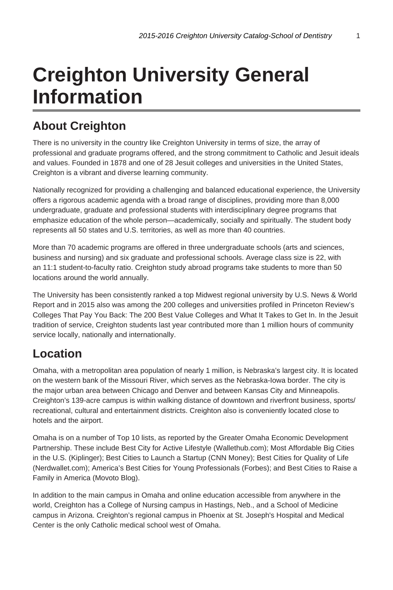# **Creighton University General Information**

### **About Creighton**

There is no university in the country like Creighton University in terms of size, the array of professional and graduate programs offered, and the strong commitment to Catholic and Jesuit ideals and values. Founded in 1878 and one of 28 Jesuit colleges and universities in the United States, Creighton is a vibrant and diverse learning community.

Nationally recognized for providing a challenging and balanced educational experience, the University offers a rigorous academic agenda with a broad range of disciplines, providing more than 8,000 undergraduate, graduate and professional students with interdisciplinary degree programs that emphasize education of the whole person—academically, socially and spiritually. The student body represents all 50 states and U.S. territories, as well as more than 40 countries.

More than 70 academic programs are offered in three undergraduate schools (arts and sciences, business and nursing) and six graduate and professional schools. Average class size is 22, with an 11:1 student-to-faculty ratio. Creighton study abroad programs take students to more than 50 locations around the world annually.

The University has been consistently ranked a top Midwest regional university by U.S. News & World Report and in 2015 also was among the 200 colleges and universities profiled in Princeton Review's Colleges That Pay You Back: The 200 Best Value Colleges and What It Takes to Get In. In the Jesuit tradition of service, Creighton students last year contributed more than 1 million hours of community service locally, nationally and internationally.

### **Location**

Omaha, with a metropolitan area population of nearly 1 million, is Nebraska's largest city. It is located on the western bank of the Missouri River, which serves as the Nebraska-Iowa border. The city is the major urban area between Chicago and Denver and between Kansas City and Minneapolis. Creighton's 139-acre campus is within walking distance of downtown and riverfront business, sports/ recreational, cultural and entertainment districts. Creighton also is conveniently located close to hotels and the airport.

Omaha is on a number of Top 10 lists, as reported by the Greater Omaha Economic Development Partnership. These include Best City for Active Lifestyle (Wallethub.com); Most Affordable Big Cities in the U.S. (Kiplinger); Best Cities to Launch a Startup (CNN Money); Best Cities for Quality of Life (Nerdwallet.com); America's Best Cities for Young Professionals (Forbes); and Best Cities to Raise a Family in America (Movoto Blog).

In addition to the main campus in Omaha and online education accessible from anywhere in the world, Creighton has a College of Nursing campus in Hastings, Neb., and a School of Medicine campus in Arizona. Creighton's regional campus in Phoenix at St. Joseph's Hospital and Medical Center is the only Catholic medical school west of Omaha.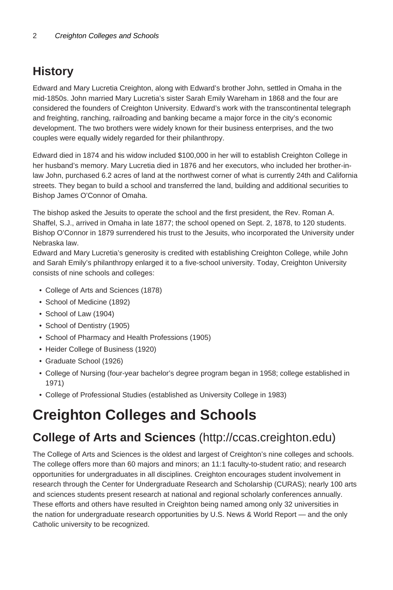## **History**

Edward and Mary Lucretia Creighton, along with Edward's brother John, settled in Omaha in the mid-1850s. John married Mary Lucretia's sister Sarah Emily Wareham in 1868 and the four are considered the founders of Creighton University. Edward's work with the transcontinental telegraph and freighting, ranching, railroading and banking became a major force in the city's economic development. The two brothers were widely known for their business enterprises, and the two couples were equally widely regarded for their philanthropy.

Edward died in 1874 and his widow included \$100,000 in her will to establish Creighton College in her husband's memory. Mary Lucretia died in 1876 and her executors, who included her brother-inlaw John, purchased 6.2 acres of land at the northwest corner of what is currently 24th and California streets. They began to build a school and transferred the land, building and additional securities to Bishop James O'Connor of Omaha.

The bishop asked the Jesuits to operate the school and the first president, the Rev. Roman A. Shaffel, S.J., arrived in Omaha in late 1877; the school opened on Sept. 2, 1878, to 120 students. Bishop O'Connor in 1879 surrendered his trust to the Jesuits, who incorporated the University under Nebraska law.

Edward and Mary Lucretia's generosity is credited with establishing Creighton College, while John and Sarah Emily's philanthropy enlarged it to a five-school university. Today, Creighton University consists of nine schools and colleges:

- College of Arts and Sciences (1878)
- School of Medicine (1892)
- School of Law (1904)
- School of Dentistry (1905)
- School of Pharmacy and Health Professions (1905)
- Heider College of Business (1920)
- Graduate School (1926)
- College of Nursing (four-year bachelor's degree program began in 1958; college established in 1971)
- College of Professional Studies (established as University College in 1983)

# **Creighton Colleges and Schools**

### **College of Arts and Sciences** (http://ccas.creighton.edu)

The College of Arts and Sciences is the oldest and largest of Creighton's nine colleges and schools. The college offers more than 60 majors and minors; an 11:1 faculty-to-student ratio; and research opportunities for undergraduates in all disciplines. Creighton encourages student involvement in research through the Center for Undergraduate Research and Scholarship (CURAS); nearly 100 arts and sciences students present research at national and regional scholarly conferences annually. These efforts and others have resulted in Creighton being named among only 32 universities in the nation for undergraduate research opportunities by U.S. News & World Report — and the only Catholic university to be recognized.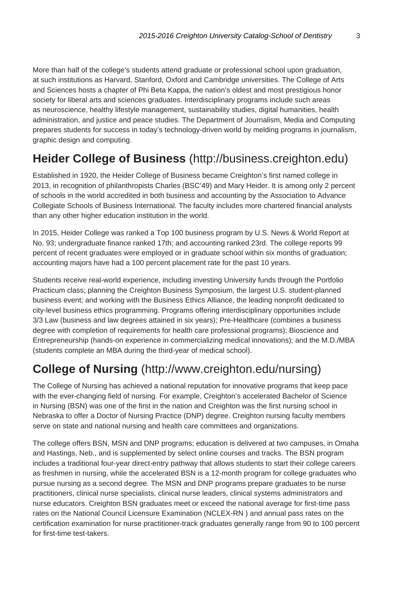More than half of the college's students attend graduate or professional school upon graduation, at such institutions as Harvard, Stanford, Oxford and Cambridge universities. The College of Arts and Sciences hosts a chapter of Phi Beta Kappa, the nation's oldest and most prestigious honor society for liberal arts and sciences graduates. Interdisciplinary programs include such areas as neuroscience, healthy lifestyle management, sustainability studies, digital humanities, health administration, and justice and peace studies. The Department of Journalism, Media and Computing prepares students for success in today's technology-driven world by melding programs in journalism, graphic design and computing.

### **Heider College of Business** (http://business.creighton.edu)

Established in 1920, the Heider College of Business became Creighton's first named college in 2013, in recognition of philanthropists Charles (BSC'49) and Mary Heider. It is among only 2 percent of schools in the world accredited in both business and accounting by the Association to Advance Collegiate Schools of Business International. The faculty includes more chartered financial analysts than any other higher education institution in the world.

In 2015, Heider College was ranked a Top 100 business program by U.S. News & World Report at No. 93; undergraduate finance ranked 17th; and accounting ranked 23rd. The college reports 99 percent of recent graduates were employed or in graduate school within six months of graduation; accounting majors have had a 100 percent placement rate for the past 10 years.

Students receive real-world experience, including investing University funds through the Portfolio Practicum class; planning the Creighton Business Symposium, the largest U.S. student-planned business event; and working with the Business Ethics Alliance, the leading nonprofit dedicated to city-level business ethics programming. Programs offering interdisciplinary opportunities include 3/3 Law (business and law degrees attained in six years); Pre-Healthcare (combines a business degree with completion of requirements for health care professional programs); Bioscience and Entrepreneurship (hands-on experience in commercializing medical innovations); and the M.D./MBA (students complete an MBA during the third-year of medical school).

### **College of Nursing** (http://www.creighton.edu/nursing)

The College of Nursing has achieved a national reputation for innovative programs that keep pace with the ever-changing field of nursing. For example, Creighton's accelerated Bachelor of Science in Nursing (BSN) was one of the first in the nation and Creighton was the first nursing school in Nebraska to offer a Doctor of Nursing Practice (DNP) degree. Creighton nursing faculty members serve on state and national nursing and health care committees and organizations.

The college offers BSN, MSN and DNP programs; education is delivered at two campuses, in Omaha and Hastings, Neb., and is supplemented by select online courses and tracks. The BSN program includes a traditional four-year direct-entry pathway that allows students to start their college careers as freshmen in nursing, while the accelerated BSN is a 12-month program for college graduates who pursue nursing as a second degree. The MSN and DNP programs prepare graduates to be nurse practitioners, clinical nurse specialists, clinical nurse leaders, clinical systems administrators and nurse educators. Creighton BSN graduates meet or exceed the national average for first-time pass rates on the National Council Licensure Examination (NCLEX-RN ) and annual pass rates on the certification examination for nurse practitioner-track graduates generally range from 90 to 100 percent for first-time test-takers.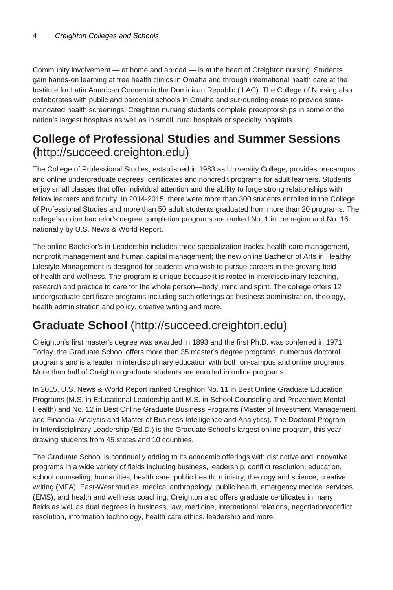Community involvement — at home and abroad — is at the heart of Creighton nursing. Students gain hands-on learning at free health clinics in Omaha and through international health care at the Institute for Latin American Concern in the Dominican Republic (ILAC). The College of Nursing also collaborates with public and parochial schools in Omaha and surrounding areas to provide statemandated health screenings. Creighton nursing students complete preceptorships in some of the nation's largest hospitals as well as in small, rural hospitals or specialty hospitals.

### **College of Professional Studies and Summer Sessions** (http://succeed.creighton.edu)

The College of Professional Studies, established in 1983 as University College, provides on-campus and online undergraduate degrees, certificates and noncredit programs for adult learners. Students enjoy small classes that offer individual attention and the ability to forge strong relationships with fellow learners and faculty. In 2014-2015, there were more than 300 students enrolled in the College of Professional Studies and more than 50 adult students graduated from more than 20 programs. The college's online bachelor's degree completion programs are ranked No. 1 in the region and No. 16 nationally by U.S. News & World Report.

The online Bachelor's in Leadership includes three specialization tracks: health care management, nonprofit management and human capital management; the new online Bachelor of Arts in Healthy Lifestyle Management is designed for students who wish to pursue careers in the growing field of health and wellness. The program is unique because it is rooted in interdisciplinary teaching, research and practice to care for the whole person—body, mind and spirit. The college offers 12 undergraduate certificate programs including such offerings as business administration, theology, health administration and policy, creative writing and more.

## **Graduate School** (http://succeed.creighton.edu)

Creighton's first master's degree was awarded in 1893 and the first Ph.D. was conferred in 1971. Today, the Graduate School offers more than 35 master's degree programs, numerous doctoral programs and is a leader in interdisciplinary education with both on-campus and online programs. More than half of Creighton graduate students are enrolled in online programs.

In 2015, U.S. News & World Report ranked Creighton No. 11 in Best Online Graduate Education Programs (M.S. in Educational Leadership and M.S. in School Counseling and Preventive Mental Health) and No. 12 in Best Online Graduate Business Programs (Master of Investment Management and Financial Analysis and Master of Business Intelligence and Analytics). The Doctoral Program in Interdisciplinary Leadership (Ed.D.) is the Graduate School's largest online program, this year drawing students from 45 states and 10 countries.

The Graduate School is continually adding to its academic offerings with distinctive and innovative programs in a wide variety of fields including business, leadership, conflict resolution, education, school counseling, humanities, health care, public health, ministry, theology and science; creative writing (MFA), East-West studies, medical anthropology, public health, emergency medical services (EMS), and health and wellness coaching. Creighton also offers graduate certificates in many fields as well as dual degrees in business, law, medicine, international relations, negotiation/conflict resolution, information technology, health care ethics, leadership and more.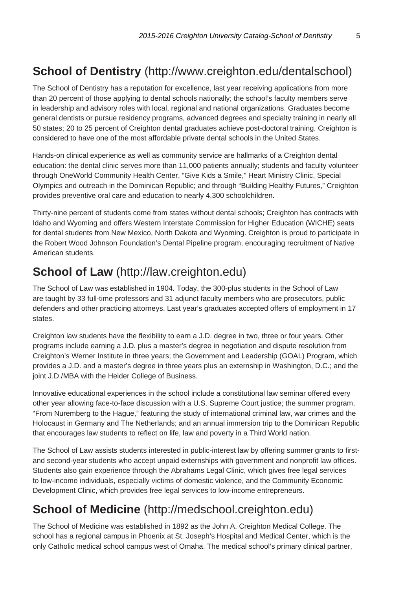## **School of Dentistry** (http://www.creighton.edu/dentalschool)

The School of Dentistry has a reputation for excellence, last year receiving applications from more than 20 percent of those applying to dental schools nationally; the school's faculty members serve in leadership and advisory roles with local, regional and national organizations. Graduates become general dentists or pursue residency programs, advanced degrees and specialty training in nearly all 50 states; 20 to 25 percent of Creighton dental graduates achieve post-doctoral training. Creighton is considered to have one of the most affordable private dental schools in the United States.

Hands-on clinical experience as well as community service are hallmarks of a Creighton dental education: the dental clinic serves more than 11,000 patients annually; students and faculty volunteer through OneWorld Community Health Center, "Give Kids a Smile," Heart Ministry Clinic, Special Olympics and outreach in the Dominican Republic; and through "Building Healthy Futures," Creighton provides preventive oral care and education to nearly 4,300 schoolchildren.

Thirty-nine percent of students come from states without dental schools; Creighton has contracts with Idaho and Wyoming and offers Western Interstate Commission for Higher Education (WICHE) seats for dental students from New Mexico, North Dakota and Wyoming. Creighton is proud to participate in the Robert Wood Johnson Foundation's Dental Pipeline program, encouraging recruitment of Native American students.

### **School of Law** (http://law.creighton.edu)

The School of Law was established in 1904. Today, the 300-plus students in the School of Law are taught by 33 full-time professors and 31 adjunct faculty members who are prosecutors, public defenders and other practicing attorneys. Last year's graduates accepted offers of employment in 17 states.

Creighton law students have the flexibility to earn a J.D. degree in two, three or four years. Other programs include earning a J.D. plus a master's degree in negotiation and dispute resolution from Creighton's Werner Institute in three years; the Government and Leadership (GOAL) Program, which provides a J.D. and a master's degree in three years plus an externship in Washington, D.C.; and the joint J.D./MBA with the Heider College of Business.

Innovative educational experiences in the school include a constitutional law seminar offered every other year allowing face-to-face discussion with a U.S. Supreme Court justice; the summer program, "From Nuremberg to the Hague," featuring the study of international criminal law, war crimes and the Holocaust in Germany and The Netherlands; and an annual immersion trip to the Dominican Republic that encourages law students to reflect on life, law and poverty in a Third World nation.

The School of Law assists students interested in public-interest law by offering summer grants to firstand second-year students who accept unpaid externships with government and nonprofit law offices. Students also gain experience through the Abrahams Legal Clinic, which gives free legal services to low-income individuals, especially victims of domestic violence, and the Community Economic Development Clinic, which provides free legal services to low-income entrepreneurs.

### **School of Medicine** (http://medschool.creighton.edu)

The School of Medicine was established in 1892 as the John A. Creighton Medical College. The school has a regional campus in Phoenix at St. Joseph's Hospital and Medical Center, which is the only Catholic medical school campus west of Omaha. The medical school's primary clinical partner,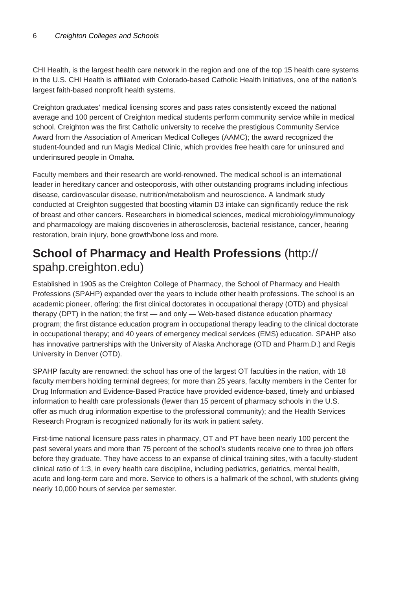CHI Health, is the largest health care network in the region and one of the top 15 health care systems in the U.S. CHI Health is affiliated with Colorado-based Catholic Health Initiatives, one of the nation's largest faith-based nonprofit health systems.

Creighton graduates' medical licensing scores and pass rates consistently exceed the national average and 100 percent of Creighton medical students perform community service while in medical school. Creighton was the first Catholic university to receive the prestigious Community Service Award from the Association of American Medical Colleges (AAMC); the award recognized the student-founded and run Magis Medical Clinic, which provides free health care for uninsured and underinsured people in Omaha.

Faculty members and their research are world-renowned. The medical school is an international leader in hereditary cancer and osteoporosis, with other outstanding programs including infectious disease, cardiovascular disease, nutrition/metabolism and neuroscience. A landmark study conducted at Creighton suggested that boosting vitamin D3 intake can significantly reduce the risk of breast and other cancers. Researchers in biomedical sciences, medical microbiology/immunology and pharmacology are making discoveries in atherosclerosis, bacterial resistance, cancer, hearing restoration, brain injury, bone growth/bone loss and more.

### **School of Pharmacy and Health Professions** (http:// spahp.creighton.edu)

Established in 1905 as the Creighton College of Pharmacy, the School of Pharmacy and Health Professions (SPAHP) expanded over the years to include other health professions. The school is an academic pioneer, offering: the first clinical doctorates in occupational therapy (OTD) and physical therapy (DPT) in the nation; the first — and only — Web-based distance education pharmacy program; the first distance education program in occupational therapy leading to the clinical doctorate in occupational therapy; and 40 years of emergency medical services (EMS) education. SPAHP also has innovative partnerships with the University of Alaska Anchorage (OTD and Pharm.D.) and Regis University in Denver (OTD).

SPAHP faculty are renowned: the school has one of the largest OT faculties in the nation, with 18 faculty members holding terminal degrees; for more than 25 years, faculty members in the Center for Drug Information and Evidence-Based Practice have provided evidence-based, timely and unbiased information to health care professionals (fewer than 15 percent of pharmacy schools in the U.S. offer as much drug information expertise to the professional community); and the Health Services Research Program is recognized nationally for its work in patient safety.

First-time national licensure pass rates in pharmacy, OT and PT have been nearly 100 percent the past several years and more than 75 percent of the school's students receive one to three job offers before they graduate. They have access to an expanse of clinical training sites, with a faculty-student clinical ratio of 1:3, in every health care discipline, including pediatrics, geriatrics, mental health, acute and long-term care and more. Service to others is a hallmark of the school, with students giving nearly 10,000 hours of service per semester.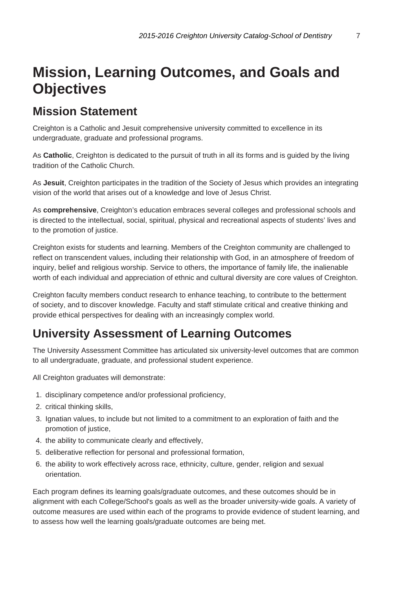# **Mission, Learning Outcomes, and Goals and Objectives**

### **Mission Statement**

Creighton is a Catholic and Jesuit comprehensive university committed to excellence in its undergraduate, graduate and professional programs.

As **Catholic**, Creighton is dedicated to the pursuit of truth in all its forms and is guided by the living tradition of the Catholic Church.

As **Jesuit**, Creighton participates in the tradition of the Society of Jesus which provides an integrating vision of the world that arises out of a knowledge and love of Jesus Christ.

As **comprehensive**, Creighton's education embraces several colleges and professional schools and is directed to the intellectual, social, spiritual, physical and recreational aspects of students' lives and to the promotion of justice.

Creighton exists for students and learning. Members of the Creighton community are challenged to reflect on transcendent values, including their relationship with God, in an atmosphere of freedom of inquiry, belief and religious worship. Service to others, the importance of family life, the inalienable worth of each individual and appreciation of ethnic and cultural diversity are core values of Creighton.

Creighton faculty members conduct research to enhance teaching, to contribute to the betterment of society, and to discover knowledge. Faculty and staff stimulate critical and creative thinking and provide ethical perspectives for dealing with an increasingly complex world.

### **University Assessment of Learning Outcomes**

The University Assessment Committee has articulated six university-level outcomes that are common to all undergraduate, graduate, and professional student experience.

All Creighton graduates will demonstrate:

- 1. disciplinary competence and/or professional proficiency,
- 2. critical thinking skills,
- 3. Ignatian values, to include but not limited to a commitment to an exploration of faith and the promotion of justice,
- 4. the ability to communicate clearly and effectively,
- 5. deliberative reflection for personal and professional formation,
- 6. the ability to work effectively across race, ethnicity, culture, gender, religion and sexual orientation.

Each program defines its learning goals/graduate outcomes, and these outcomes should be in alignment with each College/School's goals as well as the broader university-wide goals. A variety of outcome measures are used within each of the programs to provide evidence of student learning, and to assess how well the learning goals/graduate outcomes are being met.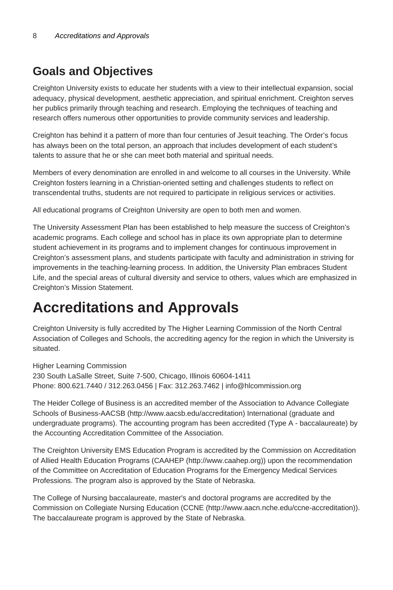## **Goals and Objectives**

Creighton University exists to educate her students with a view to their intellectual expansion, social adequacy, physical development, aesthetic appreciation, and spiritual enrichment. Creighton serves her publics primarily through teaching and research. Employing the techniques of teaching and research offers numerous other opportunities to provide community services and leadership.

Creighton has behind it a pattern of more than four centuries of Jesuit teaching. The Order's focus has always been on the total person, an approach that includes development of each student's talents to assure that he or she can meet both material and spiritual needs.

Members of every denomination are enrolled in and welcome to all courses in the University. While Creighton fosters learning in a Christian-oriented setting and challenges students to reflect on transcendental truths, students are not required to participate in religious services or activities.

All educational programs of Creighton University are open to both men and women.

The University Assessment Plan has been established to help measure the success of Creighton's academic programs. Each college and school has in place its own appropriate plan to determine student achievement in its programs and to implement changes for continuous improvement in Creighton's assessment plans, and students participate with faculty and administration in striving for improvements in the teaching-learning process. In addition, the University Plan embraces Student Life, and the special areas of cultural diversity and service to others, values which are emphasized in Creighton's Mission Statement.

## **Accreditations and Approvals**

Creighton University is fully accredited by The Higher Learning Commission of the North Central Association of Colleges and Schools, the accrediting agency for the region in which the University is situated.

Higher Learning Commission 230 South LaSalle Street, Suite 7-500, Chicago, Illinois 60604-1411 Phone: 800.621.7440 / 312.263.0456 | Fax: 312.263.7462 | info@hlcommission.org

The Heider College of Business is an accredited member of the Association to Advance Collegiate Schools of Business-AACSB (http://www.aacsb.edu/accreditation) International (graduate and undergraduate programs). The accounting program has been accredited (Type A - baccalaureate) by the Accounting Accreditation Committee of the Association.

The Creighton University EMS Education Program is accredited by the Commission on Accreditation of Allied Health Education Programs (CAAHEP (http://www.caahep.org)) upon the recommendation of the Committee on Accreditation of Education Programs for the Emergency Medical Services Professions. The program also is approved by the State of Nebraska.

The College of Nursing baccalaureate, master's and doctoral programs are accredited by the Commission on Collegiate Nursing Education (CCNE (http://www.aacn.nche.edu/ccne-accreditation)). The baccalaureate program is approved by the State of Nebraska.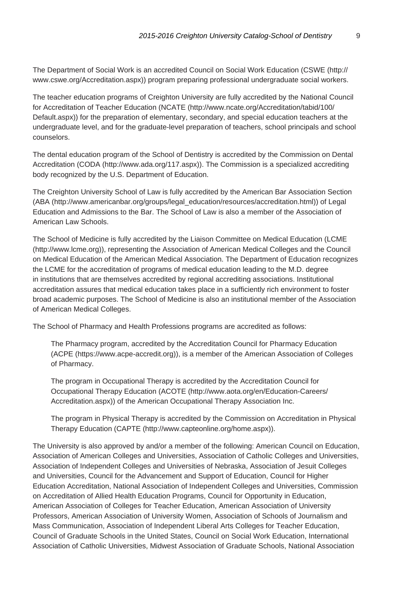The Department of Social Work is an accredited Council on Social Work Education (CSWE (http:// www.cswe.org/Accreditation.aspx)) program preparing professional undergraduate social workers.

The teacher education programs of Creighton University are fully accredited by the National Council for Accreditation of Teacher Education (NCATE (http://www.ncate.org/Accreditation/tabid/100/ Default.aspx)) for the preparation of elementary, secondary, and special education teachers at the undergraduate level, and for the graduate-level preparation of teachers, school principals and school counselors.

The dental education program of the School of Dentistry is accredited by the Commission on Dental Accreditation (CODA (http://www.ada.org/117.aspx)). The Commission is a specialized accrediting body recognized by the U.S. Department of Education.

The Creighton University School of Law is fully accredited by the American Bar Association Section (ABA (http://www.americanbar.org/groups/legal\_education/resources/accreditation.html)) of Legal Education and Admissions to the Bar. The School of Law is also a member of the Association of American Law Schools.

The School of Medicine is fully accredited by the Liaison Committee on Medical Education (LCME (http://www.lcme.org)), representing the Association of American Medical Colleges and the Council on Medical Education of the American Medical Association. The Department of Education recognizes the LCME for the accreditation of programs of medical education leading to the M.D. degree in institutions that are themselves accredited by regional accrediting associations. Institutional accreditation assures that medical education takes place in a sufficiently rich environment to foster broad academic purposes. The School of Medicine is also an institutional member of the Association of American Medical Colleges.

The School of Pharmacy and Health Professions programs are accredited as follows:

The Pharmacy program, accredited by the Accreditation Council for Pharmacy Education (ACPE (https://www.acpe-accredit.org)), is a member of the American Association of Colleges of Pharmacy.

The program in Occupational Therapy is accredited by the Accreditation Council for Occupational Therapy Education (ACOTE (http://www.aota.org/en/Education-Careers/ Accreditation.aspx)) of the American Occupational Therapy Association Inc.

The program in Physical Therapy is accredited by the Commission on Accreditation in Physical Therapy Education (CAPTE (http://www.capteonline.org/home.aspx)).

The University is also approved by and/or a member of the following: American Council on Education, Association of American Colleges and Universities, Association of Catholic Colleges and Universities, Association of Independent Colleges and Universities of Nebraska, Association of Jesuit Colleges and Universities, Council for the Advancement and Support of Education, Council for Higher Education Accreditation, National Association of Independent Colleges and Universities, Commission on Accreditation of Allied Health Education Programs, Council for Opportunity in Education, American Association of Colleges for Teacher Education, American Association of University Professors, American Association of University Women, Association of Schools of Journalism and Mass Communication, Association of Independent Liberal Arts Colleges for Teacher Education, Council of Graduate Schools in the United States, Council on Social Work Education, International Association of Catholic Universities, Midwest Association of Graduate Schools, National Association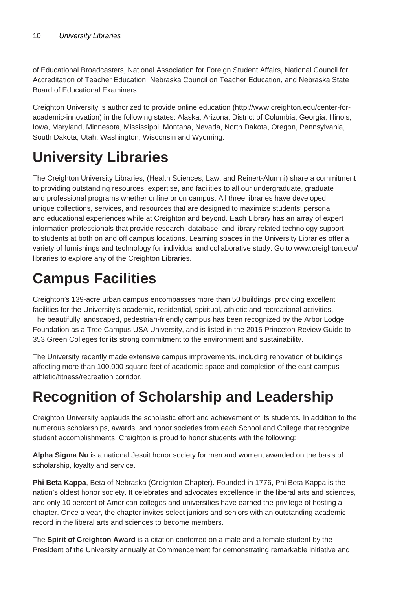of Educational Broadcasters, National Association for Foreign Student Affairs, National Council for Accreditation of Teacher Education, Nebraska Council on Teacher Education, and Nebraska State Board of Educational Examiners.

Creighton University is authorized to provide online education (http://www.creighton.edu/center-foracademic-innovation) in the following states: Alaska, Arizona, District of Columbia, Georgia, Illinois, Iowa, Maryland, Minnesota, Mississippi, Montana, Nevada, North Dakota, Oregon, Pennsylvania, South Dakota, Utah, Washington, Wisconsin and Wyoming.

# **University Libraries**

The Creighton University Libraries, (Health Sciences, Law, and Reinert-Alumni) share a commitment to providing outstanding resources, expertise, and facilities to all our undergraduate, graduate and professional programs whether online or on campus. All three libraries have developed unique collections, services, and resources that are designed to maximize students' personal and educational experiences while at Creighton and beyond. Each Library has an array of expert information professionals that provide research, database, and library related technology support to students at both on and off campus locations. Learning spaces in the University Libraries offer a variety of furnishings and technology for individual and collaborative study. Go to www.creighton.edu/ libraries to explore any of the Creighton Libraries.

# **Campus Facilities**

Creighton's 139-acre urban campus encompasses more than 50 buildings, providing excellent facilities for the University's academic, residential, spiritual, athletic and recreational activities. The beautifully landscaped, pedestrian-friendly campus has been recognized by the Arbor Lodge Foundation as a Tree Campus USA University, and is listed in the 2015 Princeton Review Guide to 353 Green Colleges for its strong commitment to the environment and sustainability.

The University recently made extensive campus improvements, including renovation of buildings affecting more than 100,000 square feet of academic space and completion of the east campus athletic/fitness/recreation corridor.

# **Recognition of Scholarship and Leadership**

Creighton University applauds the scholastic effort and achievement of its students. In addition to the numerous scholarships, awards, and honor societies from each School and College that recognize student accomplishments, Creighton is proud to honor students with the following:

**Alpha Sigma Nu** is a national Jesuit honor society for men and women, awarded on the basis of scholarship, loyalty and service.

**Phi Beta Kappa**, Beta of Nebraska (Creighton Chapter). Founded in 1776, Phi Beta Kappa is the nation's oldest honor society. It celebrates and advocates excellence in the liberal arts and sciences, and only 10 percent of American colleges and universities have earned the privilege of hosting a chapter. Once a year, the chapter invites select juniors and seniors with an outstanding academic record in the liberal arts and sciences to become members.

The **Spirit of Creighton Award** is a citation conferred on a male and a female student by the President of the University annually at Commencement for demonstrating remarkable initiative and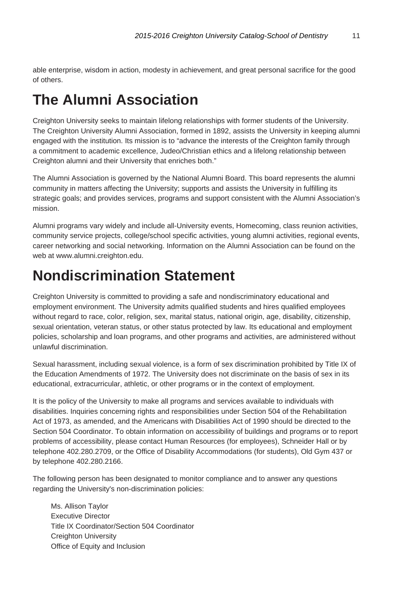able enterprise, wisdom in action, modesty in achievement, and great personal sacrifice for the good of others.

# **The Alumni Association**

Creighton University seeks to maintain lifelong relationships with former students of the University. The Creighton University Alumni Association, formed in 1892, assists the University in keeping alumni engaged with the institution. Its mission is to "advance the interests of the Creighton family through a commitment to academic excellence, Judeo/Christian ethics and a lifelong relationship between Creighton alumni and their University that enriches both."

The Alumni Association is governed by the National Alumni Board. This board represents the alumni community in matters affecting the University; supports and assists the University in fulfilling its strategic goals; and provides services, programs and support consistent with the Alumni Association's mission.

Alumni programs vary widely and include all-University events, Homecoming, class reunion activities, community service projects, college/school specific activities, young alumni activities, regional events, career networking and social networking. Information on the Alumni Association can be found on the web at www.alumni.creighton.edu.

## **Nondiscrimination Statement**

Creighton University is committed to providing a safe and nondiscriminatory educational and employment environment. The University admits qualified students and hires qualified employees without regard to race, color, religion, sex, marital status, national origin, age, disability, citizenship, sexual orientation, veteran status, or other status protected by law. Its educational and employment policies, scholarship and loan programs, and other programs and activities, are administered without unlawful discrimination.

Sexual harassment, including sexual violence, is a form of sex discrimination prohibited by Title IX of the Education Amendments of 1972. The University does not discriminate on the basis of sex in its educational, extracurricular, athletic, or other programs or in the context of employment.

It is the policy of the University to make all programs and services available to individuals with disabilities. Inquiries concerning rights and responsibilities under Section 504 of the Rehabilitation Act of 1973, as amended, and the Americans with Disabilities Act of 1990 should be directed to the Section 504 Coordinator. To obtain information on accessibility of buildings and programs or to report problems of accessibility, please contact Human Resources (for employees), Schneider Hall or by telephone 402.280.2709, or the Office of Disability Accommodations (for students), Old Gym 437 or by telephone 402.280.2166.

The following person has been designated to monitor compliance and to answer any questions regarding the University's non-discrimination policies:

Ms. Allison Taylor Executive Director Title IX Coordinator/Section 504 Coordinator Creighton University Office of Equity and Inclusion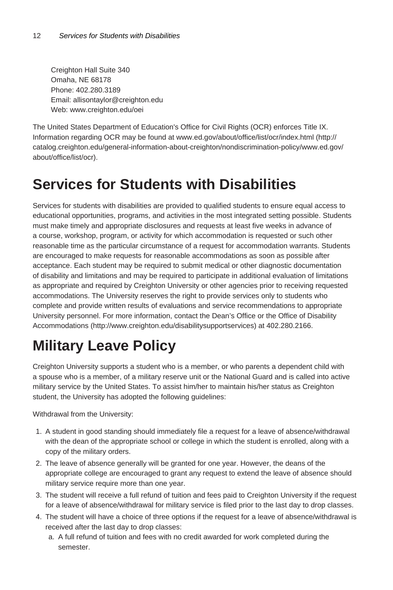Creighton Hall Suite 340 Omaha, NE 68178 Phone: 402.280.3189 Email: allisontaylor@creighton.edu Web: www.creighton.edu/oei

The United States Department of Education's Office for Civil Rights (OCR) enforces Title IX. Information regarding OCR may be found at www.ed.gov/about/office/list/ocr/index.html (http:// catalog.creighton.edu/general-information-about-creighton/nondiscrimination-policy/www.ed.gov/ about/office/list/ocr).

# **Services for Students with Disabilities**

Services for students with disabilities are provided to qualified students to ensure equal access to educational opportunities, programs, and activities in the most integrated setting possible. Students must make timely and appropriate disclosures and requests at least five weeks in advance of a course, workshop, program, or activity for which accommodation is requested or such other reasonable time as the particular circumstance of a request for accommodation warrants. Students are encouraged to make requests for reasonable accommodations as soon as possible after acceptance. Each student may be required to submit medical or other diagnostic documentation of disability and limitations and may be required to participate in additional evaluation of limitations as appropriate and required by Creighton University or other agencies prior to receiving requested accommodations. The University reserves the right to provide services only to students who complete and provide written results of evaluations and service recommendations to appropriate University personnel. For more information, contact the Dean's Office or the Office of Disability Accommodations (http://www.creighton.edu/disabilitysupportservices) at 402.280.2166.

# **Military Leave Policy**

Creighton University supports a student who is a member, or who parents a dependent child with a spouse who is a member, of a military reserve unit or the National Guard and is called into active military service by the United States. To assist him/her to maintain his/her status as Creighton student, the University has adopted the following guidelines:

Withdrawal from the University:

- 1. A student in good standing should immediately file a request for a leave of absence/withdrawal with the dean of the appropriate school or college in which the student is enrolled, along with a copy of the military orders.
- 2. The leave of absence generally will be granted for one year. However, the deans of the appropriate college are encouraged to grant any request to extend the leave of absence should military service require more than one year.
- 3. The student will receive a full refund of tuition and fees paid to Creighton University if the request for a leave of absence/withdrawal for military service is filed prior to the last day to drop classes.
- 4. The student will have a choice of three options if the request for a leave of absence/withdrawal is received after the last day to drop classes:
	- a. A full refund of tuition and fees with no credit awarded for work completed during the semester.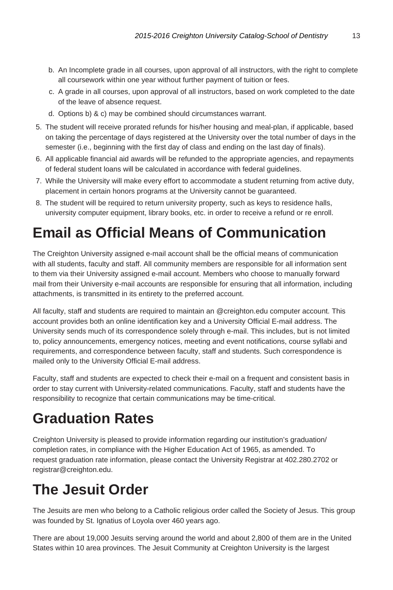- b. An Incomplete grade in all courses, upon approval of all instructors, with the right to complete all coursework within one year without further payment of tuition or fees.
- c. A grade in all courses, upon approval of all instructors, based on work completed to the date of the leave of absence request.
- d. Options b) & c) may be combined should circumstances warrant.
- 5. The student will receive prorated refunds for his/her housing and meal-plan, if applicable, based on taking the percentage of days registered at the University over the total number of days in the semester (i.e., beginning with the first day of class and ending on the last day of finals).
- 6. All applicable financial aid awards will be refunded to the appropriate agencies, and repayments of federal student loans will be calculated in accordance with federal guidelines.
- 7. While the University will make every effort to accommodate a student returning from active duty, placement in certain honors programs at the University cannot be guaranteed.
- 8. The student will be required to return university property, such as keys to residence halls, university computer equipment, library books, etc. in order to receive a refund or re enroll.

# **Email as Official Means of Communication**

The Creighton University assigned e-mail account shall be the official means of communication with all students, faculty and staff. All community members are responsible for all information sent to them via their University assigned e-mail account. Members who choose to manually forward mail from their University e-mail accounts are responsible for ensuring that all information, including attachments, is transmitted in its entirety to the preferred account.

All faculty, staff and students are required to maintain an @creighton.edu computer account. This account provides both an online identification key and a University Official E-mail address. The University sends much of its correspondence solely through e-mail. This includes, but is not limited to, policy announcements, emergency notices, meeting and event notifications, course syllabi and requirements, and correspondence between faculty, staff and students. Such correspondence is mailed only to the University Official E-mail address.

Faculty, staff and students are expected to check their e-mail on a frequent and consistent basis in order to stay current with University-related communications. Faculty, staff and students have the responsibility to recognize that certain communications may be time-critical.

# **Graduation Rates**

Creighton University is pleased to provide information regarding our institution's graduation/ completion rates, in compliance with the Higher Education Act of 1965, as amended. To request graduation rate information, please contact the University Registrar at 402.280.2702 or registrar@creighton.edu.

# **The Jesuit Order**

The Jesuits are men who belong to a Catholic religious order called the Society of Jesus. This group was founded by St. Ignatius of Loyola over 460 years ago.

There are about 19,000 Jesuits serving around the world and about 2,800 of them are in the United States within 10 area provinces. The Jesuit Community at Creighton University is the largest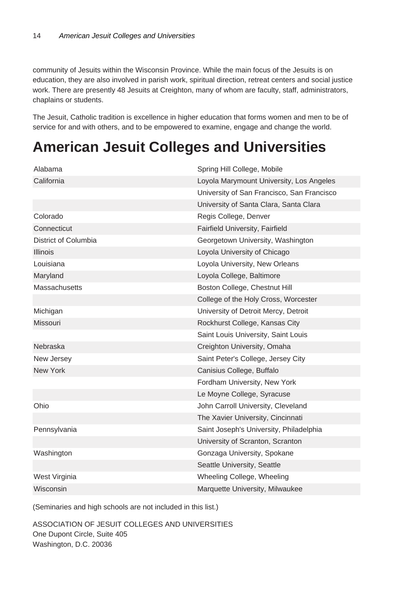community of Jesuits within the Wisconsin Province. While the main focus of the Jesuits is on education, they are also involved in parish work, spiritual direction, retreat centers and social justice work. There are presently 48 Jesuits at Creighton, many of whom are faculty, staff, administrators, chaplains or students.

The Jesuit, Catholic tradition is excellence in higher education that forms women and men to be of service for and with others, and to be empowered to examine, engage and change the world.

# **American Jesuit Colleges and Universities**

| Alabama              | Spring Hill College, Mobile                |
|----------------------|--------------------------------------------|
| California           | Loyola Marymount University, Los Angeles   |
|                      | University of San Francisco, San Francisco |
|                      | University of Santa Clara, Santa Clara     |
| Colorado             | Regis College, Denver                      |
| Connecticut          | Fairfield University, Fairfield            |
| District of Columbia | Georgetown University, Washington          |
| <b>Illinois</b>      | Loyola University of Chicago               |
| Louisiana            | Loyola University, New Orleans             |
| Maryland             | Loyola College, Baltimore                  |
| <b>Massachusetts</b> | Boston College, Chestnut Hill              |
|                      | College of the Holy Cross, Worcester       |
| Michigan             | University of Detroit Mercy, Detroit       |
| <b>Missouri</b>      | Rockhurst College, Kansas City             |
|                      | Saint Louis University, Saint Louis        |
| Nebraska             | Creighton University, Omaha                |
| New Jersey           | Saint Peter's College, Jersey City         |
| New York             | Canisius College, Buffalo                  |
|                      | Fordham University, New York               |
|                      | Le Moyne College, Syracuse                 |
| Ohio                 | John Carroll University, Cleveland         |
|                      | The Xavier University, Cincinnati          |
| Pennsylvania         | Saint Joseph's University, Philadelphia    |
|                      | University of Scranton, Scranton           |
| Washington           | Gonzaga University, Spokane                |
|                      | Seattle University, Seattle                |
| West Virginia        | Wheeling College, Wheeling                 |
| Wisconsin            | Marquette University, Milwaukee            |

(Seminaries and high schools are not included in this list.)

ASSOCIATION OF JESUIT COLLEGES AND UNIVERSITIES One Dupont Circle, Suite 405 Washington, D.C. 20036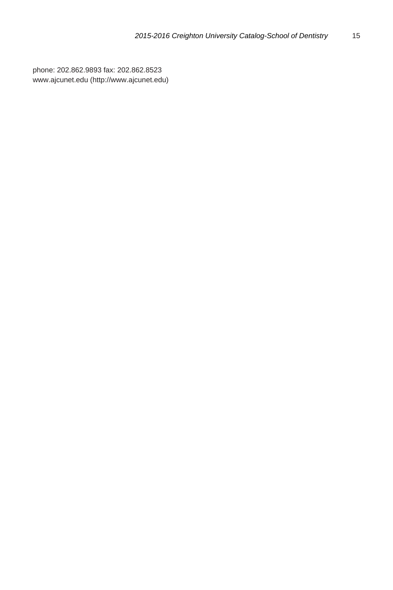phone: 202.862.9893 fax: 202.862.8523 www.ajcunet.edu (http://www.ajcunet.edu)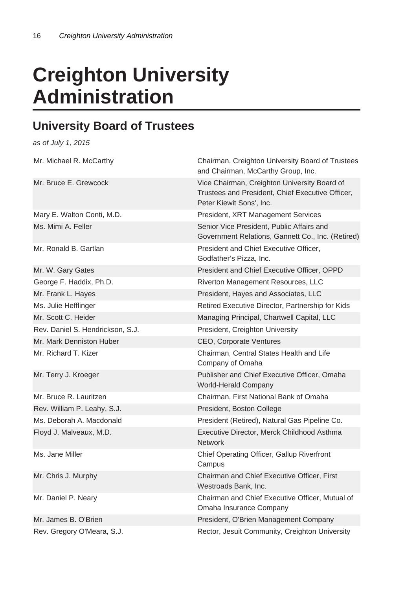# **Creighton University Administration**

### **University Board of Trustees**

as of July 1, 2015

| Mr. Michael R. McCarthy          | Chairman, Creighton University Board of Trustees<br>and Chairman, McCarthy Group, Inc.                                       |
|----------------------------------|------------------------------------------------------------------------------------------------------------------------------|
| Mr. Bruce E. Grewcock            | Vice Chairman, Creighton University Board of<br>Trustees and President, Chief Executive Officer,<br>Peter Kiewit Sons', Inc. |
| Mary E. Walton Conti, M.D.       | President, XRT Management Services                                                                                           |
| Ms. Mimi A. Feller               | Senior Vice President, Public Affairs and<br>Government Relations, Gannett Co., Inc. (Retired)                               |
| Mr. Ronald B. Gartlan            | President and Chief Executive Officer.<br>Godfather's Pizza, Inc.                                                            |
| Mr. W. Gary Gates                | President and Chief Executive Officer, OPPD                                                                                  |
| George F. Haddix, Ph.D.          | Riverton Management Resources, LLC                                                                                           |
| Mr. Frank L. Hayes               | President, Hayes and Associates, LLC                                                                                         |
| Ms. Julie Hefflinger             | Retired Executive Director, Partnership for Kids                                                                             |
| Mr. Scott C. Heider              | Managing Principal, Chartwell Capital, LLC                                                                                   |
| Rev. Daniel S. Hendrickson, S.J. | President, Creighton University                                                                                              |
| Mr. Mark Denniston Huber         | CEO, Corporate Ventures                                                                                                      |
| Mr. Richard T. Kizer             | Chairman, Central States Health and Life<br>Company of Omaha                                                                 |
| Mr. Terry J. Kroeger             | Publisher and Chief Executive Officer, Omaha<br><b>World-Herald Company</b>                                                  |
| Mr. Bruce R. Lauritzen           | Chairman, First National Bank of Omaha                                                                                       |
| Rev. William P. Leahy, S.J.      | President, Boston College                                                                                                    |
| Ms. Deborah A. Macdonald         | President (Retired), Natural Gas Pipeline Co.                                                                                |
| Floyd J. Malveaux, M.D.          | Executive Director, Merck Childhood Asthma<br><b>Network</b>                                                                 |
| Ms. Jane Miller                  | Chief Operating Officer, Gallup Riverfront<br>Campus                                                                         |
| Mr. Chris J. Murphy              | Chairman and Chief Executive Officer, First<br>Westroads Bank, Inc.                                                          |
| Mr. Daniel P. Neary              | Chairman and Chief Executive Officer, Mutual of<br>Omaha Insurance Company                                                   |
| Mr. James B. O'Brien             | President, O'Brien Management Company                                                                                        |
| Rev. Gregory O'Meara, S.J.       | Rector, Jesuit Community, Creighton University                                                                               |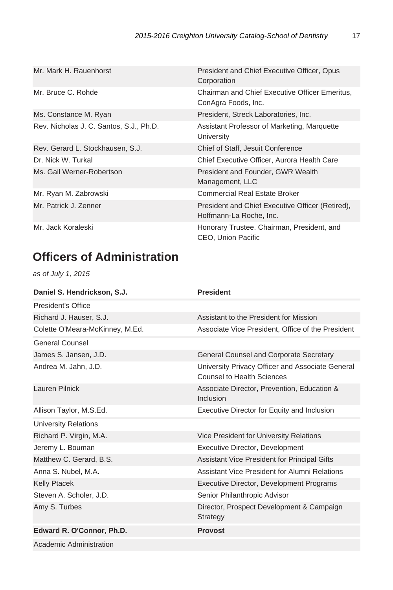| Mr. Mark H. Rauenhorst                  | President and Chief Executive Officer, Opus<br>Corporation                  |
|-----------------------------------------|-----------------------------------------------------------------------------|
| Mr. Bruce C. Rohde                      | Chairman and Chief Executive Officer Emeritus.<br>ConAgra Foods, Inc.       |
| Ms. Constance M. Ryan                   | President, Streck Laboratories, Inc.                                        |
| Rev. Nicholas J. C. Santos, S.J., Ph.D. | Assistant Professor of Marketing, Marquette<br>University                   |
| Rev. Gerard L. Stockhausen, S.J.        | Chief of Staff, Jesuit Conference                                           |
| Dr. Nick W. Turkal                      | Chief Executive Officer, Aurora Health Care                                 |
| Ms. Gail Werner-Robertson               | President and Founder, GWR Wealth<br>Management, LLC                        |
| Mr. Ryan M. Zabrowski                   | <b>Commercial Real Estate Broker</b>                                        |
| Mr. Patrick J. Zenner                   | President and Chief Executive Officer (Retired),<br>Hoffmann-La Roche, Inc. |
| Mr. Jack Koraleski                      | Honorary Trustee. Chairman, President, and<br>CEO, Union Pacific            |

## **Officers of Administration**

as of July 1, 2015

| Daniel S. Hendrickson, S.J.     | <b>President</b>                                                               |
|---------------------------------|--------------------------------------------------------------------------------|
| President's Office              |                                                                                |
| Richard J. Hauser, S.J.         | Assistant to the President for Mission                                         |
| Colette O'Meara-McKinney, M.Ed. | Associate Vice President, Office of the President                              |
| General Counsel                 |                                                                                |
| James S. Jansen, J.D.           | General Counsel and Corporate Secretary                                        |
| Andrea M. Jahn, J.D.            | University Privacy Officer and Associate General<br>Counsel to Health Sciences |
| Lauren Pilnick                  | Associate Director, Prevention, Education &<br>Inclusion                       |
| Allison Taylor, M.S.Ed.         | Executive Director for Equity and Inclusion                                    |
| <b>University Relations</b>     |                                                                                |
| Richard P. Virgin, M.A.         | Vice President for University Relations                                        |
| Jeremy L. Bouman                | Executive Director, Development                                                |
| Matthew C. Gerard, B.S.         | Assistant Vice President for Principal Gifts                                   |
| Anna S. Nubel, M.A.             | Assistant Vice President for Alumni Relations                                  |
| <b>Kelly Ptacek</b>             | Executive Director, Development Programs                                       |
| Steven A. Scholer, J.D.         | Senior Philanthropic Advisor                                                   |
| Amy S. Turbes                   | Director, Prospect Development & Campaign<br>Strategy                          |
| Edward R. O'Connor, Ph.D.       | <b>Provost</b>                                                                 |
| Academic Administration         |                                                                                |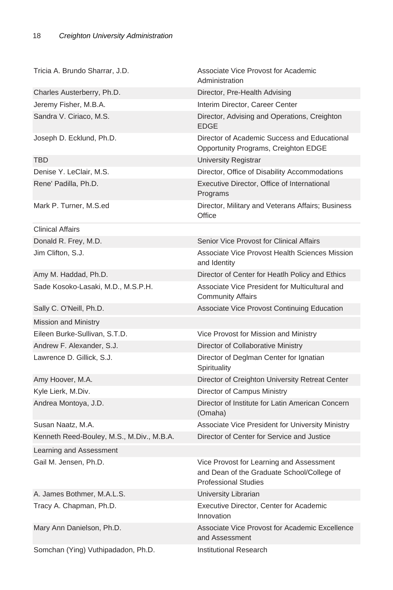| Tricia A. Brundo Sharrar, J.D.            | Associate Vice Provost for Academic<br>Administration                                                                 |
|-------------------------------------------|-----------------------------------------------------------------------------------------------------------------------|
| Charles Austerberry, Ph.D.                | Director, Pre-Health Advising                                                                                         |
| Jeremy Fisher, M.B.A.                     | Interim Director, Career Center                                                                                       |
| Sandra V. Ciriaco, M.S.                   | Director, Advising and Operations, Creighton<br>EDGE                                                                  |
| Joseph D. Ecklund, Ph.D.                  | Director of Academic Success and Educational<br>Opportunity Programs, Creighton EDGE                                  |
| <b>TBD</b>                                | <b>University Registrar</b>                                                                                           |
| Denise Y. LeClair, M.S.                   | Director, Office of Disability Accommodations                                                                         |
| Rene' Padilla, Ph.D.                      | Executive Director, Office of International<br>Programs                                                               |
| Mark P. Turner, M.S.ed                    | Director, Military and Veterans Affairs; Business<br>Office                                                           |
| <b>Clinical Affairs</b>                   |                                                                                                                       |
| Donald R. Frey, M.D.                      | Senior Vice Provost for Clinical Affairs                                                                              |
| Jim Clifton, S.J.                         | Associate Vice Provost Health Sciences Mission<br>and Identity                                                        |
| Amy M. Haddad, Ph.D.                      | Director of Center for Heatlh Policy and Ethics                                                                       |
| Sade Kosoko-Lasaki, M.D., M.S.P.H.        | Associate Vice President for Multicultural and<br><b>Community Affairs</b>                                            |
| Sally C. O'Neill, Ph.D.                   | Associate Vice Provost Continuing Education                                                                           |
| <b>Mission and Ministry</b>               |                                                                                                                       |
| Eileen Burke-Sullivan, S.T.D.             | Vice Provost for Mission and Ministry                                                                                 |
| Andrew F. Alexander, S.J.                 | Director of Collaborative Ministry                                                                                    |
| Lawrence D. Gillick, S.J.                 | Director of Deglman Center for Ignatian<br>Spirituality                                                               |
| Amy Hoover, M.A.                          | Director of Creighton University Retreat Center                                                                       |
| Kyle Lierk, M.Div.                        | Director of Campus Ministry                                                                                           |
| Andrea Montoya, J.D.                      | Director of Institute for Latin American Concern<br>(Omaha)                                                           |
| Susan Naatz, M.A.                         | Associate Vice President for University Ministry                                                                      |
| Kenneth Reed-Bouley, M.S., M.Div., M.B.A. | Director of Center for Service and Justice                                                                            |
| Learning and Assessment                   |                                                                                                                       |
| Gail M. Jensen, Ph.D.                     | Vice Provost for Learning and Assessment<br>and Dean of the Graduate School/College of<br><b>Professional Studies</b> |
| A. James Bothmer, M.A.L.S.                | University Librarian                                                                                                  |
| Tracy A. Chapman, Ph.D.                   | Executive Director, Center for Academic<br>Innovation                                                                 |
| Mary Ann Danielson, Ph.D.                 | Associate Vice Provost for Academic Excellence<br>and Assessment                                                      |
| Somchan (Ying) Vuthipadadon, Ph.D.        | <b>Institutional Research</b>                                                                                         |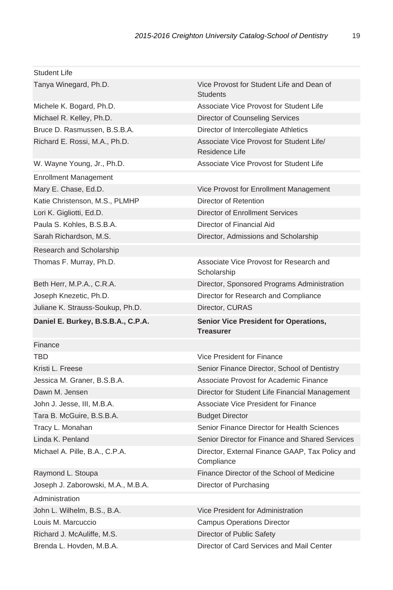| <b>Student Life</b>                |                                                                  |
|------------------------------------|------------------------------------------------------------------|
| Tanya Winegard, Ph.D.              | Vice Provost for Student Life and Dean of<br><b>Students</b>     |
| Michele K. Bogard, Ph.D.           | Associate Vice Provost for Student Life                          |
| Michael R. Kelley, Ph.D.           | Director of Counseling Services                                  |
| Bruce D. Rasmussen, B.S.B.A.       | Director of Intercollegiate Athletics                            |
| Richard E. Rossi, M.A., Ph.D.      | Associate Vice Provost for Student Life/<br>Residence Life       |
| W. Wayne Young, Jr., Ph.D.         | Associate Vice Provost for Student Life                          |
| <b>Enrollment Management</b>       |                                                                  |
| Mary E. Chase, Ed.D.               | Vice Provost for Enrollment Management                           |
| Katie Christenson, M.S., PLMHP     | Director of Retention                                            |
| Lori K. Gigliotti, Ed.D.           | Director of Enrollment Services                                  |
| Paula S. Kohles, B.S.B.A.          | Director of Financial Aid                                        |
| Sarah Richardson, M.S.             | Director, Admissions and Scholarship                             |
| Research and Scholarship           |                                                                  |
| Thomas F. Murray, Ph.D.            | Associate Vice Provost for Research and<br>Scholarship           |
| Beth Herr, M.P.A., C.R.A.          | Director, Sponsored Programs Administration                      |
| Joseph Knezetic, Ph.D.             | Director for Research and Compliance                             |
| Juliane K. Strauss-Soukup, Ph.D.   | Director, CURAS                                                  |
|                                    |                                                                  |
| Daniel E. Burkey, B.S.B.A., C.P.A. | <b>Senior Vice President for Operations,</b><br><b>Treasurer</b> |
| Finance                            |                                                                  |
| <b>TBD</b>                         | Vice President for Finance                                       |
| Kristi L. Freese                   | Senior Finance Director, School of Dentistry                     |
| Jessica M. Graner, B.S.B.A.        | Associate Provost for Academic Finance                           |
| Dawn M. Jensen                     | Director for Student Life Financial Management                   |
| John J. Jesse, III, M.B.A.         | Associate Vice President for Finance                             |
| Tara B. McGuire, B.S.B.A.          | <b>Budget Director</b>                                           |
| Tracy L. Monahan                   | Senior Finance Director for Health Sciences                      |
| Linda K. Penland                   | Senior Director for Finance and Shared Services                  |
| Michael A. Pille, B.A., C.P.A.     | Director, External Finance GAAP, Tax Policy and<br>Compliance    |
| Raymond L. Stoupa                  | Finance Director of the School of Medicine                       |
| Joseph J. Zaborowski, M.A., M.B.A. | Director of Purchasing                                           |
| Administration                     |                                                                  |
| John L. Wilhelm, B.S., B.A.        | Vice President for Administration                                |
| Louis M. Marcuccio                 | <b>Campus Operations Director</b>                                |
| Richard J. McAuliffe, M.S.         | Director of Public Safety                                        |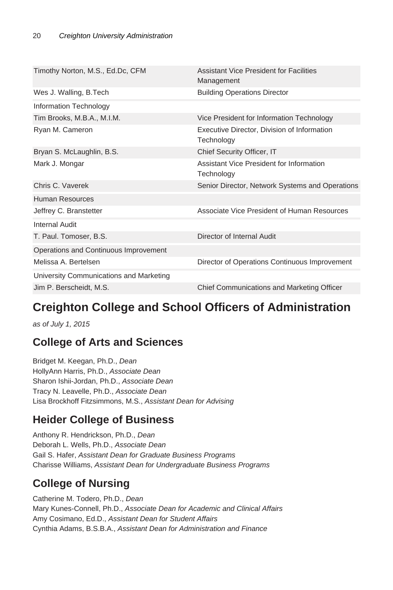| Timothy Norton, M.S., Ed.Dc, CFM        | <b>Assistant Vice President for Facilities</b><br>Management |
|-----------------------------------------|--------------------------------------------------------------|
| Wes J. Walling, B. Tech                 | <b>Building Operations Director</b>                          |
| Information Technology                  |                                                              |
| Tim Brooks, M.B.A., M.I.M.              | Vice President for Information Technology                    |
| Ryan M. Cameron                         | Executive Director, Division of Information<br>Technology    |
| Bryan S. McLaughlin, B.S.               | Chief Security Officer, IT                                   |
| Mark J. Mongar                          | Assistant Vice President for Information<br>Technology       |
| Chris C. Vaverek                        | Senior Director, Network Systems and Operations              |
| Human Resources                         |                                                              |
| Jeffrey C. Branstetter                  | Associate Vice President of Human Resources                  |
| Internal Audit                          |                                                              |
| T. Paul. Tomoser, B.S.                  | Director of Internal Audit                                   |
| Operations and Continuous Improvement   |                                                              |
| Melissa A. Bertelsen                    | Director of Operations Continuous Improvement                |
| University Communications and Marketing |                                                              |
| Jim P. Berscheidt, M.S.                 | Chief Communications and Marketing Officer                   |
|                                         |                                                              |

## **Creighton College and School Officers of Administration**

as of July 1, 2015

### **College of Arts and Sciences**

Bridget M. Keegan, Ph.D., Dean HollyAnn Harris, Ph.D., Associate Dean Sharon Ishii-Jordan, Ph.D., Associate Dean Tracy N. Leavelle, Ph.D., Associate Dean Lisa Brockhoff Fitzsimmons, M.S., Assistant Dean for Advising

### **Heider College of Business**

Anthony R. Hendrickson, Ph.D., Dean Deborah L. Wells, Ph.D., Associate Dean Gail S. Hafer, Assistant Dean for Graduate Business Programs Charisse Williams, Assistant Dean for Undergraduate Business Programs

### **College of Nursing**

Catherine M. Todero, Ph.D., Dean Mary Kunes-Connell, Ph.D., Associate Dean for Academic and Clinical Affairs Amy Cosimano, Ed.D., Assistant Dean for Student Affairs Cynthia Adams, B.S.B.A., Assistant Dean for Administration and Finance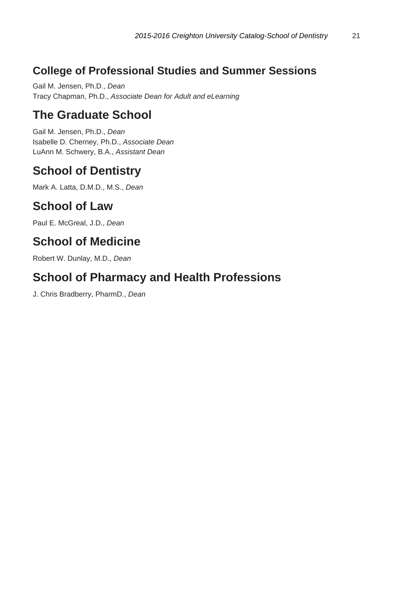### **College of Professional Studies and Summer Sessions**

Gail M. Jensen, Ph.D., Dean Tracy Chapman, Ph.D., Associate Dean for Adult and eLearning

### **The Graduate School**

Gail M. Jensen, Ph.D., Dean Isabelle D. Cherney, Ph.D., Associate Dean LuAnn M. Schwery, B.A., Assistant Dean

### **School of Dentistry**

Mark A. Latta, D.M.D., M.S., Dean

### **School of Law**

Paul E. McGreal, J.D., Dean

### **School of Medicine**

Robert W. Dunlay, M.D., Dean

### **School of Pharmacy and Health Professions**

J. Chris Bradberry, PharmD., Dean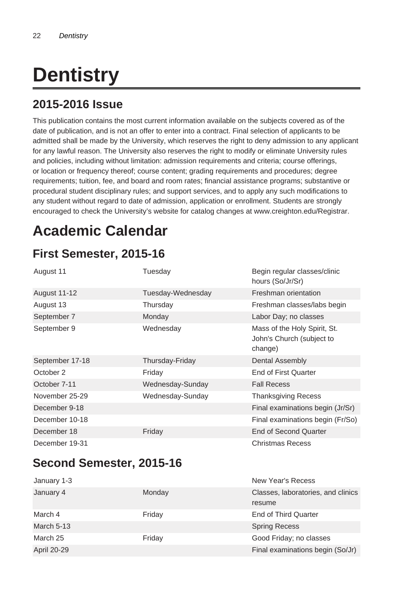# **Dentistry**

### **2015-2016 Issue**

This publication contains the most current information available on the subjects covered as of the date of publication, and is not an offer to enter into a contract. Final selection of applicants to be admitted shall be made by the University, which reserves the right to deny admission to any applicant for any lawful reason. The University also reserves the right to modify or eliminate University rules and policies, including without limitation: admission requirements and criteria; course offerings, or location or frequency thereof; course content; grading requirements and procedures; degree requirements; tuition, fee, and board and room rates; financial assistance programs; substantive or procedural student disciplinary rules; and support services, and to apply any such modifications to any student without regard to date of admission, application or enrollment. Students are strongly encouraged to check the University's website for catalog changes at www.creighton.edu/Registrar.

# **Academic Calendar**

### **First Semester, 2015-16**

| August 11       | Tuesday           | Begin regular classes/clinic<br>hours (So/Jr/Sr)                     |
|-----------------|-------------------|----------------------------------------------------------------------|
| August 11-12    | Tuesday-Wednesday | Freshman orientation                                                 |
| August 13       | Thursday          | Freshman classes/labs begin                                          |
| September 7     | Monday            | Labor Day; no classes                                                |
| September 9     | Wednesday         | Mass of the Holy Spirit, St.<br>John's Church (subject to<br>change) |
| September 17-18 | Thursday-Friday   | Dental Assembly                                                      |
| October 2       | Friday            | End of First Quarter                                                 |
| October 7-11    | Wednesday-Sunday  | <b>Fall Recess</b>                                                   |
| November 25-29  | Wednesday-Sunday  | <b>Thanksgiving Recess</b>                                           |
| December 9-18   |                   | Final examinations begin (Jr/Sr)                                     |
| December 10-18  |                   | Final examinations begin (Fr/So)                                     |
| December 18     | Friday            | <b>End of Second Quarter</b>                                         |
| December 19-31  |                   | Christmas Recess                                                     |

### **Second Semester, 2015-16**

| January 1-3 |        | New Year's Recess                            |
|-------------|--------|----------------------------------------------|
| January 4   | Monday | Classes, laboratories, and clinics<br>resume |
| March 4     | Friday | <b>End of Third Quarter</b>                  |
| March 5-13  |        | <b>Spring Recess</b>                         |
| March 25    | Friday | Good Friday; no classes                      |
| April 20-29 |        | Final examinations begin (So/Jr)             |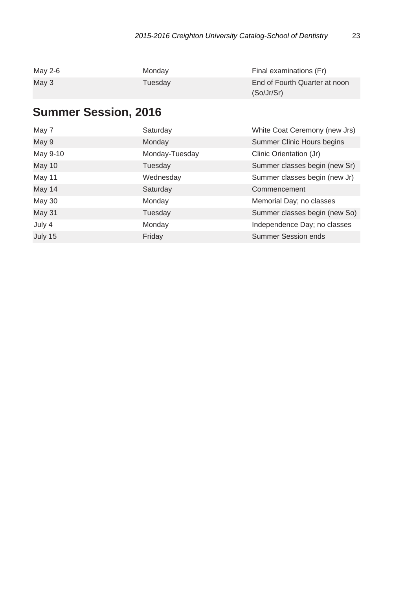| May 2-6 | Monday  | Final examinations (Fr)       |
|---------|---------|-------------------------------|
| May 3   | Tuesdav | End of Fourth Quarter at noon |
|         |         | (So/Jr/Sr)                    |

## **Summer Session, 2016**

| May 7    | Saturday       | White Coat Ceremony (new Jrs) |
|----------|----------------|-------------------------------|
| May 9    | Monday         | Summer Clinic Hours begins    |
| May 9-10 | Monday-Tuesday | Clinic Orientation (Jr)       |
| May 10   | Tuesday        | Summer classes begin (new Sr) |
| May 11   | Wednesday      | Summer classes begin (new Jr) |
| May 14   | Saturday       | Commencement                  |
| May 30   | Monday         | Memorial Day; no classes      |
| May 31   | Tuesday        | Summer classes begin (new So) |
| July 4   | Monday         | Independence Day; no classes  |
| July 15  | Friday         | <b>Summer Session ends</b>    |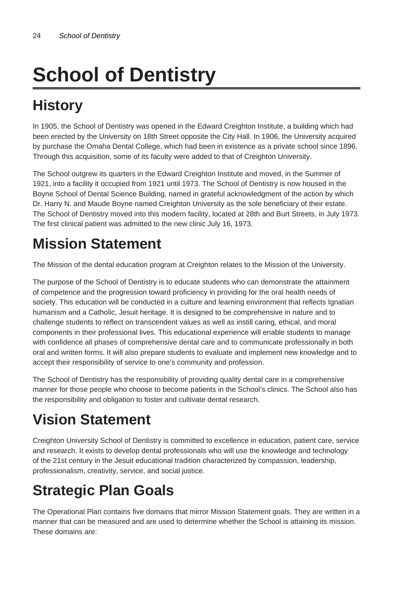# **School of Dentistry**

# **History**

In 1905, the School of Dentistry was opened in the Edward Creighton Institute, a building which had been erected by the University on 18th Street opposite the City Hall. In 1906, the University acquired by purchase the Omaha Dental College, which had been in existence as a private school since 1896. Through this acquisition, some of its faculty were added to that of Creighton University.

The School outgrew its quarters in the Edward Creighton Institute and moved, in the Summer of 1921, into a facility it occupied from 1921 until 1973. The School of Dentistry is now housed in the Boyne School of Dental Science Building, named in grateful acknowledgment of the action by which Dr. Harry N. and Maude Boyne named Creighton University as the sole beneficiary of their estate. The School of Dentistry moved into this modern facility, located at 28th and Burt Streets, in July 1973. The first clinical patient was admitted to the new clinic July 16, 1973.

# **Mission Statement**

The Mission of the dental education program at Creighton relates to the Mission of the University.

The purpose of the School of Dentistry is to educate students who can demonstrate the attainment of competence and the progression toward proficiency in providing for the oral health needs of society. This education will be conducted in a culture and learning environment that reflects Ignatian humanism and a Catholic, Jesuit heritage. It is designed to be comprehensive in nature and to challenge students to reflect on transcendent values as well as instill caring, ethical, and moral components in their professional lives. This educational experience will enable students to manage with confidence all phases of comprehensive dental care and to communicate professionally in both oral and written forms. It will also prepare students to evaluate and implement new knowledge and to accept their responsibility of service to one's community and profession.

The School of Dentistry has the responsibility of providing quality dental care in a comprehensive manner for those people who choose to become patients in the School's clinics. The School also has the responsibility and obligation to foster and cultivate dental research.

# **Vision Statement**

Creighton University School of Dentistry is committed to excellence in education, patient care, service and research. It exists to develop dental professionals who will use the knowledge and technology of the 21st century in the Jesuit educational tradition characterized by compassion, leadership, professionalism, creativity, service, and social justice.

# **Strategic Plan Goals**

The Operational Plan contains five domains that mirror Mission Statement goals. They are written in a manner that can be measured and are used to determine whether the School is attaining its mission. These domains are: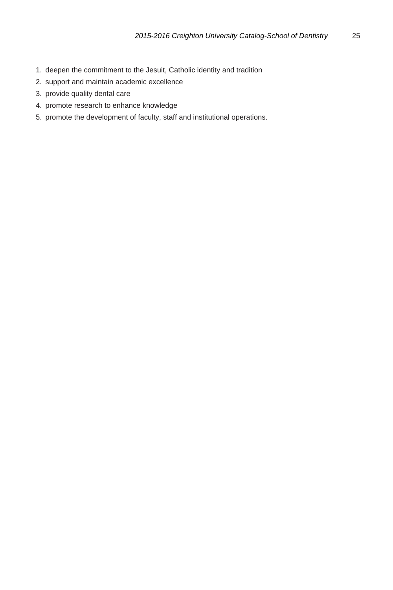- 1. deepen the commitment to the Jesuit, Catholic identity and tradition
- 2. support and maintain academic excellence
- 3. provide quality dental care
- 4. promote research to enhance knowledge
- 5. promote the development of faculty, staff and institutional operations.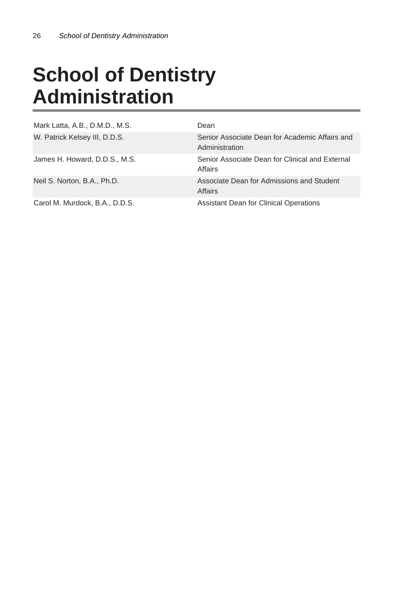# **School of Dentistry Administration**

| Mark Latta, A.B., D.M.D., M.S. | Dean                                                             |
|--------------------------------|------------------------------------------------------------------|
| W. Patrick Kelsey III, D.D.S.  | Senior Associate Dean for Academic Affairs and<br>Administration |
| James H. Howard, D.D.S., M.S.  | Senior Associate Dean for Clinical and External<br>Affairs       |
| Neil S. Norton, B.A., Ph.D.    | Associate Dean for Admissions and Student<br>Affairs             |
| Carol M. Murdock, B.A., D.D.S. | Assistant Dean for Clinical Operations                           |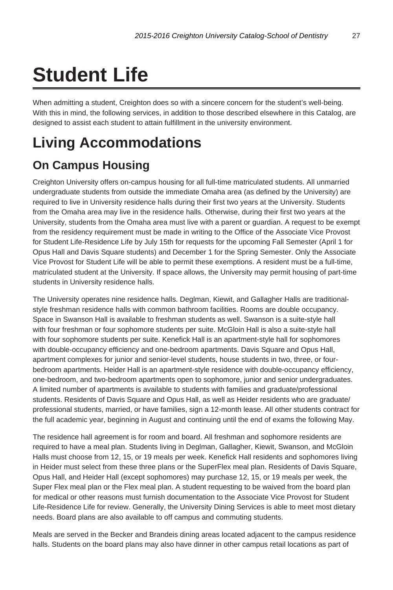# **Student Life**

When admitting a student, Creighton does so with a sincere concern for the student's well-being. With this in mind, the following services, in addition to those described elsewhere in this Catalog, are designed to assist each student to attain fulfillment in the university environment.

# **Living Accommodations**

### **On Campus Housing**

Creighton University offers on-campus housing for all full-time matriculated students. All unmarried undergraduate students from outside the immediate Omaha area (as defined by the University) are required to live in University residence halls during their first two years at the University. Students from the Omaha area may live in the residence halls. Otherwise, during their first two years at the University, students from the Omaha area must live with a parent or guardian. A request to be exempt from the residency requirement must be made in writing to the Office of the Associate Vice Provost for Student Life-Residence Life by July 15th for requests for the upcoming Fall Semester (April 1 for Opus Hall and Davis Square students) and December 1 for the Spring Semester. Only the Associate Vice Provost for Student Life will be able to permit these exemptions. A resident must be a full-time, matriculated student at the University. If space allows, the University may permit housing of part-time students in University residence halls.

The University operates nine residence halls. Deglman, Kiewit, and Gallagher Halls are traditionalstyle freshman residence halls with common bathroom facilities. Rooms are double occupancy. Space in Swanson Hall is available to freshman students as well. Swanson is a suite-style hall with four freshman or four sophomore students per suite. McGloin Hall is also a suite-style hall with four sophomore students per suite. Kenefick Hall is an apartment-style hall for sophomores with double-occupancy efficiency and one-bedroom apartments. Davis Square and Opus Hall, apartment complexes for junior and senior-level students, house students in two, three, or fourbedroom apartments. Heider Hall is an apartment-style residence with double-occupancy efficiency, one-bedroom, and two-bedroom apartments open to sophomore, junior and senior undergraduates. A limited number of apartments is available to students with families and graduate/professional students. Residents of Davis Square and Opus Hall, as well as Heider residents who are graduate/ professional students, married, or have families, sign a 12-month lease. All other students contract for the full academic year, beginning in August and continuing until the end of exams the following May.

The residence hall agreement is for room and board. All freshman and sophomore residents are required to have a meal plan. Students living in Deglman, Gallagher, Kiewit, Swanson, and McGloin Halls must choose from 12, 15, or 19 meals per week. Kenefick Hall residents and sophomores living in Heider must select from these three plans or the SuperFlex meal plan. Residents of Davis Square, Opus Hall, and Heider Hall (except sophomores) may purchase 12, 15, or 19 meals per week, the Super Flex meal plan or the Flex meal plan. A student requesting to be waived from the board plan for medical or other reasons must furnish documentation to the Associate Vice Provost for Student Life-Residence Life for review. Generally, the University Dining Services is able to meet most dietary needs. Board plans are also available to off campus and commuting students.

Meals are served in the Becker and Brandeis dining areas located adjacent to the campus residence halls. Students on the board plans may also have dinner in other campus retail locations as part of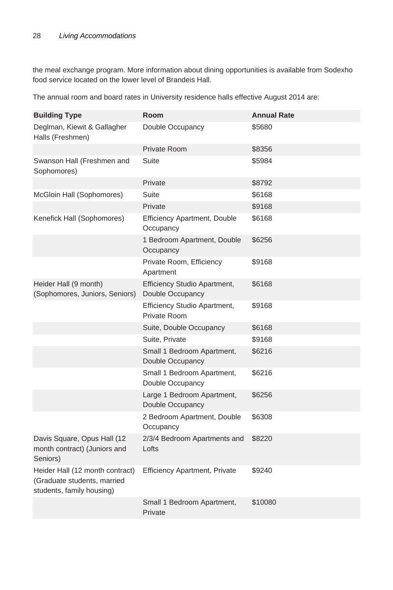the meal exchange program. More information about dining opportunities is available from Sodexho food service located on the lower level of Brandeis Hall.

The annual room and board rates in University residence halls effective August 2014 are:

| <b>Building Type</b>                                                                        | Room                                                    | <b>Annual Rate</b> |
|---------------------------------------------------------------------------------------------|---------------------------------------------------------|--------------------|
| Deglman, Kiewit & Gallagher<br>Halls (Freshmen)                                             | Double Occupancy<br>\$5680                              |                    |
|                                                                                             | <b>Private Room</b>                                     | \$8356             |
| Swanson Hall (Freshmen and<br>Sophomores)                                                   | Suite                                                   | \$5984             |
|                                                                                             | Private                                                 | \$8792             |
| McGloin Hall (Sophomores)                                                                   | Suite                                                   | \$6168             |
|                                                                                             | Private                                                 | \$9168             |
| Kenefick Hall (Sophomores)                                                                  | <b>Efficiency Apartment, Double</b><br>Occupancy        | \$6168             |
|                                                                                             | 1 Bedroom Apartment, Double<br>Occupancy                | \$6256             |
|                                                                                             | Private Room, Efficiency<br>Apartment                   | \$9168             |
| Heider Hall (9 month)<br>(Sophomores, Juniors, Seniors)                                     | <b>Efficiency Studio Apartment,</b><br>Double Occupancy | \$6168             |
|                                                                                             | Efficiency Studio Apartment,<br>Private Room            | \$9168             |
|                                                                                             | Suite, Double Occupancy                                 | \$6168             |
|                                                                                             | Suite, Private                                          | \$9168             |
|                                                                                             | Small 1 Bedroom Apartment,<br>Double Occupancy          | \$6216             |
|                                                                                             | Small 1 Bedroom Apartment,<br>Double Occupancy          | \$6216             |
|                                                                                             | Large 1 Bedroom Apartment,<br>Double Occupancy          | \$6256             |
|                                                                                             | 2 Bedroom Apartment, Double<br>Occupancy                | \$6308             |
| Davis Square, Opus Hall (12<br>month contract) (Juniors and<br>Seniors)                     | 2/3/4 Bedroom Apartments and<br>Lofts                   | \$8220             |
| Heider Hall (12 month contract)<br>(Graduate students, married<br>students, family housing) | <b>Efficiency Apartment, Private</b>                    | \$9240             |
|                                                                                             | Small 1 Bedroom Apartment,<br>Private                   | \$10080            |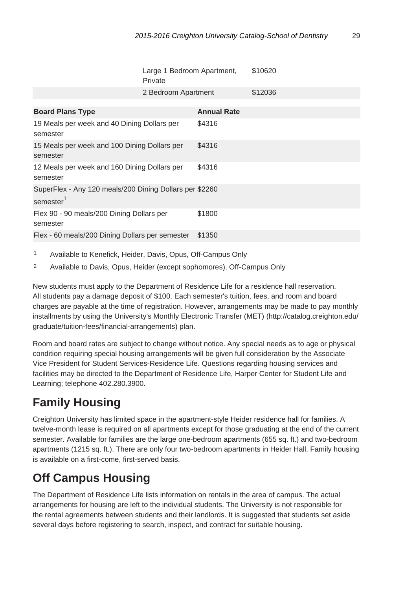|                                                                                  | Large 1 Bedroom Apartment,<br>Private |                    | \$10620 |
|----------------------------------------------------------------------------------|---------------------------------------|--------------------|---------|
|                                                                                  | 2 Bedroom Apartment                   |                    | \$12036 |
| <b>Board Plans Type</b>                                                          |                                       | <b>Annual Rate</b> |         |
| 19 Meals per week and 40 Dining Dollars per<br>semester                          |                                       | \$4316             |         |
| 15 Meals per week and 100 Dining Dollars per<br>semester                         |                                       | \$4316             |         |
| 12 Meals per week and 160 Dining Dollars per<br>semester                         |                                       | \$4316             |         |
| SuperFlex - Any 120 meals/200 Dining Dollars per \$2260<br>semester <sup>1</sup> |                                       |                    |         |
| Flex 90 - 90 meals/200 Dining Dollars per<br>semester                            |                                       | \$1800             |         |
| Flex - 60 meals/200 Dining Dollars per semester                                  |                                       | \$1350             |         |

- 1 Available to Kenefick, Heider, Davis, Opus, Off-Campus Only
- 2 Available to Davis, Opus, Heider (except sophomores), Off-Campus Only

New students must apply to the Department of Residence Life for a residence hall reservation. All students pay a damage deposit of \$100. Each semester's tuition, fees, and room and board charges are payable at the time of registration. However, arrangements may be made to pay monthly installments by using the University's Monthly Electronic Transfer (MET) (http://catalog.creighton.edu/ graduate/tuition-fees/financial-arrangements) plan.

Room and board rates are subject to change without notice. Any special needs as to age or physical condition requiring special housing arrangements will be given full consideration by the Associate Vice President for Student Services-Residence Life. Questions regarding housing services and facilities may be directed to the Department of Residence Life, Harper Center for Student Life and Learning; telephone 402.280.3900.

## **Family Housing**

Creighton University has limited space in the apartment-style Heider residence hall for families. A twelve-month lease is required on all apartments except for those graduating at the end of the current semester. Available for families are the large one-bedroom apartments (655 sq. ft.) and two-bedroom apartments (1215 sq. ft.). There are only four two-bedroom apartments in Heider Hall. Family housing is available on a first-come, first-served basis.

### **Off Campus Housing**

The Department of Residence Life lists information on rentals in the area of campus. The actual arrangements for housing are left to the individual students. The University is not responsible for the rental agreements between students and their landlords. It is suggested that students set aside several days before registering to search, inspect, and contract for suitable housing.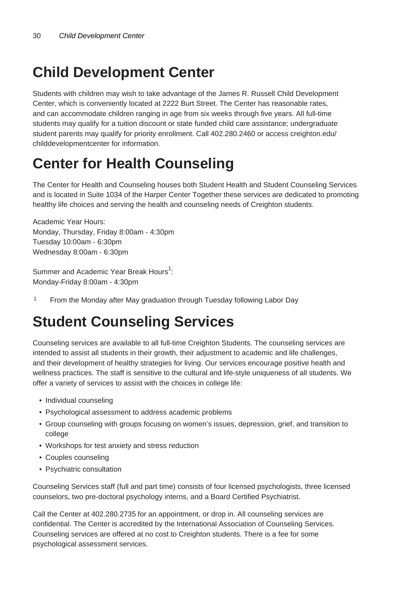# **Child Development Center**

Students with children may wish to take advantage of the James R. Russell Child Development Center, which is conveniently located at 2222 Burt Street. The Center has reasonable rates, and can accommodate children ranging in age from six weeks through five years. All full-time students may qualify for a tuition discount or state funded child care assistance; undergraduate student parents may qualify for priority enrollment. Call 402.280.2460 or access creighton.edu/ childdevelopmentcenter for information.

# **Center for Health Counseling**

The Center for Health and Counseling houses both Student Health and Student Counseling Services and is located in Suite 1034 of the Harper Center Together these services are dedicated to promoting healthy life choices and serving the health and counseling needs of Creighton students.

Academic Year Hours: Monday, Thursday, Friday 8:00am - 4:30pm Tuesday 10:00am - 6:30pm Wednesday 8:00am - 6:30pm

Summer and Academic Year Break Hours $^{1}$ : Monday-Friday 8:00am - 4:30pm

<sup>1</sup> From the Monday after May graduation through Tuesday following Labor Day

# **Student Counseling Services**

Counseling services are available to all full-time Creighton Students. The counseling services are intended to assist all students in their growth, their adjustment to academic and life challenges, and their development of healthy strategies for living. Our services encourage positive health and wellness practices. The staff is sensitive to the cultural and life-style uniqueness of all students. We offer a variety of services to assist with the choices in college life:

- Individual counseling
- Psychological assessment to address academic problems
- Group counseling with groups focusing on women's issues, depression, grief, and transition to college
- Workshops for test anxiety and stress reduction
- Couples counseling
- Psychiatric consultation

Counseling Services staff (full and part time) consists of four licensed psychologists, three licensed counselors, two pre-doctoral psychology interns, and a Board Certified Psychiatrist.

Call the Center at 402.280.2735 for an appointment, or drop in. All counseling services are confidential. The Center is accredited by the International Association of Counseling Services. Counseling services are offered at no cost to Creighton students. There is a fee for some psychological assessment services.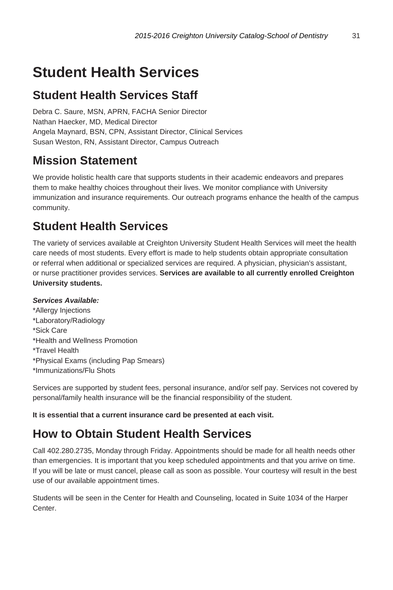# **Student Health Services**

### **Student Health Services Staff**

Debra C. Saure, MSN, APRN, FACHA Senior Director Nathan Haecker, MD, Medical Director Angela Maynard, BSN, CPN, Assistant Director, Clinical Services Susan Weston, RN, Assistant Director, Campus Outreach

### **Mission Statement**

We provide holistic health care that supports students in their academic endeavors and prepares them to make healthy choices throughout their lives. We monitor compliance with University immunization and insurance requirements. Our outreach programs enhance the health of the campus community.

### **Student Health Services**

The variety of services available at Creighton University Student Health Services will meet the health care needs of most students. Every effort is made to help students obtain appropriate consultation or referral when additional or specialized services are required. A physician, physician's assistant, or nurse practitioner provides services. **Services are available to all currently enrolled Creighton University students.**

### **Services Available:**

\*Allergy Injections \*Laboratory/Radiology \*Sick Care \*Health and Wellness Promotion \*Travel Health \*Physical Exams (including Pap Smears) \*Immunizations/Flu Shots

Services are supported by student fees, personal insurance, and/or self pay. Services not covered by personal/family health insurance will be the financial responsibility of the student.

**It is essential that a current insurance card be presented at each visit.**

### **How to Obtain Student Health Services**

Call 402.280.2735, Monday through Friday. Appointments should be made for all health needs other than emergencies. It is important that you keep scheduled appointments and that you arrive on time. If you will be late or must cancel, please call as soon as possible. Your courtesy will result in the best use of our available appointment times.

Students will be seen in the Center for Health and Counseling, located in Suite 1034 of the Harper Center.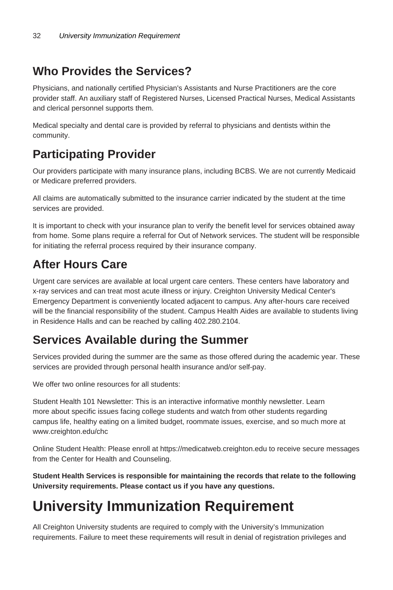### **Who Provides the Services?**

Physicians, and nationally certified Physician's Assistants and Nurse Practitioners are the core provider staff. An auxiliary staff of Registered Nurses, Licensed Practical Nurses, Medical Assistants and clerical personnel supports them.

Medical specialty and dental care is provided by referral to physicians and dentists within the community.

### **Participating Provider**

Our providers participate with many insurance plans, including BCBS. We are not currently Medicaid or Medicare preferred providers.

All claims are automatically submitted to the insurance carrier indicated by the student at the time services are provided.

It is important to check with your insurance plan to verify the benefit level for services obtained away from home. Some plans require a referral for Out of Network services. The student will be responsible for initiating the referral process required by their insurance company.

### **After Hours Care**

Urgent care services are available at local urgent care centers. These centers have laboratory and x-ray services and can treat most acute illness or injury. Creighton University Medical Center's Emergency Department is conveniently located adjacent to campus. Any after-hours care received will be the financial responsibility of the student. Campus Health Aides are available to students living in Residence Halls and can be reached by calling 402.280.2104.

### **Services Available during the Summer**

Services provided during the summer are the same as those offered during the academic year. These services are provided through personal health insurance and/or self-pay.

We offer two online resources for all students:

Student Health 101 Newsletter: This is an interactive informative monthly newsletter. Learn more about specific issues facing college students and watch from other students regarding campus life, healthy eating on a limited budget, roommate issues, exercise, and so much more at www.creighton.edu/chc

Online Student Health: Please enroll at https://medicatweb.creighton.edu to receive secure messages from the Center for Health and Counseling.

**Student Health Services is responsible for maintaining the records that relate to the following University requirements. Please contact us if you have any questions.**

# **University Immunization Requirement**

All Creighton University students are required to comply with the University's Immunization requirements. Failure to meet these requirements will result in denial of registration privileges and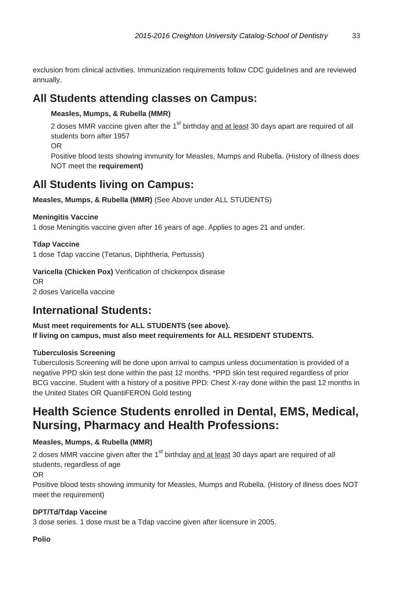exclusion from clinical activities. Immunization requirements follow CDC guidelines and are reviewed annually.

### **All Students attending classes on Campus:**

### **Measles, Mumps, & Rubella (MMR)**

2 doses MMR vaccine given after the 1<sup>st</sup> birthday and at least 30 days apart are required of all students born after 1957

OR

Positive blood tests showing immunity for Measles, Mumps and Rubella. (History of illness does NOT meet the **requirement)**

### **All Students living on Campus:**

**Measles, Mumps, & Rubella (MMR)** (See Above under ALL STUDENTS)

#### **Meningitis Vaccine**

1 dose Meningitis vaccine given after 16 years of age. Applies to ages 21 and under.

### **Tdap Vaccine**

1 dose Tdap vaccine (Tetanus, Diphtheria, Pertussis)

### **Varicella (Chicken Pox)** Verification of chickenpox disease

OR 2 doses Varicella vaccine

### **International Students:**

### **Must meet requirements for ALL STUDENTS (see above). If living on campus, must also meet requirements for ALL RESIDENT STUDENTS.**

### **Tuberculosis Screening**

Tuberculosis Screening will be done upon arrival to campus unless documentation is provided of a negative PPD skin test done within the past 12 months. \*PPD skin test required regardless of prior BCG vaccine. Student with a history of a positive PPD: Chest X-ray done within the past 12 months in the United States OR QuantiFERON Gold testing

### **Health Science Students enrolled in Dental, EMS, Medical, Nursing, Pharmacy and Health Professions:**

### **Measles, Mumps, & Rubella (MMR)**

2 doses MMR vaccine given after the 1<sup>st</sup> birthday and at least 30 days apart are required of all students, regardless of age

OR

Positive blood tests showing immunity for Measles, Mumps and Rubella. (History of illness does NOT meet the requirement)

### **DPT/Td/Tdap Vaccine**

3 dose series. 1 dose must be a Tdap vaccine given after licensure in 2005.

**Polio**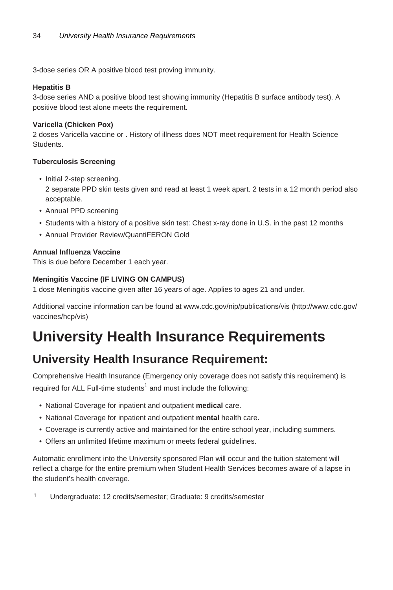3-dose series OR A positive blood test proving immunity.

#### **Hepatitis B**

3-dose series AND a positive blood test showing immunity (Hepatitis B surface antibody test). A positive blood test alone meets the requirement.

#### **Varicella (Chicken Pox)**

2 doses Varicella vaccine or . History of illness does NOT meet requirement for Health Science **Students** 

#### **Tuberculosis Screening**

• Initial 2-step screening.

2 separate PPD skin tests given and read at least 1 week apart. 2 tests in a 12 month period also acceptable.

- Annual PPD screening
- Students with a history of a positive skin test: Chest x-ray done in U.S. in the past 12 months
- Annual Provider Review/QuantiFERON Gold

#### **Annual Influenza Vaccine**

This is due before December 1 each year.

#### **Meningitis Vaccine (IF LIVING ON CAMPUS)**

1 dose Meningitis vaccine given after 16 years of age. Applies to ages 21 and under.

Additional vaccine information can be found at www.cdc.gov/nip/publications/vis (http://www.cdc.gov/ vaccines/hcp/vis)

# **University Health Insurance Requirements**

### **University Health Insurance Requirement:**

Comprehensive Health Insurance (Emergency only coverage does not satisfy this requirement) is required for ALL Full-time students<sup>1</sup> and must include the following:

- National Coverage for inpatient and outpatient **medical** care.
- National Coverage for inpatient and outpatient **mental** health care.
- Coverage is currently active and maintained for the entire school year, including summers.
- Offers an unlimited lifetime maximum or meets federal guidelines.

Automatic enrollment into the University sponsored Plan will occur and the tuition statement will reflect a charge for the entire premium when Student Health Services becomes aware of a lapse in the student's health coverage.

1 Undergraduate: 12 credits/semester; Graduate: 9 credits/semester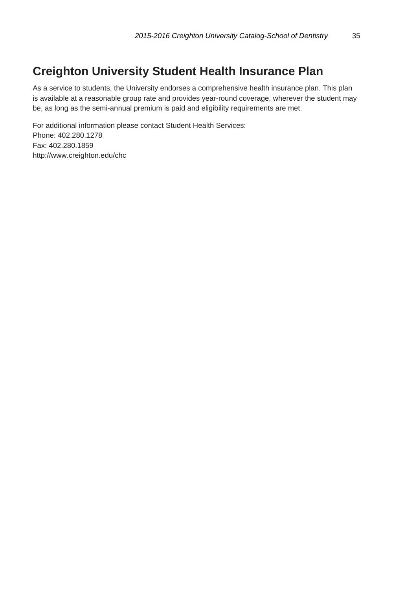### **Creighton University Student Health Insurance Plan**

As a service to students, the University endorses a comprehensive health insurance plan. This plan is available at a reasonable group rate and provides year-round coverage, wherever the student may be, as long as the semi-annual premium is paid and eligibility requirements are met.

For additional information please contact Student Health Services: Phone: 402.280.1278 Fax: 402.280.1859 http://www.creighton.edu/chc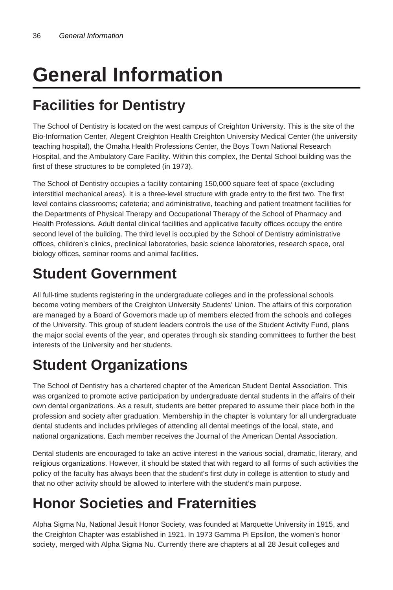# **General Information**

# **Facilities for Dentistry**

The School of Dentistry is located on the west campus of Creighton University. This is the site of the Bio-Information Center, Alegent Creighton Health Creighton University Medical Center (the university teaching hospital), the Omaha Health Professions Center, the Boys Town National Research Hospital, and the Ambulatory Care Facility. Within this complex, the Dental School building was the first of these structures to be completed (in 1973).

The School of Dentistry occupies a facility containing 150,000 square feet of space (excluding interstitial mechanical areas). It is a three-level structure with grade entry to the first two. The first level contains classrooms; cafeteria; and administrative, teaching and patient treatment facilities for the Departments of Physical Therapy and Occupational Therapy of the School of Pharmacy and Health Professions. Adult dental clinical facilities and applicative faculty offices occupy the entire second level of the building. The third level is occupied by the School of Dentistry administrative offices, children's clinics, preclinical laboratories, basic science laboratories, research space, oral biology offices, seminar rooms and animal facilities.

# **Student Government**

All full-time students registering in the undergraduate colleges and in the professional schools become voting members of the Creighton University Students' Union. The affairs of this corporation are managed by a Board of Governors made up of members elected from the schools and colleges of the University. This group of student leaders controls the use of the Student Activity Fund, plans the major social events of the year, and operates through six standing committees to further the best interests of the University and her students.

# **Student Organizations**

The School of Dentistry has a chartered chapter of the American Student Dental Association. This was organized to promote active participation by undergraduate dental students in the affairs of their own dental organizations. As a result, students are better prepared to assume their place both in the profession and society after graduation. Membership in the chapter is voluntary for all undergraduate dental students and includes privileges of attending all dental meetings of the local, state, and national organizations. Each member receives the Journal of the American Dental Association.

Dental students are encouraged to take an active interest in the various social, dramatic, literary, and religious organizations. However, it should be stated that with regard to all forms of such activities the policy of the faculty has always been that the student's first duty in college is attention to study and that no other activity should be allowed to interfere with the student's main purpose.

# **Honor Societies and Fraternities**

Alpha Sigma Nu, National Jesuit Honor Society, was founded at Marquette University in 1915, and the Creighton Chapter was established in 1921. In 1973 Gamma Pi Epsilon, the women's honor society, merged with Alpha Sigma Nu. Currently there are chapters at all 28 Jesuit colleges and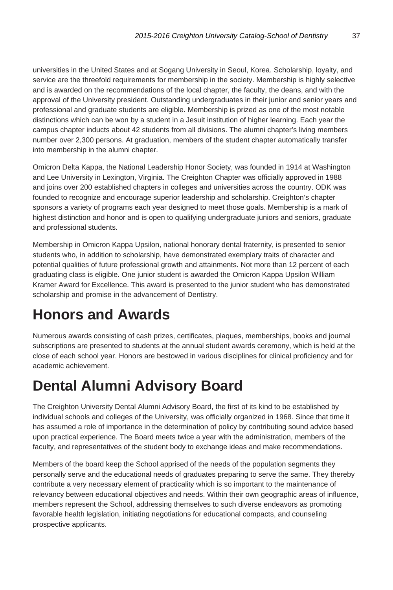universities in the United States and at Sogang University in Seoul, Korea. Scholarship, loyalty, and service are the threefold requirements for membership in the society. Membership is highly selective and is awarded on the recommendations of the local chapter, the faculty, the deans, and with the approval of the University president. Outstanding undergraduates in their junior and senior years and professional and graduate students are eligible. Membership is prized as one of the most notable distinctions which can be won by a student in a Jesuit institution of higher learning. Each year the campus chapter inducts about 42 students from all divisions. The alumni chapter's living members number over 2,300 persons. At graduation, members of the student chapter automatically transfer into membership in the alumni chapter.

Omicron Delta Kappa, the National Leadership Honor Society, was founded in 1914 at Washington and Lee University in Lexington, Virginia. The Creighton Chapter was officially approved in 1988 and joins over 200 established chapters in colleges and universities across the country. ODK was founded to recognize and encourage superior leadership and scholarship. Creighton's chapter sponsors a variety of programs each year designed to meet those goals. Membership is a mark of highest distinction and honor and is open to qualifying undergraduate juniors and seniors, graduate and professional students.

Membership in Omicron Kappa Upsilon, national honorary dental fraternity, is presented to senior students who, in addition to scholarship, have demonstrated exemplary traits of character and potential qualities of future professional growth and attainments. Not more than 12 percent of each graduating class is eligible. One junior student is awarded the Omicron Kappa Upsilon William Kramer Award for Excellence. This award is presented to the junior student who has demonstrated scholarship and promise in the advancement of Dentistry.

# **Honors and Awards**

Numerous awards consisting of cash prizes, certificates, plaques, memberships, books and journal subscriptions are presented to students at the annual student awards ceremony, which is held at the close of each school year. Honors are bestowed in various disciplines for clinical proficiency and for academic achievement.

# **Dental Alumni Advisory Board**

The Creighton University Dental Alumni Advisory Board, the first of its kind to be established by individual schools and colleges of the University, was officially organized in 1968. Since that time it has assumed a role of importance in the determination of policy by contributing sound advice based upon practical experience. The Board meets twice a year with the administration, members of the faculty, and representatives of the student body to exchange ideas and make recommendations.

Members of the board keep the School apprised of the needs of the population segments they personally serve and the educational needs of graduates preparing to serve the same. They thereby contribute a very necessary element of practicality which is so important to the maintenance of relevancy between educational objectives and needs. Within their own geographic areas of influence, members represent the School, addressing themselves to such diverse endeavors as promoting favorable health legislation, initiating negotiations for educational compacts, and counseling prospective applicants.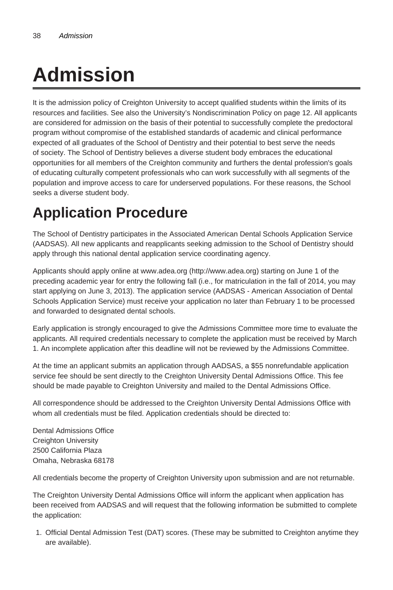# **Admission**

It is the admission policy of Creighton University to accept qualified students within the limits of its resources and facilities. See also the University's Nondiscrimination Policy on page 12. All applicants are considered for admission on the basis of their potential to successfully complete the predoctoral program without compromise of the established standards of academic and clinical performance expected of all graduates of the School of Dentistry and their potential to best serve the needs of society. The School of Dentistry believes a diverse student body embraces the educational opportunities for all members of the Creighton community and furthers the dental profession's goals of educating culturally competent professionals who can work successfully with all segments of the population and improve access to care for underserved populations. For these reasons, the School seeks a diverse student body.

# **Application Procedure**

The School of Dentistry participates in the Associated American Dental Schools Application Service (AADSAS). All new applicants and reapplicants seeking admission to the School of Dentistry should apply through this national dental application service coordinating agency.

Applicants should apply online at www.adea.org (http://www.adea.org) starting on June 1 of the preceding academic year for entry the following fall (i.e., for matriculation in the fall of 2014, you may start applying on June 3, 2013). The application service (AADSAS - American Association of Dental Schools Application Service) must receive your application no later than February 1 to be processed and forwarded to designated dental schools.

Early application is strongly encouraged to give the Admissions Committee more time to evaluate the applicants. All required credentials necessary to complete the application must be received by March 1. An incomplete application after this deadline will not be reviewed by the Admissions Committee.

At the time an applicant submits an application through AADSAS, a \$55 nonrefundable application service fee should be sent directly to the Creighton University Dental Admissions Office. This fee should be made payable to Creighton University and mailed to the Dental Admissions Office.

All correspondence should be addressed to the Creighton University Dental Admissions Office with whom all credentials must be filed. Application credentials should be directed to:

Dental Admissions Office Creighton University 2500 California Plaza Omaha, Nebraska 68178

All credentials become the property of Creighton University upon submission and are not returnable.

The Creighton University Dental Admissions Office will inform the applicant when application has been received from AADSAS and will request that the following information be submitted to complete the application:

1. Official Dental Admission Test (DAT) scores. (These may be submitted to Creighton anytime they are available).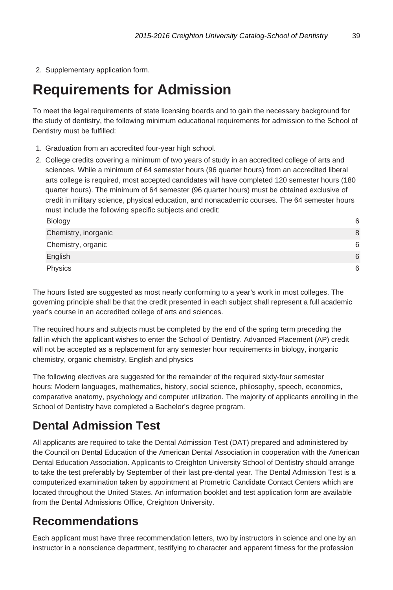2. Supplementary application form.

# **Requirements for Admission**

To meet the legal requirements of state licensing boards and to gain the necessary background for the study of dentistry, the following minimum educational requirements for admission to the School of Dentistry must be fulfilled:

- 1. Graduation from an accredited four-year high school.
- 2. College credits covering a minimum of two years of study in an accredited college of arts and sciences. While a minimum of 64 semester hours (96 quarter hours) from an accredited liberal arts college is required, most accepted candidates will have completed 120 semester hours (180 quarter hours). The minimum of 64 semester (96 quarter hours) must be obtained exclusive of credit in military science, physical education, and nonacademic courses. The 64 semester hours must include the following specific subjects and credit: Biology 6

| $-0.0.99$            | $\tilde{\phantom{a}}$ |
|----------------------|-----------------------|
| Chemistry, inorganic | 8                     |
| Chemistry, organic   | 6                     |
| English              | 6                     |
| Physics              | 6                     |

The hours listed are suggested as most nearly conforming to a year's work in most colleges. The governing principle shall be that the credit presented in each subject shall represent a full academic year's course in an accredited college of arts and sciences.

The required hours and subjects must be completed by the end of the spring term preceding the fall in which the applicant wishes to enter the School of Dentistry. Advanced Placement (AP) credit will not be accepted as a replacement for any semester hour requirements in biology, inorganic chemistry, organic chemistry, English and physics

The following electives are suggested for the remainder of the required sixty-four semester hours: Modern languages, mathematics, history, social science, philosophy, speech, economics, comparative anatomy, psychology and computer utilization. The majority of applicants enrolling in the School of Dentistry have completed a Bachelor's degree program.

# **Dental Admission Test**

All applicants are required to take the Dental Admission Test (DAT) prepared and administered by the Council on Dental Education of the American Dental Association in cooperation with the American Dental Education Association. Applicants to Creighton University School of Dentistry should arrange to take the test preferably by September of their last pre-dental year. The Dental Admission Test is a computerized examination taken by appointment at Prometric Candidate Contact Centers which are located throughout the United States. An information booklet and test application form are available from the Dental Admissions Office, Creighton University.

# **Recommendations**

Each applicant must have three recommendation letters, two by instructors in science and one by an instructor in a nonscience department, testifying to character and apparent fitness for the profession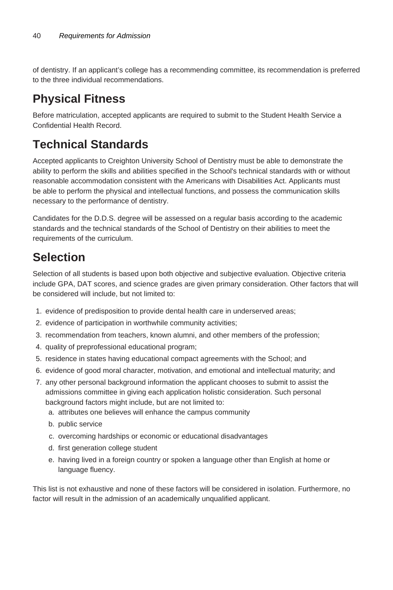of dentistry. If an applicant's college has a recommending committee, its recommendation is preferred to the three individual recommendations.

### **Physical Fitness**

Before matriculation, accepted applicants are required to submit to the Student Health Service a Confidential Health Record.

# **Technical Standards**

Accepted applicants to Creighton University School of Dentistry must be able to demonstrate the ability to perform the skills and abilities specified in the School's technical standards with or without reasonable accommodation consistent with the Americans with Disabilities Act. Applicants must be able to perform the physical and intellectual functions, and possess the communication skills necessary to the performance of dentistry.

Candidates for the D.D.S. degree will be assessed on a regular basis according to the academic standards and the technical standards of the School of Dentistry on their abilities to meet the requirements of the curriculum.

# **Selection**

Selection of all students is based upon both objective and subjective evaluation. Objective criteria include GPA, DAT scores, and science grades are given primary consideration. Other factors that will be considered will include, but not limited to:

- 1. evidence of predisposition to provide dental health care in underserved areas;
- 2. evidence of participation in worthwhile community activities;
- 3. recommendation from teachers, known alumni, and other members of the profession;
- 4. quality of preprofessional educational program;
- 5. residence in states having educational compact agreements with the School; and
- 6. evidence of good moral character, motivation, and emotional and intellectual maturity; and
- 7. any other personal background information the applicant chooses to submit to assist the admissions committee in giving each application holistic consideration. Such personal background factors might include, but are not limited to:
	- a. attributes one believes will enhance the campus community
	- b. public service
	- c. overcoming hardships or economic or educational disadvantages
	- d. first generation college student
	- e. having lived in a foreign country or spoken a language other than English at home or language fluency.

This list is not exhaustive and none of these factors will be considered in isolation. Furthermore, no factor will result in the admission of an academically unqualified applicant.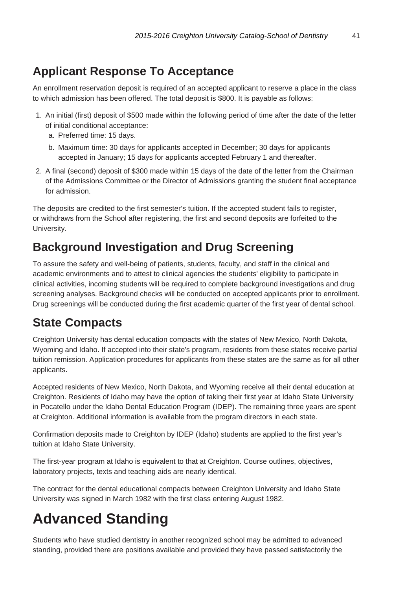# **Applicant Response To Acceptance**

An enrollment reservation deposit is required of an accepted applicant to reserve a place in the class to which admission has been offered. The total deposit is \$800. It is payable as follows:

- 1. An initial (first) deposit of \$500 made within the following period of time after the date of the letter of initial conditional acceptance:
	- a. Preferred time: 15 days.
	- b. Maximum time: 30 days for applicants accepted in December; 30 days for applicants accepted in January; 15 days for applicants accepted February 1 and thereafter.
- 2. A final (second) deposit of \$300 made within 15 days of the date of the letter from the Chairman of the Admissions Committee or the Director of Admissions granting the student final acceptance for admission.

The deposits are credited to the first semester's tuition. If the accepted student fails to register, or withdraws from the School after registering, the first and second deposits are forfeited to the University.

### **Background Investigation and Drug Screening**

To assure the safety and well-being of patients, students, faculty, and staff in the clinical and academic environments and to attest to clinical agencies the students' eligibility to participate in clinical activities, incoming students will be required to complete background investigations and drug screening analyses. Background checks will be conducted on accepted applicants prior to enrollment. Drug screenings will be conducted during the first academic quarter of the first year of dental school.

### **State Compacts**

Creighton University has dental education compacts with the states of New Mexico, North Dakota, Wyoming and Idaho. If accepted into their state's program, residents from these states receive partial tuition remission. Application procedures for applicants from these states are the same as for all other applicants.

Accepted residents of New Mexico, North Dakota, and Wyoming receive all their dental education at Creighton. Residents of Idaho may have the option of taking their first year at Idaho State University in Pocatello under the Idaho Dental Education Program (IDEP). The remaining three years are spent at Creighton. Additional information is available from the program directors in each state.

Confirmation deposits made to Creighton by IDEP (Idaho) students are applied to the first year's tuition at Idaho State University.

The first-year program at Idaho is equivalent to that at Creighton. Course outlines, objectives, laboratory projects, texts and teaching aids are nearly identical.

The contract for the dental educational compacts between Creighton University and Idaho State University was signed in March 1982 with the first class entering August 1982.

# **Advanced Standing**

Students who have studied dentistry in another recognized school may be admitted to advanced standing, provided there are positions available and provided they have passed satisfactorily the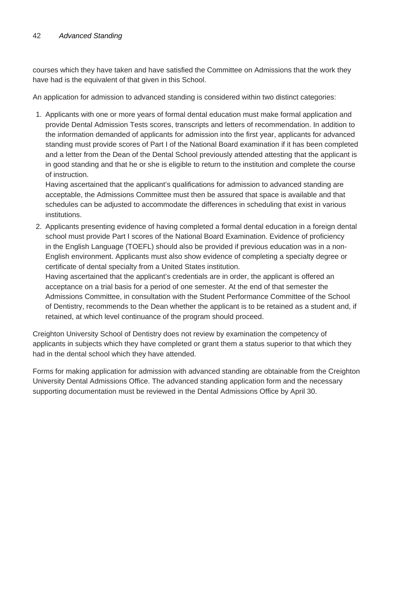courses which they have taken and have satisfied the Committee on Admissions that the work they have had is the equivalent of that given in this School.

An application for admission to advanced standing is considered within two distinct categories:

1. Applicants with one or more years of formal dental education must make formal application and provide Dental Admission Tests scores, transcripts and letters of recommendation. In addition to the information demanded of applicants for admission into the first year, applicants for advanced standing must provide scores of Part I of the National Board examination if it has been completed and a letter from the Dean of the Dental School previously attended attesting that the applicant is in good standing and that he or she is eligible to return to the institution and complete the course of instruction.

Having ascertained that the applicant's qualifications for admission to advanced standing are acceptable, the Admissions Committee must then be assured that space is available and that schedules can be adjusted to accommodate the differences in scheduling that exist in various institutions.

2. Applicants presenting evidence of having completed a formal dental education in a foreign dental school must provide Part I scores of the National Board Examination. Evidence of proficiency in the English Language (TOEFL) should also be provided if previous education was in a non-English environment. Applicants must also show evidence of completing a specialty degree or certificate of dental specialty from a United States institution.

Having ascertained that the applicant's credentials are in order, the applicant is offered an acceptance on a trial basis for a period of one semester. At the end of that semester the Admissions Committee, in consultation with the Student Performance Committee of the School of Dentistry, recommends to the Dean whether the applicant is to be retained as a student and, if retained, at which level continuance of the program should proceed.

Creighton University School of Dentistry does not review by examination the competency of applicants in subjects which they have completed or grant them a status superior to that which they had in the dental school which they have attended.

Forms for making application for admission with advanced standing are obtainable from the Creighton University Dental Admissions Office. The advanced standing application form and the necessary supporting documentation must be reviewed in the Dental Admissions Office by April 30.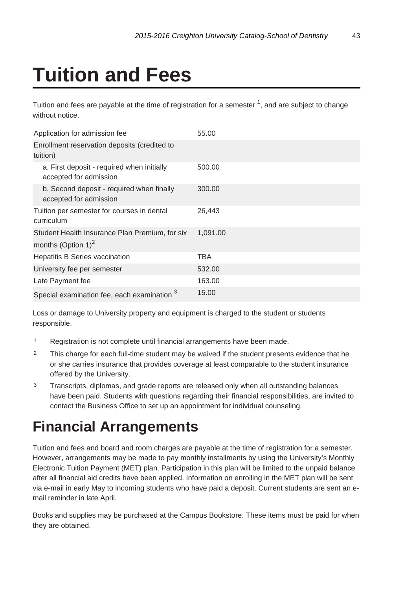# **Tuition and Fees**

Tuition and fees are payable at the time of registration for a semester  $\frac{1}{1}$ , and are subject to change without notice

| Application for admission fee                                                    | 55.00    |
|----------------------------------------------------------------------------------|----------|
| Enrollment reservation deposits (credited to<br>tuition)                         |          |
| a. First deposit - required when initially<br>accepted for admission             | 500.00   |
| b. Second deposit - required when finally<br>accepted for admission              | 300.00   |
| Tuition per semester for courses in dental<br>curriculum                         | 26,443   |
| Student Health Insurance Plan Premium, for six<br>months (Option 1) <sup>2</sup> | 1,091.00 |
| Hepatitis B Series vaccination                                                   | TBA      |
| University fee per semester                                                      | 532.00   |
| Late Payment fee                                                                 | 163.00   |
| Special examination fee, each examination                                        | 15.00    |

Loss or damage to University property and equipment is charged to the student or students responsible.

- <sup>1</sup> Registration is not complete until financial arrangements have been made.
- $2^2$  This charge for each full-time student may be waived if the student presents evidence that he or she carries insurance that provides coverage at least comparable to the student insurance offered by the University.
- <sup>3</sup> Transcripts, diplomas, and grade reports are released only when all outstanding balances have been paid. Students with questions regarding their financial responsibilities, are invited to contact the Business Office to set up an appointment for individual counseling.

# **Financial Arrangements**

Tuition and fees and board and room charges are payable at the time of registration for a semester. However, arrangements may be made to pay monthly installments by using the University's Monthly Electronic Tuition Payment (MET) plan. Participation in this plan will be limited to the unpaid balance after all financial aid credits have been applied. Information on enrolling in the MET plan will be sent via e-mail in early May to incoming students who have paid a deposit. Current students are sent an email reminder in late April.

Books and supplies may be purchased at the Campus Bookstore. These items must be paid for when they are obtained.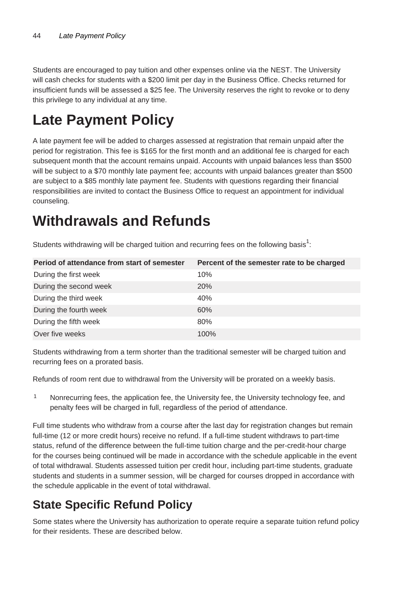Students are encouraged to pay tuition and other expenses online via the NEST. The University will cash checks for students with a \$200 limit per day in the Business Office. Checks returned for insufficient funds will be assessed a \$25 fee. The University reserves the right to revoke or to deny this privilege to any individual at any time.

# **Late Payment Policy**

A late payment fee will be added to charges assessed at registration that remain unpaid after the period for registration. This fee is \$165 for the first month and an additional fee is charged for each subsequent month that the account remains unpaid. Accounts with unpaid balances less than \$500 will be subject to a \$70 monthly late payment fee; accounts with unpaid balances greater than \$500 are subject to a \$85 monthly late payment fee. Students with questions regarding their financial responsibilities are invited to contact the Business Office to request an appointment for individual counseling.

# **Withdrawals and Refunds**

Students withdrawing will be charged tuition and recurring fees on the following basis<sup>1</sup>:

| Period of attendance from start of semester | Percent of the semester rate to be charged |
|---------------------------------------------|--------------------------------------------|
| During the first week                       | 10%                                        |
| During the second week                      | <b>20%</b>                                 |
| During the third week                       | 40%                                        |
| During the fourth week                      | 60%                                        |
| During the fifth week                       | 80%                                        |
| Over five weeks                             | 100%                                       |

Students withdrawing from a term shorter than the traditional semester will be charged tuition and recurring fees on a prorated basis.

Refunds of room rent due to withdrawal from the University will be prorated on a weekly basis.

<sup>1</sup> Nonrecurring fees, the application fee, the University fee, the University technology fee, and penalty fees will be charged in full, regardless of the period of attendance.

Full time students who withdraw from a course after the last day for registration changes but remain full-time (12 or more credit hours) receive no refund. If a full-time student withdraws to part-time status, refund of the difference between the full-time tuition charge and the per-credit-hour charge for the courses being continued will be made in accordance with the schedule applicable in the event of total withdrawal. Students assessed tuition per credit hour, including part-time students, graduate students and students in a summer session, will be charged for courses dropped in accordance with the schedule applicable in the event of total withdrawal.

# **State Specific Refund Policy**

Some states where the University has authorization to operate require a separate tuition refund policy for their residents. These are described below.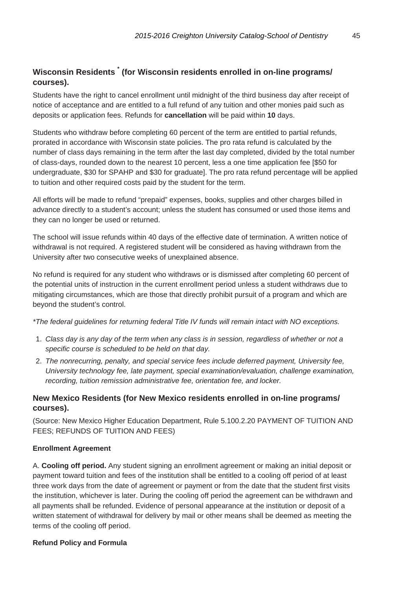#### **Wisconsin Residents \* (for Wisconsin residents enrolled in on-line programs/ courses).**

Students have the right to cancel enrollment until midnight of the third business day after receipt of notice of acceptance and are entitled to a full refund of any tuition and other monies paid such as deposits or application fees. Refunds for **cancellation** will be paid within **10** days.

Students who withdraw before completing 60 percent of the term are entitled to partial refunds, prorated in accordance with Wisconsin state policies. The pro rata refund is calculated by the number of class days remaining in the term after the last day completed, divided by the total number of class-days, rounded down to the nearest 10 percent, less a one time application fee [\$50 for undergraduate, \$30 for SPAHP and \$30 for graduate]. The pro rata refund percentage will be applied to tuition and other required costs paid by the student for the term.

All efforts will be made to refund "prepaid" expenses, books, supplies and other charges billed in advance directly to a student's account; unless the student has consumed or used those items and they can no longer be used or returned.

The school will issue refunds within 40 days of the effective date of termination. A written notice of withdrawal is not required. A registered student will be considered as having withdrawn from the University after two consecutive weeks of unexplained absence.

No refund is required for any student who withdraws or is dismissed after completing 60 percent of the potential units of instruction in the current enrollment period unless a student withdraws due to mitigating circumstances, which are those that directly prohibit pursuit of a program and which are beyond the student's control.

\*The federal guidelines for returning federal Title IV funds will remain intact with NO exceptions.

- 1. Class day is any day of the term when any class is in session, regardless of whether or not a specific course is scheduled to be held on that day.
- 2. The nonrecurring, penalty, and special service fees include deferred payment, University fee, University technology fee, late payment, special examination/evaluation, challenge examination, recording, tuition remission administrative fee, orientation fee, and locker.

#### **New Mexico Residents (for New Mexico residents enrolled in on-line programs/ courses).**

(Source: New Mexico Higher Education Department, Rule 5.100.2.20 PAYMENT OF TUITION AND FEES; REFUNDS OF TUITION AND FEES)

#### **Enrollment Agreement**

A. **Cooling off period.** Any student signing an enrollment agreement or making an initial deposit or payment toward tuition and fees of the institution shall be entitled to a cooling off period of at least three work days from the date of agreement or payment or from the date that the student first visits the institution, whichever is later. During the cooling off period the agreement can be withdrawn and all payments shall be refunded. Evidence of personal appearance at the institution or deposit of a written statement of withdrawal for delivery by mail or other means shall be deemed as meeting the terms of the cooling off period.

#### **Refund Policy and Formula**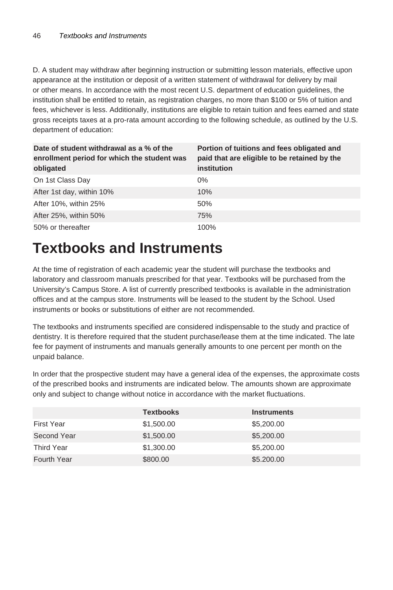D. A student may withdraw after beginning instruction or submitting lesson materials, effective upon appearance at the institution or deposit of a written statement of withdrawal for delivery by mail or other means. In accordance with the most recent U.S. department of education guidelines, the institution shall be entitled to retain, as registration charges, no more than \$100 or 5% of tuition and fees, whichever is less. Additionally, institutions are eligible to retain tuition and fees earned and state gross receipts taxes at a pro-rata amount according to the following schedule, as outlined by the U.S. department of education:

| Date of student withdrawal as a % of the<br>enrollment period for which the student was<br>obligated | Portion of tuitions and fees obligated and<br>paid that are eligible to be retained by the<br>institution |
|------------------------------------------------------------------------------------------------------|-----------------------------------------------------------------------------------------------------------|
| On 1st Class Day                                                                                     | $0\%$                                                                                                     |
| After 1st day, within 10%                                                                            | 10%                                                                                                       |
| After 10%, within 25%                                                                                | 50%                                                                                                       |
| After 25%, within 50%                                                                                | 75%                                                                                                       |
| 50% or thereafter                                                                                    | 100%                                                                                                      |

# **Textbooks and Instruments**

At the time of registration of each academic year the student will purchase the textbooks and laboratory and classroom manuals prescribed for that year. Textbooks will be purchased from the University's Campus Store. A list of currently prescribed textbooks is available in the administration offices and at the campus store. Instruments will be leased to the student by the School. Used instruments or books or substitutions of either are not recommended.

The textbooks and instruments specified are considered indispensable to the study and practice of dentistry. It is therefore required that the student purchase/lease them at the time indicated. The late fee for payment of instruments and manuals generally amounts to one percent per month on the unpaid balance.

In order that the prospective student may have a general idea of the expenses, the approximate costs of the prescribed books and instruments are indicated below. The amounts shown are approximate only and subject to change without notice in accordance with the market fluctuations.

|                   | <b>Textbooks</b> | <b>Instruments</b> |
|-------------------|------------------|--------------------|
| <b>First Year</b> | \$1,500.00       | \$5,200.00         |
| Second Year       | \$1,500.00       | \$5,200.00         |
| Third Year        | \$1,300.00       | \$5,200.00         |
| Fourth Year       | \$800.00         | \$5.200.00         |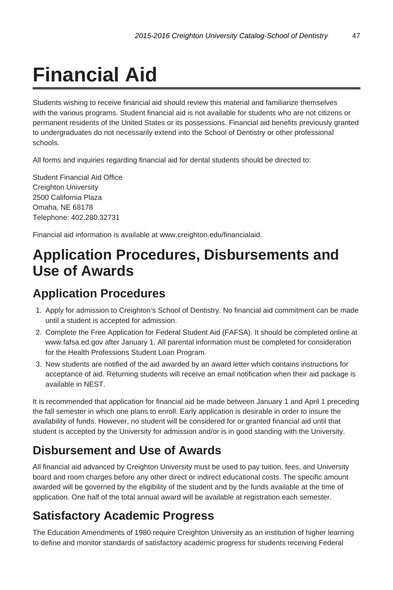# **Financial Aid**

Students wishing to receive financial aid should review this material and familiarize themselves with the various programs. Student financial aid is not available for students who are not citizens or permanent residents of the United States or its possessions. Financial aid benefits previously granted to undergraduates do not necessarily extend into the School of Dentistry or other professional schools.

All forms and inquiries regarding financial aid for dental students should be directed to:

Student Financial Aid Office Creighton University 2500 California Plaza Omaha, NE 68178 Telephone: 402.280.32731

Financial aid information is available at www.creighton.edu/financialaid.

# **Application Procedures, Disbursements and Use of Awards**

#### **Application Procedures**

- 1. Apply for admission to Creighton's School of Dentistry. No financial aid commitment can be made until a student is accepted for admission.
- 2. Complete the Free Application for Federal Student Aid (FAFSA). It should be completed online at www.fafsa.ed.gov after January 1. All parental information must be completed for consideration for the Health Professions Student Loan Program.
- 3. New students are notified of the aid awarded by an award letter which contains instructions for acceptance of aid. Returning students will receive an email notification when their aid package is available in NEST.

It is recommended that application for financial aid be made between January 1 and April 1 preceding the fall semester in which one plans to enroll. Early application is desirable in order to insure the availability of funds. However, no student will be considered for or granted financial aid until that student is accepted by the University for admission and/or is in good standing with the University.

### **Disbursement and Use of Awards**

All financial aid advanced by Creighton University must be used to pay tuition, fees, and University board and room charges before any other direct or indirect educational costs. The specific amount awarded will be governed by the eligibility of the student and by the funds available at the time of application. One half of the total annual award will be available at registration each semester.

### **Satisfactory Academic Progress**

The Education Amendments of 1980 require Creighton University as an institution of higher learning to define and monitor standards of satisfactory academic progress for students receiving Federal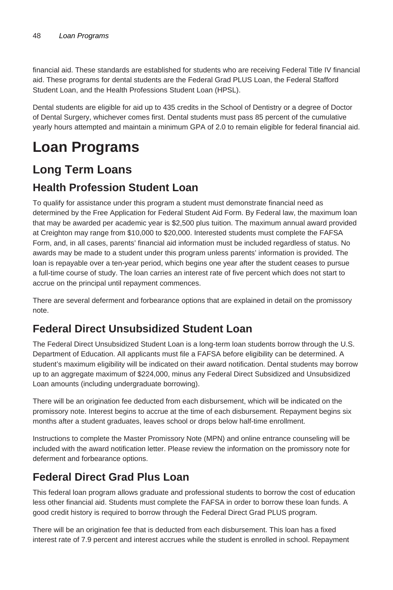financial aid. These standards are established for students who are receiving Federal Title IV financial aid. These programs for dental students are the Federal Grad PLUS Loan, the Federal Stafford Student Loan, and the Health Professions Student Loan (HPSL).

Dental students are eligible for aid up to 435 credits in the School of Dentistry or a degree of Doctor of Dental Surgery, whichever comes first. Dental students must pass 85 percent of the cumulative yearly hours attempted and maintain a minimum GPA of 2.0 to remain eligible for federal financial aid.

# **Loan Programs**

#### **Long Term Loans**

#### **Health Profession Student Loan**

To qualify for assistance under this program a student must demonstrate financial need as determined by the Free Application for Federal Student Aid Form. By Federal law, the maximum loan that may be awarded per academic year is \$2,500 plus tuition. The maximum annual award provided at Creighton may range from \$10,000 to \$20,000. Interested students must complete the FAFSA Form, and, in all cases, parents' financial aid information must be included regardless of status. No awards may be made to a student under this program unless parents' information is provided. The loan is repayable over a ten-year period, which begins one year after the student ceases to pursue a full-time course of study. The loan carries an interest rate of five percent which does not start to accrue on the principal until repayment commences.

There are several deferment and forbearance options that are explained in detail on the promissory note.

#### **Federal Direct Unsubsidized Student Loan**

The Federal Direct Unsubsidized Student Loan is a long-term loan students borrow through the U.S. Department of Education. All applicants must file a FAFSA before eligibility can be determined. A student's maximum eligibility will be indicated on their award notification. Dental students may borrow up to an aggregate maximum of \$224,000, minus any Federal Direct Subsidized and Unsubsidized Loan amounts (including undergraduate borrowing).

There will be an origination fee deducted from each disbursement, which will be indicated on the promissory note. Interest begins to accrue at the time of each disbursement. Repayment begins six months after a student graduates, leaves school or drops below half-time enrollment.

Instructions to complete the Master Promissory Note (MPN) and online entrance counseling will be included with the award notification letter. Please review the information on the promissory note for deferment and forbearance options.

#### **Federal Direct Grad Plus Loan**

This federal loan program allows graduate and professional students to borrow the cost of education less other financial aid. Students must complete the FAFSA in order to borrow these loan funds. A good credit history is required to borrow through the Federal Direct Grad PLUS program.

There will be an origination fee that is deducted from each disbursement. This loan has a fixed interest rate of 7.9 percent and interest accrues while the student is enrolled in school. Repayment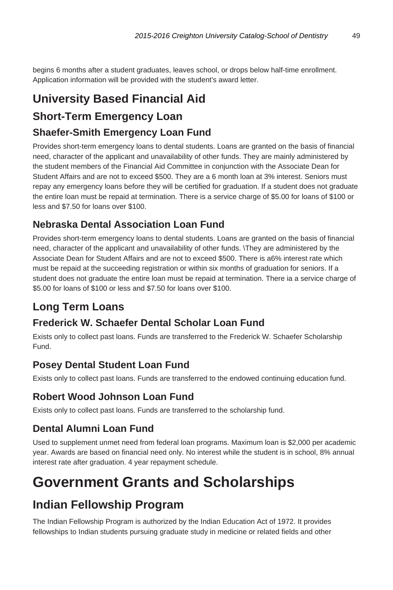begins 6 months after a student graduates, leaves school, or drops below half-time enrollment. Application information will be provided with the student's award letter.

# **University Based Financial Aid**

#### **Short-Term Emergency Loan**

#### **Shaefer-Smith Emergency Loan Fund**

Provides short-term emergency loans to dental students. Loans are granted on the basis of financial need, character of the applicant and unavailability of other funds. They are mainly administered by the student members of the Financial Aid Committee in conjunction with the Associate Dean for Student Affairs and are not to exceed \$500. They are a 6 month loan at 3% interest. Seniors must repay any emergency loans before they will be certified for graduation. If a student does not graduate the entire loan must be repaid at termination. There is a service charge of \$5.00 for loans of \$100 or less and \$7.50 for loans over \$100.

#### **Nebraska Dental Association Loan Fund**

Provides short-term emergency loans to dental students. Loans are granted on the basis of financial need, character of the applicant and unavailability of other funds. \They are administered by the Associate Dean for Student Affairs and are not to exceed \$500. There is a6% interest rate which must be repaid at the succeeding registration or within six months of graduation for seniors. If a student does not graduate the entire loan must be repaid at termination. There ia a service charge of \$5.00 for loans of \$100 or less and \$7.50 for loans over \$100.

#### **Long Term Loans**

#### **Frederick W. Schaefer Dental Scholar Loan Fund**

Exists only to collect past loans. Funds are transferred to the Frederick W. Schaefer Scholarship Fund.

#### **Posey Dental Student Loan Fund**

Exists only to collect past loans. Funds are transferred to the endowed continuing education fund.

#### **Robert Wood Johnson Loan Fund**

Exists only to collect past loans. Funds are transferred to the scholarship fund.

#### **Dental Alumni Loan Fund**

Used to supplement unmet need from federal loan programs. Maximum loan is \$2,000 per academic year. Awards are based on financial need only. No interest while the student is in school, 8% annual interest rate after graduation. 4 year repayment schedule.

# **Government Grants and Scholarships**

### **Indian Fellowship Program**

The Indian Fellowship Program is authorized by the Indian Education Act of 1972. It provides fellowships to Indian students pursuing graduate study in medicine or related fields and other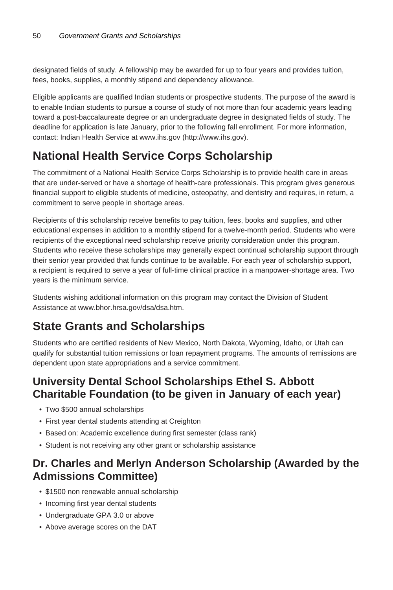designated fields of study. A fellowship may be awarded for up to four years and provides tuition, fees, books, supplies, a monthly stipend and dependency allowance.

Eligible applicants are qualified Indian students or prospective students. The purpose of the award is to enable Indian students to pursue a course of study of not more than four academic years leading toward a post-baccalaureate degree or an undergraduate degree in designated fields of study. The deadline for application is late January, prior to the following fall enrollment. For more information, contact: Indian Health Service at www.ihs.gov (http://www.ihs.gov).

# **National Health Service Corps Scholarship**

The commitment of a National Health Service Corps Scholarship is to provide health care in areas that are under-served or have a shortage of health-care professionals. This program gives generous financial support to eligible students of medicine, osteopathy, and dentistry and requires, in return, a commitment to serve people in shortage areas.

Recipients of this scholarship receive benefits to pay tuition, fees, books and supplies, and other educational expenses in addition to a monthly stipend for a twelve-month period. Students who were recipients of the exceptional need scholarship receive priority consideration under this program. Students who receive these scholarships may generally expect continual scholarship support through their senior year provided that funds continue to be available. For each year of scholarship support, a recipient is required to serve a year of full-time clinical practice in a manpower-shortage area. Two years is the minimum service.

Students wishing additional information on this program may contact the Division of Student Assistance at www.bhor.hrsa.gov/dsa/dsa.htm.

# **State Grants and Scholarships**

Students who are certified residents of New Mexico, North Dakota, Wyoming, Idaho, or Utah can qualify for substantial tuition remissions or loan repayment programs. The amounts of remissions are dependent upon state appropriations and a service commitment.

#### **University Dental School Scholarships Ethel S. Abbott Charitable Foundation (to be given in January of each year)**

- Two \$500 annual scholarships
- First year dental students attending at Creighton
- Based on: Academic excellence during first semester (class rank)
- Student is not receiving any other grant or scholarship assistance

#### **Dr. Charles and Merlyn Anderson Scholarship (Awarded by the Admissions Committee)**

- \$1500 non renewable annual scholarship
- Incoming first year dental students
- Undergraduate GPA 3.0 or above
- Above average scores on the DAT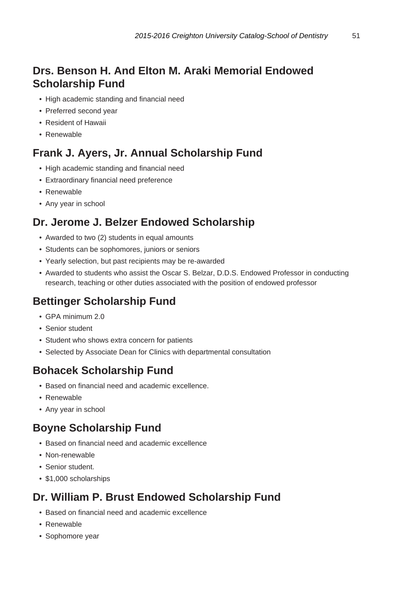#### **Drs. Benson H. And Elton M. Araki Memorial Endowed Scholarship Fund**

- High academic standing and financial need
- Preferred second year
- Resident of Hawaii
- Renewable

#### **Frank J. Ayers, Jr. Annual Scholarship Fund**

- High academic standing and financial need
- Extraordinary financial need preference
- Renewable
- Any year in school

#### **Dr. Jerome J. Belzer Endowed Scholarship**

- Awarded to two (2) students in equal amounts
- Students can be sophomores, juniors or seniors
- Yearly selection, but past recipients may be re-awarded
- Awarded to students who assist the Oscar S. Belzar, D.D.S. Endowed Professor in conducting research, teaching or other duties associated with the position of endowed professor

#### **Bettinger Scholarship Fund**

- GPA minimum 2.0
- Senior student
- Student who shows extra concern for patients
- Selected by Associate Dean for Clinics with departmental consultation

#### **Bohacek Scholarship Fund**

- Based on financial need and academic excellence.
- Renewable
- Any year in school

#### **Boyne Scholarship Fund**

- Based on financial need and academic excellence
- Non-renewable
- Senior student.
- \$1,000 scholarships

#### **Dr. William P. Brust Endowed Scholarship Fund**

- Based on financial need and academic excellence
- Renewable
- Sophomore year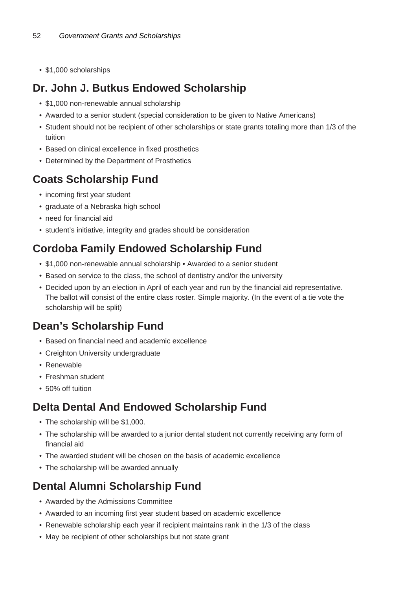• \$1,000 scholarships

### **Dr. John J. Butkus Endowed Scholarship**

- \$1,000 non-renewable annual scholarship
- Awarded to a senior student (special consideration to be given to Native Americans)
- Student should not be recipient of other scholarships or state grants totaling more than 1/3 of the tuition
- Based on clinical excellence in fixed prosthetics
- Determined by the Department of Prosthetics

# **Coats Scholarship Fund**

- incoming first year student
- graduate of a Nebraska high school
- need for financial aid
- student's initiative, integrity and grades should be consideration

# **Cordoba Family Endowed Scholarship Fund**

- \$1,000 non-renewable annual scholarship Awarded to a senior student
- Based on service to the class, the school of dentistry and/or the university
- Decided upon by an election in April of each year and run by the financial aid representative. The ballot will consist of the entire class roster. Simple majority. (In the event of a tie vote the scholarship will be split)

### **Dean's Scholarship Fund**

- Based on financial need and academic excellence
- Creighton University undergraduate
- Renewable
- Freshman student
- 50% off tuition

# **Delta Dental And Endowed Scholarship Fund**

- The scholarship will be \$1,000.
- The scholarship will be awarded to a junior dental student not currently receiving any form of financial aid
- The awarded student will be chosen on the basis of academic excellence
- The scholarship will be awarded annually

# **Dental Alumni Scholarship Fund**

- Awarded by the Admissions Committee
- Awarded to an incoming first year student based on academic excellence
- Renewable scholarship each year if recipient maintains rank in the 1/3 of the class
- May be recipient of other scholarships but not state grant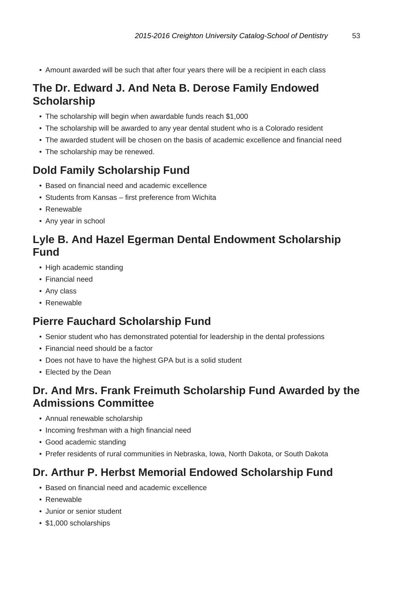• Amount awarded will be such that after four years there will be a recipient in each class

#### **The Dr. Edward J. And Neta B. Derose Family Endowed Scholarship**

- The scholarship will begin when awardable funds reach \$1,000
- The scholarship will be awarded to any year dental student who is a Colorado resident
- The awarded student will be chosen on the basis of academic excellence and financial need
- The scholarship may be renewed.

#### **Dold Family Scholarship Fund**

- Based on financial need and academic excellence
- Students from Kansas first preference from Wichita
- Renewable
- Any year in school

#### **Lyle B. And Hazel Egerman Dental Endowment Scholarship Fund**

- High academic standing
- Financial need
- Any class
- Renewable

#### **Pierre Fauchard Scholarship Fund**

- Senior student who has demonstrated potential for leadership in the dental professions
- Financial need should be a factor
- Does not have to have the highest GPA but is a solid student
- Elected by the Dean

#### **Dr. And Mrs. Frank Freimuth Scholarship Fund Awarded by the Admissions Committee**

- Annual renewable scholarship
- Incoming freshman with a high financial need
- Good academic standing
- Prefer residents of rural communities in Nebraska, Iowa, North Dakota, or South Dakota

#### **Dr. Arthur P. Herbst Memorial Endowed Scholarship Fund**

- Based on financial need and academic excellence
- Renewable
- Junior or senior student
- \$1,000 scholarships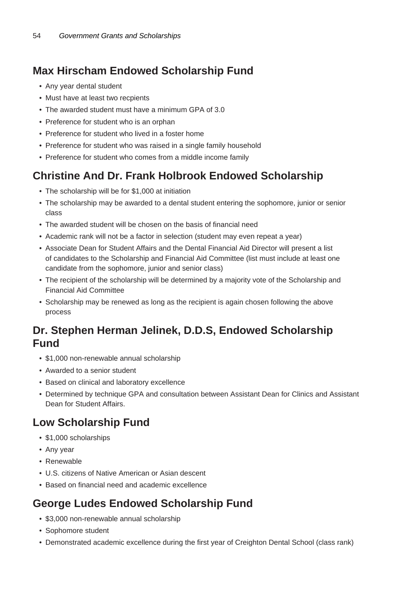### **Max Hirscham Endowed Scholarship Fund**

- Any year dental student
- Must have at least two recpients
- The awarded student must have a minimum GPA of 3.0
- Preference for student who is an orphan
- Preference for student who lived in a foster home
- Preference for student who was raised in a single family household
- Preference for student who comes from a middle income family

### **Christine And Dr. Frank Holbrook Endowed Scholarship**

- The scholarship will be for \$1,000 at initiation
- The scholarship may be awarded to a dental student entering the sophomore, junior or senior class
- The awarded student will be chosen on the basis of financial need
- Academic rank will not be a factor in selection (student may even repeat a year)
- Associate Dean for Student Affairs and the Dental Financial Aid Director will present a list of candidates to the Scholarship and Financial Aid Committee (list must include at least one candidate from the sophomore, junior and senior class)
- The recipient of the scholarship will be determined by a majority vote of the Scholarship and Financial Aid Committee
- Scholarship may be renewed as long as the recipient is again chosen following the above process

#### **Dr. Stephen Herman Jelinek, D.D.S, Endowed Scholarship Fund**

- \$1,000 non-renewable annual scholarship
- Awarded to a senior student
- Based on clinical and laboratory excellence
- Determined by technique GPA and consultation between Assistant Dean for Clinics and Assistant Dean for Student Affairs.

#### **Low Scholarship Fund**

- \$1,000 scholarships
- Any year
- Renewable
- U.S. citizens of Native American or Asian descent
- Based on financial need and academic excellence

#### **George Ludes Endowed Scholarship Fund**

- \$3,000 non-renewable annual scholarship
- Sophomore student
- Demonstrated academic excellence during the first year of Creighton Dental School (class rank)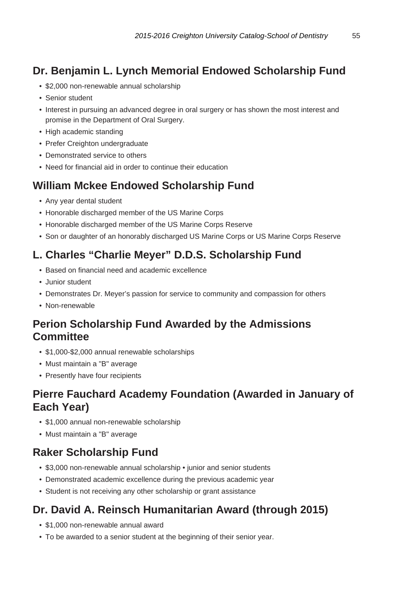### **Dr. Benjamin L. Lynch Memorial Endowed Scholarship Fund**

- \$2,000 non-renewable annual scholarship
- Senior student
- Interest in pursuing an advanced degree in oral surgery or has shown the most interest and promise in the Department of Oral Surgery.
- High academic standing
- Prefer Creighton undergraduate
- Demonstrated service to others
- Need for financial aid in order to continue their education

#### **William Mckee Endowed Scholarship Fund**

- Any year dental student
- Honorable discharged member of the US Marine Corps
- Honorable discharged member of the US Marine Corps Reserve
- Son or daughter of an honorably discharged US Marine Corps or US Marine Corps Reserve

#### **L. Charles "Charlie Meyer" D.D.S. Scholarship Fund**

- Based on financial need and academic excellence
- Junior student
- Demonstrates Dr. Meyer's passion for service to community and compassion for others
- Non-renewable

#### **Perion Scholarship Fund Awarded by the Admissions Committee**

- \$1,000-\$2,000 annual renewable scholarships
- Must maintain a "B" average
- Presently have four recipients

#### **Pierre Fauchard Academy Foundation (Awarded in January of Each Year)**

- \$1,000 annual non-renewable scholarship
- Must maintain a "B" average

#### **Raker Scholarship Fund**

- \$3,000 non-renewable annual scholarship junior and senior students
- Demonstrated academic excellence during the previous academic year
- Student is not receiving any other scholarship or grant assistance

### **Dr. David A. Reinsch Humanitarian Award (through 2015)**

- \$1,000 non-renewable annual award
- To be awarded to a senior student at the beginning of their senior year.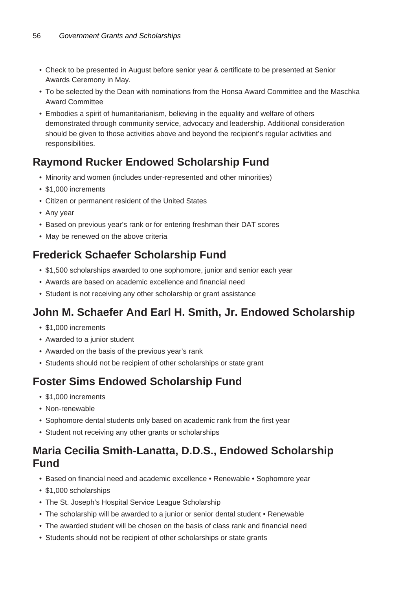- Check to be presented in August before senior year & certificate to be presented at Senior Awards Ceremony in May.
- To be selected by the Dean with nominations from the Honsa Award Committee and the Maschka Award Committee
- Embodies a spirit of humanitarianism, believing in the equality and welfare of others demonstrated through community service, advocacy and leadership. Additional consideration should be given to those activities above and beyond the recipient's regular activities and responsibilities.

#### **Raymond Rucker Endowed Scholarship Fund**

- Minority and women (includes under-represented and other minorities)
- \$1,000 increments
- Citizen or permanent resident of the United States
- Any year
- Based on previous year's rank or for entering freshman their DAT scores
- May be renewed on the above criteria

#### **Frederick Schaefer Scholarship Fund**

- \$1,500 scholarships awarded to one sophomore, junior and senior each year
- Awards are based on academic excellence and financial need
- Student is not receiving any other scholarship or grant assistance

#### **John M. Schaefer And Earl H. Smith, Jr. Endowed Scholarship**

- \$1,000 increments
- Awarded to a junior student
- Awarded on the basis of the previous year's rank
- Students should not be recipient of other scholarships or state grant

#### **Foster Sims Endowed Scholarship Fund**

- \$1,000 increments
- Non-renewable
- Sophomore dental students only based on academic rank from the first year
- Student not receiving any other grants or scholarships

#### **Maria Cecilia Smith-Lanatta, D.D.S., Endowed Scholarship Fund**

- Based on financial need and academic excellence Renewable Sophomore year
- \$1,000 scholarships
- The St. Joseph's Hospital Service League Scholarship
- The scholarship will be awarded to a junior or senior dental student Renewable
- The awarded student will be chosen on the basis of class rank and financial need
- Students should not be recipient of other scholarships or state grants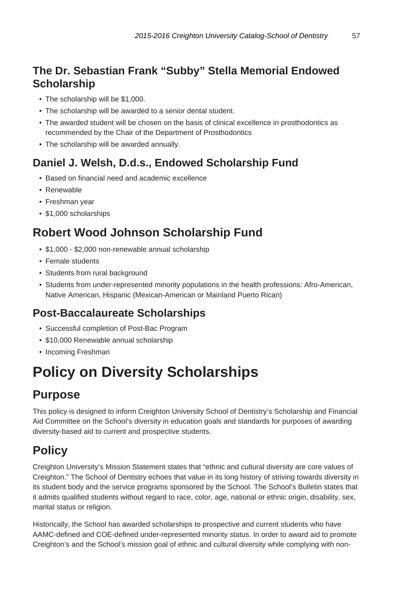### **The Dr. Sebastian Frank "Subby" Stella Memorial Endowed Scholarship**

- The scholarship will be \$1,000.
- The scholarship will be awarded to a senior dental student.
- The awarded student will be chosen on the basis of clinical excellence in prosthodontics as recommended by the Chair of the Department of Prosthodontics
- The scholarship will be awarded annually.

### **Daniel J. Welsh, D.d.s., Endowed Scholarship Fund**

- Based on financial need and academic excellence
- Renewable
- Freshman year
- \$1,000 scholarships

# **Robert Wood Johnson Scholarship Fund**

- \$1,000 \$2,000 non-renewable annual scholarship
- Female students
- Students from rural background
- Students from under-represented minority populations in the health professions: Afro-American, Native American, Hispanic (Mexican-American or Mainland Puerto Rican)

### **Post-Baccalaureate Scholarships**

- Successful completion of Post-Bac Program
- \$10,000 Renewable annual scholarship
- Incoming Freshman

# **Policy on Diversity Scholarships**

# **Purpose**

This policy is designed to inform Creighton University School of Dentistry's Scholarship and Financial Aid Committee on the School's diversity in education goals and standards for purposes of awarding diversity-based aid to current and prospective students.

# **Policy**

Creighton University's Mission Statement states that "ethnic and cultural diversity are core values of Creighton." The School of Dentistry echoes that value in its long history of striving towards diversity in its student body and the service programs sponsored by the School. The School's Bulletin states that it admits qualified students without regard to race, color, age, national or ethnic origin, disability, sex, marital status or religion.

Historically, the School has awarded scholarships to prospective and current students who have AAMC-defined and COE-defined under-represented minority status. In order to award aid to promote Creighton's and the School's mission goal of ethnic and cultural diversity while complying with non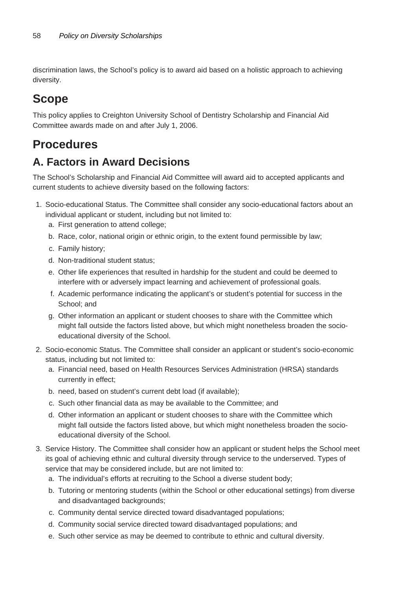discrimination laws, the School's policy is to award aid based on a holistic approach to achieving diversity.

# **Scope**

This policy applies to Creighton University School of Dentistry Scholarship and Financial Aid Committee awards made on and after July 1, 2006.

### **Procedures**

#### **A. Factors in Award Decisions**

The School's Scholarship and Financial Aid Committee will award aid to accepted applicants and current students to achieve diversity based on the following factors:

- 1. Socio-educational Status. The Committee shall consider any socio-educational factors about an individual applicant or student, including but not limited to:
	- a. First generation to attend college;
	- b. Race, color, national origin or ethnic origin, to the extent found permissible by law;
	- c. Family history;
	- d. Non-traditional student status;
	- e. Other life experiences that resulted in hardship for the student and could be deemed to interfere with or adversely impact learning and achievement of professional goals.
	- f. Academic performance indicating the applicant's or student's potential for success in the School; and
	- g. Other information an applicant or student chooses to share with the Committee which might fall outside the factors listed above, but which might nonetheless broaden the socioeducational diversity of the School.
- 2. Socio-economic Status. The Committee shall consider an applicant or student's socio-economic status, including but not limited to:
	- a. Financial need, based on Health Resources Services Administration (HRSA) standards currently in effect;
	- b. need, based on student's current debt load (if available);
	- c. Such other financial data as may be available to the Committee; and
	- d. Other information an applicant or student chooses to share with the Committee which might fall outside the factors listed above, but which might nonetheless broaden the socioeducational diversity of the School.
- 3. Service History. The Committee shall consider how an applicant or student helps the School meet its goal of achieving ethnic and cultural diversity through service to the underserved. Types of service that may be considered include, but are not limited to:
	- a. The individual's efforts at recruiting to the School a diverse student body;
	- b. Tutoring or mentoring students (within the School or other educational settings) from diverse and disadvantaged backgrounds;
	- c. Community dental service directed toward disadvantaged populations;
	- d. Community social service directed toward disadvantaged populations; and
	- e. Such other service as may be deemed to contribute to ethnic and cultural diversity.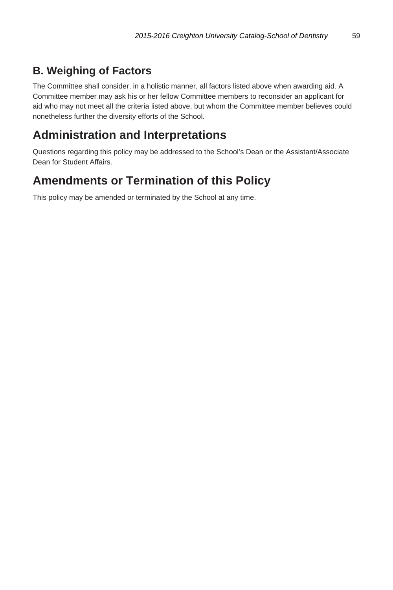# **B. Weighing of Factors**

The Committee shall consider, in a holistic manner, all factors listed above when awarding aid. A Committee member may ask his or her fellow Committee members to reconsider an applicant for aid who may not meet all the criteria listed above, but whom the Committee member believes could nonetheless further the diversity efforts of the School.

# **Administration and Interpretations**

Questions regarding this policy may be addressed to the School's Dean or the Assistant/Associate Dean for Student Affairs.

### **Amendments or Termination of this Policy**

This policy may be amended or terminated by the School at any time.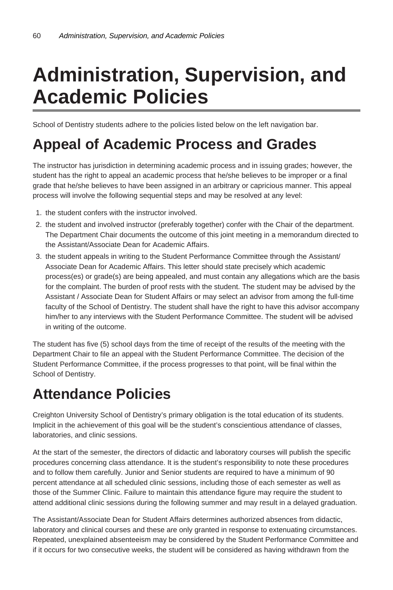# **Administration, Supervision, and Academic Policies**

School of Dentistry students adhere to the policies listed below on the left navigation bar.

# **Appeal of Academic Process and Grades**

The instructor has jurisdiction in determining academic process and in issuing grades; however, the student has the right to appeal an academic process that he/she believes to be improper or a final grade that he/she believes to have been assigned in an arbitrary or capricious manner. This appeal process will involve the following sequential steps and may be resolved at any level:

- 1. the student confers with the instructor involved.
- 2. the student and involved instructor (preferably together) confer with the Chair of the department. The Department Chair documents the outcome of this joint meeting in a memorandum directed to the Assistant/Associate Dean for Academic Affairs.
- 3. the student appeals in writing to the Student Performance Committee through the Assistant/ Associate Dean for Academic Affairs. This letter should state precisely which academic process(es) or grade(s) are being appealed, and must contain any allegations which are the basis for the complaint. The burden of proof rests with the student. The student may be advised by the Assistant / Associate Dean for Student Affairs or may select an advisor from among the full-time faculty of the School of Dentistry. The student shall have the right to have this advisor accompany him/her to any interviews with the Student Performance Committee. The student will be advised in writing of the outcome.

The student has five (5) school days from the time of receipt of the results of the meeting with the Department Chair to file an appeal with the Student Performance Committee. The decision of the Student Performance Committee, if the process progresses to that point, will be final within the School of Dentistry.

# **Attendance Policies**

Creighton University School of Dentistry's primary obligation is the total education of its students. Implicit in the achievement of this goal will be the student's conscientious attendance of classes, laboratories, and clinic sessions.

At the start of the semester, the directors of didactic and laboratory courses will publish the specific procedures concerning class attendance. It is the student's responsibility to note these procedures and to follow them carefully. Junior and Senior students are required to have a minimum of 90 percent attendance at all scheduled clinic sessions, including those of each semester as well as those of the Summer Clinic. Failure to maintain this attendance figure may require the student to attend additional clinic sessions during the following summer and may result in a delayed graduation.

The Assistant/Associate Dean for Student Affairs determines authorized absences from didactic, laboratory and clinical courses and these are only granted in response to extenuating circumstances. Repeated, unexplained absenteeism may be considered by the Student Performance Committee and if it occurs for two consecutive weeks, the student will be considered as having withdrawn from the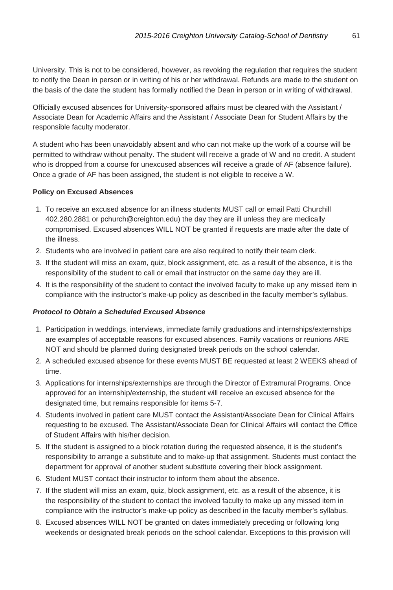University. This is not to be considered, however, as revoking the regulation that requires the student to notify the Dean in person or in writing of his or her withdrawal. Refunds are made to the student on the basis of the date the student has formally notified the Dean in person or in writing of withdrawal.

Officially excused absences for University-sponsored affairs must be cleared with the Assistant / Associate Dean for Academic Affairs and the Assistant / Associate Dean for Student Affairs by the responsible faculty moderator.

A student who has been unavoidably absent and who can not make up the work of a course will be permitted to withdraw without penalty. The student will receive a grade of W and no credit. A student who is dropped from a course for unexcused absences will receive a grade of AF (absence failure). Once a grade of AF has been assigned, the student is not eligible to receive a W.

#### **Policy on Excused Absences**

- 1. To receive an excused absence for an illness students MUST call or email Patti Churchill 402.280.2881 or pchurch@creighton.edu) the day they are ill unless they are medically compromised. Excused absences WILL NOT be granted if requests are made after the date of the illness.
- 2. Students who are involved in patient care are also required to notify their team clerk.
- 3. If the student will miss an exam, quiz, block assignment, etc. as a result of the absence, it is the responsibility of the student to call or email that instructor on the same day they are ill.
- 4. It is the responsibility of the student to contact the involved faculty to make up any missed item in compliance with the instructor's make-up policy as described in the faculty member's syllabus.

#### **Protocol to Obtain a Scheduled Excused Absence**

- 1. Participation in weddings, interviews, immediate family graduations and internships/externships are examples of acceptable reasons for excused absences. Family vacations or reunions ARE NOT and should be planned during designated break periods on the school calendar.
- 2. A scheduled excused absence for these events MUST BE requested at least 2 WEEKS ahead of time.
- 3. Applications for internships/externships are through the Director of Extramural Programs. Once approved for an internship/externship, the student will receive an excused absence for the designated time, but remains responsible for items 5-7.
- 4. Students involved in patient care MUST contact the Assistant/Associate Dean for Clinical Affairs requesting to be excused. The Assistant/Associate Dean for Clinical Affairs will contact the Office of Student Affairs with his/her decision.
- 5. If the student is assigned to a block rotation during the requested absence, it is the student's responsibility to arrange a substitute and to make-up that assignment. Students must contact the department for approval of another student substitute covering their block assignment.
- 6. Student MUST contact their instructor to inform them about the absence.
- 7. If the student will miss an exam, quiz, block assignment, etc. as a result of the absence, it is the responsibility of the student to contact the involved faculty to make up any missed item in compliance with the instructor's make-up policy as described in the faculty member's syllabus.
- 8. Excused absences WILL NOT be granted on dates immediately preceding or following long weekends or designated break periods on the school calendar. Exceptions to this provision will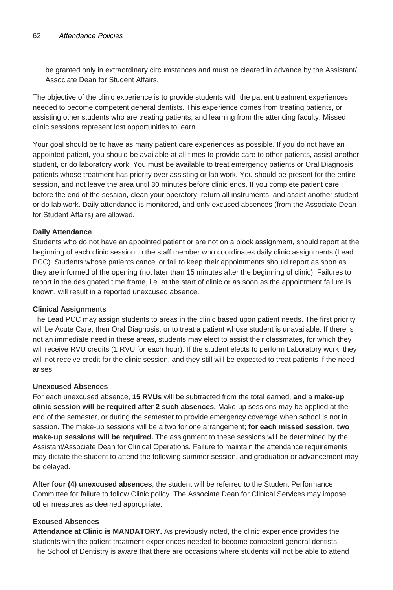be granted only in extraordinary circumstances and must be cleared in advance by the Assistant/ Associate Dean for Student Affairs.

The objective of the clinic experience is to provide students with the patient treatment experiences needed to become competent general dentists. This experience comes from treating patients, or assisting other students who are treating patients, and learning from the attending faculty. Missed clinic sessions represent lost opportunities to learn.

Your goal should be to have as many patient care experiences as possible. If you do not have an appointed patient, you should be available at all times to provide care to other patients, assist another student, or do laboratory work. You must be available to treat emergency patients or Oral Diagnosis patients whose treatment has priority over assisting or lab work. You should be present for the entire session, and not leave the area until 30 minutes before clinic ends. If you complete patient care before the end of the session, clean your operatory, return all instruments, and assist another student or do lab work. Daily attendance is monitored, and only excused absences (from the Associate Dean for Student Affairs) are allowed.

#### **Daily Attendance**

Students who do not have an appointed patient or are not on a block assignment, should report at the beginning of each clinic session to the staff member who coordinates daily clinic assignments (Lead PCC). Students whose patients cancel or fail to keep their appointments should report as soon as they are informed of the opening (not later than 15 minutes after the beginning of clinic). Failures to report in the designated time frame, i.e. at the start of clinic or as soon as the appointment failure is known, will result in a reported unexcused absence.

#### **Clinical Assignments**

The Lead PCC may assign students to areas in the clinic based upon patient needs. The first priority will be Acute Care, then Oral Diagnosis, or to treat a patient whose student is unavailable. If there is not an immediate need in these areas, students may elect to assist their classmates, for which they will receive RVU credits (1 RVU for each hour). If the student elects to perform Laboratory work, they will not receive credit for the clinic session, and they still will be expected to treat patients if the need arises.

#### **Unexcused Absences**

For each unexcused absence, **15 RVUs** will be subtracted from the total earned, **and** a **make-up clinic session will be required after 2 such absences.** Make-up sessions may be applied at the end of the semester, or during the semester to provide emergency coverage when school is not in session. The make-up sessions will be a two for one arrangement; **for each missed session, two make-up sessions will be required.** The assignment to these sessions will be determined by the Assistant/Associate Dean for Clinical Operations. Failure to maintain the attendance requirements may dictate the student to attend the following summer session, and graduation or advancement may be delayed.

**After four (4) unexcused absences**, the student will be referred to the Student Performance Committee for failure to follow Clinic policy. The Associate Dean for Clinical Services may impose other measures as deemed appropriate.

#### **Excused Absences**

**Attendance at Clinic is MANDATORY.** As previously noted, the clinic experience provides the students with the patient treatment experiences needed to become competent general dentists. The School of Dentistry is aware that there are occasions where students will not be able to attend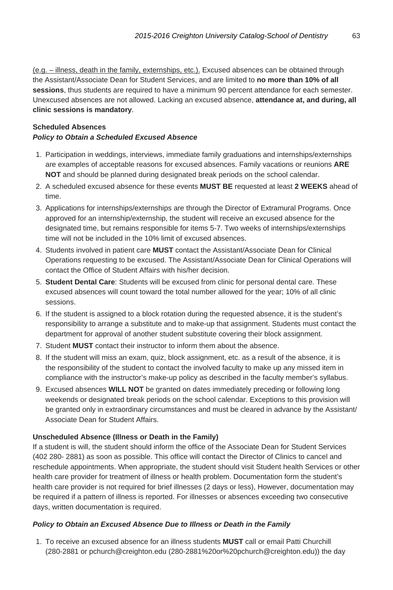(e.g. – illness, death in the family, externships, etc.). Excused absences can be obtained through the Assistant/Associate Dean for Student Services, and are limited to **no more than 10% of all sessions**, thus students are required to have a minimum 90 percent attendance for each semester. Unexcused absences are not allowed. Lacking an excused absence, **attendance at, and during, all clinic sessions is mandatory**.

#### **Scheduled Absences Policy to Obtain a Scheduled Excused Absence**

- 1. Participation in weddings, interviews, immediate family graduations and internships/externships are examples of acceptable reasons for excused absences. Family vacations or reunions **ARE NOT** and should be planned during designated break periods on the school calendar.
- 2. A scheduled excused absence for these events **MUST BE** requested at least **2 WEEKS** ahead of time.
- 3. Applications for internships/externships are through the Director of Extramural Programs. Once approved for an internship/externship, the student will receive an excused absence for the designated time, but remains responsible for items 5-7. Two weeks of internships/externships time will not be included in the 10% limit of excused absences.
- 4. Students involved in patient care **MUST** contact the Assistant/Associate Dean for Clinical Operations requesting to be excused. The Assistant/Associate Dean for Clinical Operations will contact the Office of Student Affairs with his/her decision.
- 5. **Student Dental Care**: Students will be excused from clinic for personal dental care. These excused absences will count toward the total number allowed for the year; 10% of all clinic sessions.
- 6. If the student is assigned to a block rotation during the requested absence, it is the student's responsibility to arrange a substitute and to make-up that assignment. Students must contact the department for approval of another student substitute covering their block assignment.
- 7. Student **MUST** contact their instructor to inform them about the absence.
- 8. If the student will miss an exam, quiz, block assignment, etc. as a result of the absence, it is the responsibility of the student to contact the involved faculty to make up any missed item in compliance with the instructor's make-up policy as described in the faculty member's syllabus.
- 9. Excused absences **WILL NOT** be granted on dates immediately preceding or following long weekends or designated break periods on the school calendar. Exceptions to this provision will be granted only in extraordinary circumstances and must be cleared in advance by the Assistant/ Associate Dean for Student Affairs.

#### **Unscheduled Absence (Illness or Death in the Family)**

If a student is will, the student should inform the office of the Associate Dean for Student Services (402 280- 2881) as soon as possible. This office will contact the Director of Clinics to cancel and reschedule appointments. When appropriate, the student should visit Student health Services or other health care provider for treatment of illness or health problem. Documentation form the student's health care provider is not required for brief illnesses (2 days or less), However, documentation may be required if a pattern of illness is reported. For illnesses or absences exceeding two consecutive days, written documentation is required.

#### **Policy to Obtain an Excused Absence Due to Illness or Death in the Family**

1. To receive an excused absence for an illness students **MUST** call or email Patti Churchill (280-2881 or pchurch@creighton.edu (280-2881%20or%20pchurch@creighton.edu)) the day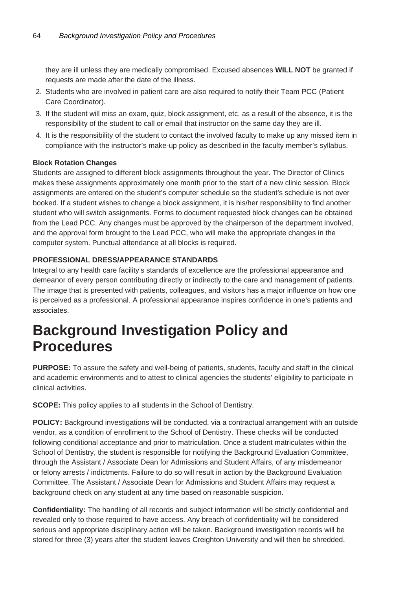they are ill unless they are medically compromised. Excused absences **WILL NOT** be granted if requests are made after the date of the illness.

- 2. Students who are involved in patient care are also required to notify their Team PCC (Patient Care Coordinator).
- 3. If the student will miss an exam, quiz, block assignment, etc. as a result of the absence, it is the responsibility of the student to call or email that instructor on the same day they are ill.
- 4. It is the responsibility of the student to contact the involved faculty to make up any missed item in compliance with the instructor's make-up policy as described in the faculty member's syllabus.

#### **Block Rotation Changes**

Students are assigned to different block assignments throughout the year. The Director of Clinics makes these assignments approximately one month prior to the start of a new clinic session. Block assignments are entered on the student's computer schedule so the student's schedule is not over booked. If a student wishes to change a block assignment, it is his/her responsibility to find another student who will switch assignments. Forms to document requested block changes can be obtained from the Lead PCC. Any changes must be approved by the chairperson of the department involved, and the approval form brought to the Lead PCC, who will make the appropriate changes in the computer system. Punctual attendance at all blocks is required.

#### **PROFESSIONAL DRESS/APPEARANCE STANDARDS**

Integral to any health care facility's standards of excellence are the professional appearance and demeanor of every person contributing directly or indirectly to the care and management of patients. The image that is presented with patients, colleagues, and visitors has a major influence on how one is perceived as a professional. A professional appearance inspires confidence in one's patients and associates.

# **Background Investigation Policy and Procedures**

**PURPOSE:** To assure the safety and well-being of patients, students, faculty and staff in the clinical and academic environments and to attest to clinical agencies the students' eligibility to participate in clinical activities.

**SCOPE:** This policy applies to all students in the School of Dentistry.

**POLICY:** Background investigations will be conducted, via a contractual arrangement with an outside vendor, as a condition of enrollment to the School of Dentistry. These checks will be conducted following conditional acceptance and prior to matriculation. Once a student matriculates within the School of Dentistry, the student is responsible for notifying the Background Evaluation Committee, through the Assistant / Associate Dean for Admissions and Student Affairs, of any misdemeanor or felony arrests / indictments. Failure to do so will result in action by the Background Evaluation Committee. The Assistant / Associate Dean for Admissions and Student Affairs may request a background check on any student at any time based on reasonable suspicion.

**Confidentiality:** The handling of all records and subject information will be strictly confidential and revealed only to those required to have access. Any breach of confidentiality will be considered serious and appropriate disciplinary action will be taken. Background investigation records will be stored for three (3) years after the student leaves Creighton University and will then be shredded.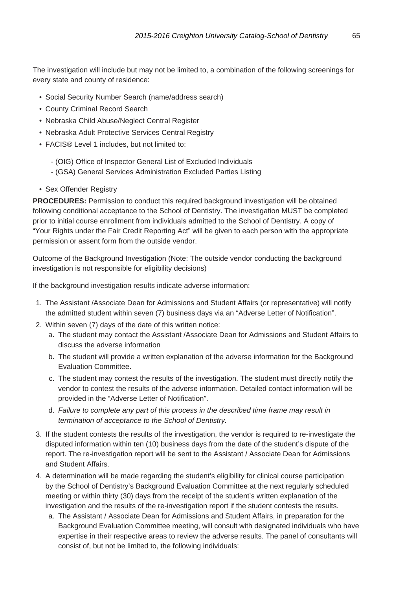The investigation will include but may not be limited to, a combination of the following screenings for every state and county of residence:

- Social Security Number Search (name/address search)
- County Criminal Record Search
- Nebraska Child Abuse/Neglect Central Register
- Nebraska Adult Protective Services Central Registry
- FACIS® Level 1 includes, but not limited to:
	- (OIG) Office of Inspector General List of Excluded Individuals
	- (GSA) General Services Administration Excluded Parties Listing
- Sex Offender Registry

**PROCEDURES:** Permission to conduct this required background investigation will be obtained following conditional acceptance to the School of Dentistry. The investigation MUST be completed prior to initial course enrollment from individuals admitted to the School of Dentistry. A copy of "Your Rights under the Fair Credit Reporting Act" will be given to each person with the appropriate permission or assent form from the outside vendor.

Outcome of the Background Investigation (Note: The outside vendor conducting the background investigation is not responsible for eligibility decisions)

If the background investigation results indicate adverse information:

- 1. The Assistant /Associate Dean for Admissions and Student Affairs (or representative) will notify the admitted student within seven (7) business days via an "Adverse Letter of Notification".
- 2. Within seven (7) days of the date of this written notice:
	- a. The student may contact the Assistant /Associate Dean for Admissions and Student Affairs to discuss the adverse information
	- b. The student will provide a written explanation of the adverse information for the Background Evaluation Committee.
	- c. The student may contest the results of the investigation. The student must directly notify the vendor to contest the results of the adverse information. Detailed contact information will be provided in the "Adverse Letter of Notification".
	- d. Failure to complete any part of this process in the described time frame may result in termination of acceptance to the School of Dentistry.
- 3. If the student contests the results of the investigation, the vendor is required to re-investigate the disputed information within ten (10) business days from the date of the student's dispute of the report. The re-investigation report will be sent to the Assistant / Associate Dean for Admissions and Student Affairs.
- 4. A determination will be made regarding the student's eligibility for clinical course participation by the School of Dentistry's Background Evaluation Committee at the next regularly scheduled meeting or within thirty (30) days from the receipt of the student's written explanation of the investigation and the results of the re-investigation report if the student contests the results.
	- a. The Assistant / Associate Dean for Admissions and Student Affairs, in preparation for the Background Evaluation Committee meeting, will consult with designated individuals who have expertise in their respective areas to review the adverse results. The panel of consultants will consist of, but not be limited to, the following individuals: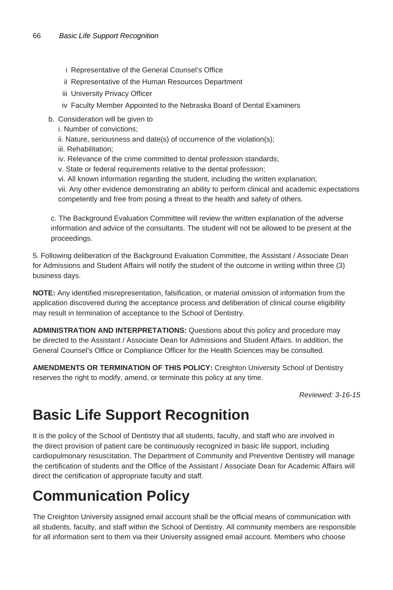- i Representative of the General Counsel's Office
- ii Representative of the Human Resources Department
- iii University Privacy Officer
- iv Faculty Member Appointed to the Nebraska Board of Dental Examiners
- b. Consideration will be given to
	- i. Number of convictions;
	- ii. Nature, seriousness and date(s) of occurrence of the violation(s);
	- iii. Rehabilitation;
	- iv. Relevance of the crime committed to dental profession standards;
	- v. State or federal requirements relative to the dental profession;
	- vi. All known information regarding the student, including the written explanation;

vii. Any other evidence demonstrating an ability to perform clinical and academic expectations competently and free from posing a threat to the health and safety of others.

c. The Background Evaluation Committee will review the written explanation of the adverse information and advice of the consultants. The student will not be allowed to be present at the proceedings.

5. Following deliberation of the Background Evaluation Committee, the Assistant / Associate Dean for Admissions and Student Affairs will notify the student of the outcome in writing within three (3) business days.

**NOTE:** Any identified misrepresentation, falsification, or material omission of information from the application discovered during the acceptance process and deliberation of clinical course eligibility may result in termination of acceptance to the School of Dentistry.

**ADMINISTRATION AND INTERPRETATIONS:** Questions about this policy and procedure may be directed to the Assistant / Associate Dean for Admissions and Student Affairs. In addition, the General Counsel's Office or Compliance Officer for the Health Sciences may be consulted.

**AMENDMENTS OR TERMINATION OF THIS POLICY:** Creighton University School of Dentistry reserves the right to modify, amend, or terminate this policy at any time.

Reviewed: 3-16-15

# **Basic Life Support Recognition**

It is the policy of the School of Dentistry that all students, faculty, and staff who are involved in the direct provision of patient care be continuously recognized in basic life support, including cardiopulmonary resuscitation. The Department of Community and Preventive Dentistry will manage the certification of students and the Office of the Assistant / Associate Dean for Academic Affairs will direct the certification of appropriate faculty and staff.

# **Communication Policy**

The Creighton University assigned email account shall be the official means of communication with all students, faculty, and staff within the School of Dentistry. All community members are responsible for all information sent to them via their University assigned email account. Members who choose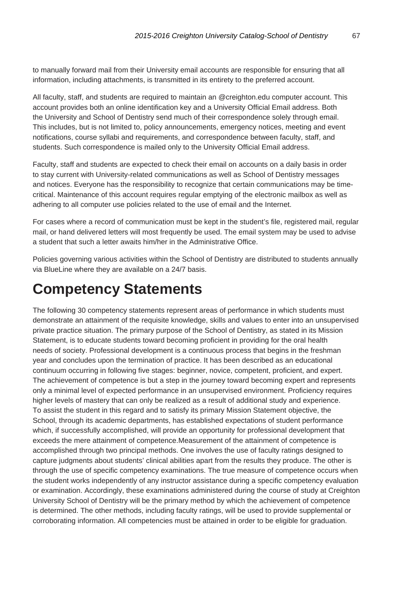to manually forward mail from their University email accounts are responsible for ensuring that all information, including attachments, is transmitted in its entirety to the preferred account.

All faculty, staff, and students are required to maintain an @creighton.edu computer account. This account provides both an online identification key and a University Official Email address. Both the University and School of Dentistry send much of their correspondence solely through email. This includes, but is not limited to, policy announcements, emergency notices, meeting and event notifications, course syllabi and requirements, and correspondence between faculty, staff, and students. Such correspondence is mailed only to the University Official Email address.

Faculty, staff and students are expected to check their email on accounts on a daily basis in order to stay current with University-related communications as well as School of Dentistry messages and notices. Everyone has the responsibility to recognize that certain communications may be timecritical. Maintenance of this account requires regular emptying of the electronic mailbox as well as adhering to all computer use policies related to the use of email and the Internet.

For cases where a record of communication must be kept in the student's file, registered mail, regular mail, or hand delivered letters will most frequently be used. The email system may be used to advise a student that such a letter awaits him/her in the Administrative Office.

Policies governing various activities within the School of Dentistry are distributed to students annually via BlueLine where they are available on a 24/7 basis.

# **Competency Statements**

The following 30 competency statements represent areas of performance in which students must demonstrate an attainment of the requisite knowledge, skills and values to enter into an unsupervised private practice situation. The primary purpose of the School of Dentistry, as stated in its Mission Statement, is to educate students toward becoming proficient in providing for the oral health needs of society. Professional development is a continuous process that begins in the freshman year and concludes upon the termination of practice. It has been described as an educational continuum occurring in following five stages: beginner, novice, competent, proficient, and expert. The achievement of competence is but a step in the journey toward becoming expert and represents only a minimal level of expected performance in an unsupervised environment. Proficiency requires higher levels of mastery that can only be realized as a result of additional study and experience. To assist the student in this regard and to satisfy its primary Mission Statement objective, the School, through its academic departments, has established expectations of student performance which, if successfully accomplished, will provide an opportunity for professional development that exceeds the mere attainment of competence.Measurement of the attainment of competence is accomplished through two principal methods. One involves the use of faculty ratings designed to capture judgments about students' clinical abilities apart from the results they produce. The other is through the use of specific competency examinations. The true measure of competence occurs when the student works independently of any instructor assistance during a specific competency evaluation or examination. Accordingly, these examinations administered during the course of study at Creighton University School of Dentistry will be the primary method by which the achievement of competence is determined. The other methods, including faculty ratings, will be used to provide supplemental or corroborating information. All competencies must be attained in order to be eligible for graduation.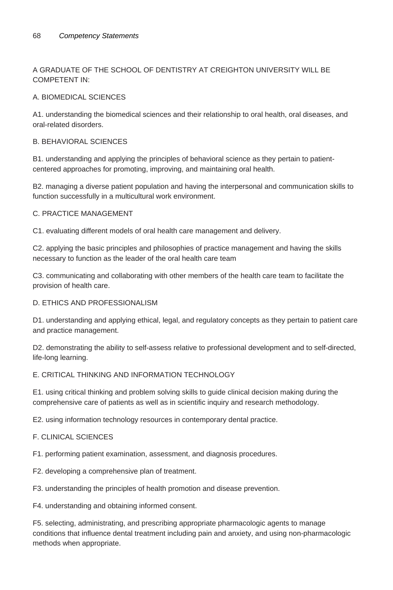#### A GRADUATE OF THE SCHOOL OF DENTISTRY AT CREIGHTON UNIVERSITY WILL BE COMPETENT IN:

#### A. BIOMEDICAL SCIENCES

A1. understanding the biomedical sciences and their relationship to oral health, oral diseases, and oral-related disorders.

#### B. BEHAVIORAL SCIENCES

B1. understanding and applying the principles of behavioral science as they pertain to patientcentered approaches for promoting, improving, and maintaining oral health.

B2. managing a diverse patient population and having the interpersonal and communication skills to function successfully in a multicultural work environment.

#### C. PRACTICE MANAGEMENT

C1. evaluating different models of oral health care management and delivery.

C2. applying the basic principles and philosophies of practice management and having the skills necessary to function as the leader of the oral health care team

C3. communicating and collaborating with other members of the health care team to facilitate the provision of health care.

#### D. ETHICS AND PROFESSIONALISM

D1. understanding and applying ethical, legal, and regulatory concepts as they pertain to patient care and practice management.

D2. demonstrating the ability to self-assess relative to professional development and to self-directed, life-long learning.

#### E. CRITICAL THINKING AND INFORMATION TECHNOLOGY

E1. using critical thinking and problem solving skills to guide clinical decision making during the comprehensive care of patients as well as in scientific inquiry and research methodology.

E2. using information technology resources in contemporary dental practice.

#### F. CLINICAL SCIENCES

F1. performing patient examination, assessment, and diagnosis procedures.

F2. developing a comprehensive plan of treatment.

F3. understanding the principles of health promotion and disease prevention.

F4. understanding and obtaining informed consent.

F5. selecting, administrating, and prescribing appropriate pharmacologic agents to manage conditions that influence dental treatment including pain and anxiety, and using non-pharmacologic methods when appropriate.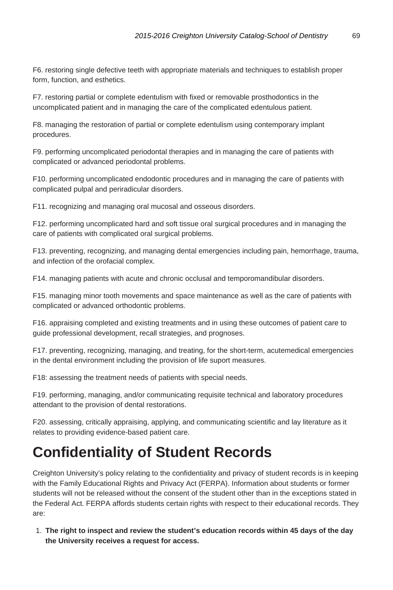F6. restoring single defective teeth with appropriate materials and techniques to establish proper form, function, and esthetics.

F7. restoring partial or complete edentulism with fixed or removable prosthodontics in the uncomplicated patient and in managing the care of the complicated edentulous patient.

F8. managing the restoration of partial or complete edentulism using contemporary implant procedures.

F9. performing uncomplicated periodontal therapies and in managing the care of patients with complicated or advanced periodontal problems.

F10. performing uncomplicated endodontic procedures and in managing the care of patients with complicated pulpal and periradicular disorders.

F11. recognizing and managing oral mucosal and osseous disorders.

F12. performing uncomplicated hard and soft tissue oral surgical procedures and in managing the care of patients with complicated oral surgical problems.

F13. preventing, recognizing, and managing dental emergencies including pain, hemorrhage, trauma, and infection of the orofacial complex.

F14. managing patients with acute and chronic occlusal and temporomandibular disorders.

F15. managing minor tooth movements and space maintenance as well as the care of patients with complicated or advanced orthodontic problems.

F16. appraising completed and existing treatments and in using these outcomes of patient care to guide professional development, recall strategies, and prognoses.

F17. preventing, recognizing, managing, and treating, for the short-term, acutemedical emergencies in the dental environment including the provision of life suport measures.

F18: assessing the treatment needs of patients with special needs.

F19. performing, managing, and/or communicating requisite technical and laboratory procedures attendant to the provision of dental restorations.

F20. assessing, critically appraising, applying, and communicating scientific and lay literature as it relates to providing evidence-based patient care.

# **Confidentiality of Student Records**

Creighton University's policy relating to the confidentiality and privacy of student records is in keeping with the Family Educational Rights and Privacy Act (FERPA). Information about students or former students will not be released without the consent of the student other than in the exceptions stated in the Federal Act. FERPA affords students certain rights with respect to their educational records. They are:

1. **The right to inspect and review the student's education records within 45 days of the day the University receives a request for access.**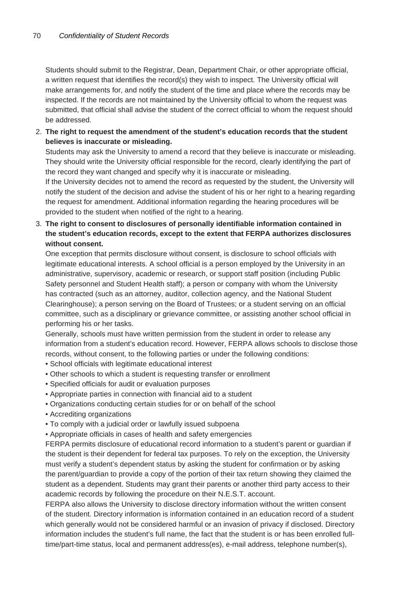Students should submit to the Registrar, Dean, Department Chair, or other appropriate official, a written request that identifies the record(s) they wish to inspect. The University official will make arrangements for, and notify the student of the time and place where the records may be inspected. If the records are not maintained by the University official to whom the request was submitted, that official shall advise the student of the correct official to whom the request should be addressed.

2. **The right to request the amendment of the student's education records that the student believes is inaccurate or misleading.**

Students may ask the University to amend a record that they believe is inaccurate or misleading. They should write the University official responsible for the record, clearly identifying the part of the record they want changed and specify why it is inaccurate or misleading.

If the University decides not to amend the record as requested by the student, the University will notify the student of the decision and advise the student of his or her right to a hearing regarding the request for amendment. Additional information regarding the hearing procedures will be provided to the student when notified of the right to a hearing.

3. **The right to consent to disclosures of personally identifiable information contained in the student's education records, except to the extent that FERPA authorizes disclosures without consent.**

One exception that permits disclosure without consent, is disclosure to school officials with legitimate educational interests. A school official is a person employed by the University in an administrative, supervisory, academic or research, or support staff position (including Public Safety personnel and Student Health staff); a person or company with whom the University has contracted (such as an attorney, auditor, collection agency, and the National Student Clearinghouse); a person serving on the Board of Trustees; or a student serving on an official committee, such as a disciplinary or grievance committee, or assisting another school official in performing his or her tasks.

Generally, schools must have written permission from the student in order to release any information from a student's education record. However, FERPA allows schools to disclose those records, without consent, to the following parties or under the following conditions:

- School officials with legitimate educational interest
- Other schools to which a student is requesting transfer or enrollment
- Specified officials for audit or evaluation purposes
- Appropriate parties in connection with financial aid to a student
- Organizations conducting certain studies for or on behalf of the school
- Accrediting organizations
- To comply with a judicial order or lawfully issued subpoena
- Appropriate officials in cases of health and safety emergencies

FERPA permits disclosure of educational record information to a student's parent or guardian if the student is their dependent for federal tax purposes. To rely on the exception, the University must verify a student's dependent status by asking the student for confirmation or by asking the parent/guardian to provide a copy of the portion of their tax return showing they claimed the student as a dependent. Students may grant their parents or another third party access to their academic records by following the procedure on their N.E.S.T. account.

FERPA also allows the University to disclose directory information without the written consent of the student. Directory information is information contained in an education record of a student which generally would not be considered harmful or an invasion of privacy if disclosed. Directory information includes the student's full name, the fact that the student is or has been enrolled fulltime/part-time status, local and permanent address(es), e-mail address, telephone number(s),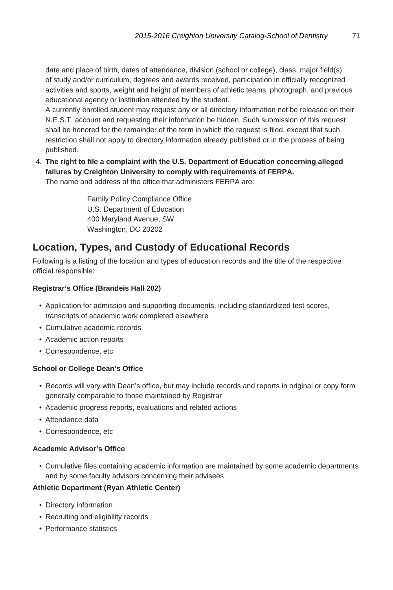date and place of birth, dates of attendance, division (school or college), class, major field(s) of study and/or curriculum, degrees and awards received, participation in officially recognized activities and sports, weight and height of members of athletic teams, photograph, and previous educational agency or institution attended by the student.

A currently enrolled student may request any or all directory information not be released on their N.E.S.T. account and requesting their information be hidden. Such submission of this request shall be honored for the remainder of the term in which the request is filed, except that such restriction shall not apply to directory information already published or in the process of being published.

4. **The right to file a complaint with the U.S. Department of Education concerning alleged failures by Creighton University to comply with requirements of FERPA.** The name and address of the office that administers FERPA are:

> Family Policy Compliance Office U.S. Department of Education 400 Maryland Avenue, SW Washington, DC 20202

#### **Location, Types, and Custody of Educational Records**

Following is a listing of the location and types of education records and the title of the respective official responsible:

#### **Registrar's Office (Brandeis Hall 202)**

- Application for admission and supporting documents, including standardized test scores, transcripts of academic work completed elsewhere
- Cumulative academic records
- Academic action reports
- Correspondence, etc

#### **School or College Dean's Office**

- Records will vary with Dean's office, but may include records and reports in original or copy form generally comparable to those maintained by Registrar
- Academic progress reports, evaluations and related actions
- Attendance data
- Correspondence, etc

#### **Academic Advisor's Office**

• Cumulative files containing academic information are maintained by some academic departments and by some faculty advisors concerning their advisees

#### **Athletic Department (Ryan Athletic Center)**

- Directory information
- Recruiting and eligibility records
- Performance statistics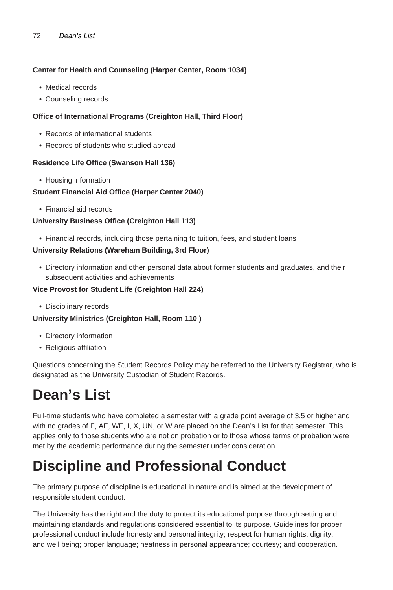#### 72 Dean's List

#### **Center for Health and Counseling (Harper Center, Room 1034)**

- Medical records
- Counseling records

#### **Office of International Programs (Creighton Hall, Third Floor)**

- Records of international students
- Records of students who studied abroad

#### **Residence Life Office (Swanson Hall 136)**

• Housing information

#### **Student Financial Aid Office (Harper Center 2040)**

• Financial aid records

#### **University Business Office (Creighton Hall 113)**

• Financial records, including those pertaining to tuition, fees, and student loans

#### **University Relations (Wareham Building, 3rd Floor)**

• Directory information and other personal data about former students and graduates, and their subsequent activities and achievements

#### **Vice Provost for Student Life (Creighton Hall 224)**

• Disciplinary records

#### **University Ministries (Creighton Hall, Room 110 )**

- Directory information
- Religious affiliation

Questions concerning the Student Records Policy may be referred to the University Registrar, who is designated as the University Custodian of Student Records.

# **Dean's List**

Full-time students who have completed a semester with a grade point average of 3.5 or higher and with no grades of F, AF, WF, I, X, UN, or W are placed on the Dean's List for that semester. This applies only to those students who are not on probation or to those whose terms of probation were met by the academic performance during the semester under consideration.

# **Discipline and Professional Conduct**

The primary purpose of discipline is educational in nature and is aimed at the development of responsible student conduct.

The University has the right and the duty to protect its educational purpose through setting and maintaining standards and regulations considered essential to its purpose. Guidelines for proper professional conduct include honesty and personal integrity; respect for human rights, dignity, and well being; proper language; neatness in personal appearance; courtesy; and cooperation.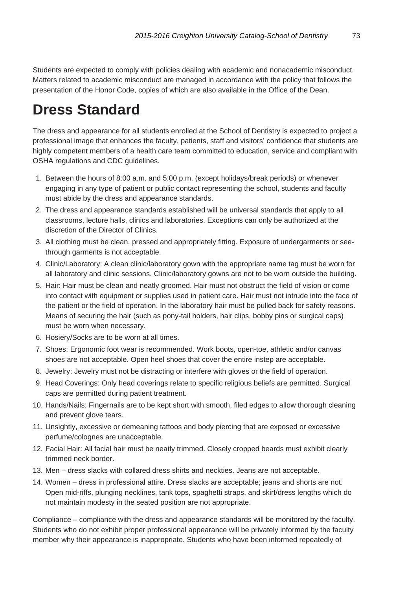Students are expected to comply with policies dealing with academic and nonacademic misconduct. Matters related to academic misconduct are managed in accordance with the policy that follows the presentation of the Honor Code, copies of which are also available in the Office of the Dean.

### **Dress Standard**

The dress and appearance for all students enrolled at the School of Dentistry is expected to project a professional image that enhances the faculty, patients, staff and visitors' confidence that students are highly competent members of a health care team committed to education, service and compliant with OSHA regulations and CDC guidelines.

- 1. Between the hours of 8:00 a.m. and 5:00 p.m. (except holidays/break periods) or whenever engaging in any type of patient or public contact representing the school, students and faculty must abide by the dress and appearance standards.
- 2. The dress and appearance standards established will be universal standards that apply to all classrooms, lecture halls, clinics and laboratories. Exceptions can only be authorized at the discretion of the Director of Clinics.
- 3. All clothing must be clean, pressed and appropriately fitting. Exposure of undergarments or seethrough garments is not acceptable.
- 4. Clinic/Laboratory: A clean clinic/laboratory gown with the appropriate name tag must be worn for all laboratory and clinic sessions. Clinic/laboratory gowns are not to be worn outside the building.
- 5. Hair: Hair must be clean and neatly groomed. Hair must not obstruct the field of vision or come into contact with equipment or supplies used in patient care. Hair must not intrude into the face of the patient or the field of operation. In the laboratory hair must be pulled back for safety reasons. Means of securing the hair (such as pony-tail holders, hair clips, bobby pins or surgical caps) must be worn when necessary.
- 6. Hosiery/Socks are to be worn at all times.
- 7. Shoes: Ergonomic foot wear is recommended. Work boots, open-toe, athletic and/or canvas shoes are not acceptable. Open heel shoes that cover the entire instep are acceptable.
- 8. Jewelry: Jewelry must not be distracting or interfere with gloves or the field of operation.
- 9. Head Coverings: Only head coverings relate to specific religious beliefs are permitted. Surgical caps are permitted during patient treatment.
- 10. Hands/Nails: Fingernails are to be kept short with smooth, filed edges to allow thorough cleaning and prevent glove tears.
- 11. Unsightly, excessive or demeaning tattoos and body piercing that are exposed or excessive perfume/colognes are unacceptable.
- 12. Facial Hair: All facial hair must be neatly trimmed. Closely cropped beards must exhibit clearly trimmed neck border.
- 13. Men dress slacks with collared dress shirts and neckties. Jeans are not acceptable.
- 14. Women dress in professional attire. Dress slacks are acceptable; jeans and shorts are not. Open mid-riffs, plunging necklines, tank tops, spaghetti straps, and skirt/dress lengths which do not maintain modesty in the seated position are not appropriate.

Compliance – compliance with the dress and appearance standards will be monitored by the faculty. Students who do not exhibit proper professional appearance will be privately informed by the faculty member why their appearance is inappropriate. Students who have been informed repeatedly of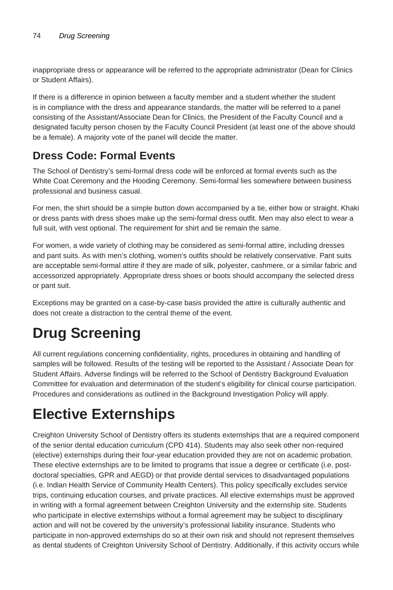inappropriate dress or appearance will be referred to the appropriate administrator (Dean for Clinics or Student Affairs).

If there is a difference in opinion between a faculty member and a student whether the student is in compliance with the dress and appearance standards, the matter will be referred to a panel consisting of the Assistant/Associate Dean for Clinics, the President of the Faculty Council and a designated faculty person chosen by the Faculty Council President (at least one of the above should be a female). A majority vote of the panel will decide the matter.

#### **Dress Code: Formal Events**

The School of Dentistry's semi-formal dress code will be enforced at formal events such as the White Coat Ceremony and the Hooding Ceremony. Semi-formal lies somewhere between business professional and business casual.

For men, the shirt should be a simple button down accompanied by a tie, either bow or straight. Khaki or dress pants with dress shoes make up the semi-formal dress outfit. Men may also elect to wear a full suit, with vest optional. The requirement for shirt and tie remain the same.

For women, a wide variety of clothing may be considered as semi-formal attire, including dresses and pant suits. As with men's clothing, women's outfits should be relatively conservative. Pant suits are acceptable semi-formal attire if they are made of silk, polyester, cashmere, or a similar fabric and accessorized appropriately. Appropriate dress shoes or boots should accompany the selected dress or pant suit.

Exceptions may be granted on a case-by-case basis provided the attire is culturally authentic and does not create a distraction to the central theme of the event.

## **Drug Screening**

All current regulations concerning confidentiality, rights, procedures in obtaining and handling of samples will be followed. Results of the testing will be reported to the Assistant / Associate Dean for Student Affairs. Adverse findings will be referred to the School of Dentistry Background Evaluation Committee for evaluation and determination of the student's eligibility for clinical course participation. Procedures and considerations as outlined in the Background Investigation Policy will apply.

## **Elective Externships**

Creighton University School of Dentistry offers its students externships that are a required component of the senior dental education curriculum (CPD 414). Students may also seek other non-required (elective) externships during their four-year education provided they are not on academic probation. These elective externships are to be limited to programs that issue a degree or certificate (i.e. postdoctoral specialties, GPR and AEGD) or that provide dental services to disadvantaged populations (i.e. Indian Health Service of Community Health Centers). This policy specifically excludes service trips, continuing education courses, and private practices. All elective externships must be approved in writing with a formal agreement between Creighton University and the externship site. Students who participate in elective externships without a formal agreement may be subject to disciplinary action and will not be covered by the university's professional liability insurance. Students who participate in non-approved externships do so at their own risk and should not represent themselves as dental students of Creighton University School of Dentistry. Additionally, if this activity occurs while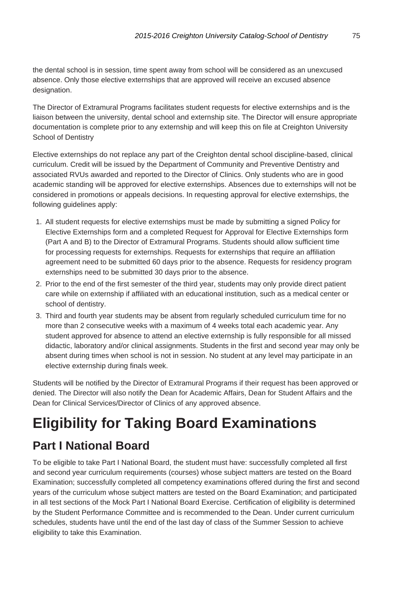the dental school is in session, time spent away from school will be considered as an unexcused absence. Only those elective externships that are approved will receive an excused absence designation.

The Director of Extramural Programs facilitates student requests for elective externships and is the liaison between the university, dental school and externship site. The Director will ensure appropriate documentation is complete prior to any externship and will keep this on file at Creighton University School of Dentistry

Elective externships do not replace any part of the Creighton dental school discipline-based, clinical curriculum. Credit will be issued by the Department of Community and Preventive Dentistry and associated RVUs awarded and reported to the Director of Clinics. Only students who are in good academic standing will be approved for elective externships. Absences due to externships will not be considered in promotions or appeals decisions. In requesting approval for elective externships, the following guidelines apply:

- 1. All student requests for elective externships must be made by submitting a signed Policy for Elective Externships form and a completed Request for Approval for Elective Externships form (Part A and B) to the Director of Extramural Programs. Students should allow sufficient time for processing requests for externships. Requests for externships that require an affiliation agreement need to be submitted 60 days prior to the absence. Requests for residency program externships need to be submitted 30 days prior to the absence.
- 2. Prior to the end of the first semester of the third year, students may only provide direct patient care while on externship if affiliated with an educational institution, such as a medical center or school of dentistry.
- 3. Third and fourth year students may be absent from regularly scheduled curriculum time for no more than 2 consecutive weeks with a maximum of 4 weeks total each academic year. Any student approved for absence to attend an elective externship is fully responsible for all missed didactic, laboratory and/or clinical assignments. Students in the first and second year may only be absent during times when school is not in session. No student at any level may participate in an elective externship during finals week.

Students will be notified by the Director of Extramural Programs if their request has been approved or denied. The Director will also notify the Dean for Academic Affairs, Dean for Student Affairs and the Dean for Clinical Services/Director of Clinics of any approved absence.

# **Eligibility for Taking Board Examinations**

#### **Part I National Board**

To be eligible to take Part I National Board, the student must have: successfully completed all first and second year curriculum requirements (courses) whose subject matters are tested on the Board Examination; successfully completed all competency examinations offered during the first and second years of the curriculum whose subject matters are tested on the Board Examination; and participated in all test sections of the Mock Part I National Board Exercise. Certification of eligibility is determined by the Student Performance Committee and is recommended to the Dean. Under current curriculum schedules, students have until the end of the last day of class of the Summer Session to achieve eligibility to take this Examination.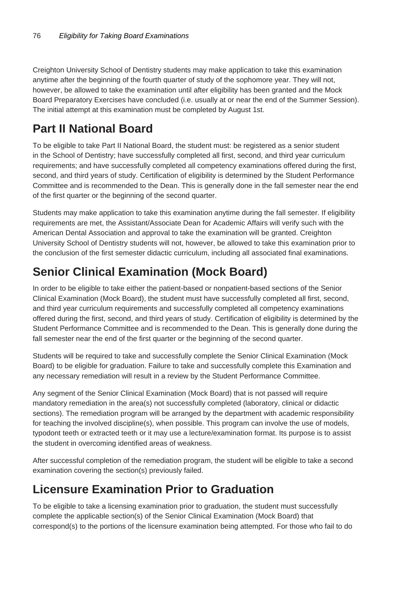Creighton University School of Dentistry students may make application to take this examination anytime after the beginning of the fourth quarter of study of the sophomore year. They will not, however, be allowed to take the examination until after eligibility has been granted and the Mock Board Preparatory Exercises have concluded (i.e. usually at or near the end of the Summer Session). The initial attempt at this examination must be completed by August 1st.

### **Part II National Board**

To be eligible to take Part II National Board, the student must: be registered as a senior student in the School of Dentistry; have successfully completed all first, second, and third year curriculum requirements; and have successfully completed all competency examinations offered during the first, second, and third years of study. Certification of eligibility is determined by the Student Performance Committee and is recommended to the Dean. This is generally done in the fall semester near the end of the first quarter or the beginning of the second quarter.

Students may make application to take this examination anytime during the fall semester. If eligibility requirements are met, the Assistant/Associate Dean for Academic Affairs will verify such with the American Dental Association and approval to take the examination will be granted. Creighton University School of Dentistry students will not, however, be allowed to take this examination prior to the conclusion of the first semester didactic curriculum, including all associated final examinations.

### **Senior Clinical Examination (Mock Board)**

In order to be eligible to take either the patient-based or nonpatient-based sections of the Senior Clinical Examination (Mock Board), the student must have successfully completed all first, second, and third year curriculum requirements and successfully completed all competency examinations offered during the first, second, and third years of study. Certification of eligibility is determined by the Student Performance Committee and is recommended to the Dean. This is generally done during the fall semester near the end of the first quarter or the beginning of the second quarter.

Students will be required to take and successfully complete the Senior Clinical Examination (Mock Board) to be eligible for graduation. Failure to take and successfully complete this Examination and any necessary remediation will result in a review by the Student Performance Committee.

Any segment of the Senior Clinical Examination (Mock Board) that is not passed will require mandatory remediation in the area(s) not successfully completed (laboratory, clinical or didactic sections). The remediation program will be arranged by the department with academic responsibility for teaching the involved discipline(s), when possible. This program can involve the use of models, typodont teeth or extracted teeth or it may use a lecture/examination format. Its purpose is to assist the student in overcoming identified areas of weakness.

After successful completion of the remediation program, the student will be eligible to take a second examination covering the section(s) previously failed.

### **Licensure Examination Prior to Graduation**

To be eligible to take a licensing examination prior to graduation, the student must successfully complete the applicable section(s) of the Senior Clinical Examination (Mock Board) that correspond(s) to the portions of the licensure examination being attempted. For those who fail to do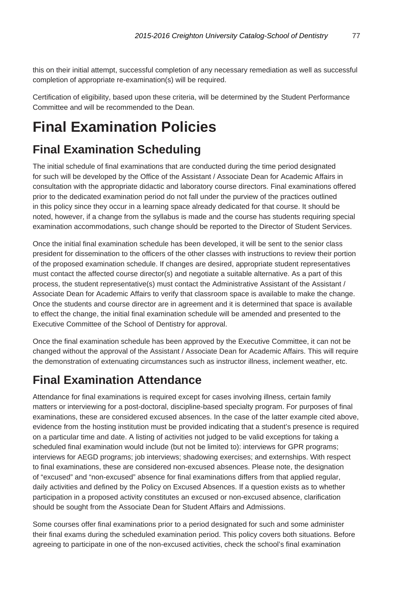this on their initial attempt, successful completion of any necessary remediation as well as successful completion of appropriate re-examination(s) will be required.

Certification of eligibility, based upon these criteria, will be determined by the Student Performance Committee and will be recommended to the Dean.

## **Final Examination Policies**

### **Final Examination Scheduling**

The initial schedule of final examinations that are conducted during the time period designated for such will be developed by the Office of the Assistant / Associate Dean for Academic Affairs in consultation with the appropriate didactic and laboratory course directors. Final examinations offered prior to the dedicated examination period do not fall under the purview of the practices outlined in this policy since they occur in a learning space already dedicated for that course. It should be noted, however, if a change from the syllabus is made and the course has students requiring special examination accommodations, such change should be reported to the Director of Student Services.

Once the initial final examination schedule has been developed, it will be sent to the senior class president for dissemination to the officers of the other classes with instructions to review their portion of the proposed examination schedule. If changes are desired, appropriate student representatives must contact the affected course director(s) and negotiate a suitable alternative. As a part of this process, the student representative(s) must contact the Administrative Assistant of the Assistant / Associate Dean for Academic Affairs to verify that classroom space is available to make the change. Once the students and course director are in agreement and it is determined that space is available to effect the change, the initial final examination schedule will be amended and presented to the Executive Committee of the School of Dentistry for approval.

Once the final examination schedule has been approved by the Executive Committee, it can not be changed without the approval of the Assistant / Associate Dean for Academic Affairs. This will require the demonstration of extenuating circumstances such as instructor illness, inclement weather, etc.

#### **Final Examination Attendance**

Attendance for final examinations is required except for cases involving illness, certain family matters or interviewing for a post-doctoral, discipline-based specialty program. For purposes of final examinations, these are considered excused absences. In the case of the latter example cited above, evidence from the hosting institution must be provided indicating that a student's presence is required on a particular time and date. A listing of activities not judged to be valid exceptions for taking a scheduled final examination would include (but not be limited to): interviews for GPR programs; interviews for AEGD programs; job interviews; shadowing exercises; and externships. With respect to final examinations, these are considered non-excused absences. Please note, the designation of "excused" and "non-excused" absence for final examinations differs from that applied regular, daily activities and defined by the Policy on Excused Absences. If a question exists as to whether participation in a proposed activity constitutes an excused or non-excused absence, clarification should be sought from the Associate Dean for Student Affairs and Admissions.

Some courses offer final examinations prior to a period designated for such and some administer their final exams during the scheduled examination period. This policy covers both situations. Before agreeing to participate in one of the non-excused activities, check the school's final examination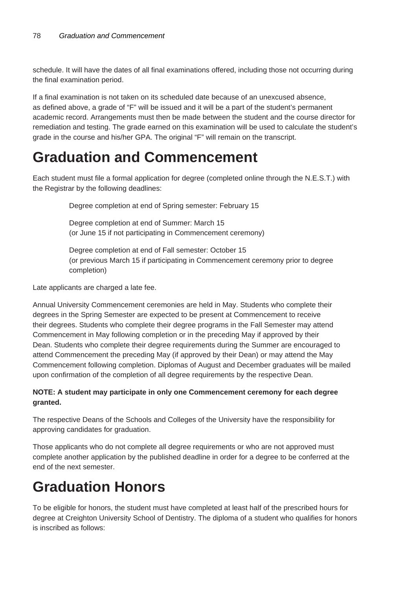schedule. It will have the dates of all final examinations offered, including those not occurring during the final examination period.

If a final examination is not taken on its scheduled date because of an unexcused absence, as defined above, a grade of "F" will be issued and it will be a part of the student's permanent academic record. Arrangements must then be made between the student and the course director for remediation and testing. The grade earned on this examination will be used to calculate the student's grade in the course and his/her GPA. The original "F" will remain on the transcript.

### **Graduation and Commencement**

Each student must file a formal application for degree (completed online through the N.E.S.T.) with the Registrar by the following deadlines:

Degree completion at end of Spring semester: February 15

Degree completion at end of Summer: March 15 (or June 15 if not participating in Commencement ceremony)

Degree completion at end of Fall semester: October 15 (or previous March 15 if participating in Commencement ceremony prior to degree completion)

Late applicants are charged a late fee.

Annual University Commencement ceremonies are held in May. Students who complete their degrees in the Spring Semester are expected to be present at Commencement to receive their degrees. Students who complete their degree programs in the Fall Semester may attend Commencement in May following completion or in the preceding May if approved by their Dean. Students who complete their degree requirements during the Summer are encouraged to attend Commencement the preceding May (if approved by their Dean) or may attend the May Commencement following completion. Diplomas of August and December graduates will be mailed upon confirmation of the completion of all degree requirements by the respective Dean.

#### **NOTE: A student may participate in only one Commencement ceremony for each degree granted.**

The respective Deans of the Schools and Colleges of the University have the responsibility for approving candidates for graduation.

Those applicants who do not complete all degree requirements or who are not approved must complete another application by the published deadline in order for a degree to be conferred at the end of the next semester.

### **Graduation Honors**

To be eligible for honors, the student must have completed at least half of the prescribed hours for degree at Creighton University School of Dentistry. The diploma of a student who qualifies for honors is inscribed as follows: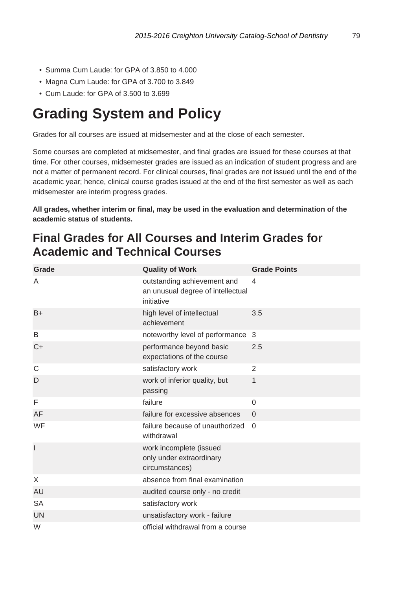- Summa Cum Laude: for GPA of 3.850 to 4.000
- Magna Cum Laude: for GPA of 3.700 to 3.849
- Cum Laude: for GPA of 3.500 to 3.699

### **Grading System and Policy**

Grades for all courses are issued at midsemester and at the close of each semester.

Some courses are completed at midsemester, and final grades are issued for these courses at that time. For other courses, midsemester grades are issued as an indication of student progress and are not a matter of permanent record. For clinical courses, final grades are not issued until the end of the academic year; hence, clinical course grades issued at the end of the first semester as well as each midsemester are interim progress grades.

**All grades, whether interim or final, may be used in the evaluation and determination of the academic status of students.**

#### **Final Grades for All Courses and Interim Grades for Academic and Technical Courses**

| Grade          | <b>Quality of Work</b>                                                         | <b>Grade Points</b> |
|----------------|--------------------------------------------------------------------------------|---------------------|
| A              | outstanding achievement and<br>an unusual degree of intellectual<br>initiative | 4                   |
| $B+$           | high level of intellectual<br>achievement                                      | 3.5                 |
| B              | noteworthy level of performance                                                | 3                   |
| $C+$           | performance beyond basic<br>expectations of the course                         | 2.5                 |
| C              | satisfactory work                                                              | $\overline{2}$      |
| D              | work of inferior quality, but<br>passing                                       | 1                   |
| F              | failure                                                                        | $\Omega$            |
| AF             | failure for excessive absences                                                 | $\Omega$            |
| WF             | failure because of unauthorized<br>withdrawal                                  | $\Omega$            |
| $\overline{1}$ | work incomplete (issued<br>only under extraordinary<br>circumstances)          |                     |
| X              | absence from final examination                                                 |                     |
| <b>AU</b>      | audited course only - no credit                                                |                     |
| <b>SA</b>      | satisfactory work                                                              |                     |
| <b>UN</b>      | unsatisfactory work - failure                                                  |                     |
| W              | official withdrawal from a course                                              |                     |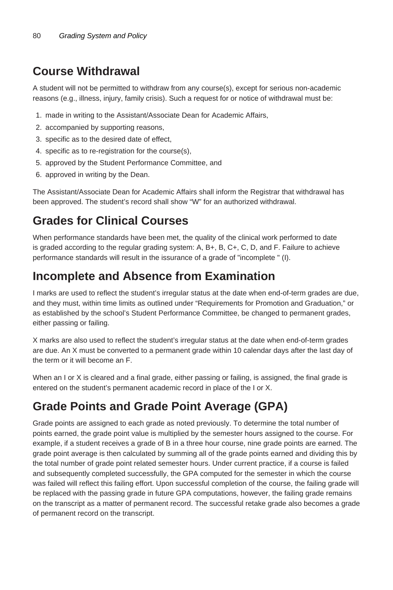### **Course Withdrawal**

A student will not be permitted to withdraw from any course(s), except for serious non-academic reasons (e.g., illness, injury, family crisis). Such a request for or notice of withdrawal must be:

- 1. made in writing to the Assistant/Associate Dean for Academic Affairs,
- 2. accompanied by supporting reasons,
- 3. specific as to the desired date of effect,
- 4. specific as to re-registration for the course(s),
- 5. approved by the Student Performance Committee, and
- 6. approved in writing by the Dean.

The Assistant/Associate Dean for Academic Affairs shall inform the Registrar that withdrawal has been approved. The student's record shall show "W" for an authorized withdrawal.

### **Grades for Clinical Courses**

When performance standards have been met, the quality of the clinical work performed to date is graded according to the regular grading system: A, B+, B, C+, C, D, and F. Failure to achieve performance standards will result in the issurance of a grade of "incomplete " (I).

#### **Incomplete and Absence from Examination**

I marks are used to reflect the student's irregular status at the date when end-of-term grades are due, and they must, within time limits as outlined under "Requirements for Promotion and Graduation," or as established by the school's Student Performance Committee, be changed to permanent grades, either passing or failing.

X marks are also used to reflect the student's irregular status at the date when end-of-term grades are due. An X must be converted to a permanent grade within 10 calendar days after the last day of the term or it will become an F.

When an I or X is cleared and a final grade, either passing or failing, is assigned, the final grade is entered on the student's permanent academic record in place of the I or X.

### **Grade Points and Grade Point Average (GPA)**

Grade points are assigned to each grade as noted previously. To determine the total number of points earned, the grade point value is multiplied by the semester hours assigned to the course. For example, if a student receives a grade of B in a three hour course, nine grade points are earned. The grade point average is then calculated by summing all of the grade points earned and dividing this by the total number of grade point related semester hours. Under current practice, if a course is failed and subsequently completed successfully, the GPA computed for the semester in which the course was failed will reflect this failing effort. Upon successful completion of the course, the failing grade will be replaced with the passing grade in future GPA computations, however, the failing grade remains on the transcript as a matter of permanent record. The successful retake grade also becomes a grade of permanent record on the transcript.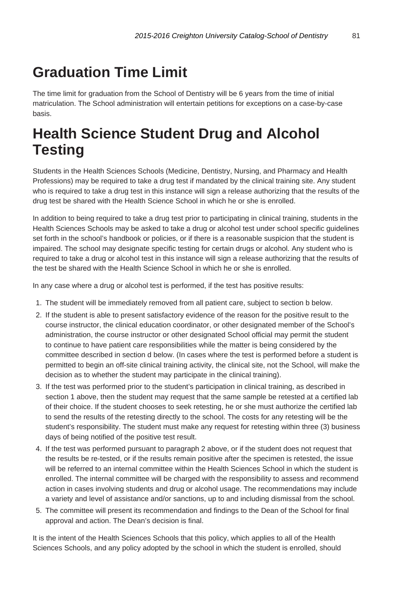## **Graduation Time Limit**

The time limit for graduation from the School of Dentistry will be 6 years from the time of initial matriculation. The School administration will entertain petitions for exceptions on a case-by-case basis.

## **Health Science Student Drug and Alcohol Testing**

Students in the Health Sciences Schools (Medicine, Dentistry, Nursing, and Pharmacy and Health Professions) may be required to take a drug test if mandated by the clinical training site. Any student who is required to take a drug test in this instance will sign a release authorizing that the results of the drug test be shared with the Health Science School in which he or she is enrolled.

In addition to being required to take a drug test prior to participating in clinical training, students in the Health Sciences Schools may be asked to take a drug or alcohol test under school specific guidelines set forth in the school's handbook or policies, or if there is a reasonable suspicion that the student is impaired. The school may designate specific testing for certain drugs or alcohol. Any student who is required to take a drug or alcohol test in this instance will sign a release authorizing that the results of the test be shared with the Health Science School in which he or she is enrolled.

In any case where a drug or alcohol test is performed, if the test has positive results:

- 1. The student will be immediately removed from all patient care, subject to section b below.
- 2. If the student is able to present satisfactory evidence of the reason for the positive result to the course instructor, the clinical education coordinator, or other designated member of the School's administration, the course instructor or other designated School official may permit the student to continue to have patient care responsibilities while the matter is being considered by the committee described in section d below. (In cases where the test is performed before a student is permitted to begin an off-site clinical training activity, the clinical site, not the School, will make the decision as to whether the student may participate in the clinical training).
- 3. If the test was performed prior to the student's participation in clinical training, as described in section 1 above, then the student may request that the same sample be retested at a certified lab of their choice. If the student chooses to seek retesting, he or she must authorize the certified lab to send the results of the retesting directly to the school. The costs for any retesting will be the student's responsibility. The student must make any request for retesting within three (3) business days of being notified of the positive test result.
- 4. If the test was performed pursuant to paragraph 2 above, or if the student does not request that the results be re-tested, or if the results remain positive after the specimen is retested, the issue will be referred to an internal committee within the Health Sciences School in which the student is enrolled. The internal committee will be charged with the responsibility to assess and recommend action in cases involving students and drug or alcohol usage. The recommendations may include a variety and level of assistance and/or sanctions, up to and including dismissal from the school.
- 5. The committee will present its recommendation and findings to the Dean of the School for final approval and action. The Dean's decision is final.

It is the intent of the Health Sciences Schools that this policy, which applies to all of the Health Sciences Schools, and any policy adopted by the school in which the student is enrolled, should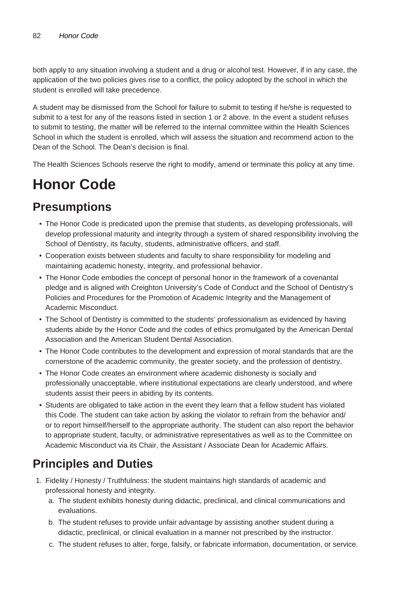both apply to any situation involving a student and a drug or alcohol test. However, if in any case, the application of the two policies gives rise to a conflict, the policy adopted by the school in which the student is enrolled will take precedence.

A student may be dismissed from the School for failure to submit to testing if he/she is requested to submit to a test for any of the reasons listed in section 1 or 2 above. In the event a student refuses to submit to testing, the matter will be referred to the internal committee within the Health Sciences School in which the student is enrolled, which will assess the situation and recommend action to the Dean of the School. The Dean's decision is final.

The Health Sciences Schools reserve the right to modify, amend or terminate this policy at any time.

## **Honor Code**

### **Presumptions**

- The Honor Code is predicated upon the premise that students, as developing professionals, will develop professional maturity and integrity through a system of shared responsibility involving the School of Dentistry, its faculty, students, administrative officers, and staff.
- Cooperation exists between students and faculty to share responsibility for modeling and maintaining academic honesty, integrity, and professional behavior.
- The Honor Code embodies the concept of personal honor in the framework of a covenantal pledge and is aligned with Creighton University's Code of Conduct and the School of Dentistry's Policies and Procedures for the Promotion of Academic Integrity and the Management of Academic Misconduct.
- The School of Dentistry is committed to the students' professionalism as evidenced by having students abide by the Honor Code and the codes of ethics promulgated by the American Dental Association and the American Student Dental Association.
- The Honor Code contributes to the development and expression of moral standards that are the cornerstone of the academic community, the greater society, and the profession of dentistry.
- The Honor Code creates an environment where academic dishonesty is socially and professionally unacceptable, where institutional expectations are clearly understood, and where students assist their peers in abiding by its contents.
- Students are obligated to take action in the event they learn that a fellow student has violated this Code. The student can take action by asking the violator to refrain from the behavior and/ or to report himself/herself to the appropriate authority. The student can also report the behavior to appropriate student, faculty, or administrative representatives as well as to the Committee on Academic Misconduct via its Chair, the Assistant / Associate Dean for Academic Affairs.

### **Principles and Duties**

- 1. Fidelity / Honesty / Truthfulness: the student maintains high standards of academic and professional honesty and integrity.
	- a. The student exhibits honesty during didactic, preclinical, and clinical communications and evaluations.
	- b. The student refuses to provide unfair advantage by assisting another student during a didactic, preclinical, or clinical evaluation in a manner not prescribed by the instructor.
	- c. The student refuses to alter, forge, falsify, or fabricate information, documentation, or service.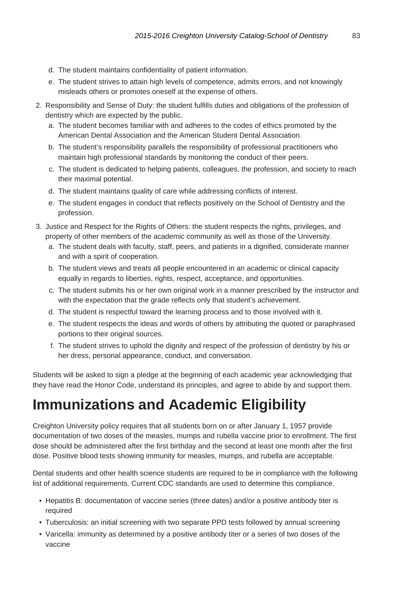- d. The student maintains confidentiality of patient information.
- e. The student strives to attain high levels of competence, admits errors, and not knowingly misleads others or promotes oneself at the expense of others.
- 2. Responsibility and Sense of Duty: the student fulfills duties and obligations of the profession of dentistry which are expected by the public.
	- a. The student becomes familiar with and adheres to the codes of ethics promoted by the American Dental Association and the American Student Dental Association.
	- b. The student's responsibility parallels the responsibility of professional practitioners who maintain high professional standards by monitoring the conduct of their peers.
	- c. The student is dedicated to helping patients, colleagues, the profession, and society to reach their maximal potential.
	- d. The student maintains quality of care while addressing conflicts of interest.
	- e. The student engages in conduct that reflects positively on the School of Dentistry and the profession.
- 3. Justice and Respect for the Rights of Others: the student respects the rights, privileges, and property of other members of the academic community as well as those of the University.
	- a. The student deals with faculty, staff, peers, and patients in a dignified, considerate manner and with a spirit of cooperation.
	- b. The student views and treats all people encountered in an academic or clinical capacity equally in regards to liberties, rights, respect, acceptance, and opportunities.
	- c. The student submits his or her own original work in a manner prescribed by the instructor and with the expectation that the grade reflects only that student's achievement.
	- d. The student is respectful toward the learning process and to those involved with it.
	- e. The student respects the ideas and words of others by attributing the quoted or paraphrased portions to their original sources.
	- f. The student strives to uphold the dignity and respect of the profession of dentistry by his or her dress, personal appearance, conduct, and conversation.

Students will be asked to sign a pledge at the beginning of each academic year acknowledging that they have read the Honor Code, understand its principles, and agree to abide by and support them.

### **Immunizations and Academic Eligibility**

Creighton University policy requires that all students born on or after January 1, 1957 provide documentation of two doses of the measles, mumps and rubella vaccine prior to enrollment. The first dose should be administered after the first birthday and the second at least one month after the first dose. Positive blood tests showing immunity for measles, mumps, and rubella are acceptable.

Dental students and other health science students are required to be in compliance with the following list of additional requirements. Current CDC standards are used to determine this compliance.

- Hepatitis B: documentation of vaccine series (three dates) and/or a positive antibody titer is required
- Tuberculosis: an initial screening with two separate PPD tests followed by annual screening
- Varicella: immunity as determined by a positive antibody titer or a series of two doses of the vaccine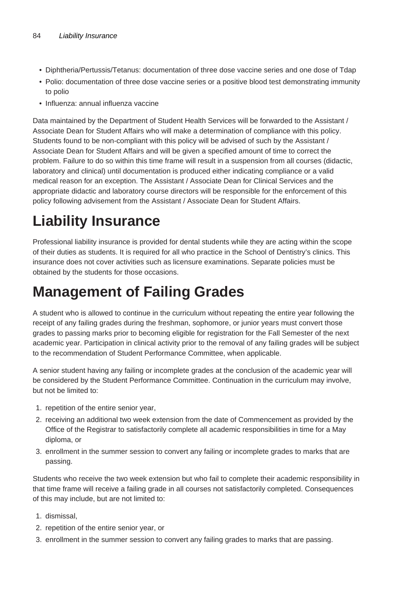- Diphtheria/Pertussis/Tetanus: documentation of three dose vaccine series and one dose of Tdap
- Polio: documentation of three dose vaccine series or a positive blood test demonstrating immunity to polio
- Influenza: annual influenza vaccine

Data maintained by the Department of Student Health Services will be forwarded to the Assistant / Associate Dean for Student Affairs who will make a determination of compliance with this policy. Students found to be non-compliant with this policy will be advised of such by the Assistant / Associate Dean for Student Affairs and will be given a specified amount of time to correct the problem. Failure to do so within this time frame will result in a suspension from all courses (didactic, laboratory and clinical) until documentation is produced either indicating compliance or a valid medical reason for an exception. The Assistant / Associate Dean for Clinical Services and the appropriate didactic and laboratory course directors will be responsible for the enforcement of this policy following advisement from the Assistant / Associate Dean for Student Affairs.

## **Liability Insurance**

Professional liability insurance is provided for dental students while they are acting within the scope of their duties as students. It is required for all who practice in the School of Dentistry's clinics. This insurance does not cover activities such as licensure examinations. Separate policies must be obtained by the students for those occasions.

## **Management of Failing Grades**

A student who is allowed to continue in the curriculum without repeating the entire year following the receipt of any failing grades during the freshman, sophomore, or junior years must convert those grades to passing marks prior to becoming eligible for registration for the Fall Semester of the next academic year. Participation in clinical activity prior to the removal of any failing grades will be subject to the recommendation of Student Performance Committee, when applicable.

A senior student having any failing or incomplete grades at the conclusion of the academic year will be considered by the Student Performance Committee. Continuation in the curriculum may involve, but not be limited to:

- 1. repetition of the entire senior year,
- 2. receiving an additional two week extension from the date of Commencement as provided by the Office of the Registrar to satisfactorily complete all academic responsibilities in time for a May diploma, or
- 3. enrollment in the summer session to convert any failing or incomplete grades to marks that are passing.

Students who receive the two week extension but who fail to complete their academic responsibility in that time frame will receive a failing grade in all courses not satisfactorily completed. Consequences of this may include, but are not limited to:

- 1. dismissal,
- 2. repetition of the entire senior year, or
- 3. enrollment in the summer session to convert any failing grades to marks that are passing.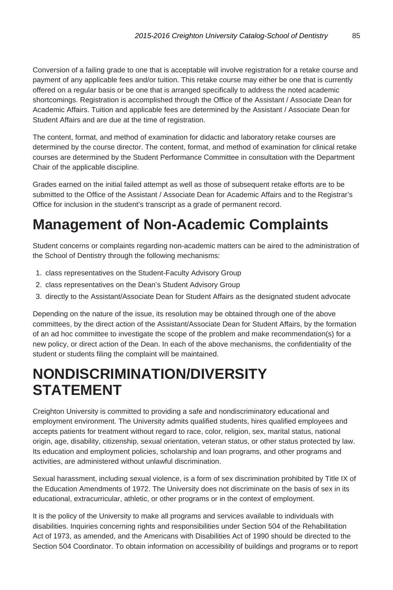Conversion of a failing grade to one that is acceptable will involve registration for a retake course and payment of any applicable fees and/or tuition. This retake course may either be one that is currently offered on a regular basis or be one that is arranged specifically to address the noted academic shortcomings. Registration is accomplished through the Office of the Assistant / Associate Dean for Academic Affairs. Tuition and applicable fees are determined by the Assistant / Associate Dean for Student Affairs and are due at the time of registration.

The content, format, and method of examination for didactic and laboratory retake courses are determined by the course director. The content, format, and method of examination for clinical retake courses are determined by the Student Performance Committee in consultation with the Department Chair of the applicable discipline.

Grades earned on the initial failed attempt as well as those of subsequent retake efforts are to be submitted to the Office of the Assistant / Associate Dean for Academic Affairs and to the Registrar's Office for inclusion in the student's transcript as a grade of permanent record.

### **Management of Non-Academic Complaints**

Student concerns or complaints regarding non-academic matters can be aired to the administration of the School of Dentistry through the following mechanisms:

- 1. class representatives on the Student-Faculty Advisory Group
- 2. class representatives on the Dean's Student Advisory Group
- 3. directly to the Assistant/Associate Dean for Student Affairs as the designated student advocate

Depending on the nature of the issue, its resolution may be obtained through one of the above committees, by the direct action of the Assistant/Associate Dean for Student Affairs, by the formation of an ad hoc committee to investigate the scope of the problem and make recommendation(s) for a new policy, or direct action of the Dean. In each of the above mechanisms, the confidentiality of the student or students filing the complaint will be maintained.

### **NONDISCRIMINATION/DIVERSITY STATEMENT**

Creighton University is committed to providing a safe and nondiscriminatory educational and employment environment. The University admits qualified students, hires qualified employees and accepts patients for treatment without regard to race, color, religion, sex, marital status, national origin, age, disability, citizenship, sexual orientation, veteran status, or other status protected by law. Its education and employment policies, scholarship and loan programs, and other programs and activities, are administered without unlawful discrimination.

Sexual harassment, including sexual violence, is a form of sex discrimination prohibited by Title IX of the Education Amendments of 1972. The University does not discriminate on the basis of sex in its educational, extracurricular, athletic, or other programs or in the context of employment.

It is the policy of the University to make all programs and services available to individuals with disabilities. Inquiries concerning rights and responsibilities under Section 504 of the Rehabilitation Act of 1973, as amended, and the Americans with Disabilities Act of 1990 should be directed to the Section 504 Coordinator. To obtain information on accessibility of buildings and programs or to report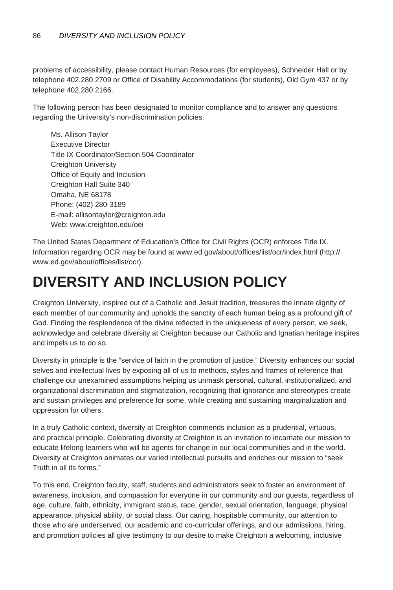problems of accessibility, please contact Human Resources (for employees), Schneider Hall or by telephone 402.280.2709 or Office of Disability Accommodations (for students), Old Gym 437 or by telephone 402.280.2166.

The following person has been designated to monitor compliance and to answer any questions regarding the University's non-discrimination policies:

Ms. Allison Taylor Executive Director Title IX Coordinator/Section 504 Coordinator Creighton University Office of Equity and Inclusion Creighton Hall Suite 340 Omaha, NE 68178 Phone: (402) 280-3189 E-mail: allisontaylor@creighton.edu Web: www.creighton.edu/oei

The United States Department of Education's Office for Civil Rights (OCR) enforces Title IX. Information regarding OCR may be found at www.ed.gov/about/offices/list/ocr/index.html (http:// www.ed.gov/about/offices/list/ocr).

### **DIVERSITY AND INCLUSION POLICY**

Creighton University, inspired out of a Catholic and Jesuit tradition, treasures the innate dignity of each member of our community and upholds the sanctity of each human being as a profound gift of God. Finding the resplendence of the divine reflected in the uniqueness of every person, we seek, acknowledge and celebrate diversity at Creighton because our Catholic and Ignatian heritage inspires and impels us to do so.

Diversity in principle is the "service of faith in the promotion of justice." Diversity enhances our social selves and intellectual lives by exposing all of us to methods, styles and frames of reference that challenge our unexamined assumptions helping us unmask personal, cultural, institutionalized, and organizational discrimination and stigmatization, recognizing that ignorance and stereotypes create and sustain privileges and preference for some, while creating and sustaining marginalization and oppression for others.

In a truly Catholic context, diversity at Creighton commends inclusion as a prudential, virtuous, and practical principle. Celebrating diversity at Creighton is an invitation to incarnate our mission to educate lifelong learners who will be agents for change in our local communities and in the world. Diversity at Creighton animates our varied intellectual pursuits and enriches our mission to "seek Truth in all its forms."

To this end, Creighton faculty, staff, students and administrators seek to foster an environment of awareness, inclusion, and compassion for everyone in our community and our guests, regardless of age, culture, faith, ethnicity, immigrant status, race, gender, sexual orientation, language, physical appearance, physical ability, or social class. Our caring, hospitable community, our attention to those who are underserved, our academic and co-curricular offerings, and our admissions, hiring, and promotion policies all give testimony to our desire to make Creighton a welcoming, inclusive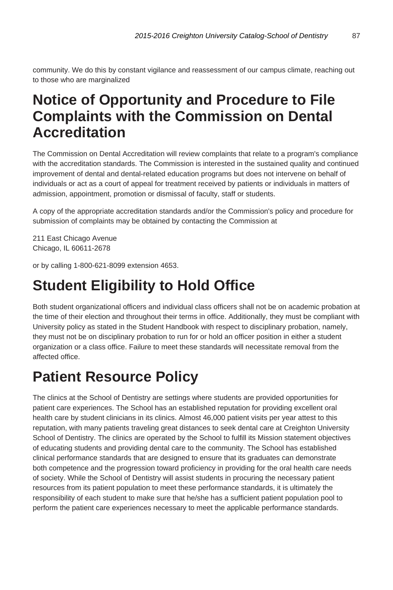community. We do this by constant vigilance and reassessment of our campus climate, reaching out to those who are marginalized

### **Notice of Opportunity and Procedure to File Complaints with the Commission on Dental Accreditation**

The Commission on Dental Accreditation will review complaints that relate to a program's compliance with the accreditation standards. The Commission is interested in the sustained quality and continued improvement of dental and dental-related education programs but does not intervene on behalf of individuals or act as a court of appeal for treatment received by patients or individuals in matters of admission, appointment, promotion or dismissal of faculty, staff or students.

A copy of the appropriate accreditation standards and/or the Commission's policy and procedure for submission of complaints may be obtained by contacting the Commission at

211 East Chicago Avenue Chicago, IL 60611-2678

or by calling 1-800-621-8099 extension 4653.

### **Student Eligibility to Hold Office**

Both student organizational officers and individual class officers shall not be on academic probation at the time of their election and throughout their terms in office. Additionally, they must be compliant with University policy as stated in the Student Handbook with respect to disciplinary probation, namely, they must not be on disciplinary probation to run for or hold an officer position in either a student organization or a class office. Failure to meet these standards will necessitate removal from the affected office.

### **Patient Resource Policy**

The clinics at the School of Dentistry are settings where students are provided opportunities for patient care experiences. The School has an established reputation for providing excellent oral health care by student clinicians in its clinics. Almost 46,000 patient visits per year attest to this reputation, with many patients traveling great distances to seek dental care at Creighton University School of Dentistry. The clinics are operated by the School to fulfill its Mission statement objectives of educating students and providing dental care to the community. The School has established clinical performance standards that are designed to ensure that its graduates can demonstrate both competence and the progression toward proficiency in providing for the oral health care needs of society. While the School of Dentistry will assist students in procuring the necessary patient resources from its patient population to meet these performance standards, it is ultimately the responsibility of each student to make sure that he/she has a sufficient patient population pool to perform the patient care experiences necessary to meet the applicable performance standards.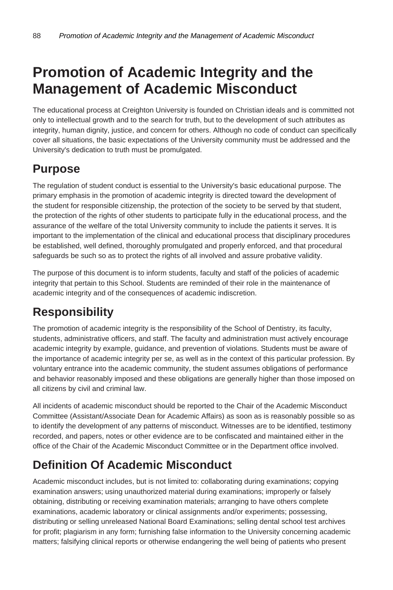### **Promotion of Academic Integrity and the Management of Academic Misconduct**

The educational process at Creighton University is founded on Christian ideals and is committed not only to intellectual growth and to the search for truth, but to the development of such attributes as integrity, human dignity, justice, and concern for others. Although no code of conduct can specifically cover all situations, the basic expectations of the University community must be addressed and the University's dedication to truth must be promulgated.

### **Purpose**

The regulation of student conduct is essential to the University's basic educational purpose. The primary emphasis in the promotion of academic integrity is directed toward the development of the student for responsible citizenship, the protection of the society to be served by that student, the protection of the rights of other students to participate fully in the educational process, and the assurance of the welfare of the total University community to include the patients it serves. It is important to the implementation of the clinical and educational process that disciplinary procedures be established, well defined, thoroughly promulgated and properly enforced, and that procedural safeguards be such so as to protect the rights of all involved and assure probative validity.

The purpose of this document is to inform students, faculty and staff of the policies of academic integrity that pertain to this School. Students are reminded of their role in the maintenance of academic integrity and of the consequences of academic indiscretion.

### **Responsibility**

The promotion of academic integrity is the responsibility of the School of Dentistry, its faculty, students, administrative officers, and staff. The faculty and administration must actively encourage academic integrity by example, guidance, and prevention of violations. Students must be aware of the importance of academic integrity per se, as well as in the context of this particular profession. By voluntary entrance into the academic community, the student assumes obligations of performance and behavior reasonably imposed and these obligations are generally higher than those imposed on all citizens by civil and criminal law.

All incidents of academic misconduct should be reported to the Chair of the Academic Misconduct Committee (Assistant/Associate Dean for Academic Affairs) as soon as is reasonably possible so as to identify the development of any patterns of misconduct. Witnesses are to be identified, testimony recorded, and papers, notes or other evidence are to be confiscated and maintained either in the office of the Chair of the Academic Misconduct Committee or in the Department office involved.

### **Definition Of Academic Misconduct**

Academic misconduct includes, but is not limited to: collaborating during examinations; copying examination answers; using unauthorized material during examinations; improperly or falsely obtaining, distributing or receiving examination materials; arranging to have others complete examinations, academic laboratory or clinical assignments and/or experiments; possessing, distributing or selling unreleased National Board Examinations; selling dental school test archives for profit; plagiarism in any form; furnishing false information to the University concerning academic matters; falsifying clinical reports or otherwise endangering the well being of patients who present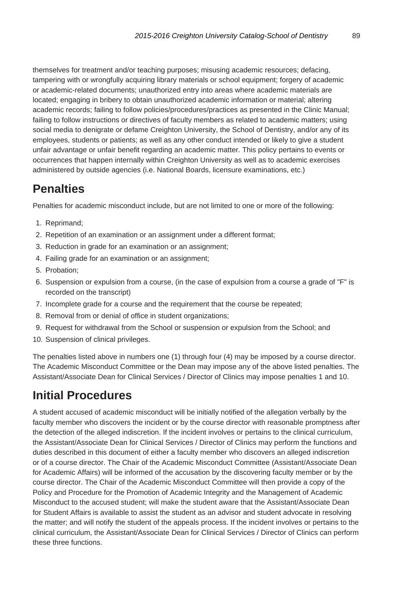themselves for treatment and/or teaching purposes; misusing academic resources; defacing, tampering with or wrongfully acquiring library materials or school equipment; forgery of academic or academic-related documents; unauthorized entry into areas where academic materials are located; engaging in bribery to obtain unauthorized academic information or material; altering academic records; failing to follow policies/procedures/practices as presented in the Clinic Manual; failing to follow instructions or directives of faculty members as related to academic matters; using social media to denigrate or defame Creighton University, the School of Dentistry, and/or any of its employees, students or patients; as well as any other conduct intended or likely to give a student unfair advantage or unfair benefit regarding an academic matter. This policy pertains to events or occurrences that happen internally within Creighton University as well as to academic exercises administered by outside agencies (i.e. National Boards, licensure examinations, etc.)

### **Penalties**

Penalties for academic misconduct include, but are not limited to one or more of the following:

- 1. Reprimand;
- 2. Repetition of an examination or an assignment under a different format;
- 3. Reduction in grade for an examination or an assignment;
- 4. Failing grade for an examination or an assignment;
- 5. Probation;
- 6. Suspension or expulsion from a course, (in the case of expulsion from a course a grade of "F" is recorded on the transcript)
- 7. Incomplete grade for a course and the requirement that the course be repeated;
- 8. Removal from or denial of office in student organizations;
- 9. Request for withdrawal from the School or suspension or expulsion from the School; and
- 10. Suspension of clinical privileges.

The penalties listed above in numbers one (1) through four (4) may be imposed by a course director. The Academic Misconduct Committee or the Dean may impose any of the above listed penalties. The Assistant/Associate Dean for Clinical Services / Director of Clinics may impose penalties 1 and 10.

### **Initial Procedures**

A student accused of academic misconduct will be initially notified of the allegation verbally by the faculty member who discovers the incident or by the course director with reasonable promptness after the detection of the alleged indiscretion. If the incident involves or pertains to the clinical curriculum, the Assistant/Associate Dean for Clinical Services / Director of Clinics may perform the functions and duties described in this document of either a faculty member who discovers an alleged indiscretion or of a course director. The Chair of the Academic Misconduct Committee (Assistant/Associate Dean for Academic Affairs) will be informed of the accusation by the discovering faculty member or by the course director. The Chair of the Academic Misconduct Committee will then provide a copy of the Policy and Procedure for the Promotion of Academic Integrity and the Management of Academic Misconduct to the accused student; will make the student aware that the Assistant/Associate Dean for Student Affairs is available to assist the student as an advisor and student advocate in resolving the matter; and will notify the student of the appeals process. If the incident involves or pertains to the clinical curriculum, the Assistant/Associate Dean for Clinical Services / Director of Clinics can perform these three functions.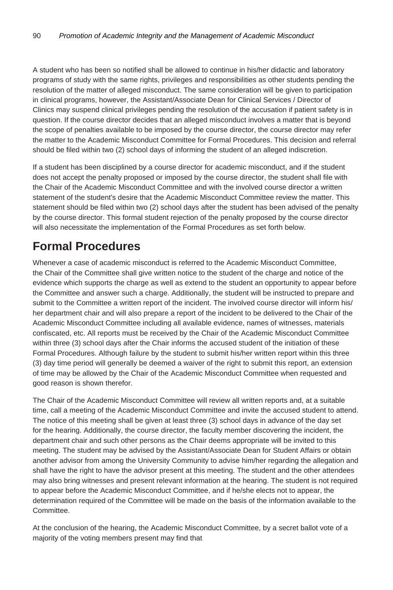A student who has been so notified shall be allowed to continue in his/her didactic and laboratory programs of study with the same rights, privileges and responsibilities as other students pending the resolution of the matter of alleged misconduct. The same consideration will be given to participation in clinical programs, however, the Assistant/Associate Dean for Clinical Services / Director of Clinics may suspend clinical privileges pending the resolution of the accusation if patient safety is in question. If the course director decides that an alleged misconduct involves a matter that is beyond the scope of penalties available to be imposed by the course director, the course director may refer the matter to the Academic Misconduct Committee for Formal Procedures. This decision and referral should be filed within two (2) school days of informing the student of an alleged indiscretion.

If a student has been disciplined by a course director for academic misconduct, and if the student does not accept the penalty proposed or imposed by the course director, the student shall file with the Chair of the Academic Misconduct Committee and with the involved course director a written statement of the student's desire that the Academic Misconduct Committee review the matter. This statement should be filed within two (2) school days after the student has been advised of the penalty by the course director. This formal student rejection of the penalty proposed by the course director will also necessitate the implementation of the Formal Procedures as set forth below.

#### **Formal Procedures**

Whenever a case of academic misconduct is referred to the Academic Misconduct Committee, the Chair of the Committee shall give written notice to the student of the charge and notice of the evidence which supports the charge as well as extend to the student an opportunity to appear before the Committee and answer such a charge. Additionally, the student will be instructed to prepare and submit to the Committee a written report of the incident. The involved course director will inform his/ her department chair and will also prepare a report of the incident to be delivered to the Chair of the Academic Misconduct Committee including all available evidence, names of witnesses, materials confiscated, etc. All reports must be received by the Chair of the Academic Misconduct Committee within three (3) school days after the Chair informs the accused student of the initiation of these Formal Procedures. Although failure by the student to submit his/her written report within this three (3) day time period will generally be deemed a waiver of the right to submit this report, an extension of time may be allowed by the Chair of the Academic Misconduct Committee when requested and good reason is shown therefor.

The Chair of the Academic Misconduct Committee will review all written reports and, at a suitable time, call a meeting of the Academic Misconduct Committee and invite the accused student to attend. The notice of this meeting shall be given at least three (3) school days in advance of the day set for the hearing. Additionally, the course director, the faculty member discovering the incident, the department chair and such other persons as the Chair deems appropriate will be invited to this meeting. The student may be advised by the Assistant/Associate Dean for Student Affairs or obtain another advisor from among the University Community to advise him/her regarding the allegation and shall have the right to have the advisor present at this meeting. The student and the other attendees may also bring witnesses and present relevant information at the hearing. The student is not required to appear before the Academic Misconduct Committee, and if he/she elects not to appear, the determination required of the Committee will be made on the basis of the information available to the Committee.

At the conclusion of the hearing, the Academic Misconduct Committee, by a secret ballot vote of a majority of the voting members present may find that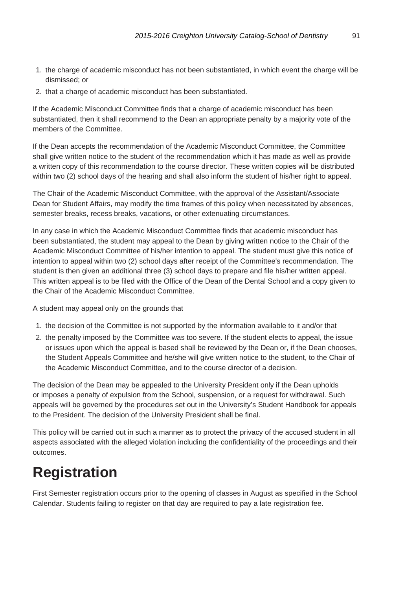- 1. the charge of academic misconduct has not been substantiated, in which event the charge will be dismissed; or
- 2. that a charge of academic misconduct has been substantiated.

If the Academic Misconduct Committee finds that a charge of academic misconduct has been substantiated, then it shall recommend to the Dean an appropriate penalty by a majority vote of the members of the Committee.

If the Dean accepts the recommendation of the Academic Misconduct Committee, the Committee shall give written notice to the student of the recommendation which it has made as well as provide a written copy of this recommendation to the course director. These written copies will be distributed within two (2) school days of the hearing and shall also inform the student of his/her right to appeal.

The Chair of the Academic Misconduct Committee, with the approval of the Assistant/Associate Dean for Student Affairs, may modify the time frames of this policy when necessitated by absences, semester breaks, recess breaks, vacations, or other extenuating circumstances.

In any case in which the Academic Misconduct Committee finds that academic misconduct has been substantiated, the student may appeal to the Dean by giving written notice to the Chair of the Academic Misconduct Committee of his/her intention to appeal. The student must give this notice of intention to appeal within two (2) school days after receipt of the Committee's recommendation. The student is then given an additional three (3) school days to prepare and file his/her written appeal. This written appeal is to be filed with the Office of the Dean of the Dental School and a copy given to the Chair of the Academic Misconduct Committee.

A student may appeal only on the grounds that

- 1. the decision of the Committee is not supported by the information available to it and/or that
- 2. the penalty imposed by the Committee was too severe. If the student elects to appeal, the issue or issues upon which the appeal is based shall be reviewed by the Dean or, if the Dean chooses, the Student Appeals Committee and he/she will give written notice to the student, to the Chair of the Academic Misconduct Committee, and to the course director of a decision.

The decision of the Dean may be appealed to the University President only if the Dean upholds or imposes a penalty of expulsion from the School, suspension, or a request for withdrawal. Such appeals will be governed by the procedures set out in the University's Student Handbook for appeals to the President. The decision of the University President shall be final.

This policy will be carried out in such a manner as to protect the privacy of the accused student in all aspects associated with the alleged violation including the confidentiality of the proceedings and their outcomes.

## **Registration**

First Semester registration occurs prior to the opening of classes in August as specified in the School Calendar. Students failing to register on that day are required to pay a late registration fee.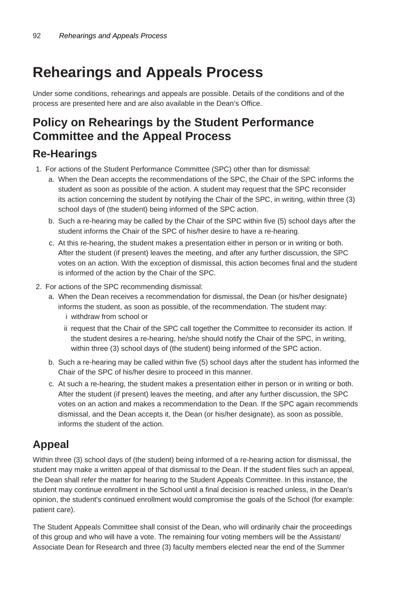## **Rehearings and Appeals Process**

Under some conditions, rehearings and appeals are possible. Details of the conditions and of the process are presented here and are also available in the Dean's Office.

#### **Policy on Rehearings by the Student Performance Committee and the Appeal Process**

#### **Re-Hearings**

- 1. For actions of the Student Performance Committee (SPC) other than for dismissal:
	- a. When the Dean accepts the recommendations of the SPC, the Chair of the SPC informs the student as soon as possible of the action. A student may request that the SPC reconsider its action concerning the student by notifying the Chair of the SPC, in writing, within three (3) school days of (the student) being informed of the SPC action.
	- b. Such a re-hearing may be called by the Chair of the SPC within five (5) school days after the student informs the Chair of the SPC of his/her desire to have a re-hearing.
	- c. At this re-hearing, the student makes a presentation either in person or in writing or both. After the student (if present) leaves the meeting, and after any further discussion, the SPC votes on an action. With the exception of dismissal, this action becomes final and the student is informed of the action by the Chair of the SPC.
- 2. For actions of the SPC recommending dismissal:
	- a. When the Dean receives a recommendation for dismissal, the Dean (or his/her designate) informs the student, as soon as possible, of the recommendation. The student may: i withdraw from school or
		- ii request that the Chair of the SPC call together the Committee to reconsider its action. If the student desires a re-hearing, he/she should notify the Chair of the SPC, in writing, within three (3) school days of (the student) being informed of the SPC action.
	- b. Such a re-hearing may be called within five (5) school days after the student has informed the Chair of the SPC of his/her desire to proceed in this manner.
	- c. At such a re-hearing, the student makes a presentation either in person or in writing or both. After the student (if present) leaves the meeting, and after any further discussion, the SPC votes on an action and makes a recommendation to the Dean. If the SPC again recommends dismissal, and the Dean accepts it, the Dean (or his/her designate), as soon as possible, informs the student of the action.

#### **Appeal**

Within three (3) school days of (the student) being informed of a re-hearing action for dismissal, the student may make a written appeal of that dismissal to the Dean. If the student files such an appeal, the Dean shall refer the matter for hearing to the Student Appeals Committee. In this instance, the student may continue enrollment in the School until a final decision is reached unless, in the Dean's opinion, the student's continued enrollment would compromise the goals of the School (for example: patient care).

The Student Appeals Committee shall consist of the Dean, who will ordinarily chair the proceedings of this group and who will have a vote. The remaining four voting members will be the Assistant/ Associate Dean for Research and three (3) faculty members elected near the end of the Summer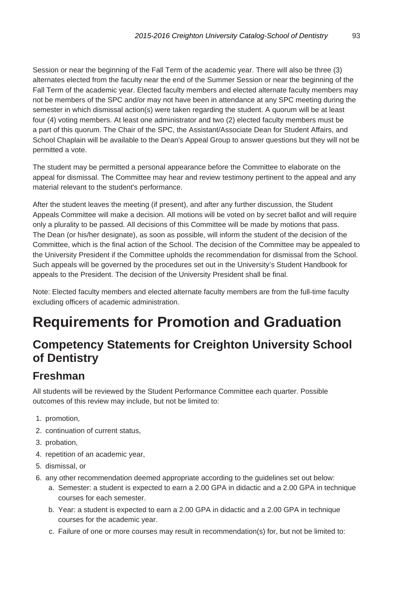Session or near the beginning of the Fall Term of the academic year. There will also be three (3) alternates elected from the faculty near the end of the Summer Session or near the beginning of the Fall Term of the academic year. Elected faculty members and elected alternate faculty members may not be members of the SPC and/or may not have been in attendance at any SPC meeting during the semester in which dismissal action(s) were taken regarding the student. A quorum will be at least four (4) voting members. At least one administrator and two (2) elected faculty members must be a part of this quorum. The Chair of the SPC, the Assistant/Associate Dean for Student Affairs, and School Chaplain will be available to the Dean's Appeal Group to answer questions but they will not be permitted a vote.

The student may be permitted a personal appearance before the Committee to elaborate on the appeal for dismissal. The Committee may hear and review testimony pertinent to the appeal and any material relevant to the student's performance.

After the student leaves the meeting (if present), and after any further discussion, the Student Appeals Committee will make a decision. All motions will be voted on by secret ballot and will require only a plurality to be passed. All decisions of this Committee will be made by motions that pass. The Dean (or his/her designate), as soon as possible, will inform the student of the decision of the Committee, which is the final action of the School. The decision of the Committee may be appealed to the University President if the Committee upholds the recommendation for dismissal from the School. Such appeals will be governed by the procedures set out in the University's Student Handbook for appeals to the President. The decision of the University President shall be final.

Note: Elected faculty members and elected alternate faculty members are from the full-time faculty excluding officers of academic administration.

## **Requirements for Promotion and Graduation**

#### **Competency Statements for Creighton University School of Dentistry**

#### **Freshman**

All students will be reviewed by the Student Performance Committee each quarter. Possible outcomes of this review may include, but not be limited to:

- 1. promotion,
- 2. continuation of current status,
- 3. probation,
- 4. repetition of an academic year,
- 5. dismissal, or
- 6. any other recommendation deemed appropriate according to the guidelines set out below:
	- a. Semester: a student is expected to earn a 2.00 GPA in didactic and a 2.00 GPA in technique courses for each semester.
	- b. Year: a student is expected to earn a 2.00 GPA in didactic and a 2.00 GPA in technique courses for the academic year.
	- c. Failure of one or more courses may result in recommendation(s) for, but not be limited to: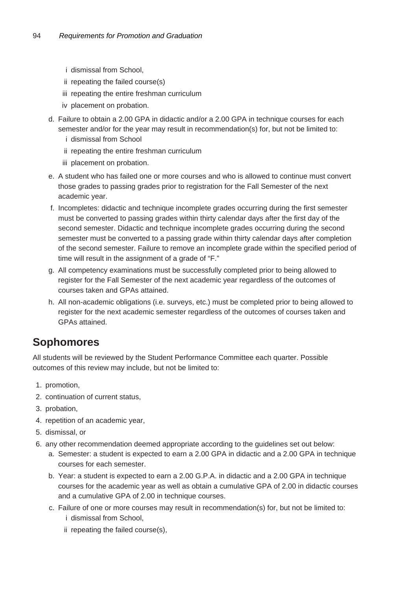- i dismissal from School,
- ii repeating the failed course(s)
- iii repeating the entire freshman curriculum
- iv placement on probation.
- d. Failure to obtain a 2.00 GPA in didactic and/or a 2.00 GPA in technique courses for each semester and/or for the year may result in recommendation(s) for, but not be limited to: i dismissal from School
	- ii repeating the entire freshman curriculum
	- iii placement on probation.
- e. A student who has failed one or more courses and who is allowed to continue must convert those grades to passing grades prior to registration for the Fall Semester of the next academic year.
- f. Incompletes: didactic and technique incomplete grades occurring during the first semester must be converted to passing grades within thirty calendar days after the first day of the second semester. Didactic and technique incomplete grades occurring during the second semester must be converted to a passing grade within thirty calendar days after completion of the second semester. Failure to remove an incomplete grade within the specified period of time will result in the assignment of a grade of "F."
- g. All competency examinations must be successfully completed prior to being allowed to register for the Fall Semester of the next academic year regardless of the outcomes of courses taken and GPAs attained.
- h. All non-academic obligations (i.e. surveys, etc.) must be completed prior to being allowed to register for the next academic semester regardless of the outcomes of courses taken and GPAs attained.

#### **Sophomores**

All students will be reviewed by the Student Performance Committee each quarter. Possible outcomes of this review may include, but not be limited to:

- 1. promotion,
- 2. continuation of current status,
- 3. probation,
- 4. repetition of an academic year,
- 5. dismissal, or
- 6. any other recommendation deemed appropriate according to the guidelines set out below:
	- a. Semester: a student is expected to earn a 2.00 GPA in didactic and a 2.00 GPA in technique courses for each semester.
	- b. Year: a student is expected to earn a 2.00 G.P.A. in didactic and a 2.00 GPA in technique courses for the academic year as well as obtain a cumulative GPA of 2.00 in didactic courses and a cumulative GPA of 2.00 in technique courses.
	- c. Failure of one or more courses may result in recommendation(s) for, but not be limited to: i dismissal from School,
		- ii repeating the failed course(s),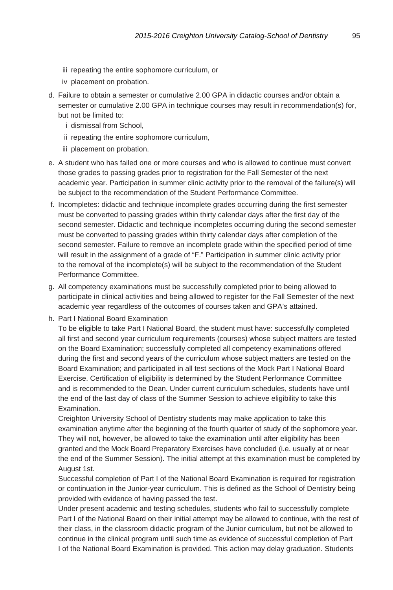- iii repeating the entire sophomore curriculum, or
- iv placement on probation.
- d. Failure to obtain a semester or cumulative 2.00 GPA in didactic courses and/or obtain a semester or cumulative 2.00 GPA in technique courses may result in recommendation(s) for, but not be limited to:
	- i dismissal from School,
	- ii repeating the entire sophomore curriculum,
	- iii placement on probation.
- e. A student who has failed one or more courses and who is allowed to continue must convert those grades to passing grades prior to registration for the Fall Semester of the next academic year. Participation in summer clinic activity prior to the removal of the failure(s) will be subject to the recommendation of the Student Performance Committee.
- f. Incompletes: didactic and technique incomplete grades occurring during the first semester must be converted to passing grades within thirty calendar days after the first day of the second semester. Didactic and technique incompletes occurring during the second semester must be converted to passing grades within thirty calendar days after completion of the second semester. Failure to remove an incomplete grade within the specified period of time will result in the assignment of a grade of "F." Participation in summer clinic activity prior to the removal of the incomplete(s) will be subject to the recommendation of the Student Performance Committee.
- g. All competency examinations must be successfully completed prior to being allowed to participate in clinical activities and being allowed to register for the Fall Semester of the next academic year regardless of the outcomes of courses taken and GPA's attained.
- h. Part I National Board Examination

To be eligible to take Part I National Board, the student must have: successfully completed all first and second year curriculum requirements (courses) whose subject matters are tested on the Board Examination; successfully completed all competency examinations offered during the first and second years of the curriculum whose subject matters are tested on the Board Examination; and participated in all test sections of the Mock Part I National Board Exercise. Certification of eligibility is determined by the Student Performance Committee and is recommended to the Dean. Under current curriculum schedules, students have until the end of the last day of class of the Summer Session to achieve eligibility to take this Examination.

Creighton University School of Dentistry students may make application to take this examination anytime after the beginning of the fourth quarter of study of the sophomore year. They will not, however, be allowed to take the examination until after eligibility has been granted and the Mock Board Preparatory Exercises have concluded (i.e. usually at or near the end of the Summer Session). The initial attempt at this examination must be completed by August 1st.

Successful completion of Part I of the National Board Examination is required for registration or continuation in the Junior-year curriculum. This is defined as the School of Dentistry being provided with evidence of having passed the test.

Under present academic and testing schedules, students who fail to successfully complete Part I of the National Board on their initial attempt may be allowed to continue, with the rest of their class, in the classroom didactic program of the Junior curriculum, but not be allowed to continue in the clinical program until such time as evidence of successful completion of Part I of the National Board Examination is provided. This action may delay graduation. Students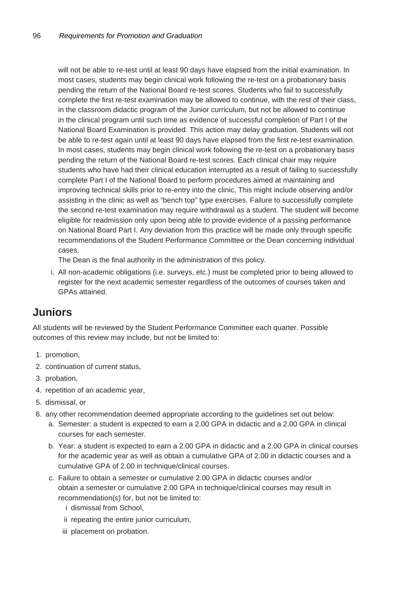will not be able to re-test until at least 90 days have elapsed from the initial examination. In most cases, students may begin clinical work following the re-test on a probationary basis pending the return of the National Board re-test scores. Students who fail to successfully complete the first re-test examination may be allowed to continue, with the rest of their class, in the classroom didactic program of the Junior curriculum, but not be allowed to continue in the clinical program until such time as evidence of successful completion of Part I of the National Board Examination is provided. This action may delay graduation. Students will not be able to re-test again until at least 90 days have elapsed from the first re-test examination. In most cases, students may begin clinical work following the re-test on a probationary basis pending the return of the National Board re-test scores. Each clinical chair may require students who have had their clinical education interrupted as a result of failing to successfully complete Part I of the National Board to perform procedures aimed at maintaining and improving technical skills prior to re-entry into the clinic. This might include observing and/or assisting in the clinic as well as "bench top" type exercises. Failure to successfully complete the second re-test examination may require withdrawal as a student. The student will become eligible for readmission only upon being able to provide evidence of a passing performance on National Board Part I. Any deviation from this practice will be made only through specific recommendations of the Student Performance Committee or the Dean concerning individual cases.

The Dean is the final authority in the administration of this policy.

i. All non-academic obligations (i.e. surveys, etc.) must be completed prior to being allowed to register for the next academic semester regardless of the outcomes of courses taken and GPAs attained.

#### **Juniors**

All students will be reviewed by the Student Performance Committee each quarter. Possible outcomes of this review may include, but not be limited to:

- 1. promotion,
- 2. continuation of current status,
- 3. probation,
- 4. repetition of an academic year,
- 5. dismissal, or
- 6. any other recommendation deemed appropriate according to the guidelines set out below:
	- a. Semester: a student is expected to earn a 2.00 GPA in didactic and a 2.00 GPA in clinical courses for each semester.
	- b. Year: a student is expected to earn a 2.00 GPA in didactic and a 2.00 GPA in clinical courses for the academic year as well as obtain a cumulative GPA of 2.00 in didactic courses and a cumulative GPA of 2.00 in technique/clinical courses.
	- c. Failure to obtain a semester or cumulative 2.00 GPA in didactic courses and/or obtain a semester or cumulative 2.00 GPA in technique/clinical courses may result in recommendation(s) for, but not be limited to:
		- i dismissal from School,
		- ii repeating the entire junior curriculum,
		- iii placement on probation.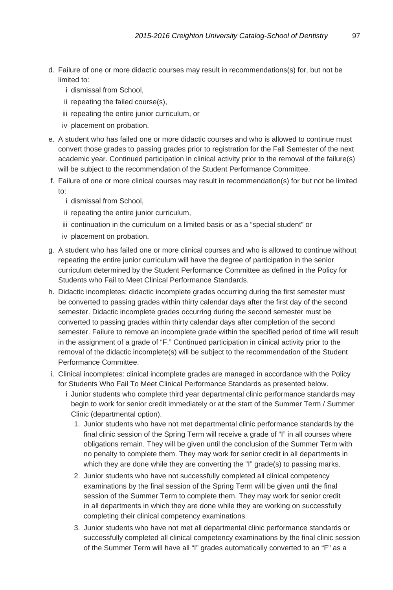- d. Failure of one or more didactic courses may result in recommendations(s) for, but not be limited to:
	- i dismissal from School,
	- ii repeating the failed course(s),
	- iii repeating the entire junior curriculum, or
	- iv placement on probation.
- e. A student who has failed one or more didactic courses and who is allowed to continue must convert those grades to passing grades prior to registration for the Fall Semester of the next academic year. Continued participation in clinical activity prior to the removal of the failure(s) will be subject to the recommendation of the Student Performance Committee.
- f. Failure of one or more clinical courses may result in recommendation(s) for but not be limited to:
	- i dismissal from School,
	- ii repeating the entire junior curriculum,
	- iii continuation in the curriculum on a limited basis or as a "special student" or
	- iv placement on probation.
- g. A student who has failed one or more clinical courses and who is allowed to continue without repeating the entire junior curriculum will have the degree of participation in the senior curriculum determined by the Student Performance Committee as defined in the Policy for Students who Fail to Meet Clinical Performance Standards.
- h. Didactic incompletes: didactic incomplete grades occurring during the first semester must be converted to passing grades within thirty calendar days after the first day of the second semester. Didactic incomplete grades occurring during the second semester must be converted to passing grades within thirty calendar days after completion of the second semester. Failure to remove an incomplete grade within the specified period of time will result in the assignment of a grade of "F." Continued participation in clinical activity prior to the removal of the didactic incomplete(s) will be subject to the recommendation of the Student Performance Committee.
- i. Clinical incompletes: clinical incomplete grades are managed in accordance with the Policy for Students Who Fail To Meet Clinical Performance Standards as presented below.
	- i Junior students who complete third year departmental clinic performance standards may begin to work for senior credit immediately or at the start of the Summer Term / Summer Clinic (departmental option).
		- 1. Junior students who have not met departmental clinic performance standards by the final clinic session of the Spring Term will receive a grade of "I" in all courses where obligations remain. They will be given until the conclusion of the Summer Term with no penalty to complete them. They may work for senior credit in all departments in which they are done while they are converting the "I" grade(s) to passing marks.
		- 2. Junior students who have not successfully completed all clinical competency examinations by the final session of the Spring Term will be given until the final session of the Summer Term to complete them. They may work for senior credit in all departments in which they are done while they are working on successfully completing their clinical competency examinations.
		- 3. Junior students who have not met all departmental clinic performance standards or successfully completed all clinical competency examinations by the final clinic session of the Summer Term will have all "I" grades automatically converted to an "F" as a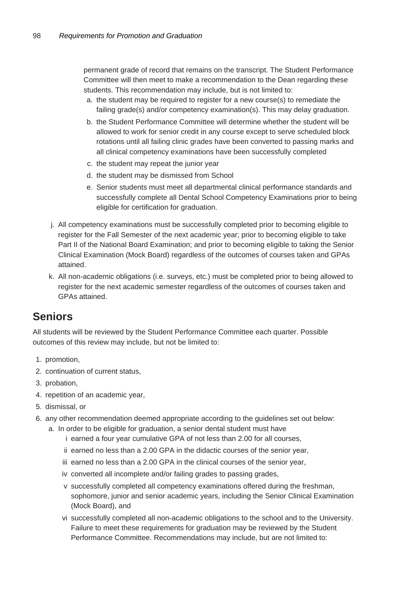permanent grade of record that remains on the transcript. The Student Performance Committee will then meet to make a recommendation to the Dean regarding these students. This recommendation may include, but is not limited to:

- a. the student may be required to register for a new course(s) to remediate the failing grade(s) and/or competency examination(s). This may delay graduation.
- b. the Student Performance Committee will determine whether the student will be allowed to work for senior credit in any course except to serve scheduled block rotations until all failing clinic grades have been converted to passing marks and all clinical competency examinations have been successfully completed
- c. the student may repeat the junior year
- d. the student may be dismissed from School
- e. Senior students must meet all departmental clinical performance standards and successfully complete all Dental School Competency Examinations prior to being eligible for certification for graduation.
- j. All competency examinations must be successfully completed prior to becoming eligible to register for the Fall Semester of the next academic year; prior to becoming eligible to take Part II of the National Board Examination; and prior to becoming eligible to taking the Senior Clinical Examination (Mock Board) regardless of the outcomes of courses taken and GPAs attained.
- k. All non-academic obligations (i.e. surveys, etc.) must be completed prior to being allowed to register for the next academic semester regardless of the outcomes of courses taken and GPAs attained.

#### **Seniors**

All students will be reviewed by the Student Performance Committee each quarter. Possible outcomes of this review may include, but not be limited to:

- 1. promotion,
- 2. continuation of current status,
- 3. probation,
- 4. repetition of an academic year,
- 5. dismissal, or
- 6. any other recommendation deemed appropriate according to the guidelines set out below:
	- a. In order to be eligible for graduation, a senior dental student must have
		- i earned a four year cumulative GPA of not less than 2.00 for all courses,
		- ii earned no less than a 2.00 GPA in the didactic courses of the senior year,
		- iii earned no less than a 2.00 GPA in the clinical courses of the senior year,
		- iv converted all incomplete and/or failing grades to passing grades,
		- v successfully completed all competency examinations offered during the freshman, sophomore, junior and senior academic years, including the Senior Clinical Examination (Mock Board), and
		- vi successfully completed all non-academic obligations to the school and to the University. Failure to meet these requirements for graduation may be reviewed by the Student Performance Committee. Recommendations may include, but are not limited to: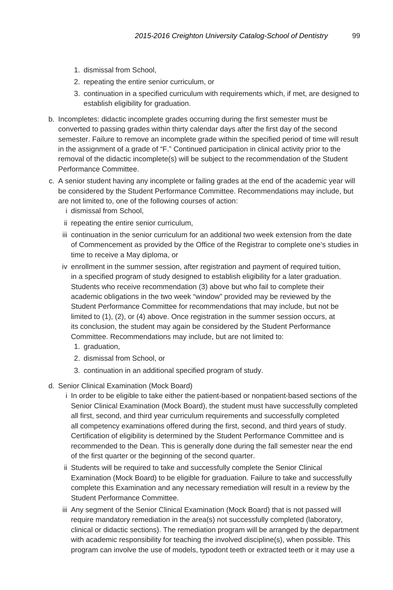- 1. dismissal from School,
- 2. repeating the entire senior curriculum, or
- 3. continuation in a specified curriculum with requirements which, if met, are designed to establish eligibility for graduation.
- b. Incompletes: didactic incomplete grades occurring during the first semester must be converted to passing grades within thirty calendar days after the first day of the second semester. Failure to remove an incomplete grade within the specified period of time will result in the assignment of a grade of "F." Continued participation in clinical activity prior to the removal of the didactic incomplete(s) will be subject to the recommendation of the Student Performance Committee.
- c. A senior student having any incomplete or failing grades at the end of the academic year will be considered by the Student Performance Committee. Recommendations may include, but are not limited to, one of the following courses of action:
	- i dismissal from School,
	- ii repeating the entire senior curriculum,
	- iii continuation in the senior curriculum for an additional two week extension from the date of Commencement as provided by the Office of the Registrar to complete one's studies in time to receive a May diploma, or
	- iv enrollment in the summer session, after registration and payment of required tuition, in a specified program of study designed to establish eligibility for a later graduation. Students who receive recommendation (3) above but who fail to complete their academic obligations in the two week "window" provided may be reviewed by the Student Performance Committee for recommendations that may include, but not be limited to (1), (2), or (4) above. Once registration in the summer session occurs, at its conclusion, the student may again be considered by the Student Performance Committee. Recommendations may include, but are not limited to:
		- 1. graduation,
		- 2. dismissal from School, or
		- 3. continuation in an additional specified program of study.
- d. Senior Clinical Examination (Mock Board)
	- i In order to be eligible to take either the patient-based or nonpatient-based sections of the Senior Clinical Examination (Mock Board), the student must have successfully completed all first, second, and third year curriculum requirements and successfully completed all competency examinations offered during the first, second, and third years of study. Certification of eligibility is determined by the Student Performance Committee and is recommended to the Dean. This is generally done during the fall semester near the end of the first quarter or the beginning of the second quarter.
	- ii Students will be required to take and successfully complete the Senior Clinical Examination (Mock Board) to be eligible for graduation. Failure to take and successfully complete this Examination and any necessary remediation will result in a review by the Student Performance Committee.
	- iii Any segment of the Senior Clinical Examination (Mock Board) that is not passed will require mandatory remediation in the area(s) not successfully completed (laboratory, clinical or didactic sections). The remediation program will be arranged by the department with academic responsibility for teaching the involved discipline(s), when possible. This program can involve the use of models, typodont teeth or extracted teeth or it may use a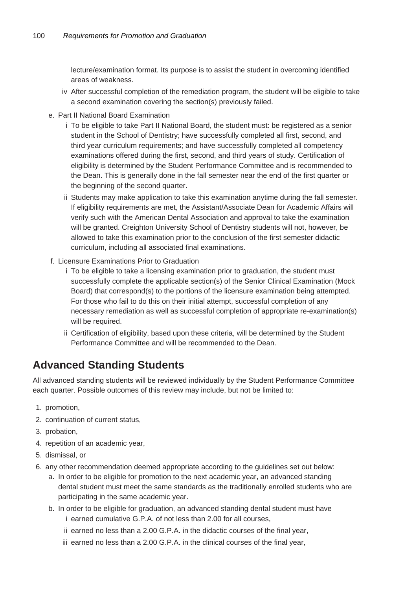lecture/examination format. Its purpose is to assist the student in overcoming identified areas of weakness.

- iv After successful completion of the remediation program, the student will be eligible to take a second examination covering the section(s) previously failed.
- e. Part II National Board Examination
	- i To be eligible to take Part II National Board, the student must: be registered as a senior student in the School of Dentistry; have successfully completed all first, second, and third year curriculum requirements; and have successfully completed all competency examinations offered during the first, second, and third years of study. Certification of eligibility is determined by the Student Performance Committee and is recommended to the Dean. This is generally done in the fall semester near the end of the first quarter or the beginning of the second quarter.
	- ii Students may make application to take this examination anytime during the fall semester. If eligibility requirements are met, the Assistant/Associate Dean for Academic Affairs will verify such with the American Dental Association and approval to take the examination will be granted. Creighton University School of Dentistry students will not, however, be allowed to take this examination prior to the conclusion of the first semester didactic curriculum, including all associated final examinations.
- f. Licensure Examinations Prior to Graduation
	- i To be eligible to take a licensing examination prior to graduation, the student must successfully complete the applicable section(s) of the Senior Clinical Examination (Mock Board) that correspond(s) to the portions of the licensure examination being attempted. For those who fail to do this on their initial attempt, successful completion of any necessary remediation as well as successful completion of appropriate re-examination(s) will be required.
	- ii Certification of eligibility, based upon these criteria, will be determined by the Student Performance Committee and will be recommended to the Dean.

#### **Advanced Standing Students**

All advanced standing students will be reviewed individually by the Student Performance Committee each quarter. Possible outcomes of this review may include, but not be limited to:

- 1. promotion,
- 2. continuation of current status,
- 3. probation,
- 4. repetition of an academic year,
- 5. dismissal, or
- 6. any other recommendation deemed appropriate according to the guidelines set out below:
	- a. In order to be eligible for promotion to the next academic year, an advanced standing dental student must meet the same standards as the traditionally enrolled students who are participating in the same academic year.
	- b. In order to be eligible for graduation, an advanced standing dental student must have i earned cumulative G.P.A. of not less than 2.00 for all courses,
		- ii earned no less than a 2.00 G.P.A. in the didactic courses of the final year,
		- iii earned no less than a 2.00 G.P.A. in the clinical courses of the final year,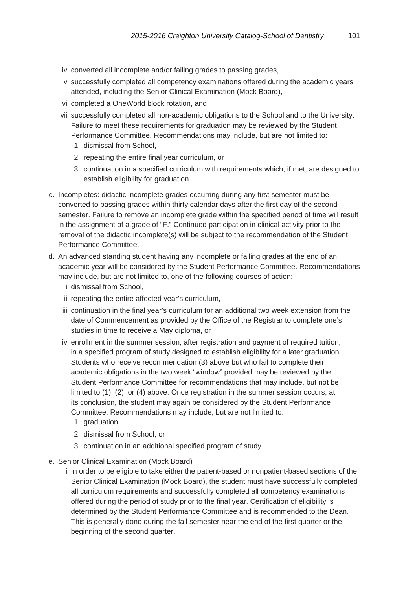- iv converted all incomplete and/or failing grades to passing grades,
- v successfully completed all competency examinations offered during the academic years attended, including the Senior Clinical Examination (Mock Board),
- vi completed a OneWorld block rotation, and
- vii successfully completed all non-academic obligations to the School and to the University. Failure to meet these requirements for graduation may be reviewed by the Student Performance Committee. Recommendations may include, but are not limited to:
	- 1. dismissal from School,
	- 2. repeating the entire final year curriculum, or
	- 3. continuation in a specified curriculum with requirements which, if met, are designed to establish eligibility for graduation.
- c. Incompletes: didactic incomplete grades occurring during any first semester must be converted to passing grades within thirty calendar days after the first day of the second semester. Failure to remove an incomplete grade within the specified period of time will result in the assignment of a grade of "F." Continued participation in clinical activity prior to the removal of the didactic incomplete(s) will be subject to the recommendation of the Student Performance Committee.
- d. An advanced standing student having any incomplete or failing grades at the end of an academic year will be considered by the Student Performance Committee. Recommendations may include, but are not limited to, one of the following courses of action:
	- i dismissal from School,
	- ii repeating the entire affected year's curriculum,
	- iii continuation in the final year's curriculum for an additional two week extension from the date of Commencement as provided by the Office of the Registrar to complete one's studies in time to receive a May diploma, or
	- iv enrollment in the summer session, after registration and payment of required tuition, in a specified program of study designed to establish eligibility for a later graduation. Students who receive recommendation (3) above but who fail to complete their academic obligations in the two week "window" provided may be reviewed by the Student Performance Committee for recommendations that may include, but not be limited to (1), (2), or (4) above. Once registration in the summer session occurs, at its conclusion, the student may again be considered by the Student Performance Committee. Recommendations may include, but are not limited to:
		- 1. graduation,
		- 2. dismissal from School, or
		- 3. continuation in an additional specified program of study.
- e. Senior Clinical Examination (Mock Board)
	- i In order to be eligible to take either the patient-based or nonpatient-based sections of the Senior Clinical Examination (Mock Board), the student must have successfully completed all curriculum requirements and successfully completed all competency examinations offered during the period of study prior to the final year. Certification of eligibility is determined by the Student Performance Committee and is recommended to the Dean. This is generally done during the fall semester near the end of the first quarter or the beginning of the second quarter.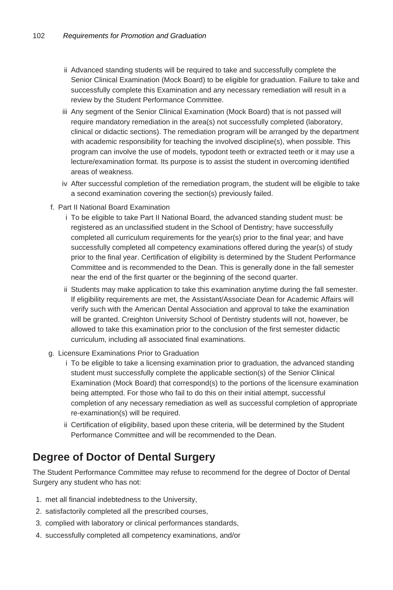- ii Advanced standing students will be required to take and successfully complete the Senior Clinical Examination (Mock Board) to be eligible for graduation. Failure to take and successfully complete this Examination and any necessary remediation will result in a review by the Student Performance Committee.
- iii Any segment of the Senior Clinical Examination (Mock Board) that is not passed will require mandatory remediation in the area(s) not successfully completed (laboratory, clinical or didactic sections). The remediation program will be arranged by the department with academic responsibility for teaching the involved discipline(s), when possible. This program can involve the use of models, typodont teeth or extracted teeth or it may use a lecture/examination format. Its purpose is to assist the student in overcoming identified areas of weakness.
- iv After successful completion of the remediation program, the student will be eligible to take a second examination covering the section(s) previously failed.
- f. Part II National Board Examination
	- i To be eligible to take Part II National Board, the advanced standing student must: be registered as an unclassified student in the School of Dentistry; have successfully completed all curriculum requirements for the year(s) prior to the final year; and have successfully completed all competency examinations offered during the year(s) of study prior to the final year. Certification of eligibility is determined by the Student Performance Committee and is recommended to the Dean. This is generally done in the fall semester near the end of the first quarter or the beginning of the second quarter.
	- ii Students may make application to take this examination anytime during the fall semester. If eligibility requirements are met, the Assistant/Associate Dean for Academic Affairs will verify such with the American Dental Association and approval to take the examination will be granted. Creighton University School of Dentistry students will not, however, be allowed to take this examination prior to the conclusion of the first semester didactic curriculum, including all associated final examinations.
- g. Licensure Examinations Prior to Graduation
	- i To be eligible to take a licensing examination prior to graduation, the advanced standing student must successfully complete the applicable section(s) of the Senior Clinical Examination (Mock Board) that correspond(s) to the portions of the licensure examination being attempted. For those who fail to do this on their initial attempt, successful completion of any necessary remediation as well as successful completion of appropriate re-examination(s) will be required.
	- ii Certification of eligibility, based upon these criteria, will be determined by the Student Performance Committee and will be recommended to the Dean.

#### **Degree of Doctor of Dental Surgery**

The Student Performance Committee may refuse to recommend for the degree of Doctor of Dental Surgery any student who has not:

- 1. met all financial indebtedness to the University,
- 2. satisfactorily completed all the prescribed courses,
- 3. complied with laboratory or clinical performances standards,
- 4. successfully completed all competency examinations, and/or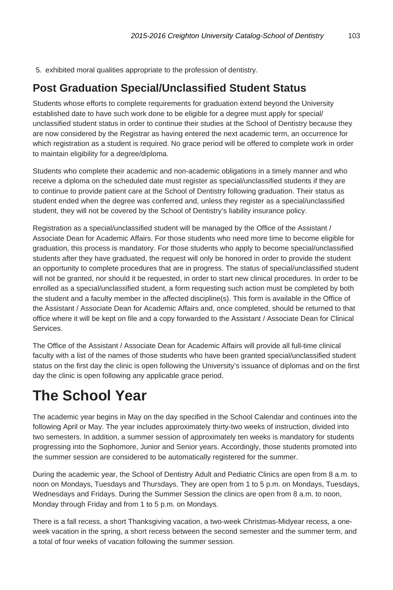5. exhibited moral qualities appropriate to the profession of dentistry.

#### **Post Graduation Special/Unclassified Student Status**

Students whose efforts to complete requirements for graduation extend beyond the University established date to have such work done to be eligible for a degree must apply for special/ unclassified student status in order to continue their studies at the School of Dentistry because they are now considered by the Registrar as having entered the next academic term, an occurrence for which registration as a student is required. No grace period will be offered to complete work in order to maintain eligibility for a degree/diploma.

Students who complete their academic and non-academic obligations in a timely manner and who receive a diploma on the scheduled date must register as special/unclassified students if they are to continue to provide patient care at the School of Dentistry following graduation. Their status as student ended when the degree was conferred and, unless they register as a special/unclassified student, they will not be covered by the School of Dentistry's liability insurance policy.

Registration as a special/unclassified student will be managed by the Office of the Assistant / Associate Dean for Academic Affairs. For those students who need more time to become eligible for graduation, this process is mandatory. For those students who apply to become special/unclassified students after they have graduated, the request will only be honored in order to provide the student an opportunity to complete procedures that are in progress. The status of special/unclassified student will not be granted, nor should it be requested, in order to start new clinical procedures. In order to be enrolled as a special/unclassified student, a form requesting such action must be completed by both the student and a faculty member in the affected discipline(s). This form is available in the Office of the Assistant / Associate Dean for Academic Affairs and, once completed, should be returned to that office where it will be kept on file and a copy forwarded to the Assistant / Associate Dean for Clinical Services.

The Office of the Assistant / Associate Dean for Academic Affairs will provide all full-time clinical faculty with a list of the names of those students who have been granted special/unclassified student status on the first day the clinic is open following the University's issuance of diplomas and on the first day the clinic is open following any applicable grace period.

## **The School Year**

The academic year begins in May on the day specified in the School Calendar and continues into the following April or May. The year includes approximately thirty-two weeks of instruction, divided into two semesters. In addition, a summer session of approximately ten weeks is mandatory for students progressing into the Sophomore, Junior and Senior years. Accordingly, those students promoted into the summer session are considered to be automatically registered for the summer.

During the academic year, the School of Dentistry Adult and Pediatric Clinics are open from 8 a.m. to noon on Mondays, Tuesdays and Thursdays. They are open from 1 to 5 p.m. on Mondays, Tuesdays, Wednesdays and Fridays. During the Summer Session the clinics are open from 8 a.m. to noon, Monday through Friday and from 1 to 5 p.m. on Mondays.

There is a fall recess, a short Thanksgiving vacation, a two-week Christmas-Midyear recess, a oneweek vacation in the spring, a short recess between the second semester and the summer term, and a total of four weeks of vacation following the summer session.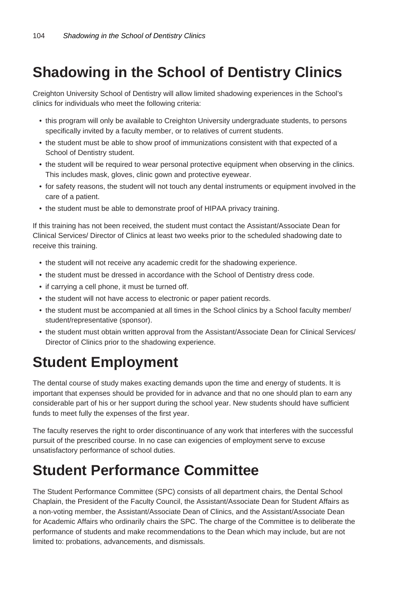## **Shadowing in the School of Dentistry Clinics**

Creighton University School of Dentistry will allow limited shadowing experiences in the School's clinics for individuals who meet the following criteria:

- this program will only be available to Creighton University undergraduate students, to persons specifically invited by a faculty member, or to relatives of current students.
- the student must be able to show proof of immunizations consistent with that expected of a School of Dentistry student.
- the student will be required to wear personal protective equipment when observing in the clinics. This includes mask, gloves, clinic gown and protective eyewear.
- for safety reasons, the student will not touch any dental instruments or equipment involved in the care of a patient.
- the student must be able to demonstrate proof of HIPAA privacy training.

If this training has not been received, the student must contact the Assistant/Associate Dean for Clinical Services/ Director of Clinics at least two weeks prior to the scheduled shadowing date to receive this training.

- the student will not receive any academic credit for the shadowing experience.
- the student must be dressed in accordance with the School of Dentistry dress code.
- if carrying a cell phone, it must be turned off.
- the student will not have access to electronic or paper patient records.
- the student must be accompanied at all times in the School clinics by a School faculty member/ student/representative (sponsor).
- the student must obtain written approval from the Assistant/Associate Dean for Clinical Services/ Director of Clinics prior to the shadowing experience.

## **Student Employment**

The dental course of study makes exacting demands upon the time and energy of students. It is important that expenses should be provided for in advance and that no one should plan to earn any considerable part of his or her support during the school year. New students should have sufficient funds to meet fully the expenses of the first year.

The faculty reserves the right to order discontinuance of any work that interferes with the successful pursuit of the prescribed course. In no case can exigencies of employment serve to excuse unsatisfactory performance of school duties.

## **Student Performance Committee**

The Student Performance Committee (SPC) consists of all department chairs, the Dental School Chaplain, the President of the Faculty Council, the Assistant/Associate Dean for Student Affairs as a non-voting member, the Assistant/Associate Dean of Clinics, and the Assistant/Associate Dean for Academic Affairs who ordinarily chairs the SPC. The charge of the Committee is to deliberate the performance of students and make recommendations to the Dean which may include, but are not limited to: probations, advancements, and dismissals.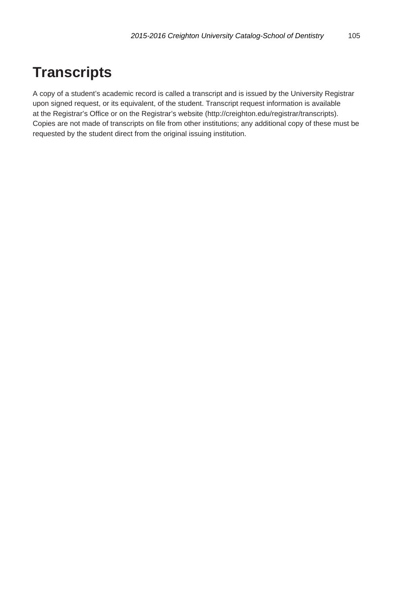### **Transcripts**

A copy of a student's academic record is called a transcript and is issued by the University Registrar upon signed request, or its equivalent, of the student. Transcript request information is available at the Registrar's Office or on the Registrar's website (http://creighton.edu/registrar/transcripts). Copies are not made of transcripts on file from other institutions; any additional copy of these must be requested by the student direct from the original issuing institution.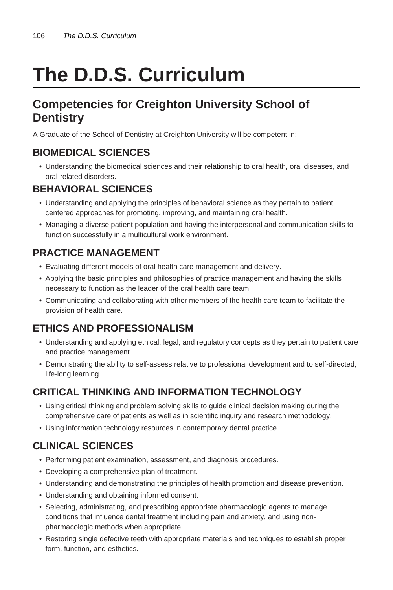# **The D.D.S. Curriculum**

#### **Competencies for Creighton University School of Dentistry**

A Graduate of the School of Dentistry at Creighton University will be competent in:

#### **BIOMEDICAL SCIENCES**

• Understanding the biomedical sciences and their relationship to oral health, oral diseases, and oral-related disorders.

#### **BEHAVIORAL SCIENCES**

- Understanding and applying the principles of behavioral science as they pertain to patient centered approaches for promoting, improving, and maintaining oral health.
- Managing a diverse patient population and having the interpersonal and communication skills to function successfully in a multicultural work environment.

#### **PRACTICE MANAGEMENT**

- Evaluating different models of oral health care management and delivery.
- Applying the basic principles and philosophies of practice management and having the skills necessary to function as the leader of the oral health care team.
- Communicating and collaborating with other members of the health care team to facilitate the provision of health care.

#### **ETHICS AND PROFESSIONALISM**

- Understanding and applying ethical, legal, and regulatory concepts as they pertain to patient care and practice management.
- Demonstrating the ability to self-assess relative to professional development and to self-directed, life-long learning.

#### **CRITICAL THINKING AND INFORMATION TECHNOLOGY**

- Using critical thinking and problem solving skills to guide clinical decision making during the comprehensive care of patients as well as in scientific inquiry and research methodology.
- Using information technology resources in contemporary dental practice.

#### **CLINICAL SCIENCES**

- Performing patient examination, assessment, and diagnosis procedures.
- Developing a comprehensive plan of treatment.
- Understanding and demonstrating the principles of health promotion and disease prevention.
- Understanding and obtaining informed consent.
- Selecting, administrating, and prescribing appropriate pharmacologic agents to manage conditions that influence dental treatment including pain and anxiety, and using nonpharmacologic methods when appropriate.
- Restoring single defective teeth with appropriate materials and techniques to establish proper form, function, and esthetics.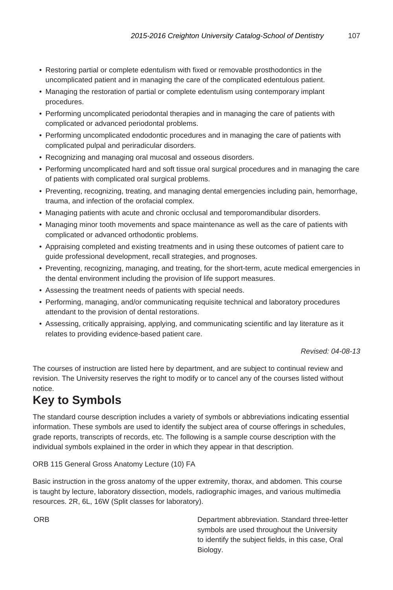- Restoring partial or complete edentulism with fixed or removable prosthodontics in the uncomplicated patient and in managing the care of the complicated edentulous patient.
- Managing the restoration of partial or complete edentulism using contemporary implant procedures.
- Performing uncomplicated periodontal therapies and in managing the care of patients with complicated or advanced periodontal problems.
- Performing uncomplicated endodontic procedures and in managing the care of patients with complicated pulpal and periradicular disorders.
- Recognizing and managing oral mucosal and osseous disorders.
- Performing uncomplicated hard and soft tissue oral surgical procedures and in managing the care of patients with complicated oral surgical problems.
- Preventing, recognizing, treating, and managing dental emergencies including pain, hemorrhage, trauma, and infection of the orofacial complex.
- Managing patients with acute and chronic occlusal and temporomandibular disorders.
- Managing minor tooth movements and space maintenance as well as the care of patients with complicated or advanced orthodontic problems.
- Appraising completed and existing treatments and in using these outcomes of patient care to guide professional development, recall strategies, and prognoses.
- Preventing, recognizing, managing, and treating, for the short-term, acute medical emergencies in the dental environment including the provision of life support measures.
- Assessing the treatment needs of patients with special needs.
- Performing, managing, and/or communicating requisite technical and laboratory procedures attendant to the provision of dental restorations.
- Assessing, critically appraising, applying, and communicating scientific and lay literature as it relates to providing evidence-based patient care.

Revised: 04-08-13

The courses of instruction are listed here by department, and are subject to continual review and revision. The University reserves the right to modify or to cancel any of the courses listed without notice.

### **Key to Symbols**

The standard course description includes a variety of symbols or abbreviations indicating essential information. These symbols are used to identify the subject area of course offerings in schedules, grade reports, transcripts of records, etc. The following is a sample course description with the individual symbols explained in the order in which they appear in that description.

#### ORB 115 General Gross Anatomy Lecture (10) FA

Basic instruction in the gross anatomy of the upper extremity, thorax, and abdomen. This course is taught by lecture, laboratory dissection, models, radiographic images, and various multimedia resources. 2R, 6L, 16W (Split classes for laboratory).

ORB Department abbreviation. Standard three-letter symbols are used throughout the University to identify the subject fields, in this case, Oral Biology.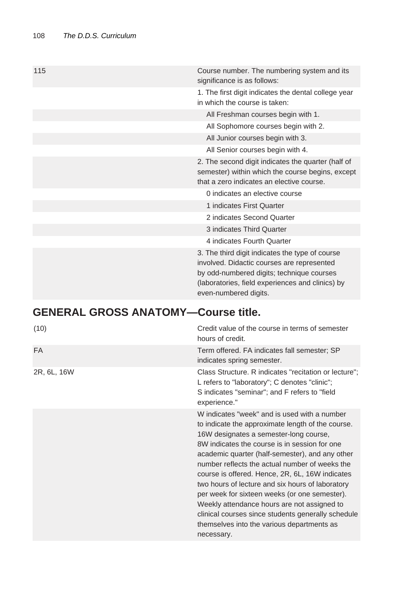| 115 | Course number. The numbering system and its<br>significance is as follows:                                                                                                                                              |
|-----|-------------------------------------------------------------------------------------------------------------------------------------------------------------------------------------------------------------------------|
|     | 1. The first digit indicates the dental college year<br>in which the course is taken:                                                                                                                                   |
|     | All Freshman courses begin with 1.                                                                                                                                                                                      |
|     | All Sophomore courses begin with 2.                                                                                                                                                                                     |
|     | All Junior courses begin with 3.                                                                                                                                                                                        |
|     | All Senior courses begin with 4.                                                                                                                                                                                        |
|     | 2. The second digit indicates the quarter (half of<br>semester) within which the course begins, except<br>that a zero indicates an elective course.                                                                     |
|     | 0 indicates an elective course                                                                                                                                                                                          |
|     | 1 indicates First Quarter                                                                                                                                                                                               |
|     | 2 indicates Second Quarter                                                                                                                                                                                              |
|     | 3 indicates Third Quarter                                                                                                                                                                                               |
|     | 4 indicates Fourth Quarter                                                                                                                                                                                              |
|     | 3. The third digit indicates the type of course<br>involved. Didactic courses are represented<br>by odd-numbered digits; technique courses<br>(laboratories, field experiences and clinics) by<br>even-numbered digits. |

### **GENERAL GROSS ANATOMY—Course title.**

| (10)        | Credit value of the course in terms of semester<br>hours of credit.                                                                                                                                                                                                                                                                                                                                                                                                                                                                                                                                                        |
|-------------|----------------------------------------------------------------------------------------------------------------------------------------------------------------------------------------------------------------------------------------------------------------------------------------------------------------------------------------------------------------------------------------------------------------------------------------------------------------------------------------------------------------------------------------------------------------------------------------------------------------------------|
| <b>FA</b>   | Term offered. FA indicates fall semester; SP<br>indicates spring semester.                                                                                                                                                                                                                                                                                                                                                                                                                                                                                                                                                 |
| 2R, 6L, 16W | Class Structure. R indicates "recitation or lecture";<br>L refers to "laboratory"; C denotes "clinic";<br>S indicates "seminar"; and F refers to "field<br>experience."                                                                                                                                                                                                                                                                                                                                                                                                                                                    |
|             | W indicates "week" and is used with a number<br>to indicate the approximate length of the course.<br>16W designates a semester-long course,<br>8W indicates the course is in session for one<br>academic quarter (half-semester), and any other<br>number reflects the actual number of weeks the<br>course is offered. Hence, 2R, 6L, 16W indicates<br>two hours of lecture and six hours of laboratory<br>per week for sixteen weeks (or one semester).<br>Weekly attendance hours are not assigned to<br>clinical courses since students generally schedule<br>themselves into the various departments as<br>necessary. |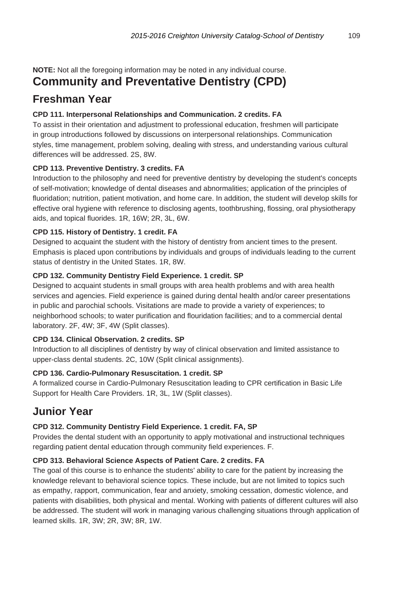**NOTE:** Not all the foregoing information may be noted in any individual course.

### **Community and Preventative Dentistry (CPD)**

### **Freshman Year**

#### **CPD 111. Interpersonal Relationships and Communication. 2 credits. FA**

To assist in their orientation and adjustment to professional education, freshmen will participate in group introductions followed by discussions on interpersonal relationships. Communication styles, time management, problem solving, dealing with stress, and understanding various cultural differences will be addressed. 2S, 8W.

#### **CPD 113. Preventive Dentistry. 3 credits. FA**

Introduction to the philosophy and need for preventive dentistry by developing the student's concepts of self-motivation; knowledge of dental diseases and abnormalities; application of the principles of fluoridation; nutrition, patient motivation, and home care. In addition, the student will develop skills for effective oral hygiene with reference to disclosing agents, toothbrushing, flossing, oral physiotherapy aids, and topical fluorides. 1R, 16W; 2R, 3L, 6W.

#### **CPD 115. History of Dentistry. 1 credit. FA**

Designed to acquaint the student with the history of dentistry from ancient times to the present. Emphasis is placed upon contributions by individuals and groups of individuals leading to the current status of dentistry in the United States. 1R, 8W.

#### **CPD 132. Community Dentistry Field Experience. 1 credit. SP**

Designed to acquaint students in small groups with area health problems and with area health services and agencies. Field experience is gained during dental health and/or career presentations in public and parochial schools. Visitations are made to provide a variety of experiences; to neighborhood schools; to water purification and flouridation facilities; and to a commercial dental laboratory. 2F, 4W; 3F, 4W (Split classes).

#### **CPD 134. Clinical Observation. 2 credits. SP**

Introduction to all disciplines of dentistry by way of clinical observation and limited assistance to upper-class dental students. 2C, 10W (Split clinical assignments).

### **CPD 136. Cardio-Pulmonary Resuscitation. 1 credit. SP**

A formalized course in Cardio-Pulmonary Resuscitation leading to CPR certification in Basic Life Support for Health Care Providers. 1R, 3L, 1W (Split classes).

### **Junior Year**

### **CPD 312. Community Dentistry Field Experience. 1 credit. FA, SP**

Provides the dental student with an opportunity to apply motivational and instructional techniques regarding patient dental education through community field experiences. F.

### **CPD 313. Behavioral Science Aspects of Patient Care. 2 credits. FA**

The goal of this course is to enhance the students' ability to care for the patient by increasing the knowledge relevant to behavioral science topics. These include, but are not limited to topics such as empathy, rapport, communication, fear and anxiety, smoking cessation, domestic violence, and patients with disabilities, both physical and mental. Working with patients of different cultures will also be addressed. The student will work in managing various challenging situations through application of learned skills. 1R, 3W; 2R, 3W; 8R, 1W.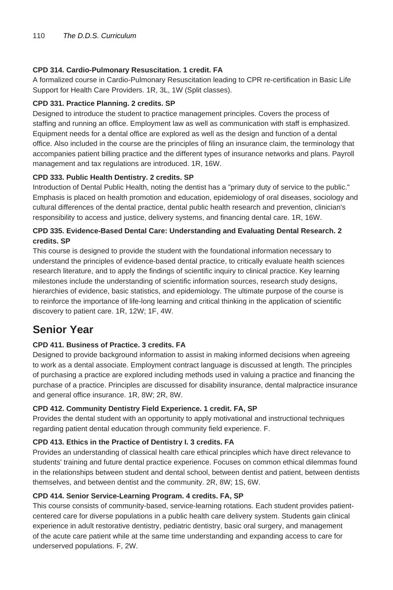#### **CPD 314. Cardio-Pulmonary Resuscitation. 1 credit. FA**

A formalized course in Cardio-Pulmonary Resuscitation leading to CPR re-certification in Basic Life Support for Health Care Providers. 1R, 3L, 1W (Split classes).

#### **CPD 331. Practice Planning. 2 credits. SP**

Designed to introduce the student to practice management principles. Covers the process of staffing and running an office. Employment law as well as communication with staff is emphasized. Equipment needs for a dental office are explored as well as the design and function of a dental office. Also included in the course are the principles of filing an insurance claim, the terminology that accompanies patient billing practice and the different types of insurance networks and plans. Payroll management and tax regulations are introduced. 1R, 16W.

#### **CPD 333. Public Health Dentistry. 2 credits. SP**

Introduction of Dental Public Health, noting the dentist has a "primary duty of service to the public." Emphasis is placed on health promotion and education, epidemiology of oral diseases, sociology and cultural differences of the dental practice, dental public health research and prevention, clinician's responsibility to access and justice, delivery systems, and financing dental care. 1R, 16W.

#### **CPD 335. Evidence-Based Dental Care: Understanding and Evaluating Dental Research. 2 credits. SP**

This course is designed to provide the student with the foundational information necessary to understand the principles of evidence-based dental practice, to critically evaluate health sciences research literature, and to apply the findings of scientific inquiry to clinical practice. Key learning milestones include the understanding of scientific information sources, research study designs, hierarchies of evidence, basic statistics, and epidemiology. The ultimate purpose of the course is to reinforce the importance of life-long learning and critical thinking in the application of scientific discovery to patient care. 1R, 12W; 1F, 4W.

### **Senior Year**

#### **CPD 411. Business of Practice. 3 credits. FA**

Designed to provide background information to assist in making informed decisions when agreeing to work as a dental associate. Employment contract language is discussed at length. The principles of purchasing a practice are explored including methods used in valuing a practice and financing the purchase of a practice. Principles are discussed for disability insurance, dental malpractice insurance and general office insurance. 1R, 8W; 2R, 8W.

#### **CPD 412. Community Dentistry Field Experience. 1 credit. FA, SP**

Provides the dental student with an opportunity to apply motivational and instructional techniques regarding patient dental education through community field experience. F.

#### **CPD 413. Ethics in the Practice of Dentistry I. 3 credits. FA**

Provides an understanding of classical health care ethical principles which have direct relevance to students' training and future dental practice experience. Focuses on common ethical dilemmas found in the relationships between student and dental school, between dentist and patient, between dentists themselves, and between dentist and the community. 2R, 8W; 1S, 6W.

#### **CPD 414. Senior Service-Learning Program. 4 credits. FA, SP**

This course consists of community-based, service-learning rotations. Each student provides patientcentered care for diverse populations in a public health care delivery system. Students gain clinical experience in adult restorative dentistry, pediatric dentistry, basic oral surgery, and management of the acute care patient while at the same time understanding and expanding access to care for underserved populations. F, 2W.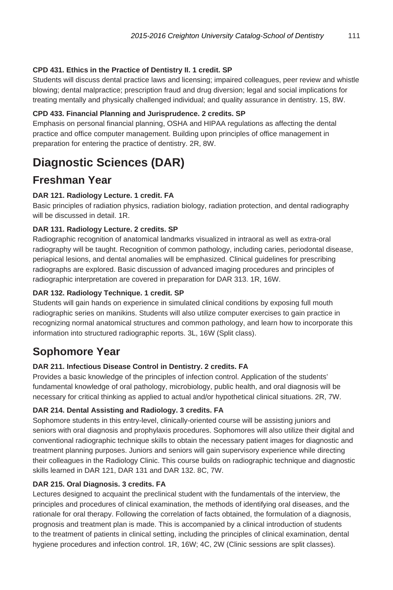#### **CPD 431. Ethics in the Practice of Dentistry II. 1 credit. SP**

Students will discuss dental practice laws and licensing; impaired colleagues, peer review and whistle blowing; dental malpractice; prescription fraud and drug diversion; legal and social implications for treating mentally and physically challenged individual; and quality assurance in dentistry. 1S, 8W.

#### **CPD 433. Financial Planning and Jurisprudence. 2 credits. SP**

Emphasis on personal financial planning, OSHA and HIPAA regulations as affecting the dental practice and office computer management. Building upon principles of office management in preparation for entering the practice of dentistry. 2R, 8W.

### **Diagnostic Sciences (DAR)**

### **Freshman Year**

#### **DAR 121. Radiology Lecture. 1 credit. FA**

Basic principles of radiation physics, radiation biology, radiation protection, and dental radiography will be discussed in detail. 1R.

#### **DAR 131. Radiology Lecture. 2 credits. SP**

Radiographic recognition of anatomical landmarks visualized in intraoral as well as extra-oral radiography will be taught. Recognition of common pathology, including caries, periodontal disease, periapical lesions, and dental anomalies will be emphasized. Clinical guidelines for prescribing radiographs are explored. Basic discussion of advanced imaging procedures and principles of radiographic interpretation are covered in preparation for DAR 313. 1R, 16W.

#### **DAR 132. Radiology Technique. 1 credit. SP**

Students will gain hands on experience in simulated clinical conditions by exposing full mouth radiographic series on manikins. Students will also utilize computer exercises to gain practice in recognizing normal anatomical structures and common pathology, and learn how to incorporate this information into structured radiographic reports. 3L, 16W (Split class).

### **Sophomore Year**

### **DAR 211. Infectious Disease Control in Dentistry. 2 credits. FA**

Provides a basic knowledge of the principles of infection control. Application of the students' fundamental knowledge of oral pathology, microbiology, public health, and oral diagnosis will be necessary for critical thinking as applied to actual and/or hypothetical clinical situations. 2R, 7W.

#### **DAR 214. Dental Assisting and Radiology. 3 credits. FA**

Sophomore students in this entry-level, clinically-oriented course will be assisting juniors and seniors with oral diagnosis and prophylaxis procedures. Sophomores will also utilize their digital and conventional radiographic technique skills to obtain the necessary patient images for diagnostic and treatment planning purposes. Juniors and seniors will gain supervisory experience while directing their colleagues in the Radiology Clinic. This course builds on radiographic technique and diagnostic skills learned in DAR 121, DAR 131 and DAR 132. 8C, 7W.

#### **DAR 215. Oral Diagnosis. 3 credits. FA**

Lectures designed to acquaint the preclinical student with the fundamentals of the interview, the principles and procedures of clinical examination, the methods of identifying oral diseases, and the rationale for oral therapy. Following the correlation of facts obtained, the formulation of a diagnosis, prognosis and treatment plan is made. This is accompanied by a clinical introduction of students to the treatment of patients in clinical setting, including the principles of clinical examination, dental hygiene procedures and infection control. 1R, 16W; 4C, 2W (Clinic sessions are split classes).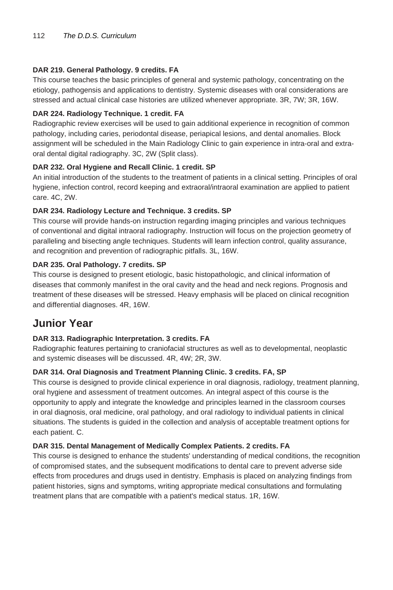#### **DAR 219. General Pathology. 9 credits. FA**

This course teaches the basic principles of general and systemic pathology, concentrating on the etiology, pathogensis and applications to dentistry. Systemic diseases with oral considerations are stressed and actual clinical case histories are utilized whenever appropriate. 3R, 7W; 3R, 16W.

#### **DAR 224. Radiology Technique. 1 credit. FA**

Radiographic review exercises will be used to gain additional experience in recognition of common pathology, including caries, periodontal disease, periapical lesions, and dental anomalies. Block assignment will be scheduled in the Main Radiology Clinic to gain experience in intra-oral and extraoral dental digital radiography. 3C, 2W (Split class).

#### **DAR 232. Oral Hygiene and Recall Clinic. 1 credit. SP**

An initial introduction of the students to the treatment of patients in a clinical setting. Principles of oral hygiene, infection control, record keeping and extraoral/intraoral examination are applied to patient care. 4C, 2W.

#### **DAR 234. Radiology Lecture and Technique. 3 credits. SP**

This course will provide hands-on instruction regarding imaging principles and various techniques of conventional and digital intraoral radiography. Instruction will focus on the projection geometry of paralleling and bisecting angle techniques. Students will learn infection control, quality assurance, and recognition and prevention of radiographic pitfalls. 3L, 16W.

#### **DAR 235. Oral Pathology. 7 credits. SP**

This course is designed to present etiologic, basic histopathologic, and clinical information of diseases that commonly manifest in the oral cavity and the head and neck regions. Prognosis and treatment of these diseases will be stressed. Heavy emphasis will be placed on clinical recognition and differential diagnoses. 4R, 16W.

### **Junior Year**

#### **DAR 313. Radiographic Interpretation. 3 credits. FA**

Radiographic features pertaining to craniofacial structures as well as to developmental, neoplastic and systemic diseases will be discussed. 4R, 4W; 2R, 3W.

#### **DAR 314. Oral Diagnosis and Treatment Planning Clinic. 3 credits. FA, SP**

This course is designed to provide clinical experience in oral diagnosis, radiology, treatment planning, oral hygiene and assessment of treatment outcomes. An integral aspect of this course is the opportunity to apply and integrate the knowledge and principles learned in the classroom courses in oral diagnosis, oral medicine, oral pathology, and oral radiology to individual patients in clinical situations. The students is guided in the collection and analysis of acceptable treatment options for each patient. C.

#### **DAR 315. Dental Management of Medically Complex Patients. 2 credits. FA**

This course is designed to enhance the students' understanding of medical conditions, the recognition of compromised states, and the subsequent modifications to dental care to prevent adverse side effects from procedures and drugs used in dentistry. Emphasis is placed on analyzing findings from patient histories, signs and symptoms, writing appropriate medical consultations and formulating treatment plans that are compatible with a patient's medical status. 1R, 16W.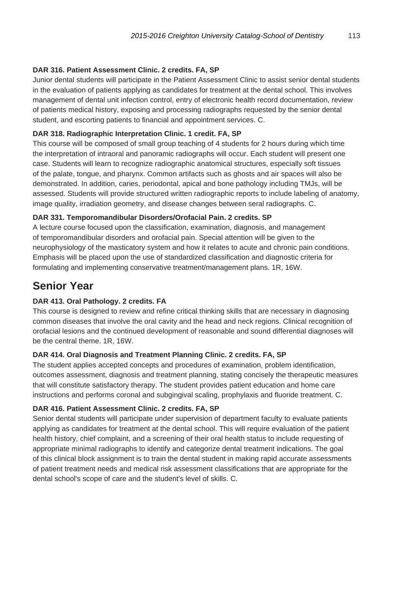#### **DAR 316. Patient Assessment Clinic. 2 credits. FA, SP**

Junior dental students will participate in the Patient Assessment Clinic to assist senior dental students in the evaluation of patients applying as candidates for treatment at the dental school. This involves management of dental unit infection control, entry of electronic health record documentation, review of patients medical history, exposing and processing radiographs requested by the senior dental student, and escorting patients to financial and appointment services. C.

#### **DAR 318. Radiographic Interpretation Clinic. 1 credit. FA, SP**

This course will be composed of small group teaching of 4 students for 2 hours during which time the interpretation of intraoral and panoramic radiographs will occur. Each student will present one case. Students will learn to recognize radiographic anatomical structures, especially soft tissues of the palate, tongue, and pharynx. Common artifacts such as ghosts and air spaces will also be demonstrated. In addition, caries, periodontal, apical and bone pathology including TMJs, will be assessed. Students will provide structured written radiographic reports to include labeling of anatomy, image quality, irradiation geometry, and disease changes between seral radiographs. C.

#### **DAR 331. Temporomandibular Disorders/Orofacial Pain. 2 credits. SP**

A lecture course focused upon the classification, examination, diagnosis, and management of temporomandibular disorders and orofacial pain. Special attention will be given to the neurophysiology of the masticatory system and how it relates to acute and chronic pain conditions. Emphasis will be placed upon the use of standardized classification and diagnostic criteria for formulating and implementing conservative treatment/management plans. 1R, 16W.

### **Senior Year**

#### **DAR 413. Oral Pathology. 2 credits. FA**

This course is designed to review and refine critical thinking skills that are necessary in diagnosing common diseases that involve the oral cavity and the head and neck regions. Clinical recognition of orofacial lesions and the continued development of reasonable and sound differential diagnoses will be the central theme. 1R, 16W.

#### **DAR 414. Oral Diagnosis and Treatment Planning Clinic. 2 credits. FA, SP**

The student applies accepted concepts and procedures of examination, problem identification, outcomes assessment, diagnosis and treatment planning, stating concisely the therapeutic measures that will constitute satisfactory therapy. The student provides patient education and home care instructions and performs coronal and subgingival scaling, prophylaxis and fluoride treatment. C.

#### **DAR 416. Patient Assessment Clinic. 2 credits. FA, SP**

Senior dental students will participate under supervision of department faculty to evaluate patients applying as candidates for treatment at the dental school. This will require evaluation of the patient health history, chief complaint, and a screening of their oral health status to include requesting of appropriate minimal radiographs to identify and categorize dental treatment indications. The goal of this clinical block assignment is to train the dental student in making rapid accurate assessments of patient treatment needs and medical risk assessment classifications that are appropriate for the dental school's scope of care and the student's level of skills. C.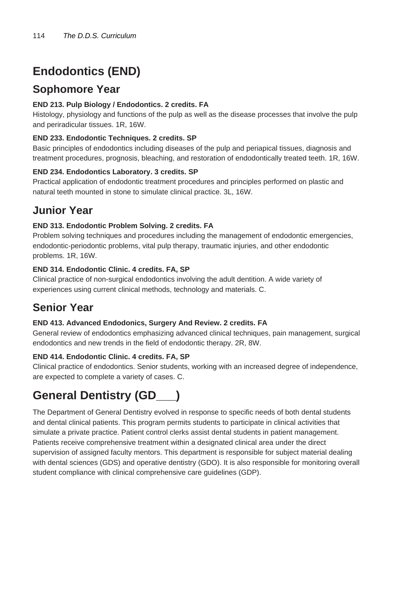## **Endodontics (END)**

### **Sophomore Year**

#### **END 213. Pulp Biology / Endodontics. 2 credits. FA**

Histology, physiology and functions of the pulp as well as the disease processes that involve the pulp and periradicular tissues. 1R, 16W.

#### **END 233. Endodontic Techniques. 2 credits. SP**

Basic principles of endodontics including diseases of the pulp and periapical tissues, diagnosis and treatment procedures, prognosis, bleaching, and restoration of endodontically treated teeth. 1R, 16W.

#### **END 234. Endodontics Laboratory. 3 credits. SP**

Practical application of endodontic treatment procedures and principles performed on plastic and natural teeth mounted in stone to simulate clinical practice. 3L, 16W.

### **Junior Year**

#### **END 313. Endodontic Problem Solving. 2 credits. FA**

Problem solving techniques and procedures including the management of endodontic emergencies, endodontic-periodontic problems, vital pulp therapy, traumatic injuries, and other endodontic problems. 1R, 16W.

#### **END 314. Endodontic Clinic. 4 credits. FA, SP**

Clinical practice of non-surgical endodontics involving the adult dentition. A wide variety of experiences using current clinical methods, technology and materials. C.

### **Senior Year**

#### **END 413. Advanced Endodonics, Surgery And Review. 2 credits. FA**

General review of endodontics emphasizing advanced clinical techniques, pain management, surgical endodontics and new trends in the field of endodontic therapy. 2R, 8W.

#### **END 414. Endodontic Clinic. 4 credits. FA, SP**

Clinical practice of endodontics. Senior students, working with an increased degree of independence, are expected to complete a variety of cases. C.

### **General Dentistry (GD\_\_\_)**

The Department of General Dentistry evolved in response to specific needs of both dental students and dental clinical patients. This program permits students to participate in clinical activities that simulate a private practice. Patient control clerks assist dental students in patient management. Patients receive comprehensive treatment within a designated clinical area under the direct supervision of assigned faculty mentors. This department is responsible for subject material dealing with dental sciences (GDS) and operative dentistry (GDO). It is also responsible for monitoring overall student compliance with clinical comprehensive care guidelines (GDP).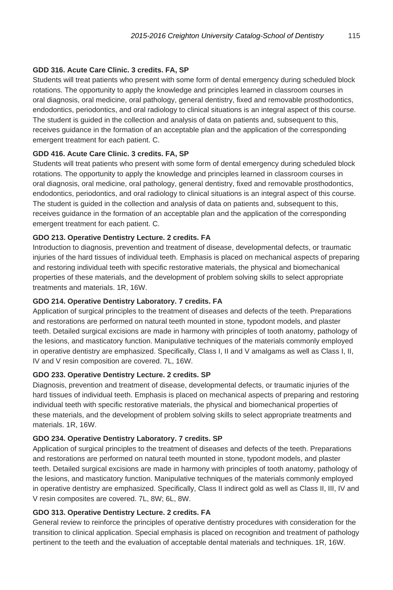#### **GDD 316. Acute Care Clinic. 3 credits. FA, SP**

Students will treat patients who present with some form of dental emergency during scheduled block rotations. The opportunity to apply the knowledge and principles learned in classroom courses in oral diagnosis, oral medicine, oral pathology, general dentistry, fixed and removable prosthodontics, endodontics, periodontics, and oral radiology to clinical situations is an integral aspect of this course. The student is guided in the collection and analysis of data on patients and, subsequent to this, receives guidance in the formation of an acceptable plan and the application of the corresponding emergent treatment for each patient. C.

#### **GDD 416. Acute Care Clinic. 3 credits. FA, SP**

Students will treat patients who present with some form of dental emergency during scheduled block rotations. The opportunity to apply the knowledge and principles learned in classroom courses in oral diagnosis, oral medicine, oral pathology, general dentistry, fixed and removable prosthodontics, endodontics, periodontics, and oral radiology to clinical situations is an integral aspect of this course. The student is guided in the collection and analysis of data on patients and, subsequent to this, receives guidance in the formation of an acceptable plan and the application of the corresponding emergent treatment for each patient. C.

#### **GDO 213. Operative Dentistry Lecture. 2 credits. FA**

Introduction to diagnosis, prevention and treatment of disease, developmental defects, or traumatic injuries of the hard tissues of individual teeth. Emphasis is placed on mechanical aspects of preparing and restoring individual teeth with specific restorative materials, the physical and biomechanical properties of these materials, and the development of problem solving skills to select appropriate treatments and materials. 1R, 16W.

#### **GDO 214. Operative Dentistry Laboratory. 7 credits. FA**

Application of surgical principles to the treatment of diseases and defects of the teeth. Preparations and restorations are performed on natural teeth mounted in stone, typodont models, and plaster teeth. Detailed surgical excisions are made in harmony with principles of tooth anatomy, pathology of the lesions, and masticatory function. Manipulative techniques of the materials commonly employed in operative dentistry are emphasized. Specifically, Class I, II and V amalgams as well as Class I, II, IV and V resin composition are covered. 7L, 16W.

#### **GDO 233. Operative Dentistry Lecture. 2 credits. SP**

Diagnosis, prevention and treatment of disease, developmental defects, or traumatic injuries of the hard tissues of individual teeth. Emphasis is placed on mechanical aspects of preparing and restoring individual teeth with specific restorative materials, the physical and biomechanical properties of these materials, and the development of problem solving skills to select appropriate treatments and materials. 1R, 16W.

#### **GDO 234. Operative Dentistry Laboratory. 7 credits. SP**

Application of surgical principles to the treatment of diseases and defects of the teeth. Preparations and restorations are performed on natural teeth mounted in stone, typodont models, and plaster teeth. Detailed surgical excisions are made in harmony with principles of tooth anatomy, pathology of the lesions, and masticatory function. Manipulative techniques of the materials commonly employed in operative dentistry are emphasized. Specifically, Class II indirect gold as well as Class II, III, IV and V resin composites are covered. 7L, 8W; 6L, 8W.

#### **GDO 313. Operative Dentistry Lecture. 2 credits. FA**

General review to reinforce the principles of operative dentistry procedures with consideration for the transition to clinical application. Special emphasis is placed on recognition and treatment of pathology pertinent to the teeth and the evaluation of acceptable dental materials and techniques. 1R, 16W.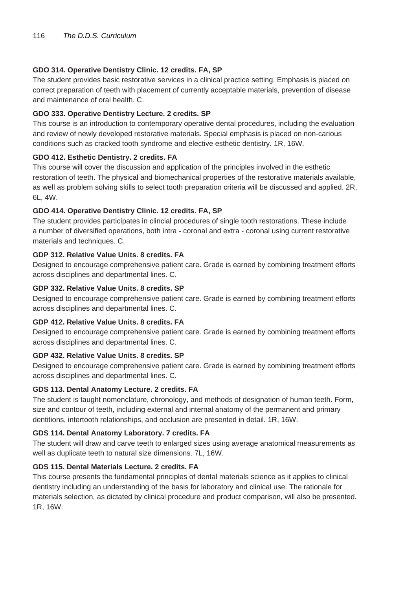#### **GDO 314. Operative Dentistry Clinic. 12 credits. FA, SP**

The student provides basic restorative services in a clinical practice setting. Emphasis is placed on correct preparation of teeth with placement of currently acceptable materials, prevention of disease and maintenance of oral health. C.

#### **GDO 333. Operative Dentistry Lecture. 2 credits. SP**

This course is an introduction to contemporary operative dental procedures, including the evaluation and review of newly developed restorative materials. Special emphasis is placed on non-carious conditions such as cracked tooth syndrome and elective esthetic dentistry. 1R, 16W.

#### **GDO 412. Esthetic Dentistry. 2 credits. FA**

This course will cover the discussion and application of the principles involved in the esthetic restoration of teeth. The physical and biomechanical properties of the restorative materials available, as well as problem solving skills to select tooth preparation criteria will be discussed and applied. 2R, 6L, 4W.

#### **GDO 414. Operative Dentistry Clinic. 12 credits. FA, SP**

The student provides participates in clincial procedures of single tooth restorations. These include a number of diversified operations, both intra - coronal and extra - coronal using current restorative materials and techniques. C.

#### **GDP 312. Relative Value Units. 8 credits. FA**

Designed to encourage comprehensive patient care. Grade is earned by combining treatment efforts across disciplines and departmental lines. C.

#### **GDP 332. Relative Value Units. 8 credits. SP**

Designed to encourage comprehensive patient care. Grade is earned by combining treatment efforts across disciplines and departmental lines. C.

#### **GDP 412. Relative Value Units. 8 credits. FA**

Designed to encourage comprehensive patient care. Grade is earned by combining treatment efforts across disciplines and departmental lines. C.

#### **GDP 432. Relative Value Units. 8 credits. SP**

Designed to encourage comprehensive patient care. Grade is earned by combining treatment efforts across disciplines and departmental lines. C.

#### **GDS 113. Dental Anatomy Lecture. 2 credits. FA**

The student is taught nomenclature, chronology, and methods of designation of human teeth. Form, size and contour of teeth, including external and internal anatomy of the permanent and primary dentitions, intertooth relationships, and occlusion are presented in detail. 1R, 16W.

#### **GDS 114. Dental Anatomy Laboratory. 7 credits. FA**

The student will draw and carve teeth to enlarged sizes using average anatomical measurements as well as duplicate teeth to natural size dimensions. 7L, 16W.

#### **GDS 115. Dental Materials Lecture. 2 credits. FA**

This course presents the fundamental principles of dental materials science as it applies to clinical dentistry including an understanding of the basis for laboratory and clinical use. The rationale for materials selection, as dictated by clinical procedure and product comparison, will also be presented. 1R, 16W.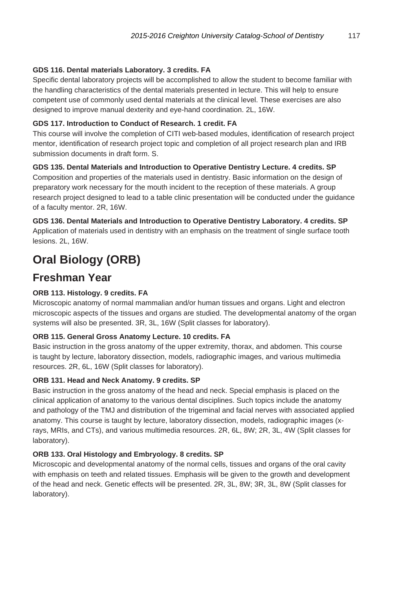#### **GDS 116. Dental materials Laboratory. 3 credits. FA**

Specific dental laboratory projects will be accomplished to allow the student to become familiar with the handling characteristics of the dental materials presented in lecture. This will help to ensure competent use of commonly used dental materials at the clinical level. These exercises are also designed to improve manual dexterity and eye-hand coordination. 2L, 16W.

#### **GDS 117. Introduction to Conduct of Research. 1 credit. FA**

This course will involve the completion of CITI web-based modules, identification of research project mentor, identification of research project topic and completion of all project research plan and IRB submission documents in draft form. S.

#### **GDS 135. Dental Materials and Introduction to Operative Dentistry Lecture. 4 credits. SP**

Composition and properties of the materials used in dentistry. Basic information on the design of preparatory work necessary for the mouth incident to the reception of these materials. A group research project designed to lead to a table clinic presentation will be conducted under the guidance of a faculty mentor. 2R, 16W.

**GDS 136. Dental Materials and Introduction to Operative Dentistry Laboratory. 4 credits. SP** Application of materials used in dentistry with an emphasis on the treatment of single surface tooth lesions. 2L, 16W.

### **Oral Biology (ORB)**

### **Freshman Year**

#### **ORB 113. Histology. 9 credits. FA**

Microscopic anatomy of normal mammalian and/or human tissues and organs. Light and electron microscopic aspects of the tissues and organs are studied. The developmental anatomy of the organ systems will also be presented. 3R, 3L, 16W (Split classes for laboratory).

#### **ORB 115. General Gross Anatomy Lecture. 10 credits. FA**

Basic instruction in the gross anatomy of the upper extremity, thorax, and abdomen. This course is taught by lecture, laboratory dissection, models, radiographic images, and various multimedia resources. 2R, 6L, 16W (Split classes for laboratory).

#### **ORB 131. Head and Neck Anatomy. 9 credits. SP**

Basic instruction in the gross anatomy of the head and neck. Special emphasis is placed on the clinical application of anatomy to the various dental disciplines. Such topics include the anatomy and pathology of the TMJ and distribution of the trigeminal and facial nerves with associated applied anatomy. This course is taught by lecture, laboratory dissection, models, radiographic images (xrays, MRIs, and CTs), and various multimedia resources. 2R, 6L, 8W; 2R, 3L, 4W (Split classes for laboratory).

#### **ORB 133. Oral Histology and Embryology. 8 credits. SP**

Microscopic and developmental anatomy of the normal cells, tissues and organs of the oral cavity with emphasis on teeth and related tissues. Emphasis will be given to the growth and development of the head and neck. Genetic effects will be presented. 2R, 3L, 8W; 3R, 3L, 8W (Split classes for laboratory).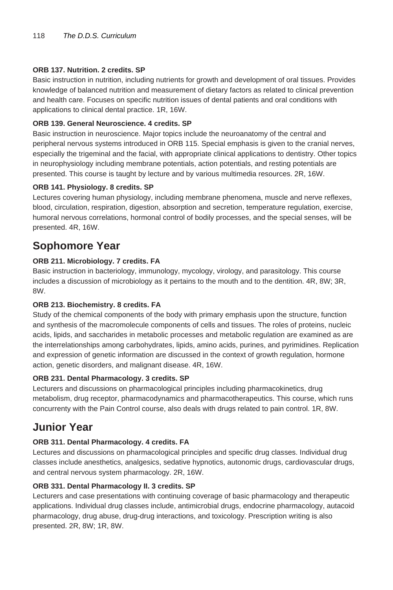#### **ORB 137. Nutrition. 2 credits. SP**

Basic instruction in nutrition, including nutrients for growth and development of oral tissues. Provides knowledge of balanced nutrition and measurement of dietary factors as related to clinical prevention and health care. Focuses on specific nutrition issues of dental patients and oral conditions with applications to clinical dental practice. 1R, 16W.

#### **ORB 139. General Neuroscience. 4 credits. SP**

Basic instruction in neuroscience. Major topics include the neuroanatomy of the central and peripheral nervous systems introduced in ORB 115. Special emphasis is given to the cranial nerves, especially the trigeminal and the facial, with appropriate clinical applications to dentistry. Other topics in neurophysiology including membrane potentials, action potentials, and resting potentials are presented. This course is taught by lecture and by various multimedia resources. 2R, 16W.

#### **ORB 141. Physiology. 8 credits. SP**

Lectures covering human physiology, including membrane phenomena, muscle and nerve reflexes, blood, circulation, respiration, digestion, absorption and secretion, temperature regulation, exercise, humoral nervous correlations, hormonal control of bodily processes, and the special senses, will be presented. 4R, 16W.

### **Sophomore Year**

#### **ORB 211. Microbiology. 7 credits. FA**

Basic instruction in bacteriology, immunology, mycology, virology, and parasitology. This course includes a discussion of microbiology as it pertains to the mouth and to the dentition. 4R, 8W; 3R, 8W.

#### **ORB 213. Biochemistry. 8 credits. FA**

Study of the chemical components of the body with primary emphasis upon the structure, function and synthesis of the macromolecule components of cells and tissues. The roles of proteins, nucleic acids, lipids, and saccharides in metabolic processes and metabolic regulation are examined as are the interrelationships among carbohydrates, lipids, amino acids, purines, and pyrimidines. Replication and expression of genetic information are discussed in the context of growth regulation, hormone action, genetic disorders, and malignant disease. 4R, 16W.

#### **ORB 231. Dental Pharmacology. 3 credits. SP**

Lecturers and discussions on pharmacological principles including pharmacokinetics, drug metabolism, drug receptor, pharmacodynamics and pharmacotherapeutics. This course, which runs concurrenty with the Pain Control course, also deals with drugs related to pain control. 1R, 8W.

### **Junior Year**

#### **ORB 311. Dental Pharmacology. 4 credits. FA**

Lectures and discussions on pharmacological principles and specific drug classes. Individual drug classes include anesthetics, analgesics, sedative hypnotics, autonomic drugs, cardiovascular drugs, and central nervous system pharmacology. 2R, 16W.

#### **ORB 331. Dental Pharmacology II. 3 credits. SP**

Lecturers and case presentations with continuing coverage of basic pharmacology and therapeutic applications. Individual drug classes include, antimicrobial drugs, endocrine pharmacology, autacoid pharmacology, drug abuse, drug-drug interactions, and toxicology. Prescription writing is also presented. 2R, 8W; 1R, 8W.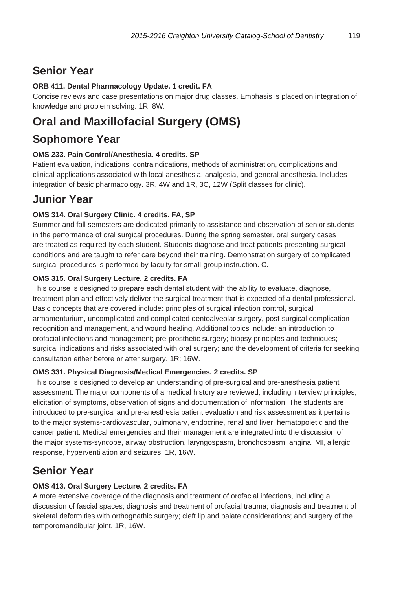### **Senior Year**

#### **ORB 411. Dental Pharmacology Update. 1 credit. FA**

Concise reviews and case presentations on major drug classes. Emphasis is placed on integration of knowledge and problem solving. 1R, 8W.

### **Oral and Maxillofacial Surgery (OMS)**

### **Sophomore Year**

#### **OMS 233. Pain Control/Anesthesia. 4 credits. SP**

Patient evaluation, indications, contraindications, methods of administration, complications and clinical applications associated with local anesthesia, analgesia, and general anesthesia. Includes integration of basic pharmacology. 3R, 4W and 1R, 3C, 12W (Split classes for clinic).

### **Junior Year**

#### **OMS 314. Oral Surgery Clinic. 4 credits. FA, SP**

Summer and fall semesters are dedicated primarily to assistance and observation of senior students in the performance of oral surgical procedures. During the spring semester, oral surgery cases are treated as required by each student. Students diagnose and treat patients presenting surgical conditions and are taught to refer care beyond their training. Demonstration surgery of complicated surgical procedures is performed by faculty for small-group instruction. C.

#### **OMS 315. Oral Surgery Lecture. 2 credits. FA**

This course is designed to prepare each dental student with the ability to evaluate, diagnose, treatment plan and effectively deliver the surgical treatment that is expected of a dental professional. Basic concepts that are covered include: principles of surgical infection control, surgical armamenturium, uncomplicated and complicated dentoalveolar surgery, post-surgical complication recognition and management, and wound healing. Additional topics include: an introduction to orofacial infections and management; pre-prosthetic surgery; biopsy principles and techniques; surgical indications and risks associated with oral surgery; and the development of criteria for seeking consultation either before or after surgery. 1R; 16W.

#### **OMS 331. Physical Diagnosis/Medical Emergencies. 2 credits. SP**

This course is designed to develop an understanding of pre-surgical and pre-anesthesia patient assessment. The major components of a medical history are reviewed, including interview principles, elicitation of symptoms, observation of signs and documentation of information. The students are introduced to pre-surgical and pre-anesthesia patient evaluation and risk assessment as it pertains to the major systems-cardiovascular, pulmonary, endocrine, renal and liver, hematopoietic and the cancer patient. Medical emergencies and their management are integrated into the discussion of the major systems-syncope, airway obstruction, laryngospasm, bronchospasm, angina, MI, allergic response, hyperventilation and seizures. 1R, 16W.

### **Senior Year**

### **OMS 413. Oral Surgery Lecture. 2 credits. FA**

A more extensive coverage of the diagnosis and treatment of orofacial infections, including a discussion of fascial spaces; diagnosis and treatment of orofacial trauma; diagnosis and treatment of skeletal deformities with orthognathic surgery; cleft lip and palate considerations; and surgery of the temporomandibular joint. 1R, 16W.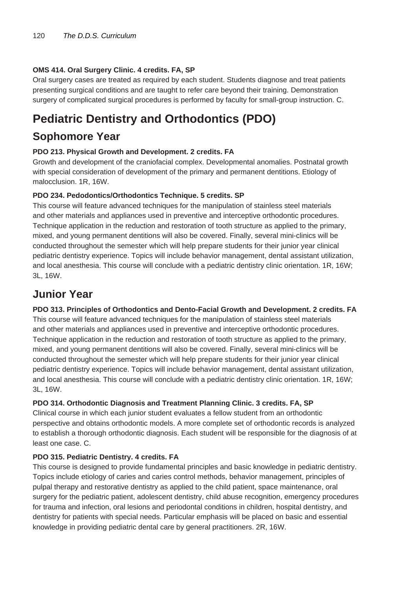#### **OMS 414. Oral Surgery Clinic. 4 credits. FA, SP**

Oral surgery cases are treated as required by each student. Students diagnose and treat patients presenting surgical conditions and are taught to refer care beyond their training. Demonstration surgery of complicated surgical procedures is performed by faculty for small-group instruction. C.

### **Pediatric Dentistry and Orthodontics (PDO)**

### **Sophomore Year**

#### **PDO 213. Physical Growth and Development. 2 credits. FA**

Growth and development of the craniofacial complex. Developmental anomalies. Postnatal growth with special consideration of development of the primary and permanent dentitions. Etiology of malocclusion. 1R, 16W.

#### **PDO 234. Pedodontics/Orthodontics Technique. 5 credits. SP**

This course will feature advanced techniques for the manipulation of stainless steel materials and other materials and appliances used in preventive and interceptive orthodontic procedures. Technique application in the reduction and restoration of tooth structure as applied to the primary, mixed, and young permanent dentitions will also be covered. Finally, several mini-clinics will be conducted throughout the semester which will help prepare students for their junior year clinical pediatric dentistry experience. Topics will include behavior management, dental assistant utilization, and local anesthesia. This course will conclude with a pediatric dentistry clinic orientation. 1R, 16W; 3L, 16W.

### **Junior Year**

#### **PDO 313. Principles of Orthodontics and Dento-Facial Growth and Development. 2 credits. FA**

This course will feature advanced techniques for the manipulation of stainless steel materials and other materials and appliances used in preventive and interceptive orthodontic procedures. Technique application in the reduction and restoration of tooth structure as applied to the primary, mixed, and young permanent dentitions will also be covered. Finally, several mini-clinics will be conducted throughout the semester which will help prepare students for their junior year clinical pediatric dentistry experience. Topics will include behavior management, dental assistant utilization, and local anesthesia. This course will conclude with a pediatric dentistry clinic orientation. 1R, 16W; 3L, 16W.

#### **PDO 314. Orthodontic Diagnosis and Treatment Planning Clinic. 3 credits. FA, SP**

Clinical course in which each junior student evaluates a fellow student from an orthodontic perspective and obtains orthodontic models. A more complete set of orthodontic records is analyzed to establish a thorough orthodontic diagnosis. Each student will be responsible for the diagnosis of at least one case. C.

#### **PDO 315. Pediatric Dentistry. 4 credits. FA**

This course is designed to provide fundamental principles and basic knowledge in pediatric dentistry. Topics include etiology of caries and caries control methods, behavior management, principles of pulpal therapy and restorative dentistry as applied to the child patient, space maintenance, oral surgery for the pediatric patient, adolescent dentistry, child abuse recognition, emergency procedures for trauma and infection, oral lesions and periodontal conditions in children, hospital dentistry, and dentistry for patients with special needs. Particular emphasis will be placed on basic and essential knowledge in providing pediatric dental care by general practitioners. 2R, 16W.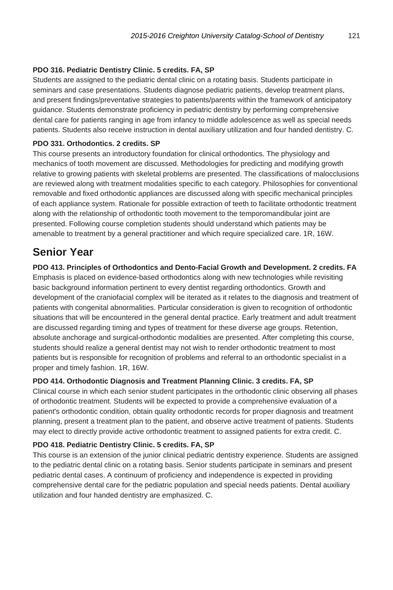#### **PDO 316. Pediatric Dentistry Clinic. 5 credits. FA, SP**

Students are assigned to the pediatric dental clinic on a rotating basis. Students participate in seminars and case presentations. Students diagnose pediatric patients, develop treatment plans, and present findings/preventative strategies to patients/parents within the framework of anticipatory guidance. Students demonstrate proficiency in pediatric dentistry by performing comprehensive dental care for patients ranging in age from infancy to middle adolescence as well as special needs patients. Students also receive instruction in dental auxiliary utilization and four handed dentistry. C.

#### **PDO 331. Orthodontics. 2 credits. SP**

This course presents an introductory foundation for clinical orthodontics. The physiology and mechanics of tooth movement are discussed. Methodologies for predicting and modifying growth relative to growing patients with skeletal problems are presented. The classifications of malocclusions are reviewed along with treatment modalities specific to each category. Philosophies for conventional removable and fixed orthodontic appliances are discussed along with specific mechanical principles of each appliance system. Rationale for possible extraction of teeth to facilitate orthodontic treatment along with the relationship of orthodontic tooth movement to the temporomandibular joint are presented. Following course completion students should understand which patients may be amenable to treatment by a general practitioner and which require specialized care. 1R, 16W.

### **Senior Year**

**PDO 413. Principles of Orthodontics and Dento-Facial Growth and Development. 2 credits. FA**

Emphasis is placed on evidence-based orthodontics along with new technologies while revisiting basic background information pertinent to every dentist regarding orthodontics. Growth and development of the craniofacial complex will be iterated as it relates to the diagnosis and treatment of patients with congenital abnormalities. Particular consideration is given to recognition of orthodontic situations that will be encountered in the general dental practice. Early treatment and adult treatment are discussed regarding timing and types of treatment for these diverse age groups. Retention, absolute anchorage and surgical-orthodontic modalities are presented. After completing this course, students should realize a general dentist may not wish to render orthodontic treatment to most patients but is responsible for recognition of problems and referral to an orthodontic specialist in a proper and timely fashion. 1R, 16W.

#### **PDO 414. Orthodontic Diagnosis and Treatment Planning Clinic. 3 credits. FA, SP**

Clinical course in which each senior student participates in the orthodontic clinic observing all phases of orthodontic treatment. Students will be expected to provide a comprehensive evaluation of a patient's orthodontic condition, obtain quality orthodontic records for proper diagnosis and treatment planning, present a treatment plan to the patient, and observe active treatment of patients. Students may elect to directly provide active orthodontic treatment to assigned patients for extra credit. C.

#### **PDO 418. Pediatric Dentistry Clinic. 5 credits. FA, SP**

This course is an extension of the junior clinical pediatric dentistry experience. Students are assigned to the pediatric dental clinic on a rotating basis. Senior students participate in seminars and present pediatric dental cases. A continuum of proficiency and independence is expected in providing comprehensive dental care for the pediatric population and special needs patients. Dental auxiliary utilization and four handed dentistry are emphasized. C.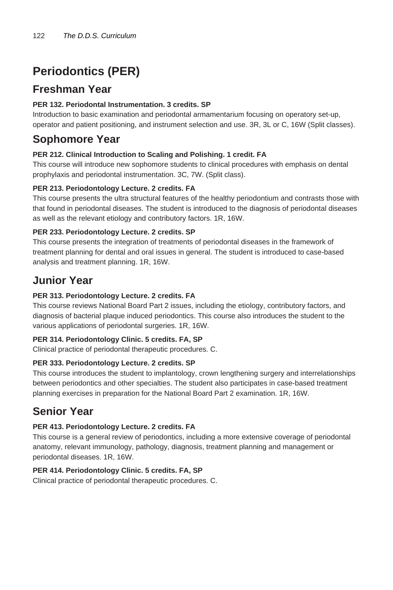## **Periodontics (PER)**

### **Freshman Year**

#### **PER 132. Periodontal Instrumentation. 3 credits. SP**

Introduction to basic examination and periodontal armamentarium focusing on operatory set-up, operator and patient positioning, and instrument selection and use. 3R, 3L or C, 16W (Split classes).

### **Sophomore Year**

#### **PER 212. Clinical Introduction to Scaling and Polishing. 1 credit. FA**

This course will introduce new sophomore students to clinical procedures with emphasis on dental prophylaxis and periodontal instrumentation. 3C, 7W. (Split class).

#### **PER 213. Periodontology Lecture. 2 credits. FA**

This course presents the ultra structural features of the healthy periodontium and contrasts those with that found in periodontal diseases. The student is introduced to the diagnosis of periodontal diseases as well as the relevant etiology and contributory factors. 1R, 16W.

#### **PER 233. Periodontology Lecture. 2 credits. SP**

This course presents the integration of treatments of periodontal diseases in the framework of treatment planning for dental and oral issues in general. The student is introduced to case-based analysis and treatment planning. 1R, 16W.

### **Junior Year**

#### **PER 313. Periodontology Lecture. 2 credits. FA**

This course reviews National Board Part 2 issues, including the etiology, contributory factors, and diagnosis of bacterial plaque induced periodontics. This course also introduces the student to the various applications of periodontal surgeries. 1R, 16W.

#### **PER 314. Periodontology Clinic. 5 credits. FA, SP**

Clinical practice of periodontal therapeutic procedures. C.

#### **PER 333. Periodontology Lecture. 2 credits. SP**

This course introduces the student to implantology, crown lengthening surgery and interrelationships between periodontics and other specialties. The student also participates in case-based treatment planning exercises in preparation for the National Board Part 2 examination. 1R, 16W.

### **Senior Year**

#### **PER 413. Periodontology Lecture. 2 credits. FA**

This course is a general review of periodontics, including a more extensive coverage of periodontal anatomy, relevant immunology, pathology, diagnosis, treatment planning and management or periodontal diseases. 1R, 16W.

#### **PER 414. Periodontology Clinic. 5 credits. FA, SP**

Clinical practice of periodontal therapeutic procedures. C.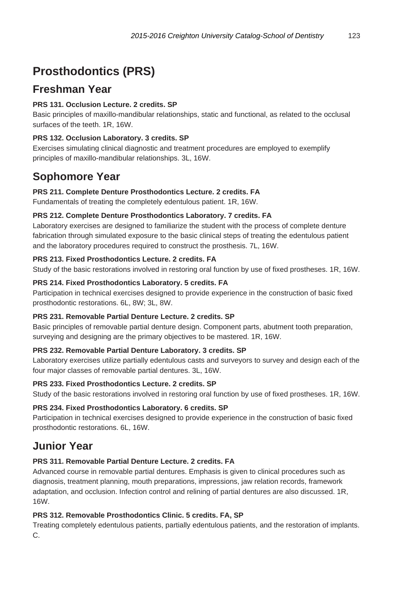## **Prosthodontics (PRS)**

### **Freshman Year**

#### **PRS 131. Occlusion Lecture. 2 credits. SP**

Basic principles of maxillo-mandibular relationships, static and functional, as related to the occlusal surfaces of the teeth. 1R, 16W.

#### **PRS 132. Occlusion Laboratory. 3 credits. SP**

Exercises simulating clinical diagnostic and treatment procedures are employed to exemplify principles of maxillo-mandibular relationships. 3L, 16W.

### **Sophomore Year**

#### **PRS 211. Complete Denture Prosthodontics Lecture. 2 credits. FA**

Fundamentals of treating the completely edentulous patient. 1R, 16W.

#### **PRS 212. Complete Denture Prosthodontics Laboratory. 7 credits. FA**

Laboratory exercises are designed to familiarize the student with the process of complete denture fabrication through simulated exposure to the basic clinical steps of treating the edentulous patient and the laboratory procedures required to construct the prosthesis. 7L, 16W.

#### **PRS 213. Fixed Prosthodontics Lecture. 2 credits. FA**

Study of the basic restorations involved in restoring oral function by use of fixed prostheses. 1R, 16W.

#### **PRS 214. Fixed Prosthodontics Laboratory. 5 credits. FA**

Participation in technical exercises designed to provide experience in the construction of basic fixed prosthodontic restorations. 6L, 8W; 3L, 8W.

#### **PRS 231. Removable Partial Denture Lecture. 2 credits. SP**

Basic principles of removable partial denture design. Component parts, abutment tooth preparation, surveying and designing are the primary objectives to be mastered. 1R, 16W.

#### **PRS 232. Removable Partial Denture Laboratory. 3 credits. SP**

Laboratory exercises utilize partially edentulous casts and surveyors to survey and design each of the four major classes of removable partial dentures. 3L, 16W.

#### **PRS 233. Fixed Prosthodontics Lecture. 2 credits. SP**

Study of the basic restorations involved in restoring oral function by use of fixed prostheses. 1R, 16W.

#### **PRS 234. Fixed Prosthodontics Laboratory. 6 credits. SP**

Participation in technical exercises designed to provide experience in the construction of basic fixed prosthodontic restorations. 6L, 16W.

### **Junior Year**

#### **PRS 311. Removable Partial Denture Lecture. 2 credits. FA**

Advanced course in removable partial dentures. Emphasis is given to clinical procedures such as diagnosis, treatment planning, mouth preparations, impressions, jaw relation records, framework adaptation, and occlusion. Infection control and relining of partial dentures are also discussed. 1R, 16W.

#### **PRS 312. Removable Prosthodontics Clinic. 5 credits. FA, SP**

Treating completely edentulous patients, partially edentulous patients, and the restoration of implants. C.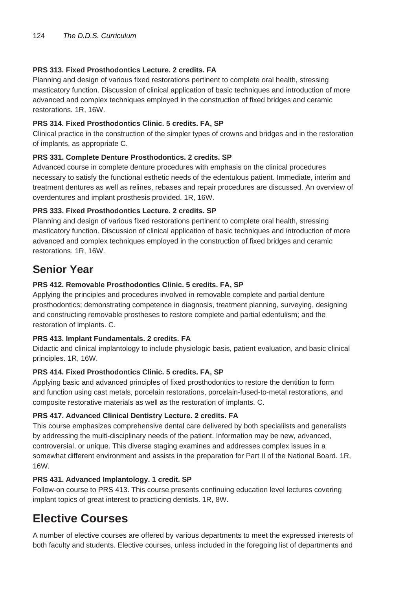#### **PRS 313. Fixed Prosthodontics Lecture. 2 credits. FA**

Planning and design of various fixed restorations pertinent to complete oral health, stressing masticatory function. Discussion of clinical application of basic techniques and introduction of more advanced and complex techniques employed in the construction of fixed bridges and ceramic restorations. 1R, 16W.

#### **PRS 314. Fixed Prosthodontics Clinic. 5 credits. FA, SP**

Clinical practice in the construction of the simpler types of crowns and bridges and in the restoration of implants, as appropriate C.

#### **PRS 331. Complete Denture Prosthodontics. 2 credits. SP**

Advanced course in complete denture procedures with emphasis on the clinical procedures necessary to satisfy the functional esthetic needs of the edentulous patient. Immediate, interim and treatment dentures as well as relines, rebases and repair procedures are discussed. An overview of overdentures and implant prosthesis provided. 1R, 16W.

#### **PRS 333. Fixed Prosthodontics Lecture. 2 credits. SP**

Planning and design of various fixed restorations pertinent to complete oral health, stressing masticatory function. Discussion of clinical application of basic techniques and introduction of more advanced and complex techniques employed in the construction of fixed bridges and ceramic restorations. 1R, 16W.

### **Senior Year**

#### **PRS 412. Removable Prosthodontics Clinic. 5 credits. FA, SP**

Applying the principles and procedures involved in removable complete and partial denture prosthodontics; demonstrating competence in diagnosis, treatment planning, surveying, designing and constructing removable prostheses to restore complete and partial edentulism; and the restoration of implants. C.

#### **PRS 413. Implant Fundamentals. 2 credits. FA**

Didactic and clinical implantology to include physiologic basis, patient evaluation, and basic clinical principles. 1R, 16W.

#### **PRS 414. Fixed Prosthodontics Clinic. 5 credits. FA, SP**

Applying basic and advanced principles of fixed prosthodontics to restore the dentition to form and function using cast metals, porcelain restorations, porcelain-fused-to-metal restorations, and composite restorative materials as well as the restoration of implants. C.

#### **PRS 417. Advanced Clinical Dentistry Lecture. 2 credits. FA**

This course emphasizes comprehensive dental care delivered by both specialilsts and generalists by addressing the multi-disciplinary needs of the patient. Information may be new, advanced, controversial, or unique. This diverse staging examines and addresses complex issues in a somewhat different environment and assists in the preparation for Part II of the National Board. 1R, 16W.

#### **PRS 431. Advanced Implantology. 1 credit. SP**

Follow-on course to PRS 413. This course presents continuing education level lectures covering implant topics of great interest to practicing dentists. 1R, 8W.

### **Elective Courses**

A number of elective courses are offered by various departments to meet the expressed interests of both faculty and students. Elective courses, unless included in the foregoing list of departments and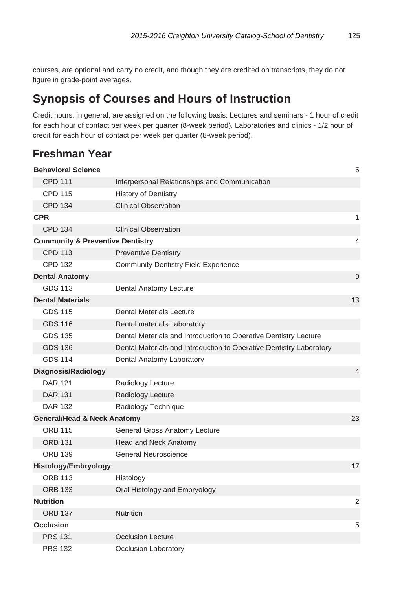courses, are optional and carry no credit, and though they are credited on transcripts, they do not figure in grade-point averages.

### **Synopsis of Courses and Hours of Instruction**

Credit hours, in general, are assigned on the following basis: Lectures and seminars - 1 hour of credit for each hour of contact per week per quarter (8-week period). Laboratories and clinics - 1/2 hour of credit for each hour of contact per week per quarter (8-week period).

### **Freshman Year**

| <b>Behavioral Science</b>                   |                                                                     | 5              |
|---------------------------------------------|---------------------------------------------------------------------|----------------|
| <b>CPD 111</b>                              | Interpersonal Relationships and Communication                       |                |
| <b>CPD 115</b>                              | <b>History of Dentistry</b>                                         |                |
| <b>CPD 134</b>                              | <b>Clinical Observation</b>                                         |                |
| <b>CPR</b>                                  |                                                                     | 1              |
| <b>CPD 134</b>                              | <b>Clinical Observation</b>                                         |                |
| <b>Community &amp; Preventive Dentistry</b> |                                                                     | 4              |
| <b>CPD 113</b>                              | <b>Preventive Dentistry</b>                                         |                |
| <b>CPD 132</b>                              | <b>Community Dentistry Field Experience</b>                         |                |
| <b>Dental Anatomy</b>                       |                                                                     | 9              |
| <b>GDS 113</b>                              | Dental Anatomy Lecture                                              |                |
| <b>Dental Materials</b>                     |                                                                     | 13             |
| <b>GDS 115</b>                              | Dental Materials Lecture                                            |                |
| <b>GDS 116</b>                              | Dental materials Laboratory                                         |                |
| <b>GDS 135</b>                              | Dental Materials and Introduction to Operative Dentistry Lecture    |                |
| <b>GDS 136</b>                              | Dental Materials and Introduction to Operative Dentistry Laboratory |                |
| <b>GDS 114</b>                              | Dental Anatomy Laboratory                                           |                |
| Diagnosis/Radiology                         |                                                                     | $\overline{4}$ |
| <b>DAR 121</b>                              | Radiology Lecture                                                   |                |
| <b>DAR 131</b>                              | Radiology Lecture                                                   |                |
| <b>DAR 132</b>                              | Radiology Technique                                                 |                |
| <b>General/Head &amp; Neck Anatomy</b>      |                                                                     | 23             |
| <b>ORB 115</b>                              | General Gross Anatomy Lecture                                       |                |
| <b>ORB 131</b>                              | Head and Neck Anatomy                                               |                |
| <b>ORB 139</b>                              | <b>General Neuroscience</b>                                         |                |
| Histology/Embryology                        |                                                                     | 17             |
| <b>ORB 113</b>                              | Histology                                                           |                |
| <b>ORB 133</b>                              | Oral Histology and Embryology                                       |                |
| <b>Nutrition</b>                            |                                                                     | 2              |
| <b>ORB 137</b>                              | <b>Nutrition</b>                                                    |                |
| <b>Occlusion</b>                            |                                                                     | 5              |
| <b>PRS 131</b>                              | <b>Occlusion Lecture</b>                                            |                |
| <b>PRS 132</b>                              | Occlusion Laboratory                                                |                |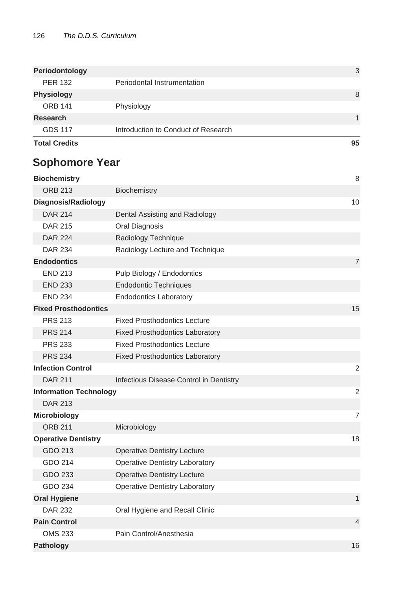| <b>Total Credits</b> |                                     | 95 |
|----------------------|-------------------------------------|----|
| <b>GDS 117</b>       | Introduction to Conduct of Research |    |
| Research             |                                     |    |
| <b>ORB 141</b>       | Physiology                          |    |
| <b>Physiology</b>    |                                     | 8  |
| <b>PER 132</b>       | Periodontal Instrumentation         |    |
| Periodontology       |                                     | 3  |
|                      |                                     |    |

### **Sophomore Year**

| <b>Biochemistry</b>           |                                         | 8              |
|-------------------------------|-----------------------------------------|----------------|
| <b>ORB 213</b>                | Biochemistry                            |                |
| Diagnosis/Radiology           |                                         | 10             |
| <b>DAR 214</b>                | Dental Assisting and Radiology          |                |
| <b>DAR 215</b>                | Oral Diagnosis                          |                |
| <b>DAR 224</b>                | Radiology Technique                     |                |
| <b>DAR 234</b>                | Radiology Lecture and Technique         |                |
| <b>Endodontics</b>            |                                         | $\overline{7}$ |
| <b>END 213</b>                | Pulp Biology / Endodontics              |                |
| <b>END 233</b>                | <b>Endodontic Techniques</b>            |                |
| <b>END 234</b>                | <b>Endodontics Laboratory</b>           |                |
| <b>Fixed Prosthodontics</b>   |                                         | 15             |
| <b>PRS 213</b>                | <b>Fixed Prosthodontics Lecture</b>     |                |
| <b>PRS 214</b>                | <b>Fixed Prosthodontics Laboratory</b>  |                |
| <b>PRS 233</b>                | <b>Fixed Prosthodontics Lecture</b>     |                |
| <b>PRS 234</b>                | <b>Fixed Prosthodontics Laboratory</b>  |                |
| <b>Infection Control</b>      |                                         | 2              |
| <b>DAR 211</b>                | Infectious Disease Control in Dentistry |                |
| <b>Information Technology</b> |                                         | $\overline{2}$ |
| <b>DAR 213</b>                |                                         |                |
| Microbiology                  |                                         | $\overline{7}$ |
| <b>ORB 211</b>                | Microbiology                            |                |
| <b>Operative Dentistry</b>    |                                         | 18             |
| GDO 213                       | <b>Operative Dentistry Lecture</b>      |                |
| GDO 214                       | <b>Operative Dentistry Laboratory</b>   |                |
| GDO 233                       | <b>Operative Dentistry Lecture</b>      |                |
| GDO 234                       | <b>Operative Dentistry Laboratory</b>   |                |
| <b>Oral Hygiene</b>           |                                         | 1              |
| <b>DAR 232</b>                | Oral Hygiene and Recall Clinic          |                |
| <b>Pain Control</b>           |                                         | $\overline{4}$ |
| <b>OMS 233</b>                | Pain Control/Anesthesia                 |                |
| Pathology                     |                                         | 16             |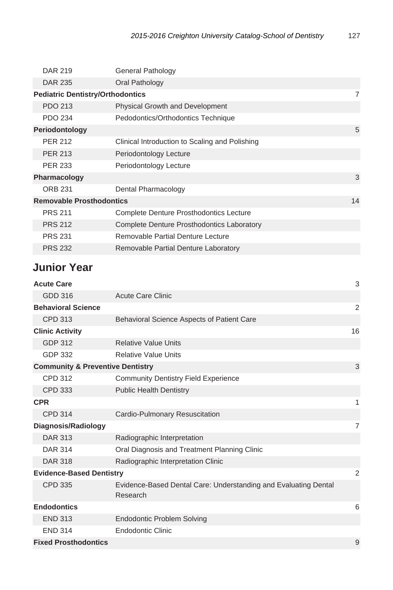| <b>DAR 219</b>                          | <b>General Pathology</b>                       |    |
|-----------------------------------------|------------------------------------------------|----|
| <b>DAR 235</b>                          | Oral Pathology                                 |    |
| <b>Pediatric Dentistry/Orthodontics</b> |                                                | 7  |
| PDO 213                                 | <b>Physical Growth and Development</b>         |    |
| <b>PDO 234</b>                          | Pedodontics/Orthodontics Technique             |    |
| Periodontology                          |                                                | 5  |
| <b>PER 212</b>                          | Clinical Introduction to Scaling and Polishing |    |
| <b>PER 213</b>                          | Periodontology Lecture                         |    |
| <b>PER 233</b>                          | Periodontology Lecture                         |    |
| Pharmacology                            |                                                | 3  |
| <b>ORB 231</b>                          | Dental Pharmacology                            |    |
| <b>Removable Prosthodontics</b>         |                                                | 14 |
| <b>PRS 211</b>                          | <b>Complete Denture Prosthodontics Lecture</b> |    |
| <b>PRS 212</b>                          | Complete Denture Prosthodontics Laboratory     |    |
| <b>PRS 231</b>                          | Removable Partial Denture Lecture              |    |
| <b>PRS 232</b>                          | Removable Partial Denture Laboratory           |    |

### **Junior Year**

| <b>Acute Care</b>                           |                                                                             | 3  |
|---------------------------------------------|-----------------------------------------------------------------------------|----|
| GDD 316                                     | <b>Acute Care Clinic</b>                                                    |    |
| <b>Behavioral Science</b>                   |                                                                             | 2  |
| <b>CPD 313</b>                              | Behavioral Science Aspects of Patient Care                                  |    |
| <b>Clinic Activity</b>                      |                                                                             | 16 |
| <b>GDP 312</b>                              | <b>Relative Value Units</b>                                                 |    |
| <b>GDP 332</b>                              | Relative Value Units                                                        |    |
| <b>Community &amp; Preventive Dentistry</b> |                                                                             | 3  |
| <b>CPD 312</b>                              | <b>Community Dentistry Field Experience</b>                                 |    |
| <b>CPD 333</b>                              | <b>Public Health Dentistry</b>                                              |    |
| <b>CPR</b>                                  |                                                                             | 1  |
| <b>CPD 314</b>                              | Cardio-Pulmonary Resuscitation                                              |    |
| Diagnosis/Radiology                         |                                                                             | 7  |
| <b>DAR 313</b>                              | Radiographic Interpretation                                                 |    |
| <b>DAR 314</b>                              | Oral Diagnosis and Treatment Planning Clinic                                |    |
| <b>DAR 318</b>                              | Radiographic Interpretation Clinic                                          |    |
| <b>Evidence-Based Dentistry</b>             |                                                                             | 2  |
| <b>CPD 335</b>                              | Evidence-Based Dental Care: Understanding and Evaluating Dental<br>Research |    |
| <b>Endodontics</b>                          |                                                                             | 6  |
| <b>END 313</b>                              | <b>Endodontic Problem Solving</b>                                           |    |
| <b>END 314</b>                              | <b>Endodontic Clinic</b>                                                    |    |
| <b>Fixed Prosthodontics</b>                 |                                                                             | 9  |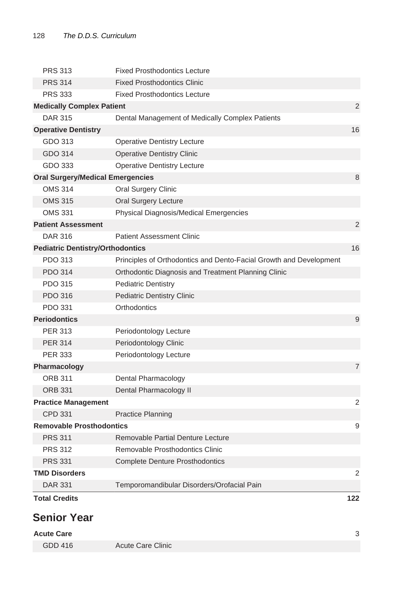| <b>PRS 313</b>                          | <b>Fixed Prosthodontics Lecture</b>                                |     |
|-----------------------------------------|--------------------------------------------------------------------|-----|
| <b>PRS 314</b>                          | <b>Fixed Prosthodontics Clinic</b>                                 |     |
| <b>PRS 333</b>                          | <b>Fixed Prosthodontics Lecture</b>                                |     |
| <b>Medically Complex Patient</b>        |                                                                    | 2   |
| <b>DAR 315</b>                          | Dental Management of Medically Complex Patients                    |     |
| <b>Operative Dentistry</b>              |                                                                    | 16  |
| GDO 313                                 | <b>Operative Dentistry Lecture</b>                                 |     |
| GDO 314                                 | <b>Operative Dentistry Clinic</b>                                  |     |
| GDO 333                                 | <b>Operative Dentistry Lecture</b>                                 |     |
| <b>Oral Surgery/Medical Emergencies</b> |                                                                    | 8   |
| <b>OMS 314</b>                          | <b>Oral Surgery Clinic</b>                                         |     |
| <b>OMS 315</b>                          | Oral Surgery Lecture                                               |     |
| <b>OMS 331</b>                          | Physical Diagnosis/Medical Emergencies                             |     |
| <b>Patient Assessment</b>               |                                                                    | 2   |
| <b>DAR 316</b>                          | <b>Patient Assessment Clinic</b>                                   |     |
| <b>Pediatric Dentistry/Orthodontics</b> |                                                                    | 16  |
| PDO 313                                 | Principles of Orthodontics and Dento-Facial Growth and Development |     |
| <b>PDO 314</b>                          | Orthodontic Diagnosis and Treatment Planning Clinic                |     |
| <b>PDO 315</b>                          | <b>Pediatric Dentistry</b>                                         |     |
| PDO 316                                 | <b>Pediatric Dentistry Clinic</b>                                  |     |
| <b>PDO 331</b>                          | Orthodontics                                                       |     |
| <b>Periodontics</b>                     |                                                                    | 9   |
| <b>PER 313</b>                          | Periodontology Lecture                                             |     |
| <b>PER 314</b>                          | Periodontology Clinic                                              |     |
| <b>PER 333</b>                          | Periodontology Lecture                                             |     |
| Pharmacology                            |                                                                    | 7   |
| <b>ORB 311</b>                          | Dental Pharmacology                                                |     |
| <b>ORB 331</b>                          | Dental Pharmacology II                                             |     |
| <b>Practice Management</b>              |                                                                    | 2   |
| CPD 331                                 | <b>Practice Planning</b>                                           |     |
| <b>Removable Prosthodontics</b>         |                                                                    | 9   |
| <b>PRS 311</b>                          | Removable Partial Denture Lecture                                  |     |
| <b>PRS 312</b>                          | Removable Prosthodontics Clinic                                    |     |
| <b>PRS 331</b>                          | <b>Complete Denture Prosthodontics</b>                             |     |
| <b>TMD Disorders</b>                    |                                                                    | 2   |
| <b>DAR 331</b>                          | Temporomandibular Disorders/Orofacial Pain                         |     |
| <b>Total Credits</b>                    |                                                                    | 122 |
| <b>Senior Year</b>                      |                                                                    |     |
| <b>Acute Care</b>                       |                                                                    | 3   |
|                                         |                                                                    |     |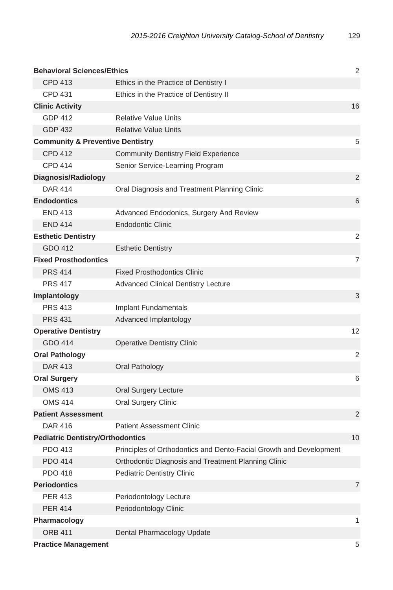| <b>Behavioral Sciences/Ethics</b>           |                                                                    | 2              |
|---------------------------------------------|--------------------------------------------------------------------|----------------|
| <b>CPD 413</b>                              | Ethics in the Practice of Dentistry I                              |                |
| <b>CPD 431</b>                              | Ethics in the Practice of Dentistry II                             |                |
| <b>Clinic Activity</b>                      |                                                                    | 16             |
| <b>GDP 412</b>                              | <b>Relative Value Units</b>                                        |                |
| <b>GDP 432</b>                              | <b>Relative Value Units</b>                                        |                |
| <b>Community &amp; Preventive Dentistry</b> |                                                                    | 5              |
| <b>CPD 412</b>                              | <b>Community Dentistry Field Experience</b>                        |                |
| <b>CPD 414</b>                              | Senior Service-Learning Program                                    |                |
| Diagnosis/Radiology                         |                                                                    | 2              |
| <b>DAR 414</b>                              | Oral Diagnosis and Treatment Planning Clinic                       |                |
| <b>Endodontics</b>                          |                                                                    | 6              |
| <b>END 413</b>                              | Advanced Endodonics, Surgery And Review                            |                |
| <b>END 414</b>                              | <b>Endodontic Clinic</b>                                           |                |
| <b>Esthetic Dentistry</b>                   |                                                                    | 2              |
| GDO 412                                     | <b>Esthetic Dentistry</b>                                          |                |
| <b>Fixed Prosthodontics</b>                 |                                                                    | 7              |
| <b>PRS 414</b>                              | <b>Fixed Prosthodontics Clinic</b>                                 |                |
| <b>PRS 417</b>                              | <b>Advanced Clinical Dentistry Lecture</b>                         |                |
| <b>Implantology</b>                         |                                                                    | 3              |
| <b>PRS 413</b>                              | Implant Fundamentals                                               |                |
| <b>PRS 431</b>                              | Advanced Implantology                                              |                |
| <b>Operative Dentistry</b>                  |                                                                    | 12             |
| GDO 414                                     | <b>Operative Dentistry Clinic</b>                                  |                |
| <b>Oral Pathology</b>                       |                                                                    | 2              |
| <b>DAR 413</b>                              | Oral Pathology                                                     |                |
| <b>Oral Surgery</b>                         |                                                                    | 6              |
| <b>OMS 413</b>                              | <b>Oral Surgery Lecture</b>                                        |                |
| <b>OMS 414</b>                              | <b>Oral Surgery Clinic</b>                                         |                |
| <b>Patient Assessment</b>                   |                                                                    | 2              |
| <b>DAR 416</b>                              | <b>Patient Assessment Clinic</b>                                   |                |
| <b>Pediatric Dentistry/Orthodontics</b>     |                                                                    | 10             |
| PDO 413                                     | Principles of Orthodontics and Dento-Facial Growth and Development |                |
| <b>PDO 414</b>                              | Orthodontic Diagnosis and Treatment Planning Clinic                |                |
| PDO 418                                     | <b>Pediatric Dentistry Clinic</b>                                  |                |
| <b>Periodontics</b>                         |                                                                    | $\overline{7}$ |
| <b>PER 413</b>                              | Periodontology Lecture                                             |                |
| <b>PER 414</b>                              | Periodontology Clinic                                              |                |
| Pharmacology                                |                                                                    | 1              |
| <b>ORB 411</b>                              | Dental Pharmacology Update                                         |                |
| <b>Practice Management</b>                  |                                                                    | 5              |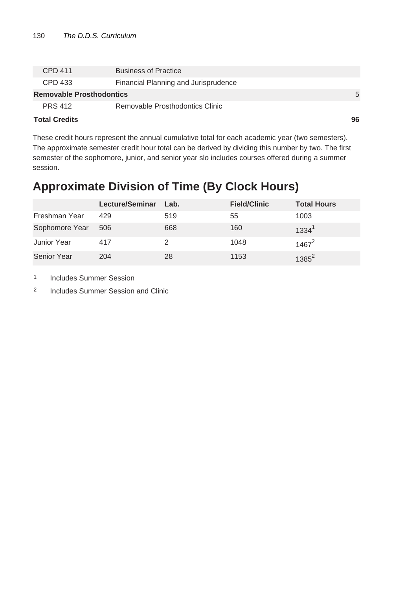| <b>Total Credits</b>            |                                      | 96 |
|---------------------------------|--------------------------------------|----|
| <b>PRS 412</b>                  | Removable Prosthodontics Clinic      |    |
| <b>Removable Prosthodontics</b> |                                      | 5  |
| CPD 433                         | Financial Planning and Jurisprudence |    |
| CPD 411                         | <b>Business of Practice</b>          |    |
|                                 |                                      |    |

These credit hours represent the annual cumulative total for each academic year (two semesters). The approximate semester credit hour total can be derived by dividing this number by two. The first semester of the sophomore, junior, and senior year slo includes courses offered during a summer session.

### **Approximate Division of Time (By Clock Hours)**

|                    | Lecture/Seminar | Lab. | <b>Field/Clinic</b> | <b>Total Hours</b> |
|--------------------|-----------------|------|---------------------|--------------------|
| Freshman Year      | 429             | 519  | 55                  | 1003               |
| Sophomore Year     | 506             | 668  | 160                 | $1334^1$           |
| Junior Year        | 417             |      | 1048                | $1467^2$           |
| <b>Senior Year</b> | 204             | 28   | 1153                | $1385^2$           |

1 Includes Summer Session

2 Includes Summer Session and Clinic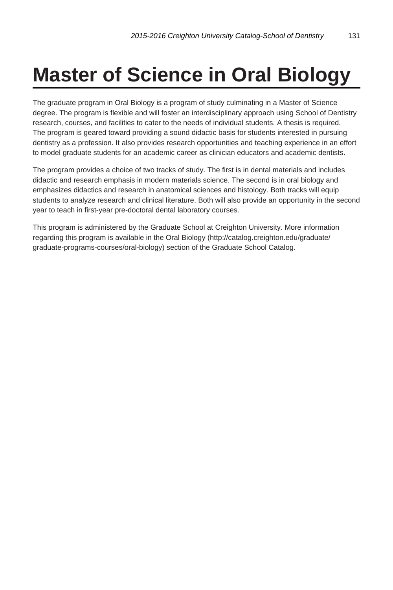## **Master of Science in Oral Biology**

The graduate program in Oral Biology is a program of study culminating in a Master of Science degree. The program is flexible and will foster an interdisciplinary approach using School of Dentistry research, courses, and facilities to cater to the needs of individual students. A thesis is required. The program is geared toward providing a sound didactic basis for students interested in pursuing dentistry as a profession. It also provides research opportunities and teaching experience in an effort to model graduate students for an academic career as clinician educators and academic dentists.

The program provides a choice of two tracks of study. The first is in dental materials and includes didactic and research emphasis in modern materials science. The second is in oral biology and emphasizes didactics and research in anatomical sciences and histology. Both tracks will equip students to analyze research and clinical literature. Both will also provide an opportunity in the second year to teach in first-year pre-doctoral dental laboratory courses.

This program is administered by the Graduate School at Creighton University. More information regarding this program is available in the Oral Biology (http://catalog.creighton.edu/graduate/ graduate-programs-courses/oral-biology) section of the Graduate School Catalog.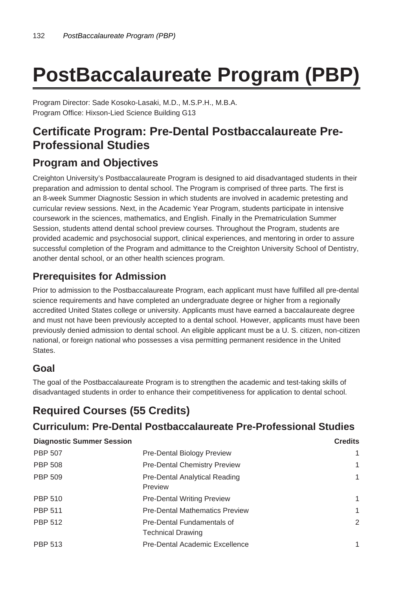# **PostBaccalaureate Program (PBP)**

Program Director: Sade Kosoko-Lasaki, M.D., M.S.P.H., M.B.A. Program Office: Hixson-Lied Science Building G13

### **Certificate Program: Pre-Dental Postbaccalaureate Pre-Professional Studies**

### **Program and Objectives**

Creighton University's Postbaccalaureate Program is designed to aid disadvantaged students in their preparation and admission to dental school. The Program is comprised of three parts. The first is an 8-week Summer Diagnostic Session in which students are involved in academic pretesting and curricular review sessions. Next, in the Academic Year Program, students participate in intensive coursework in the sciences, mathematics, and English. Finally in the Prematriculation Summer Session, students attend dental school preview courses. Throughout the Program, students are provided academic and psychosocial support, clinical experiences, and mentoring in order to assure successful completion of the Program and admittance to the Creighton University School of Dentistry, another dental school, or an other health sciences program.

### **Prerequisites for Admission**

Prior to admission to the Postbaccalaureate Program, each applicant must have fulfilled all pre-dental science requirements and have completed an undergraduate degree or higher from a regionally accredited United States college or university. Applicants must have earned a baccalaureate degree and must not have been previously accepted to a dental school. However, applicants must have been previously denied admission to dental school. An eligible applicant must be a U. S. citizen, non-citizen national, or foreign national who possesses a visa permitting permanent residence in the United States.

### **Goal**

The goal of the Postbaccalaureate Program is to strengthen the academic and test-taking skills of disadvantaged students in order to enhance their competitiveness for application to dental school.

### **Required Courses (55 Credits)**

### **Curriculum: Pre-Dental Postbaccalaureate Pre-Professional Studies**

| Curriculum: Pre-Dental Postbaccalaureate Pre-Professional Studies |                                                        |                |
|-------------------------------------------------------------------|--------------------------------------------------------|----------------|
| <b>Diagnostic Summer Session</b>                                  |                                                        | <b>Credits</b> |
| PBP 507                                                           | Pre-Dental Biology Preview                             |                |
| PBP 508                                                           | <b>Pre-Dental Chemistry Preview</b>                    | 1              |
| PBP 509                                                           | Pre-Dental Analytical Reading<br>Preview               | 1              |
| PBP 510                                                           | <b>Pre-Dental Writing Preview</b>                      | 1              |
| <b>PBP 511</b>                                                    | <b>Pre-Dental Mathematics Preview</b>                  | 1              |
| <b>PBP 512</b>                                                    | Pre-Dental Fundamentals of<br><b>Technical Drawing</b> | 2              |
| PBP 513                                                           | Pre-Dental Academic Excellence                         | 1              |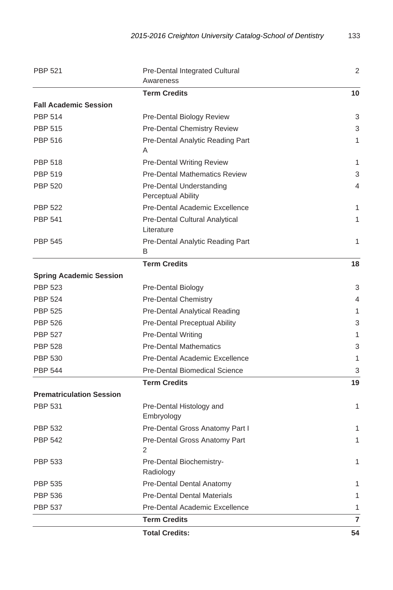| <b>PBP 521</b><br>Pre-Dental Integrated Cultural<br>Awareness |                                                       | 2              |
|---------------------------------------------------------------|-------------------------------------------------------|----------------|
|                                                               | <b>Term Credits</b>                                   | 10             |
| <b>Fall Academic Session</b>                                  |                                                       |                |
| <b>PBP 514</b>                                                | Pre-Dental Biology Review                             | 3              |
| <b>PBP 515</b>                                                | <b>Pre-Dental Chemistry Review</b>                    | 3              |
| <b>PBP 516</b>                                                | Pre-Dental Analytic Reading Part                      | 1              |
|                                                               | A                                                     |                |
| <b>PBP 518</b>                                                | <b>Pre-Dental Writing Review</b>                      | 1              |
| <b>PBP 519</b>                                                | <b>Pre-Dental Mathematics Review</b>                  | 3              |
| <b>PBP 520</b>                                                | Pre-Dental Understanding<br><b>Perceptual Ability</b> | 4              |
| <b>PBP 522</b>                                                | Pre-Dental Academic Excellence                        | 1              |
| <b>PBP 541</b>                                                | Pre-Dental Cultural Analytical<br>Literature          | 1              |
| <b>PBP 545</b>                                                | Pre-Dental Analytic Reading Part<br>B                 | 1              |
|                                                               | <b>Term Credits</b>                                   | 18             |
| <b>Spring Academic Session</b>                                |                                                       |                |
| <b>PBP 523</b>                                                | Pre-Dental Biology                                    | 3              |
| <b>PBP 524</b>                                                | <b>Pre-Dental Chemistry</b>                           | 4              |
| <b>PBP 525</b>                                                | Pre-Dental Analytical Reading                         | 1              |
| <b>PBP 526</b>                                                | Pre-Dental Preceptual Ability                         | 3              |
| <b>PBP 527</b>                                                | <b>Pre-Dental Writing</b>                             | 1              |
| <b>PBP 528</b>                                                | <b>Pre-Dental Mathematics</b>                         | 3              |
| <b>PBP 530</b>                                                | Pre-Dental Academic Excellence                        | 1              |
| <b>PBP 544</b>                                                | <b>Pre-Dental Biomedical Science</b>                  | 3              |
|                                                               | <b>Term Credits</b>                                   | 19             |
| <b>Prematriculation Session</b>                               |                                                       |                |
| <b>PBP 531</b>                                                | Pre-Dental Histology and<br>Embryology                | 1              |
| <b>PBP 532</b>                                                | Pre-Dental Gross Anatomy Part I                       | 1              |
| <b>PBP 542</b>                                                | Pre-Dental Gross Anatomy Part<br>2                    | 1              |
| <b>PBP 533</b>                                                | Pre-Dental Biochemistry-<br>Radiology                 | 1              |
| <b>PBP 535</b>                                                | Pre-Dental Dental Anatomy                             | 1              |
| <b>PBP 536</b>                                                | <b>Pre-Dental Dental Materials</b>                    | 1              |
| <b>PBP 537</b>                                                | Pre-Dental Academic Excellence                        | 1              |
|                                                               | <b>Term Credits</b>                                   | $\overline{7}$ |
|                                                               | <b>Total Credits:</b>                                 | 54             |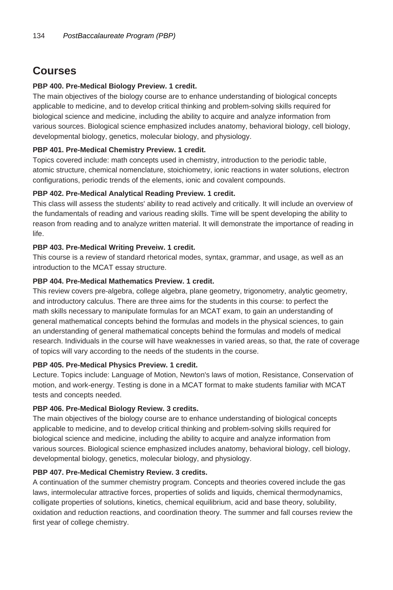### **Courses**

#### **PBP 400. Pre-Medical Biology Preview. 1 credit.**

The main objectives of the biology course are to enhance understanding of biological concepts applicable to medicine, and to develop critical thinking and problem-solving skills required for biological science and medicine, including the ability to acquire and analyze information from various sources. Biological science emphasized includes anatomy, behavioral biology, cell biology, developmental biology, genetics, molecular biology, and physiology.

#### **PBP 401. Pre-Medical Chemistry Preview. 1 credit.**

Topics covered include: math concepts used in chemistry, introduction to the periodic table, atomic structure, chemical nomenclature, stoichiometry, ionic reactions in water solutions, electron configurations, periodic trends of the elements, ionic and covalent compounds.

#### **PBP 402. Pre-Medical Analytical Reading Preview. 1 credit.**

This class will assess the students' ability to read actively and critically. It will include an overview of the fundamentals of reading and various reading skills. Time will be spent developing the ability to reason from reading and to analyze written material. It will demonstrate the importance of reading in life.

#### **PBP 403. Pre-Medical Writing Preveiw. 1 credit.**

This course is a review of standard rhetorical modes, syntax, grammar, and usage, as well as an introduction to the MCAT essay structure.

#### **PBP 404. Pre-Medical Mathematics Preview. 1 credit.**

This review covers pre-algebra, college algebra, plane geometry, trigonometry, analytic geometry, and introductory calculus. There are three aims for the students in this course: to perfect the math skills necessary to manipulate formulas for an MCAT exam, to gain an understanding of general mathematical concepts behind the formulas and models in the physical sciences, to gain an understanding of general mathematical concepts behind the formulas and models of medical research. Individuals in the course will have weaknesses in varied areas, so that, the rate of coverage of topics will vary according to the needs of the students in the course.

#### **PBP 405. Pre-Medical Physics Preview. 1 credit.**

Lecture. Topics include: Language of Motion, Newton's laws of motion, Resistance, Conservation of motion, and work-energy. Testing is done in a MCAT format to make students familiar with MCAT tests and concepts needed.

#### **PBP 406. Pre-Medical Biology Review. 3 credits.**

The main objectives of the biology course are to enhance understanding of biological concepts applicable to medicine, and to develop critical thinking and problem-solving skills required for biological science and medicine, including the ability to acquire and analyze information from various sources. Biological science emphasized includes anatomy, behavioral biology, cell biology, developmental biology, genetics, molecular biology, and physiology.

#### **PBP 407. Pre-Medical Chemistry Review. 3 credits.**

A continuation of the summer chemistry program. Concepts and theories covered include the gas laws, intermolecular attractive forces, properties of solids and liquids, chemical thermodynamics, colligate properties of solutions, kinetics, chemical equilibrium, acid and base theory, solubility, oxidation and reduction reactions, and coordination theory. The summer and fall courses review the first year of college chemistry.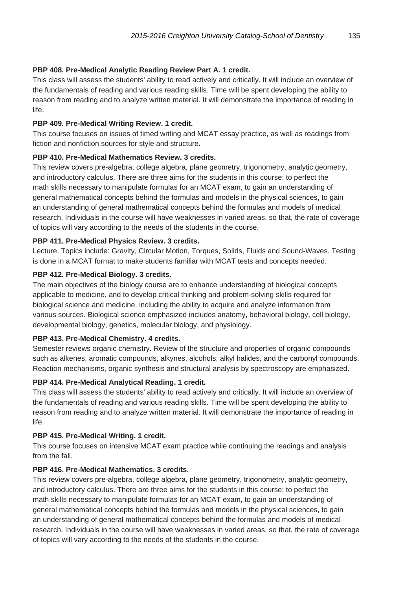#### **PBP 408. Pre-Medical Analytic Reading Review Part A. 1 credit.**

This class will assess the students' ability to read actively and critically. It will include an overview of the fundamentals of reading and various reading skills. Time will be spent developing the ability to reason from reading and to analyze written material. It will demonstrate the importance of reading in life.

#### **PBP 409. Pre-Medical Writing Review. 1 credit.**

This course focuses on issues of timed writing and MCAT essay practice, as well as readings from fiction and nonfiction sources for style and structure.

#### **PBP 410. Pre-Medical Mathematics Review. 3 credits.**

This review covers pre-algebra, college algebra, plane geometry, trigonometry, analytic geometry, and introductory calculus. There are three aims for the students in this course: to perfect the math skills necessary to manipulate formulas for an MCAT exam, to gain an understanding of general mathematical concepts behind the formulas and models in the physical sciences, to gain an understanding of general mathematical concepts behind the formulas and models of medical research. Individuals in the course will have weaknesses in varied areas, so that, the rate of coverage of topics will vary according to the needs of the students in the course.

#### **PBP 411. Pre-Medical Physics Review. 3 credits.**

Lecture. Topics include: Gravity, Circular Motion, Torques, Solids, Fluids and Sound-Waves. Testing is done in a MCAT format to make students familiar with MCAT tests and concepts needed.

#### **PBP 412. Pre-Medical Biology. 3 credits.**

The main objectives of the biology course are to enhance understanding of biological concepts applicable to medicine, and to develop critical thinking and problem-solving skills required for biological science and medicine, including the ability to acquire and analyze information from various sources. Biological science emphasized includes anatomy, behavioral biology, cell biology, developmental biology, genetics, molecular biology, and physiology.

#### **PBP 413. Pre-Medical Chemistry. 4 credits.**

Semester reviews organic chemistry. Review of the structure and properties of organic compounds such as alkenes, aromatic compounds, alkynes, alcohols, alkyl halides, and the carbonyl compounds. Reaction mechanisms, organic synthesis and structural analysis by spectroscopy are emphasized.

#### **PBP 414. Pre-Medical Analytical Reading. 1 credit.**

This class will assess the students' ability to read actively and critically. It will include an overview of the fundamentals of reading and various reading skills. Time will be spent developing the ability to reason from reading and to analyze written material. It will demonstrate the importance of reading in life.

#### **PBP 415. Pre-Medical Writing. 1 credit.**

This course focuses on intensive MCAT exam practice while continuing the readings and analysis from the fall.

#### **PBP 416. Pre-Medical Mathematics. 3 credits.**

This review covers pre-algebra, college algebra, plane geometry, trigonometry, analytic geometry, and introductory calculus. There are three aims for the students in this course: to perfect the math skills necessary to manipulate formulas for an MCAT exam, to gain an understanding of general mathematical concepts behind the formulas and models in the physical sciences, to gain an understanding of general mathematical concepts behind the formulas and models of medical research. Individuals in the course will have weaknesses in varied areas, so that, the rate of coverage of topics will vary according to the needs of the students in the course.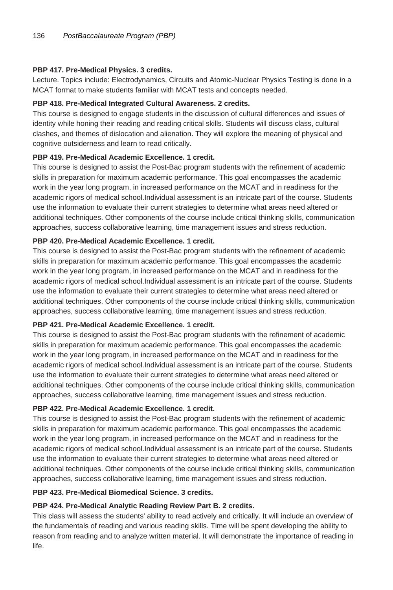#### **PBP 417. Pre-Medical Physics. 3 credits.**

Lecture. Topics include: Electrodynamics, Circuits and Atomic-Nuclear Physics Testing is done in a MCAT format to make students familiar with MCAT tests and concepts needed.

#### **PBP 418. Pre-Medical Integrated Cultural Awareness. 2 credits.**

This course is designed to engage students in the discussion of cultural differences and issues of identity while honing their reading and reading critical skills. Students will discuss class, cultural clashes, and themes of dislocation and alienation. They will explore the meaning of physical and cognitive outsiderness and learn to read critically.

#### **PBP 419. Pre-Medical Academic Excellence. 1 credit.**

This course is designed to assist the Post-Bac program students with the refinement of academic skills in preparation for maximum academic performance. This goal encompasses the academic work in the year long program, in increased performance on the MCAT and in readiness for the academic rigors of medical school.Individual assessment is an intricate part of the course. Students use the information to evaluate their current strategies to determine what areas need altered or additional techniques. Other components of the course include critical thinking skills, communication approaches, success collaborative learning, time management issues and stress reduction.

#### **PBP 420. Pre-Medical Academic Excellence. 1 credit.**

This course is designed to assist the Post-Bac program students with the refinement of academic skills in preparation for maximum academic performance. This goal encompasses the academic work in the year long program, in increased performance on the MCAT and in readiness for the academic rigors of medical school.Individual assessment is an intricate part of the course. Students use the information to evaluate their current strategies to determine what areas need altered or additional techniques. Other components of the course include critical thinking skills, communication approaches, success collaborative learning, time management issues and stress reduction.

#### **PBP 421. Pre-Medical Academic Excellence. 1 credit.**

This course is designed to assist the Post-Bac program students with the refinement of academic skills in preparation for maximum academic performance. This goal encompasses the academic work in the year long program, in increased performance on the MCAT and in readiness for the academic rigors of medical school.Individual assessment is an intricate part of the course. Students use the information to evaluate their current strategies to determine what areas need altered or additional techniques. Other components of the course include critical thinking skills, communication approaches, success collaborative learning, time management issues and stress reduction.

#### **PBP 422. Pre-Medical Academic Excellence. 1 credit.**

This course is designed to assist the Post-Bac program students with the refinement of academic skills in preparation for maximum academic performance. This goal encompasses the academic work in the year long program, in increased performance on the MCAT and in readiness for the academic rigors of medical school.Individual assessment is an intricate part of the course. Students use the information to evaluate their current strategies to determine what areas need altered or additional techniques. Other components of the course include critical thinking skills, communication approaches, success collaborative learning, time management issues and stress reduction.

#### **PBP 423. Pre-Medical Biomedical Science. 3 credits.**

#### **PBP 424. Pre-Medical Analytic Reading Review Part B. 2 credits.**

This class will assess the students' ability to read actively and critically. It will include an overview of the fundamentals of reading and various reading skills. Time will be spent developing the ability to reason from reading and to analyze written material. It will demonstrate the importance of reading in life.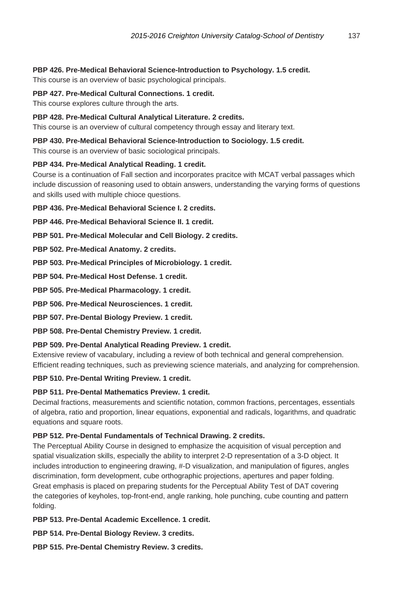**PBP 426. Pre-Medical Behavioral Science-Introduction to Psychology. 1.5 credit.**

This course is an overview of basic psychological principals.

#### **PBP 427. Pre-Medical Cultural Connections. 1 credit.**

This course explores culture through the arts.

#### **PBP 428. Pre-Medical Cultural Analytical Literature. 2 credits.**

This course is an overview of cultural competency through essay and literary text.

#### **PBP 430. Pre-Medical Behavioral Science-Introduction to Sociology. 1.5 credit.**

This course is an overview of basic sociological principals.

#### **PBP 434. Pre-Medical Analytical Reading. 1 credit.**

Course is a continuation of Fall section and incorporates pracitce with MCAT verbal passages which include discussion of reasoning used to obtain answers, understanding the varying forms of questions and skills used with multiple chioce questions.

**PBP 436. Pre-Medical Behavioral Science I. 2 credits.**

**PBP 446. Pre-Medical Behavioral Science II. 1 credit.**

**PBP 501. Pre-Medical Molecular and Cell Biology. 2 credits.**

**PBP 502. Pre-Medical Anatomy. 2 credits.**

**PBP 503. Pre-Medical Principles of Microbiology. 1 credit.**

**PBP 504. Pre-Medical Host Defense. 1 credit.**

**PBP 505. Pre-Medical Pharmacology. 1 credit.**

**PBP 506. Pre-Medical Neurosciences. 1 credit.**

**PBP 507. Pre-Dental Biology Preview. 1 credit.**

**PBP 508. Pre-Dental Chemistry Preview. 1 credit.**

#### **PBP 509. Pre-Dental Analytical Reading Preview. 1 credit.**

Extensive review of vacabulary, including a review of both technical and general comprehension. Efficient reading techniques, such as previewing science materials, and analyzing for comprehension.

#### **PBP 510. Pre-Dental Writing Preview. 1 credit.**

#### **PBP 511. Pre-Dental Mathematics Preview. 1 credit.**

Decimal fractions, measurements and scientific notation, common fractions, percentages, essentials of algebra, ratio and proportion, linear equations, exponential and radicals, logarithms, and quadratic equations and square roots.

#### **PBP 512. Pre-Dental Fundamentals of Technical Drawing. 2 credits.**

The Perceptual Ability Course in designed to emphasize the acquisition of visual perception and spatial visualization skills, especially the ability to interpret 2-D representation of a 3-D object. It includes introduction to engineering drawing, #-D visualization, and manipulation of figures, angles discrimination, form development, cube orthographic projections, apertures and paper folding. Great emphasis is placed on preparing students for the Perceptual Ability Test of DAT covering the categories of keyholes, top-front-end, angle ranking, hole punching, cube counting and pattern folding.

**PBP 513. Pre-Dental Academic Excellence. 1 credit.**

**PBP 514. Pre-Dental Biology Review. 3 credits.**

**PBP 515. Pre-Dental Chemistry Review. 3 credits.**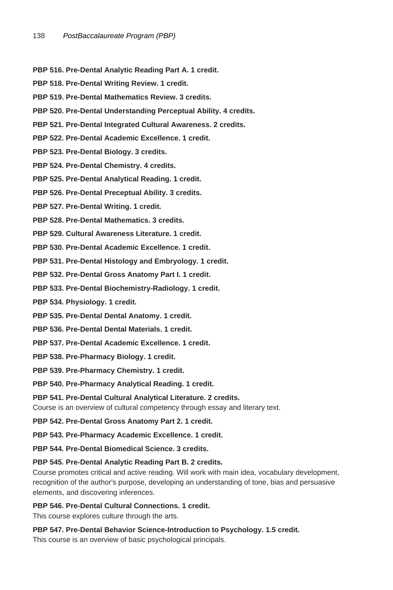- **PBP 516. Pre-Dental Analytic Reading Part A. 1 credit.**
- **PBP 518. Pre-Dental Writing Review. 1 credit.**
- **PBP 519. Pre-Dental Mathematics Review. 3 credits.**
- **PBP 520. Pre-Dental Understanding Perceptual Ability. 4 credits.**
- **PBP 521. Pre-Dental Integrated Cultural Awareness. 2 credits.**
- **PBP 522. Pre-Dental Academic Excellence. 1 credit.**
- **PBP 523. Pre-Dental Biology. 3 credits.**
- **PBP 524. Pre-Dental Chemistry. 4 credits.**
- **PBP 525. Pre-Dental Analytical Reading. 1 credit.**
- **PBP 526. Pre-Dental Preceptual Ability. 3 credits.**
- **PBP 527. Pre-Dental Writing. 1 credit.**
- **PBP 528. Pre-Dental Mathematics. 3 credits.**
- **PBP 529. Cultural Awareness Literature. 1 credit.**
- **PBP 530. Pre-Dental Academic Excellence. 1 credit.**
- **PBP 531. Pre-Dental Histology and Embryology. 1 credit.**
- **PBP 532. Pre-Dental Gross Anatomy Part I. 1 credit.**
- **PBP 533. Pre-Dental Biochemistry-Radiology. 1 credit.**
- **PBP 534. Physiology. 1 credit.**
- **PBP 535. Pre-Dental Dental Anatomy. 1 credit.**
- **PBP 536. Pre-Dental Dental Materials. 1 credit.**
- **PBP 537. Pre-Dental Academic Excellence. 1 credit.**
- **PBP 538. Pre-Pharmacy Biology. 1 credit.**
- **PBP 539. Pre-Pharmacy Chemistry. 1 credit.**
- **PBP 540. Pre-Pharmacy Analytical Reading. 1 credit.**
- **PBP 541. Pre-Dental Cultural Analytical Literature. 2 credits.**
- Course is an overview of cultural competency through essay and literary text.
- **PBP 542. Pre-Dental Gross Anatomy Part 2. 1 credit.**
- **PBP 543. Pre-Pharmacy Academic Excellence. 1 credit.**
- **PBP 544. Pre-Dental Biomedical Science. 3 credits.**

#### **PBP 545. Pre-Dental Analytic Reading Part B. 2 credits.**

- Course promotes critical and active reading. Will work with main idea, vocabulary development, recognition of the author's purpose, developing an understanding of tone, bias and persuasive elements, and discovering inferences.
- **PBP 546. Pre-Dental Cultural Connections. 1 credit.**
- This course explores culture through the arts.
- **PBP 547. Pre-Dental Behavior Science-Introduction to Psychology. 1.5 credit.** This course is an overview of basic psychological principals.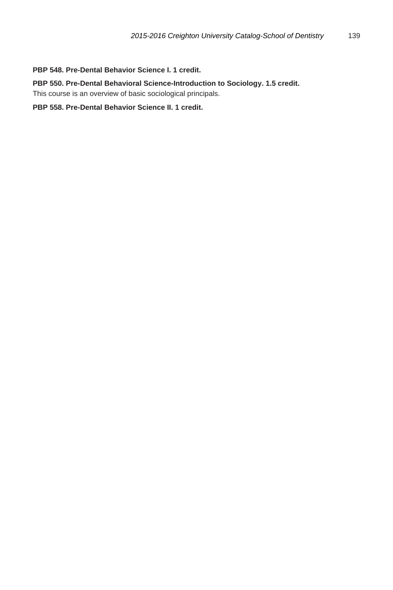#### **PBP 548. Pre-Dental Behavior Science I. 1 credit.**

**PBP 550. Pre-Dental Behavioral Science-Introduction to Sociology. 1.5 credit.** This course is an overview of basic sociological principals.

**PBP 558. Pre-Dental Behavior Science II. 1 credit.**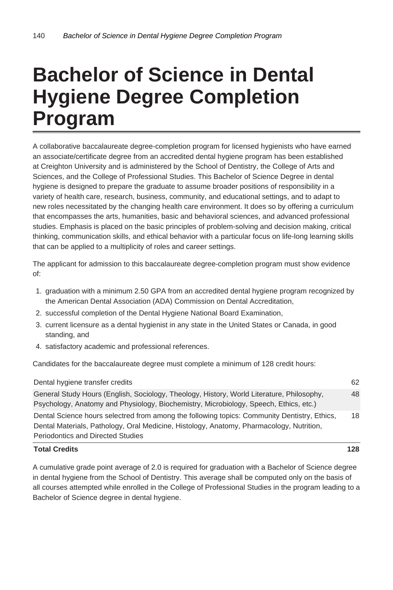## **Bachelor of Science in Dental Hygiene Degree Completion Program**

A collaborative baccalaureate degree-completion program for licensed hygienists who have earned an associate/certificate degree from an accredited dental hygiene program has been established at Creighton University and is administered by the School of Dentistry, the College of Arts and Sciences, and the College of Professional Studies. This Bachelor of Science Degree in dental hygiene is designed to prepare the graduate to assume broader positions of responsibility in a variety of health care, research, business, community, and educational settings, and to adapt to new roles necessitated by the changing health care environment. It does so by offering a curriculum that encompasses the arts, humanities, basic and behavioral sciences, and advanced professional studies. Emphasis is placed on the basic principles of problem-solving and decision making, critical thinking, communication skills, and ethical behavior with a particular focus on life-long learning skills that can be applied to a multiplicity of roles and career settings.

The applicant for admission to this baccalaureate degree-completion program must show evidence of:

- 1. graduation with a minimum 2.50 GPA from an accredited dental hygiene program recognized by the American Dental Association (ADA) Commission on Dental Accreditation,
- 2. successful completion of the Dental Hygiene National Board Examination,
- 3. current licensure as a dental hygienist in any state in the United States or Canada, in good standing, and
- 4. satisfactory academic and professional references.

Candidates for the baccalaureate degree must complete a minimum of 128 credit hours:

| <b>Total Credits</b>                                                                                                                                                                     | 128 |  |
|------------------------------------------------------------------------------------------------------------------------------------------------------------------------------------------|-----|--|
| Periodontics and Directed Studies                                                                                                                                                        |     |  |
| Dental Science hours selectred from among the following topics: Community Dentistry, Ethics,<br>Dental Materials, Pathology, Oral Medicine, Histology, Anatomy, Pharmacology, Nutrition, | 18  |  |
| General Study Hours (English, Sociology, Theology, History, World Literature, Philosophy,<br>Psychology, Anatomy and Physiology, Biochemistry, Microbiology, Speech, Ethics, etc.)       |     |  |
| Dental hygiene transfer credits                                                                                                                                                          |     |  |

A cumulative grade point average of 2.0 is required for graduation with a Bachelor of Science degree in dental hygiene from the School of Dentistry. This average shall be computed only on the basis of all courses attempted while enrolled in the College of Professional Studies in the program leading to a Bachelor of Science degree in dental hygiene.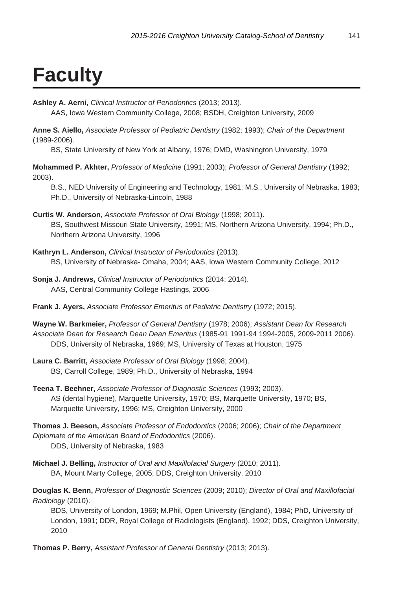# **Faculty**

**Ashley A. Aerni,** Clinical Instructor of Periodontics (2013; 2013).

AAS, Iowa Western Community College, 2008; BSDH, Creighton University, 2009

**Anne S. Aiello,** Associate Professor of Pediatric Dentistry (1982; 1993); Chair of the Department (1989-2006).

BS, State University of New York at Albany, 1976; DMD, Washington University, 1979

**Mohammed P. Akhter,** Professor of Medicine (1991; 2003); Professor of General Dentistry (1992; 2003).

B.S., NED University of Engineering and Technology, 1981; M.S., University of Nebraska, 1983; Ph.D., University of Nebraska-Lincoln, 1988

- **Curtis W. Anderson,** Associate Professor of Oral Biology (1998; 2011). BS, Southwest Missouri State University, 1991; MS, Northern Arizona University, 1994; Ph.D., Northern Arizona University, 1996
- **Kathryn L. Anderson,** Clinical Instructor of Periodontics (2013). BS, University of Nebraska- Omaha, 2004; AAS, Iowa Western Community College, 2012
- **Sonja J. Andrews,** Clinical Instructor of Periodontics (2014; 2014). AAS, Central Community College Hastings, 2006
- **Frank J. Ayers,** Associate Professor Emeritus of Pediatric Dentistry (1972; 2015).

**Wayne W. Barkmeier,** Professor of General Dentistry (1978; 2006); Assistant Dean for Research Associate Dean for Research Dean Dean Emeritus (1985-91 1991-94 1994-2005, 2009-2011 2006). DDS, University of Nebraska, 1969; MS, University of Texas at Houston, 1975

- **Laura C. Barritt,** Associate Professor of Oral Biology (1998; 2004). BS, Carroll College, 1989; Ph.D., University of Nebraska, 1994
- **Teena T. Beehner,** Associate Professor of Diagnostic Sciences (1993; 2003). AS (dental hygiene), Marquette University, 1970; BS, Marquette University, 1970; BS, Marquette University, 1996; MS, Creighton University, 2000

**Thomas J. Beeson,** Associate Professor of Endodontics (2006; 2006); Chair of the Department Diplomate of the American Board of Endodontics (2006). DDS, University of Nebraska, 1983

**Michael J. Belling,** Instructor of Oral and Maxillofacial Surgery (2010; 2011). BA, Mount Marty College, 2005; DDS, Creighton University, 2010

**Douglas K. Benn,** Professor of Diagnostic Sciences (2009; 2010); Director of Oral and Maxillofacial Radiology (2010).

BDS, University of London, 1969; M.Phil, Open University (England), 1984; PhD, University of London, 1991; DDR, Royal College of Radiologists (England), 1992; DDS, Creighton University, 2010

**Thomas P. Berry,** Assistant Professor of General Dentistry (2013; 2013).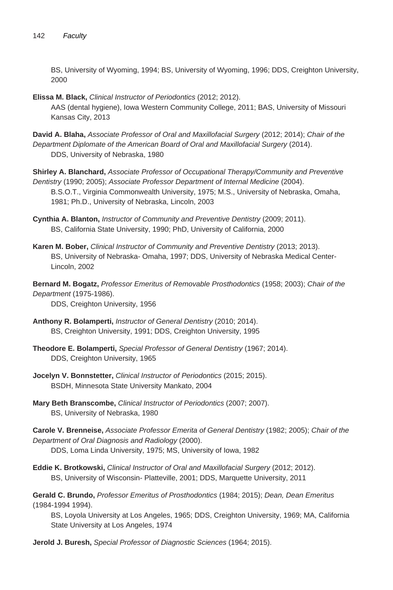BS, University of Wyoming, 1994; BS, University of Wyoming, 1996; DDS, Creighton University, 2000

- **Elissa M. Black,** Clinical Instructor of Periodontics (2012; 2012). AAS (dental hygiene), Iowa Western Community College, 2011; BAS, University of Missouri Kansas City, 2013
- **David A. Blaha,** Associate Professor of Oral and Maxillofacial Surgery (2012; 2014); Chair of the Department Diplomate of the American Board of Oral and Maxillofacial Surgery (2014). DDS, University of Nebraska, 1980
- **Shirley A. Blanchard,** Associate Professor of Occupational Therapy/Community and Preventive Dentistry (1990; 2005); Associate Professor Department of Internal Medicine (2004). B.S.O.T., Virginia Commonwealth University, 1975; M.S., University of Nebraska, Omaha, 1981; Ph.D., University of Nebraska, Lincoln, 2003
- **Cynthia A. Blanton,** Instructor of Community and Preventive Dentistry (2009; 2011). BS, California State University, 1990; PhD, University of California, 2000
- **Karen M. Bober,** Clinical Instructor of Community and Preventive Dentistry (2013; 2013). BS, University of Nebraska- Omaha, 1997; DDS, University of Nebraska Medical Center-Lincoln, 2002
- **Bernard M. Bogatz,** Professor Emeritus of Removable Prosthodontics (1958; 2003); Chair of the Department (1975-1986).

DDS, Creighton University, 1956

- **Anthony R. Bolamperti,** Instructor of General Dentistry (2010; 2014). BS, Creighton University, 1991; DDS, Creighton University, 1995
- **Theodore E. Bolamperti,** Special Professor of General Dentistry (1967; 2014). DDS, Creighton University, 1965
- **Jocelyn V. Bonnstetter,** Clinical Instructor of Periodontics (2015; 2015). BSDH, Minnesota State University Mankato, 2004
- **Mary Beth Branscombe,** Clinical Instructor of Periodontics (2007; 2007). BS, University of Nebraska, 1980
- **Carole V. Brenneise,** Associate Professor Emerita of General Dentistry (1982; 2005); Chair of the Department of Oral Diagnosis and Radiology (2000). DDS, Loma Linda University, 1975; MS, University of Iowa, 1982
- **Eddie K. Brotkowski,** Clinical Instructor of Oral and Maxillofacial Surgery (2012; 2012). BS, University of Wisconsin- Platteville, 2001; DDS, Marquette University, 2011

**Gerald C. Brundo,** Professor Emeritus of Prosthodontics (1984; 2015); Dean, Dean Emeritus (1984-1994 1994).

BS, Loyola University at Los Angeles, 1965; DDS, Creighton University, 1969; MA, California State University at Los Angeles, 1974

**Jerold J. Buresh,** Special Professor of Diagnostic Sciences (1964; 2015).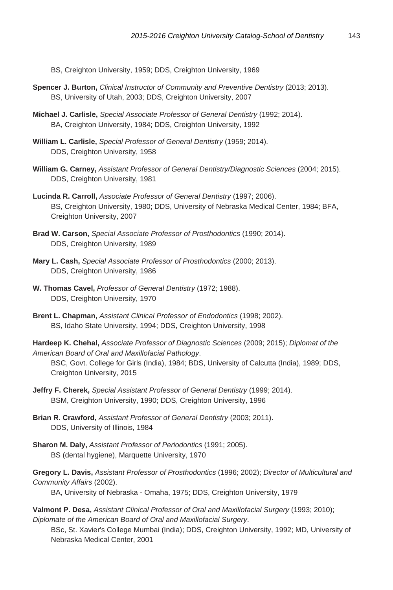BS, Creighton University, 1959; DDS, Creighton University, 1969

- **Spencer J. Burton,** Clinical Instructor of Community and Preventive Dentistry (2013; 2013). BS, University of Utah, 2003; DDS, Creighton University, 2007
- **Michael J. Carlisle,** Special Associate Professor of General Dentistry (1992; 2014). BA, Creighton University, 1984; DDS, Creighton University, 1992
- **William L. Carlisle,** Special Professor of General Dentistry (1959; 2014). DDS, Creighton University, 1958
- **William G. Carney,** Assistant Professor of General Dentistry/Diagnostic Sciences (2004; 2015). DDS, Creighton University, 1981
- **Lucinda R. Carroll,** Associate Professor of General Dentistry (1997; 2006). BS, Creighton University, 1980; DDS, University of Nebraska Medical Center, 1984; BFA, Creighton University, 2007
- **Brad W. Carson,** Special Associate Professor of Prosthodontics (1990; 2014). DDS, Creighton University, 1989
- **Mary L. Cash,** Special Associate Professor of Prosthodontics (2000; 2013). DDS, Creighton University, 1986
- **W. Thomas Cavel,** Professor of General Dentistry (1972; 1988). DDS, Creighton University, 1970
- **Brent L. Chapman,** Assistant Clinical Professor of Endodontics (1998; 2002). BS, Idaho State University, 1994; DDS, Creighton University, 1998
- **Hardeep K. Chehal,** Associate Professor of Diagnostic Sciences (2009; 2015); Diplomat of the American Board of Oral and Maxillofacial Pathology.

BSC, Govt. College for Girls (India), 1984; BDS, University of Calcutta (India), 1989; DDS, Creighton University, 2015

- **Jeffry F. Cherek,** Special Assistant Professor of General Dentistry (1999; 2014). BSM, Creighton University, 1990; DDS, Creighton University, 1996
- **Brian R. Crawford,** Assistant Professor of General Dentistry (2003; 2011). DDS, University of Illinois, 1984
- **Sharon M. Daly,** Assistant Professor of Periodontics (1991; 2005). BS (dental hygiene), Marquette University, 1970

**Gregory L. Davis,** Assistant Professor of Prosthodontics (1996; 2002); Director of Multicultural and Community Affairs (2002).

BA, University of Nebraska - Omaha, 1975; DDS, Creighton University, 1979

**Valmont P. Desa,** Assistant Clinical Professor of Oral and Maxillofacial Surgery (1993; 2010); Diplomate of the American Board of Oral and Maxillofacial Surgery.

BSc, St. Xavier's College Mumbai (India); DDS, Creighton University, 1992; MD, University of Nebraska Medical Center, 2001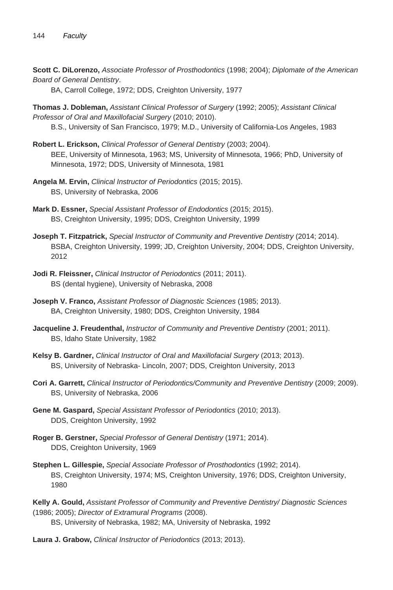**Scott C. DiLorenzo,** Associate Professor of Prosthodontics (1998; 2004); Diplomate of the American Board of General Dentistry.

BA, Carroll College, 1972; DDS, Creighton University, 1977

**Thomas J. Dobleman,** Assistant Clinical Professor of Surgery (1992; 2005); Assistant Clinical Professor of Oral and Maxillofacial Surgery (2010; 2010).

B.S., University of San Francisco, 1979; M.D., University of California-Los Angeles, 1983

- **Robert L. Erickson,** Clinical Professor of General Dentistry (2003; 2004). BEE, University of Minnesota, 1963; MS, University of Minnesota, 1966; PhD, University of Minnesota, 1972; DDS, University of Minnesota, 1981
- **Angela M. Ervin,** Clinical Instructor of Periodontics (2015; 2015). BS, University of Nebraska, 2006
- **Mark D. Essner,** Special Assistant Professor of Endodontics (2015; 2015). BS, Creighton University, 1995; DDS, Creighton University, 1999
- **Joseph T. Fitzpatrick,** Special Instructor of Community and Preventive Dentistry (2014; 2014). BSBA, Creighton University, 1999; JD, Creighton University, 2004; DDS, Creighton University, 2012
- **Jodi R. Fleissner,** Clinical Instructor of Periodontics (2011; 2011). BS (dental hygiene), University of Nebraska, 2008
- **Joseph V. Franco,** Assistant Professor of Diagnostic Sciences (1985; 2013). BA, Creighton University, 1980; DDS, Creighton University, 1984
- **Jacqueline J. Freudenthal,** Instructor of Community and Preventive Dentistry (2001; 2011). BS, Idaho State University, 1982
- **Kelsy B. Gardner,** Clinical Instructor of Oral and Maxillofacial Surgery (2013; 2013). BS, University of Nebraska- Lincoln, 2007; DDS, Creighton University, 2013
- **Cori A. Garrett,** Clinical Instructor of Periodontics/Community and Preventive Dentistry (2009; 2009). BS, University of Nebraska, 2006
- **Gene M. Gaspard,** Special Assistant Professor of Periodontics (2010; 2013). DDS, Creighton University, 1992
- **Roger B. Gerstner,** Special Professor of General Dentistry (1971; 2014). DDS, Creighton University, 1969
- **Stephen L. Gillespie,** Special Associate Professor of Prosthodontics (1992; 2014). BS, Creighton University, 1974; MS, Creighton University, 1976; DDS, Creighton University, 1980

**Kelly A. Gould,** Assistant Professor of Community and Preventive Dentistry/ Diagnostic Sciences (1986; 2005); Director of Extramural Programs (2008).

BS, University of Nebraska, 1982; MA, University of Nebraska, 1992

**Laura J. Grabow,** Clinical Instructor of Periodontics (2013; 2013).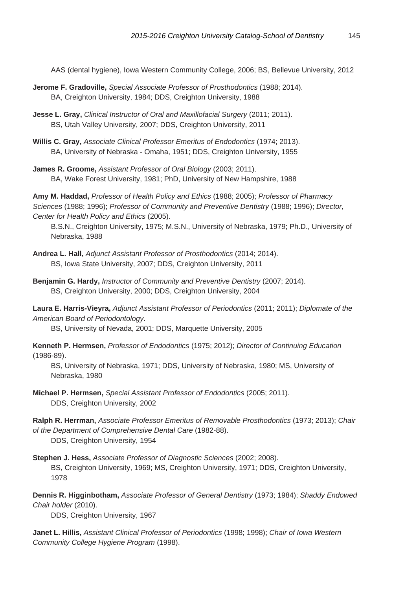AAS (dental hygiene), Iowa Western Community College, 2006; BS, Bellevue University, 2012

- **Jerome F. Gradoville,** Special Associate Professor of Prosthodontics (1988; 2014). BA, Creighton University, 1984; DDS, Creighton University, 1988
- **Jesse L. Gray,** Clinical Instructor of Oral and Maxillofacial Surgery (2011; 2011). BS, Utah Valley University, 2007; DDS, Creighton University, 2011
- **Willis C. Gray,** Associate Clinical Professor Emeritus of Endodontics (1974; 2013). BA, University of Nebraska - Omaha, 1951; DDS, Creighton University, 1955
- **James R. Groome,** Assistant Professor of Oral Biology (2003; 2011). BA, Wake Forest University, 1981; PhD, University of New Hampshire, 1988

**Amy M. Haddad,** Professor of Health Policy and Ethics (1988; 2005); Professor of Pharmacy Sciences (1988; 1996); Professor of Community and Preventive Dentistry (1988; 1996); Director, Center for Health Policy and Ethics (2005).

B.S.N., Creighton University, 1975; M.S.N., University of Nebraska, 1979; Ph.D., University of Nebraska, 1988

- **Andrea L. Hall,** Adjunct Assistant Professor of Prosthodontics (2014; 2014). BS, Iowa State University, 2007; DDS, Creighton University, 2011
- **Benjamin G. Hardy,** Instructor of Community and Preventive Dentistry (2007; 2014). BS, Creighton University, 2000; DDS, Creighton University, 2004

**Laura E. Harris-Vieyra,** Adjunct Assistant Professor of Periodontics (2011; 2011); Diplomate of the American Board of Periodontology.

BS, University of Nevada, 2001; DDS, Marquette University, 2005

**Kenneth P. Hermsen,** Professor of Endodontics (1975; 2012); Director of Continuing Education (1986-89).

BS, University of Nebraska, 1971; DDS, University of Nebraska, 1980; MS, University of Nebraska, 1980

**Michael P. Hermsen,** Special Assistant Professor of Endodontics (2005; 2011). DDS, Creighton University, 2002

**Ralph R. Herrman,** Associate Professor Emeritus of Removable Prosthodontics (1973; 2013); Chair of the Department of Comprehensive Dental Care (1982-88).

DDS, Creighton University, 1954

**Stephen J. Hess,** Associate Professor of Diagnostic Sciences (2002; 2008). BS, Creighton University, 1969; MS, Creighton University, 1971; DDS, Creighton University, 1978

**Dennis R. Higginbotham,** Associate Professor of General Dentistry (1973; 1984); Shaddy Endowed Chair holder (2010).

DDS, Creighton University, 1967

**Janet L. Hillis,** Assistant Clinical Professor of Periodontics (1998; 1998); Chair of Iowa Western Community College Hygiene Program (1998).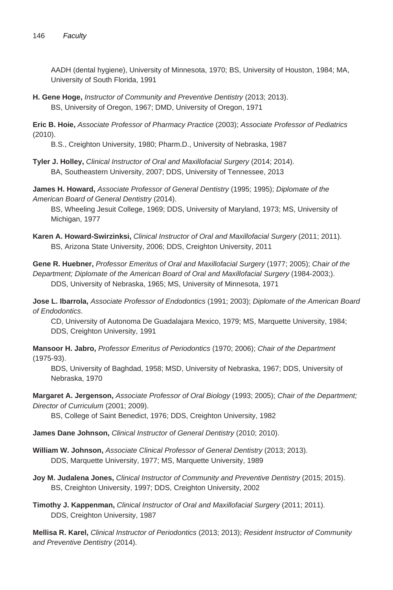AADH (dental hygiene), University of Minnesota, 1970; BS, University of Houston, 1984; MA, University of South Florida, 1991

**H. Gene Hoge,** Instructor of Community and Preventive Dentistry (2013; 2013). BS, University of Oregon, 1967; DMD, University of Oregon, 1971

**Eric B. Hoie,** Associate Professor of Pharmacy Practice (2003); Associate Professor of Pediatrics (2010).

B.S., Creighton University, 1980; Pharm.D., University of Nebraska, 1987

**Tyler J. Holley,** Clinical Instructor of Oral and Maxillofacial Surgery (2014; 2014). BA, Southeastern University, 2007; DDS, University of Tennessee, 2013

**James H. Howard,** Associate Professor of General Dentistry (1995; 1995); Diplomate of the American Board of General Dentistry (2014).

BS, Wheeling Jesuit College, 1969; DDS, University of Maryland, 1973; MS, University of Michigan, 1977

**Karen A. Howard-Swirzinksi,** Clinical Instructor of Oral and Maxillofacial Surgery (2011; 2011). BS, Arizona State University, 2006; DDS, Creighton University, 2011

**Gene R. Huebner,** Professor Emeritus of Oral and Maxillofacial Surgery (1977; 2005); Chair of the Department; Diplomate of the American Board of Oral and Maxillofacial Surgery (1984-2003;). DDS, University of Nebraska, 1965; MS, University of Minnesota, 1971

**Jose L. Ibarrola,** Associate Professor of Endodontics (1991; 2003); Diplomate of the American Board of Endodontics.

CD, University of Autonoma De Guadalajara Mexico, 1979; MS, Marquette University, 1984; DDS, Creighton University, 1991

**Mansoor H. Jabro,** Professor Emeritus of Periodontics (1970; 2006); Chair of the Department (1975-93).

BDS, University of Baghdad, 1958; MSD, University of Nebraska, 1967; DDS, University of Nebraska, 1970

**Margaret A. Jergenson,** Associate Professor of Oral Biology (1993; 2005); Chair of the Department; Director of Curriculum (2001; 2009).

BS, College of Saint Benedict, 1976; DDS, Creighton University, 1982

**James Dane Johnson,** Clinical Instructor of General Dentistry (2010; 2010).

- **William W. Johnson,** Associate Clinical Professor of General Dentistry (2013; 2013). DDS, Marquette University, 1977; MS, Marquette University, 1989
- **Joy M. Judalena Jones,** Clinical Instructor of Community and Preventive Dentistry (2015; 2015). BS, Creighton University, 1997; DDS, Creighton University, 2002
- **Timothy J. Kappenman,** Clinical Instructor of Oral and Maxillofacial Surgery (2011; 2011). DDS, Creighton University, 1987

**Mellisa R. Karel,** Clinical Instructor of Periodontics (2013; 2013); Resident Instructor of Community and Preventive Dentistry (2014).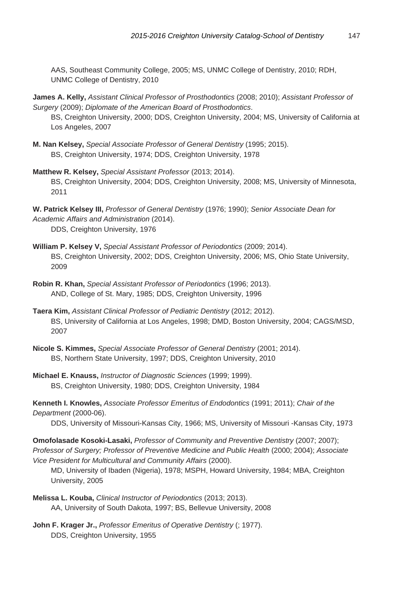AAS, Southeast Community College, 2005; MS, UNMC College of Dentistry, 2010; RDH, UNMC College of Dentistry, 2010

**James A. Kelly,** Assistant Clinical Professor of Prosthodontics (2008; 2010); Assistant Professor of Surgery (2009); Diplomate of the American Board of Prosthodontics.

BS, Creighton University, 2000; DDS, Creighton University, 2004; MS, University of California at Los Angeles, 2007

- **M. Nan Kelsey,** Special Associate Professor of General Dentistry (1995; 2015). BS, Creighton University, 1974; DDS, Creighton University, 1978
- **Matthew R. Kelsey,** Special Assistant Professor (2013; 2014). BS, Creighton University, 2004; DDS, Creighton University, 2008; MS, University of Minnesota, 2011
- **W. Patrick Kelsey III,** Professor of General Dentistry (1976; 1990); Senior Associate Dean for Academic Affairs and Administration (2014). DDS, Creighton University, 1976
- **William P. Kelsey V,** Special Assistant Professor of Periodontics (2009; 2014). BS, Creighton University, 2002; DDS, Creighton University, 2006; MS, Ohio State University, 2009
- **Robin R. Khan,** Special Assistant Professor of Periodontics (1996; 2013). AND, College of St. Mary, 1985; DDS, Creighton University, 1996
- **Taera Kim,** Assistant Clinical Professor of Pediatric Dentistry (2012; 2012). BS, University of California at Los Angeles, 1998; DMD, Boston University, 2004; CAGS/MSD, 2007
- **Nicole S. Kimmes,** Special Associate Professor of General Dentistry (2001; 2014). BS, Northern State University, 1997; DDS, Creighton University, 2010
- **Michael E. Knauss,** Instructor of Diagnostic Sciences (1999; 1999). BS, Creighton University, 1980; DDS, Creighton University, 1984

**Kenneth I. Knowles,** Associate Professor Emeritus of Endodontics (1991; 2011); Chair of the Department (2000-06).

DDS, University of Missouri-Kansas City, 1966; MS, University of Missouri -Kansas City, 1973

**Omofolasade Kosoki-Lasaki,** Professor of Community and Preventive Dentistry (2007; 2007); Professor of Surgery; Professor of Preventive Medicine and Public Health (2000; 2004); Associate Vice President for Multicultural and Community Affairs (2000).

MD, University of Ibaden (Nigeria), 1978; MSPH, Howard University, 1984; MBA, Creighton University, 2005

- **Melissa L. Kouba,** Clinical Instructor of Periodontics (2013; 2013). AA, University of South Dakota, 1997; BS, Bellevue University, 2008
- **John F. Krager Jr.,** Professor Emeritus of Operative Dentistry (; 1977). DDS, Creighton University, 1955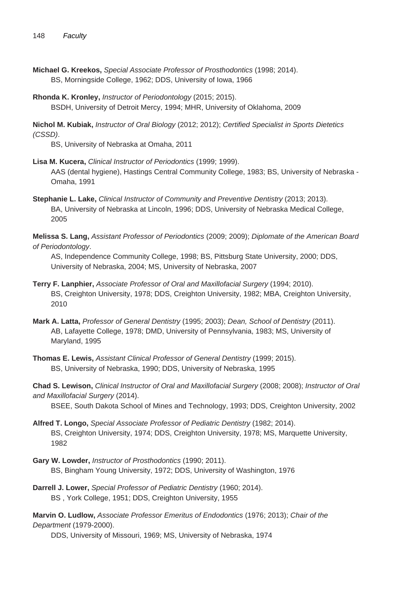- **Michael G. Kreekos,** Special Associate Professor of Prosthodontics (1998; 2014). BS, Morningside College, 1962; DDS, University of Iowa, 1966
- **Rhonda K. Kronley,** Instructor of Periodontology (2015; 2015). BSDH, University of Detroit Mercy, 1994; MHR, University of Oklahoma, 2009

**Nichol M. Kubiak,** Instructor of Oral Biology (2012; 2012); Certified Specialist in Sports Dietetics (CSSD).

BS, University of Nebraska at Omaha, 2011

- **Lisa M. Kucera,** Clinical Instructor of Periodontics (1999; 1999). AAS (dental hygiene), Hastings Central Community College, 1983; BS, University of Nebraska - Omaha, 1991
- **Stephanie L. Lake,** Clinical Instructor of Community and Preventive Dentistry (2013; 2013). BA, University of Nebraska at Lincoln, 1996; DDS, University of Nebraska Medical College, 2005

**Melissa S. Lang,** Assistant Professor of Periodontics (2009; 2009); Diplomate of the American Board of Periodontology.

AS, Independence Community College, 1998; BS, Pittsburg State University, 2000; DDS, University of Nebraska, 2004; MS, University of Nebraska, 2007

- **Terry F. Lanphier,** Associate Professor of Oral and Maxillofacial Surgery (1994; 2010). BS, Creighton University, 1978; DDS, Creighton University, 1982; MBA, Creighton University, 2010
- **Mark A. Latta,** Professor of General Dentistry (1995; 2003); Dean, School of Dentistry (2011). AB, Lafayette College, 1978; DMD, University of Pennsylvania, 1983; MS, University of Maryland, 1995

**Thomas E. Lewis,** Assistant Clinical Professor of General Dentistry (1999; 2015). BS, University of Nebraska, 1990; DDS, University of Nebraska, 1995

**Chad S. Lewison,** Clinical Instructor of Oral and Maxillofacial Surgery (2008; 2008); Instructor of Oral and Maxillofacial Surgery (2014).

BSEE, South Dakota School of Mines and Technology, 1993; DDS, Creighton University, 2002

- **Alfred T. Longo,** Special Associate Professor of Pediatric Dentistry (1982; 2014). BS, Creighton University, 1974; DDS, Creighton University, 1978; MS, Marquette University, 1982
- **Gary W. Lowder,** Instructor of Prosthodontics (1990; 2011). BS, Bingham Young University, 1972; DDS, University of Washington, 1976
- **Darrell J. Lower,** Special Professor of Pediatric Dentistry (1960; 2014). BS , York College, 1951; DDS, Creighton University, 1955

**Marvin O. Ludlow,** Associate Professor Emeritus of Endodontics (1976; 2013); Chair of the Department (1979-2000).

DDS, University of Missouri, 1969; MS, University of Nebraska, 1974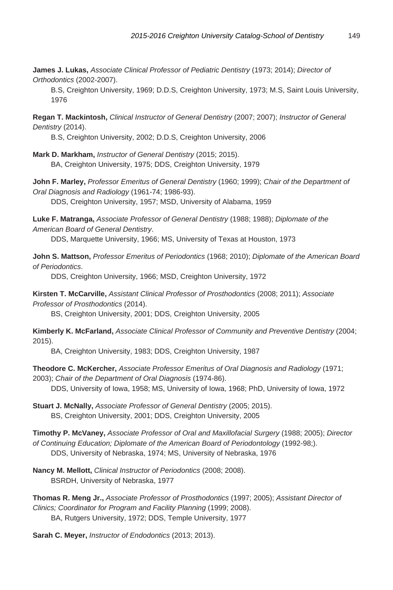**James J. Lukas,** Associate Clinical Professor of Pediatric Dentistry (1973; 2014); Director of Orthodontics (2002-2007).

B.S, Creighton University, 1969; D.D.S, Creighton University, 1973; M.S, Saint Louis University, 1976

**Regan T. Mackintosh,** Clinical Instructor of General Dentistry (2007; 2007); Instructor of General Dentistry (2014).

B.S, Creighton University, 2002; D.D.S, Creighton University, 2006

**Mark D. Markham,** Instructor of General Dentistry (2015; 2015). BA, Creighton University, 1975; DDS, Creighton University, 1979

**John F. Marley,** Professor Emeritus of General Dentistry (1960; 1999); Chair of the Department of Oral Diagnosis and Radiology (1961-74; 1986-93).

DDS, Creighton University, 1957; MSD, University of Alabama, 1959

**Luke F. Matranga,** Associate Professor of General Dentistry (1988; 1988); Diplomate of the American Board of General Dentistry.

DDS, Marquette University, 1966; MS, University of Texas at Houston, 1973

**John S. Mattson,** Professor Emeritus of Periodontics (1968; 2010); Diplomate of the American Board of Periodontics.

DDS, Creighton University, 1966; MSD, Creighton University, 1972

**Kirsten T. McCarville,** Assistant Clinical Professor of Prosthodontics (2008; 2011); Associate Professor of Prosthodontics (2014).

BS, Creighton University, 2001; DDS, Creighton University, 2005

**Kimberly K. McFarland,** Associate Clinical Professor of Community and Preventive Dentistry (2004; 2015).

BA, Creighton University, 1983; DDS, Creighton University, 1987

**Theodore C. McKercher,** Associate Professor Emeritus of Oral Diagnosis and Radiology (1971; 2003); Chair of the Department of Oral Diagnosis (1974-86).

DDS, University of Iowa, 1958; MS, University of Iowa, 1968; PhD, University of Iowa, 1972

**Stuart J. McNally,** Associate Professor of General Dentistry (2005; 2015). BS, Creighton University, 2001; DDS, Creighton University, 2005

**Timothy P. McVaney,** Associate Professor of Oral and Maxillofacial Surgery (1988; 2005); Director of Continuing Education; Diplomate of the American Board of Periodontology (1992-98;). DDS, University of Nebraska, 1974; MS, University of Nebraska, 1976

**Nancy M. Mellott,** Clinical Instructor of Periodontics (2008; 2008). BSRDH, University of Nebraska, 1977

**Thomas R. Meng Jr.,** Associate Professor of Prosthodontics (1997; 2005); Assistant Director of Clinics; Coordinator for Program and Facility Planning (1999; 2008). BA, Rutgers University, 1972; DDS, Temple University, 1977

**Sarah C. Meyer,** Instructor of Endodontics (2013; 2013).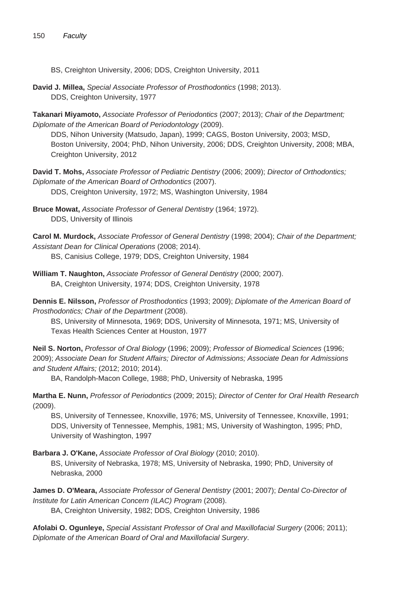- BS, Creighton University, 2006; DDS, Creighton University, 2011
- **David J. Millea,** Special Associate Professor of Prosthodontics (1998; 2013). DDS, Creighton University, 1977

**Takanari Miyamoto,** Associate Professor of Periodontics (2007; 2013); Chair of the Department; Diplomate of the American Board of Periodontology (2009).

DDS, Nihon University (Matsudo, Japan), 1999; CAGS, Boston University, 2003; MSD, Boston University, 2004; PhD, Nihon University, 2006; DDS, Creighton University, 2008; MBA, Creighton University, 2012

**David T. Mohs,** Associate Professor of Pediatric Dentistry (2006; 2009); Director of Orthodontics; Diplomate of the American Board of Orthodontics (2007). DDS, Creighton University, 1972; MS, Washington University, 1984

**Bruce Mowat,** Associate Professor of General Dentistry (1964; 1972). DDS, University of Illinois

**Carol M. Murdock,** Associate Professor of General Dentistry (1998; 2004); Chair of the Department; Assistant Dean for Clinical Operations (2008; 2014).

BS, Canisius College, 1979; DDS, Creighton University, 1984

**William T. Naughton,** Associate Professor of General Dentistry (2000; 2007). BA, Creighton University, 1974; DDS, Creighton University, 1978

**Dennis E. Nilsson,** Professor of Prosthodontics (1993; 2009); Diplomate of the American Board of Prosthodontics; Chair of the Department (2008).

BS, University of Minnesota, 1969; DDS, University of Minnesota, 1971; MS, University of Texas Health Sciences Center at Houston, 1977

**Neil S. Norton,** Professor of Oral Biology (1996; 2009); Professor of Biomedical Sciences (1996; 2009); Associate Dean for Student Affairs; Director of Admissions; Associate Dean for Admissions and Student Affairs; (2012; 2010; 2014).

BA, Randolph-Macon College, 1988; PhD, University of Nebraska, 1995

**Martha E. Nunn,** Professor of Periodontics (2009; 2015); Director of Center for Oral Health Research (2009).

BS, University of Tennessee, Knoxville, 1976; MS, University of Tennessee, Knoxville, 1991; DDS, University of Tennessee, Memphis, 1981; MS, University of Washington, 1995; PhD, University of Washington, 1997

**Barbara J. O'Kane,** Associate Professor of Oral Biology (2010; 2010).

BS, University of Nebraska, 1978; MS, University of Nebraska, 1990; PhD, University of Nebraska, 2000

**James D. O'Meara,** Associate Professor of General Dentistry (2001; 2007); Dental Co-Director of Institute for Latin American Concern (ILAC) Program (2008).

BA, Creighton University, 1982; DDS, Creighton University, 1986

**Afolabi O. Ogunleye,** Special Assistant Professor of Oral and Maxillofacial Surgery (2006; 2011); Diplomate of the American Board of Oral and Maxillofacial Surgery.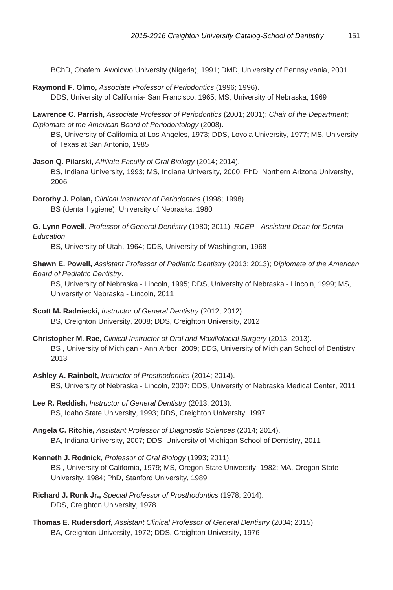BChD, Obafemi Awolowo University (Nigeria), 1991; DMD, University of Pennsylvania, 2001

**Raymond F. Olmo,** Associate Professor of Periodontics (1996; 1996). DDS, University of California- San Francisco, 1965; MS, University of Nebraska, 1969

**Lawrence C. Parrish,** Associate Professor of Periodontics (2001; 2001); Chair of the Department; Diplomate of the American Board of Periodontology (2008).

BS, University of California at Los Angeles, 1973; DDS, Loyola University, 1977; MS, University of Texas at San Antonio, 1985

**Jason Q. Pilarski,** Affiliate Faculty of Oral Biology (2014; 2014). BS, Indiana University, 1993; MS, Indiana University, 2000; PhD, Northern Arizona University, 2006

**Dorothy J. Polan,** Clinical Instructor of Periodontics (1998; 1998). BS (dental hygiene), University of Nebraska, 1980

**G. Lynn Powell,** Professor of General Dentistry (1980; 2011); RDEP - Assistant Dean for Dental Education.

BS, University of Utah, 1964; DDS, University of Washington, 1968

**Shawn E. Powell,** Assistant Professor of Pediatric Dentistry (2013; 2013); Diplomate of the American Board of Pediatric Dentistry.

BS, University of Nebraska - Lincoln, 1995; DDS, University of Nebraska - Lincoln, 1999; MS, University of Nebraska - Lincoln, 2011

- **Scott M. Radniecki,** Instructor of General Dentistry (2012; 2012). BS, Creighton University, 2008; DDS, Creighton University, 2012
- **Christopher M. Rae,** Clinical Instructor of Oral and Maxillofacial Surgery (2013; 2013). BS , University of Michigan - Ann Arbor, 2009; DDS, University of Michigan School of Dentistry, 2013
- **Ashley A. Rainbolt,** Instructor of Prosthodontics (2014; 2014). BS, University of Nebraska - Lincoln, 2007; DDS, University of Nebraska Medical Center, 2011
- **Lee R. Reddish,** Instructor of General Dentistry (2013; 2013). BS, Idaho State University, 1993; DDS, Creighton University, 1997
- **Angela C. Ritchie,** Assistant Professor of Diagnostic Sciences (2014; 2014). BA, Indiana University, 2007; DDS, University of Michigan School of Dentistry, 2011
- **Kenneth J. Rodnick,** Professor of Oral Biology (1993; 2011). BS , University of California, 1979; MS, Oregon State University, 1982; MA, Oregon State University, 1984; PhD, Stanford University, 1989
- **Richard J. Ronk Jr.,** Special Professor of Prosthodontics (1978; 2014). DDS, Creighton University, 1978
- **Thomas E. Rudersdorf,** Assistant Clinical Professor of General Dentistry (2004; 2015). BA, Creighton University, 1972; DDS, Creighton University, 1976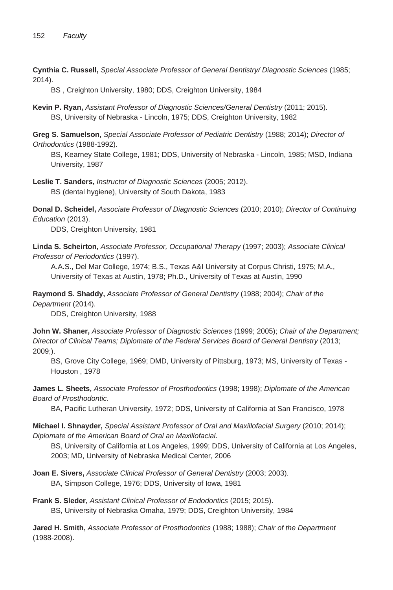**Cynthia C. Russell,** Special Associate Professor of General Dentistry/ Diagnostic Sciences (1985; 2014).

BS , Creighton University, 1980; DDS, Creighton University, 1984

**Kevin P. Ryan,** Assistant Professor of Diagnostic Sciences/General Dentistry (2011; 2015). BS, University of Nebraska - Lincoln, 1975; DDS, Creighton University, 1982

**Greg S. Samuelson,** Special Associate Professor of Pediatric Dentistry (1988; 2014); Director of Orthodontics (1988-1992).

BS, Kearney State College, 1981; DDS, University of Nebraska - Lincoln, 1985; MSD, Indiana University, 1987

**Leslie T. Sanders,** Instructor of Diagnostic Sciences (2005; 2012). BS (dental hygiene), University of South Dakota, 1983

**Donal D. Scheidel,** Associate Professor of Diagnostic Sciences (2010; 2010); Director of Continuing Education (2013).

DDS, Creighton University, 1981

**Linda S. Scheirton,** Associate Professor, Occupational Therapy (1997; 2003); Associate Clinical Professor of Periodontics (1997).

A.A.S., Del Mar College, 1974; B.S., Texas A&I University at Corpus Christi, 1975; M.A., University of Texas at Austin, 1978; Ph.D., University of Texas at Austin, 1990

**Raymond S. Shaddy,** Associate Professor of General Dentistry (1988; 2004); Chair of the Department (2014).

DDS, Creighton University, 1988

**John W. Shaner,** Associate Professor of Diagnostic Sciences (1999; 2005); Chair of the Department; Director of Clinical Teams; Diplomate of the Federal Services Board of General Dentistry (2013; 2009;).

BS, Grove City College, 1969; DMD, University of Pittsburg, 1973; MS, University of Texas - Houston , 1978

**James L. Sheets,** Associate Professor of Prosthodontics (1998; 1998); Diplomate of the American Board of Prosthodontic.

BA, Pacific Lutheran University, 1972; DDS, University of California at San Francisco, 1978

**Michael I. Shnayder,** Special Assistant Professor of Oral and Maxillofacial Surgery (2010; 2014); Diplomate of the American Board of Oral an Maxillofacial.

BS, University of California at Los Angeles, 1999; DDS, University of California at Los Angeles, 2003; MD, University of Nebraska Medical Center, 2006

**Joan E. Sivers,** Associate Clinical Professor of General Dentistry (2003; 2003). BA, Simpson College, 1976; DDS, University of Iowa, 1981

**Frank S. Sleder,** Assistant Clinical Professor of Endodontics (2015; 2015). BS, University of Nebraska Omaha, 1979; DDS, Creighton University, 1984

**Jared H. Smith,** Associate Professor of Prosthodontics (1988; 1988); Chair of the Department (1988-2008).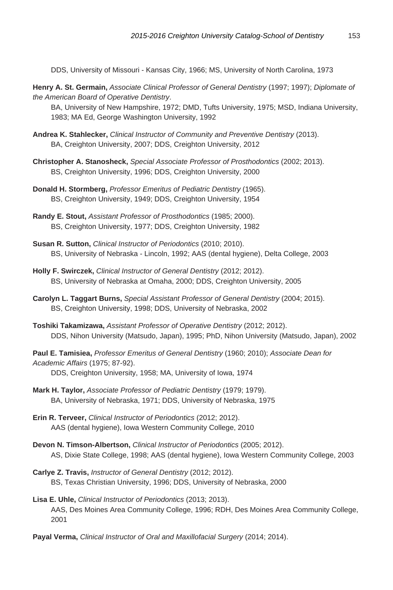DDS, University of Missouri - Kansas City, 1966; MS, University of North Carolina, 1973

**Henry A. St. Germain,** Associate Clinical Professor of General Dentistry (1997; 1997); Diplomate of the American Board of Operative Dentistry.

BA, University of New Hampshire, 1972; DMD, Tufts University, 1975; MSD, Indiana University, 1983; MA Ed, George Washington University, 1992

- **Andrea K. Stahlecker,** Clinical Instructor of Community and Preventive Dentistry (2013). BA, Creighton University, 2007; DDS, Creighton University, 2012
- **Christopher A. Stanosheck,** Special Associate Professor of Prosthodontics (2002; 2013). BS, Creighton University, 1996; DDS, Creighton University, 2000
- **Donald H. Stormberg,** Professor Emeritus of Pediatric Dentistry (1965). BS, Creighton University, 1949; DDS, Creighton University, 1954
- **Randy E. Stout,** Assistant Professor of Prosthodontics (1985; 2000). BS, Creighton University, 1977; DDS, Creighton University, 1982
- **Susan R. Sutton,** Clinical Instructor of Periodontics (2010; 2010). BS, University of Nebraska - Lincoln, 1992; AAS (dental hygiene), Delta College, 2003
- **Holly F. Swirczek,** Clinical Instructor of General Dentistry (2012; 2012). BS, University of Nebraska at Omaha, 2000; DDS, Creighton University, 2005
- **Carolyn L. Taggart Burns,** Special Assistant Professor of General Dentistry (2004; 2015). BS, Creighton University, 1998; DDS, University of Nebraska, 2002
- **Toshiki Takamizawa,** Assistant Professor of Operative Dentistry (2012; 2012). DDS, Nihon University (Matsudo, Japan), 1995; PhD, Nihon University (Matsudo, Japan), 2002

**Paul E. Tamisiea,** Professor Emeritus of General Dentistry (1960; 2010); Associate Dean for Academic Affairs (1975; 87-92).

DDS, Creighton University, 1958; MA, University of Iowa, 1974

- **Mark H. Taylor,** Associate Professor of Pediatric Dentistry (1979; 1979). BA, University of Nebraska, 1971; DDS, University of Nebraska, 1975
- **Erin R. Terveer,** Clinical Instructor of Periodontics (2012; 2012). AAS (dental hygiene), Iowa Western Community College, 2010
- **Devon N. Timson-Albertson,** Clinical Instructor of Periodontics (2005; 2012). AS, Dixie State College, 1998; AAS (dental hygiene), Iowa Western Community College, 2003
- **Carlye Z. Travis,** Instructor of General Dentistry (2012; 2012). BS, Texas Christian University, 1996; DDS, University of Nebraska, 2000
- **Lisa E. Uhle,** Clinical Instructor of Periodontics (2013; 2013). AAS, Des Moines Area Community College, 1996; RDH, Des Moines Area Community College, 2001
- **Payal Verma,** Clinical Instructor of Oral and Maxillofacial Surgery (2014; 2014).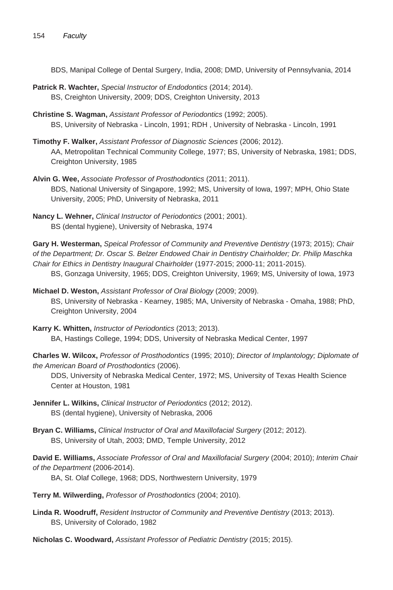BDS, Manipal College of Dental Surgery, India, 2008; DMD, University of Pennsylvania, 2014

- **Patrick R. Wachter,** Special Instructor of Endodontics (2014; 2014). BS, Creighton University, 2009; DDS, Creighton University, 2013
- **Christine S. Wagman,** Assistant Professor of Periodontics (1992; 2005). BS, University of Nebraska - Lincoln, 1991; RDH , University of Nebraska - Lincoln, 1991
- **Timothy F. Walker,** Assistant Professor of Diagnostic Sciences (2006; 2012). AA, Metropolitan Technical Community College, 1977; BS, University of Nebraska, 1981; DDS, Creighton University, 1985
- **Alvin G. Wee,** Associate Professor of Prosthodontics (2011; 2011). BDS, National University of Singapore, 1992; MS, University of Iowa, 1997; MPH, Ohio State University, 2005; PhD, University of Nebraska, 2011
- **Nancy L. Wehner,** Clinical Instructor of Periodontics (2001; 2001). BS (dental hygiene), University of Nebraska, 1974

**Gary H. Westerman,** Speical Professor of Community and Preventive Dentistry (1973; 2015); Chair of the Department; Dr. Oscar S. Belzer Endowed Chair in Dentistry Chairholder; Dr. Philip Maschka Chair for Ethics in Dentistry Inaugural Chairholder (1977-2015; 2000-11; 2011-2015).

BS, Gonzaga University, 1965; DDS, Creighton University, 1969; MS, University of Iowa, 1973

**Michael D. Weston,** Assistant Professor of Oral Biology (2009; 2009). BS, University of Nebraska - Kearney, 1985; MA, University of Nebraska - Omaha, 1988; PhD, Creighton University, 2004

**Karry K. Whitten,** Instructor of Periodontics (2013; 2013). BA, Hastings College, 1994; DDS, University of Nebraska Medical Center, 1997

**Charles W. Wilcox,** Professor of Prosthodontics (1995; 2010); Director of Implantology; Diplomate of the American Board of Prosthodontics (2006).

DDS, University of Nebraska Medical Center, 1972; MS, University of Texas Health Science Center at Houston, 1981

- **Jennifer L. Wilkins,** Clinical Instructor of Periodontics (2012; 2012). BS (dental hygiene), University of Nebraska, 2006
- **Bryan C. Williams,** Clinical Instructor of Oral and Maxillofacial Surgery (2012; 2012). BS, University of Utah, 2003; DMD, Temple University, 2012

**David E. Williams,** Associate Professor of Oral and Maxillofacial Surgery (2004; 2010); Interim Chair of the Department (2006-2014).

BA, St. Olaf College, 1968; DDS, Northwestern University, 1979

- **Terry M. Wilwerding,** Professor of Prosthodontics (2004; 2010).
- **Linda R. Woodruff,** Resident Instructor of Community and Preventive Dentistry (2013; 2013). BS, University of Colorado, 1982

**Nicholas C. Woodward,** Assistant Professor of Pediatric Dentistry (2015; 2015).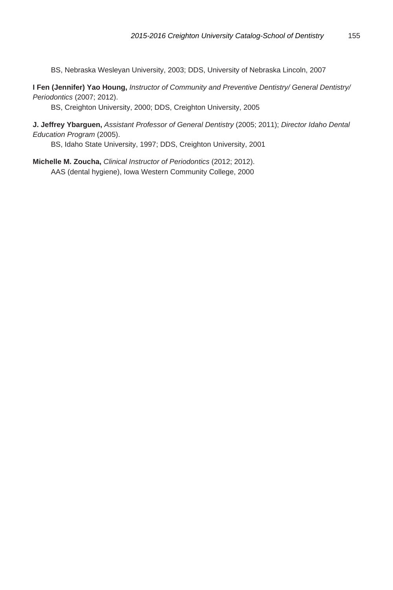BS, Nebraska Wesleyan University, 2003; DDS, University of Nebraska Lincoln, 2007

**I Fen (Jennifer) Yao Houng,** Instructor of Community and Preventive Dentistry/ General Dentistry/ Periodontics (2007; 2012).

BS, Creighton University, 2000; DDS, Creighton University, 2005

**J. Jeffrey Ybarguen,** Assistant Professor of General Dentistry (2005; 2011); Director Idaho Dental Education Program (2005).

BS, Idaho State University, 1997; DDS, Creighton University, 2001

**Michelle M. Zoucha,** Clinical Instructor of Periodontics (2012; 2012). AAS (dental hygiene), Iowa Western Community College, 2000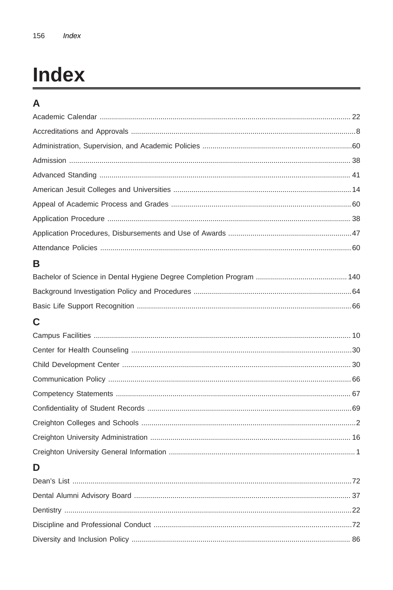# **Index**

## $\overline{A}$

| в                            |    |
|------------------------------|----|
|                              |    |
|                              |    |
|                              |    |
| С                            |    |
|                              |    |
|                              |    |
|                              |    |
|                              |    |
|                              |    |
|                              |    |
|                              |    |
|                              |    |
|                              |    |
| D                            |    |
|                              |    |
| Dontal Alumni Advisory Roard | 27 |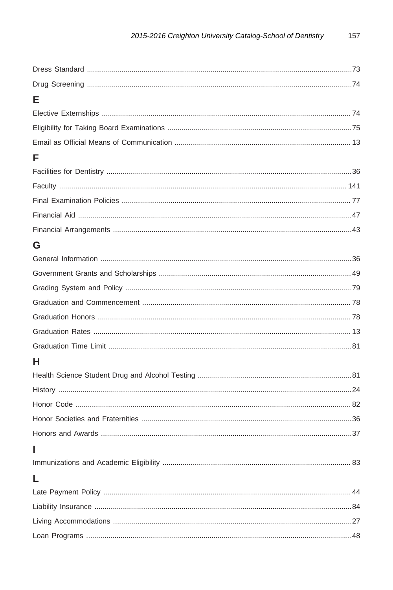| E |  |
|---|--|
|   |  |
|   |  |
|   |  |
| F |  |
|   |  |
|   |  |
|   |  |
|   |  |
|   |  |
| G |  |
|   |  |
|   |  |
|   |  |
|   |  |
|   |  |
|   |  |
|   |  |
| н |  |
|   |  |
|   |  |
|   |  |
|   |  |
|   |  |
|   |  |
|   |  |
|   |  |
|   |  |
|   |  |
|   |  |
|   |  |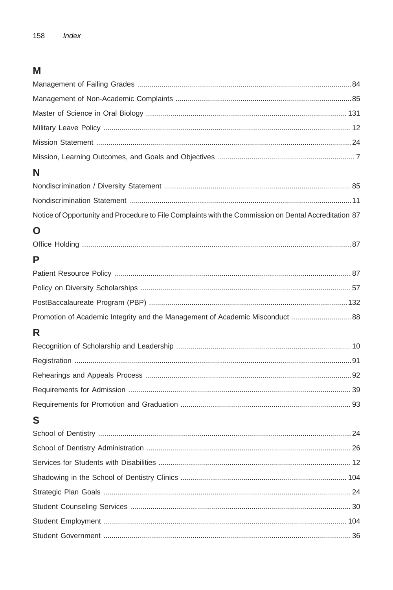### $\mathsf{M}% _{T}=\mathsf{M}_{T}\!\left( a,b\right) ,\ \mathsf{M}_{T}=\mathsf{M}_{T}$

| N                                                                                                     |
|-------------------------------------------------------------------------------------------------------|
|                                                                                                       |
|                                                                                                       |
| Notice of Opportunity and Procedure to File Complaints with the Commission on Dental Accreditation 87 |
| O                                                                                                     |
|                                                                                                       |
| P                                                                                                     |
|                                                                                                       |
|                                                                                                       |
|                                                                                                       |
|                                                                                                       |
| Promotion of Academic Integrity and the Management of Academic Misconduct  88                         |
| R                                                                                                     |
|                                                                                                       |
|                                                                                                       |
|                                                                                                       |
|                                                                                                       |
|                                                                                                       |
| S                                                                                                     |
|                                                                                                       |
|                                                                                                       |
|                                                                                                       |
|                                                                                                       |
|                                                                                                       |
|                                                                                                       |
|                                                                                                       |